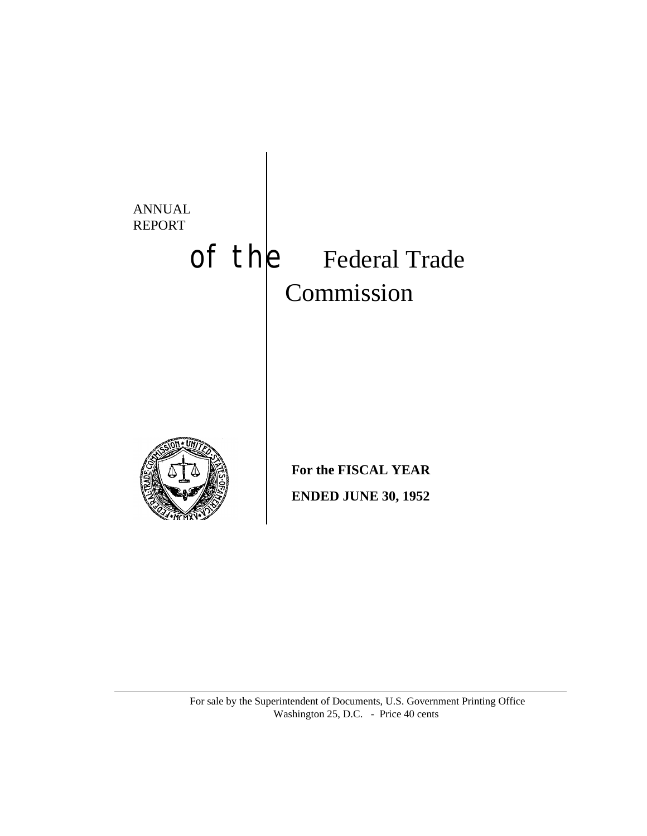ANNUAL REPORT

## of the Federal Trade Commission



**ENDED JUNE 30, 1952 For the FISCAL YEAR**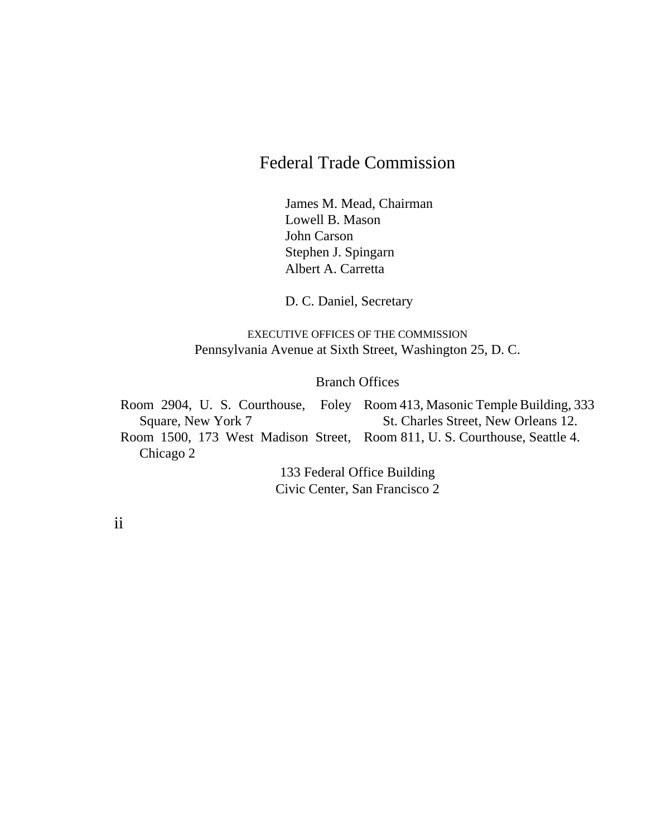### Federal Trade Commission

James M. Mead, Chairman Lowell B. Mason John Carson Stephen J. Spingarn Albert A. Carretta

D. C. Daniel, Secretary

EXECUTIVE OFFICES OF THE COMMISSION Pennsylvania Avenue at Sixth Street, Washington 25, D. C.

#### Branch Offices

Room 2904, U. S. Courthouse, Foley Room 413, Masonic Temple Building, 333 Square, New York 7 Room 1500, 173 West Madison Street, Room 811, U. S. Courthouse, Seattle 4. Chicago 2 St. Charles Street, New Orleans 12.

133 Federal Office Building Civic Center, San Francisco 2

ii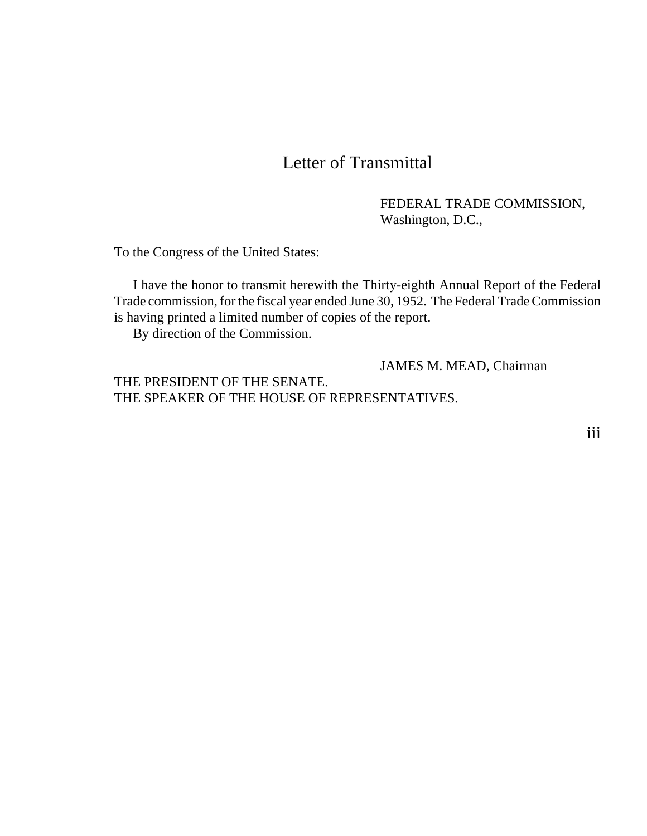### Letter of Transmittal

FEDERAL TRADE COMMISSION, Washington, D.C.,

To the Congress of the United States:

I have the honor to transmit herewith the Thirty-eighth Annual Report of the Federal Trade commission, for the fiscal year ended June 30, 1952. The Federal Trade Commission is having printed a limited number of copies of the report.

By direction of the Commission.

JAMES M. MEAD, Chairman

THE PRESIDENT OF THE SENATE. THE SPEAKER OF THE HOUSE OF REPRESENTATIVES.

iii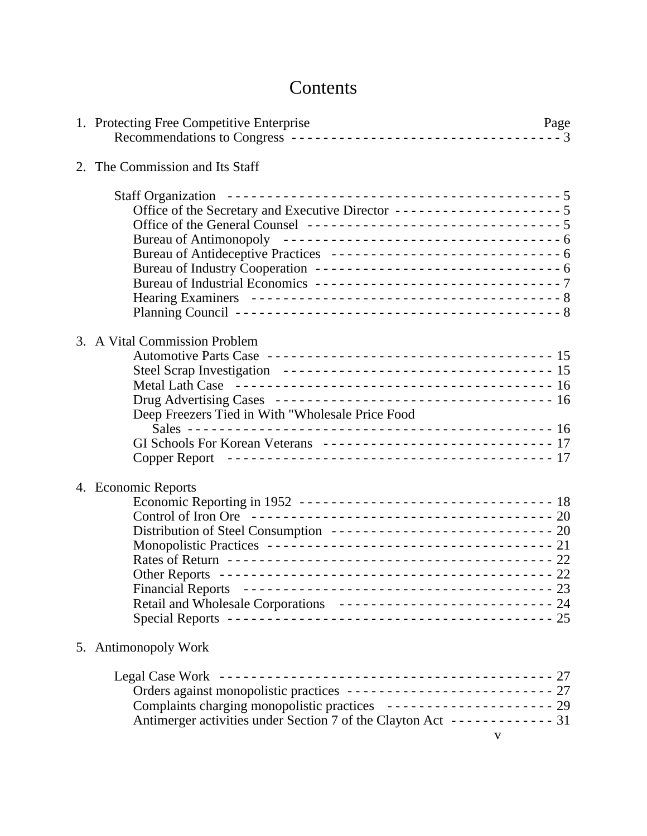### Contents

| 1. Protecting Free Competitive Enterprise                                                                                                                                                                                                                                            | Page |
|--------------------------------------------------------------------------------------------------------------------------------------------------------------------------------------------------------------------------------------------------------------------------------------|------|
| 2. The Commission and Its Staff                                                                                                                                                                                                                                                      |      |
| Office of the Secretary and Executive Director ------------------- 5<br>Office of the General Counsel ---------------------------------- 5<br>Bureau of Antideceptive Practices ----------------------------- 6<br>Bureau of Industry Cooperation -------------------------------- 6 |      |
| 3. A Vital Commission Problem<br>Steel Scrap Investigation ---------------------------------- 15<br>Deep Freezers Tied in With "Wholesale Price Food<br>GI Schools For Korean Veterans ----------------------------- 17                                                              |      |
| 4. Economic Reports<br>Economic Reporting in 1952 ---------------------------------- 18<br>Distribution of Steel Consumption --------------------------- 20<br>Retail and Wholesale Corporations ------------------------- 24                                                        |      |
| 5. Antimonopoly Work                                                                                                                                                                                                                                                                 |      |
| Orders against monopolistic practices ------------------------- 27<br>Complaints charging monopolistic practices ------------------- 29<br>Antimerger activities under Section 7 of the Clayton Act ------------ 31<br>V                                                             |      |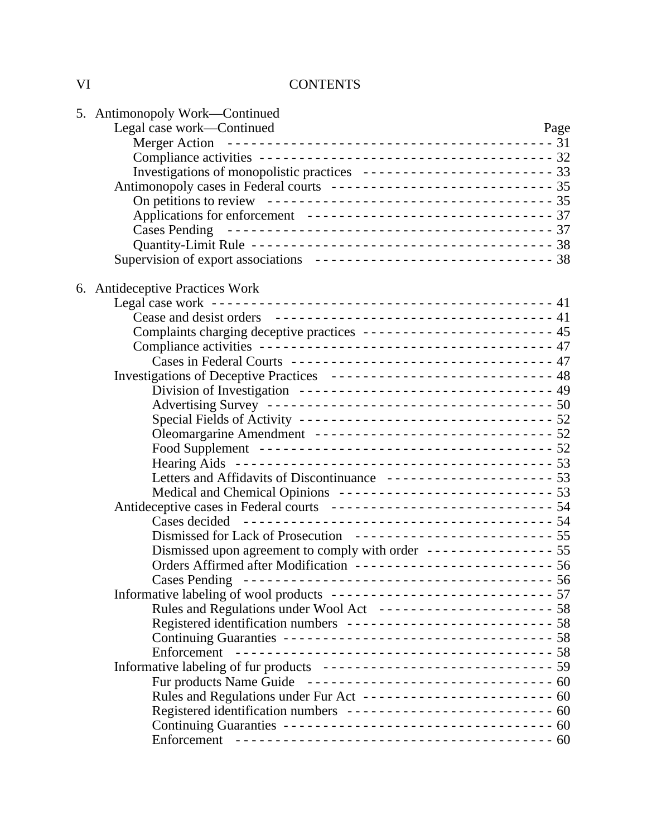### VI CONTENTS

|  | 5. Antimonopoly Work—Continued                                        |      |
|--|-----------------------------------------------------------------------|------|
|  | Legal case work—Continued                                             | Page |
|  |                                                                       |      |
|  |                                                                       |      |
|  | Investigations of monopolistic practices ---------------------- 33    |      |
|  | Antimonopoly cases in Federal courts --------------------------- 35   |      |
|  |                                                                       |      |
|  | Applications for enforcement ------------------------------ 37        |      |
|  | <b>Cases Pending</b>                                                  |      |
|  |                                                                       |      |
|  | Supervision of export associations ------------------------------ 38  |      |
|  | 6. Antideceptive Practices Work                                       |      |
|  |                                                                       |      |
|  |                                                                       |      |
|  | Complaints charging deceptive practices ---------------------- 45     |      |
|  |                                                                       |      |
|  | Cases in Federal Courts ---------------------------------- 47         |      |
|  | Investigations of Deceptive Practices --------------------------- 48  |      |
|  | Division of Investigation ------------------------------- 49          |      |
|  |                                                                       |      |
|  | Special Fields of Activity ------------------------------- 52         |      |
|  | Oleomargarine Amendment ------------------------------ 52             |      |
|  |                                                                       |      |
|  |                                                                       |      |
|  | Letters and Affidavits of Discontinuance -------------------- 53      |      |
|  | Medical and Chemical Opinions -------------------------- 53           |      |
|  | Antideceptive cases in Federal courts --------------------------- 54  |      |
|  |                                                                       |      |
|  | Dismissed for Lack of Prosecution ------------------------- 55        |      |
|  | Dismissed upon agreement to comply with order -------------- 55       |      |
|  | Orders Affirmed after Modification ------------------------ 56        |      |
|  |                                                                       |      |
|  | Informative labeling of wool products --------------------------- 57  |      |
|  | Rules and Regulations under Wool Act -------------------- 58          |      |
|  | Registered identification numbers ------------------------- 58        |      |
|  | Continuing Guaranties ---------------------------------- 58           |      |
|  |                                                                       |      |
|  | Informative labeling of fur products ----------------------------- 59 |      |
|  | Fur products Name Guide -------------------------------- 60           |      |
|  | Rules and Regulations under Fur Act ----------------------- 60        |      |
|  | Registered identification numbers ------------------------- 60        |      |
|  |                                                                       |      |
|  |                                                                       |      |
|  |                                                                       |      |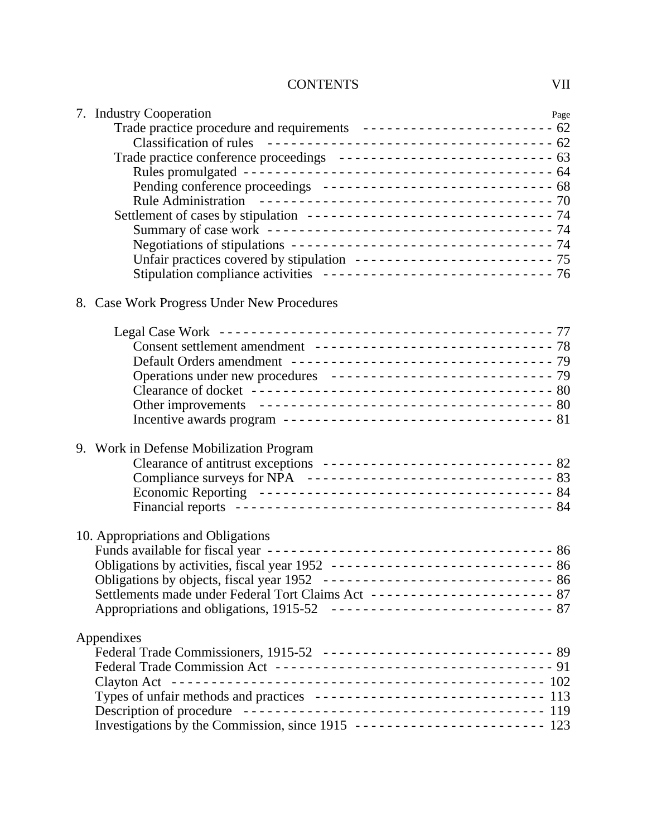#### CONTENTS VII

|  | 7. Industry Cooperation                                                       | Page |
|--|-------------------------------------------------------------------------------|------|
|  | Trade practice procedure and requirements ----------------------- 62          |      |
|  |                                                                               |      |
|  | Trade practice conference proceedings -------------------------- 63           |      |
|  |                                                                               |      |
|  |                                                                               |      |
|  |                                                                               |      |
|  | Settlement of cases by stipulation ------------------------------- 74         |      |
|  |                                                                               |      |
|  | Negotiations of stipulations ---------------------------------- 74            |      |
|  | Unfair practices covered by stipulation ----------------------- 75            |      |
|  | Stipulation compliance activities ----------------------------- 76            |      |
|  | 8. Case Work Progress Under New Procedures                                    |      |
|  |                                                                               |      |
|  | Consent settlement amendment -------------------------------- 78              |      |
|  |                                                                               |      |
|  | Operations under new procedures ---------------------------- 79               |      |
|  |                                                                               |      |
|  |                                                                               |      |
|  |                                                                               |      |
|  | 9. Work in Defense Mobilization Program                                       |      |
|  | Clearance of antitrust exceptions ---------------------------- 82             |      |
|  | Compliance surveys for NPA ------------------------------- 83                 |      |
|  |                                                                               |      |
|  |                                                                               |      |
|  | 10. Appropriations and Obligations                                            |      |
|  |                                                                               |      |
|  | Obligations by activities, fiscal year 1952 --------------------------- 86    |      |
|  | Obligations by objects, fiscal year 1952 --------------------------------- 86 |      |
|  | Settlements made under Federal Tort Claims Act --------------------- 87       |      |
|  | Appropriations and obligations, 1915-52 ----------------------------- 87      |      |
|  | Appendixes                                                                    |      |
|  | Federal Trade Commissioners, 1915-52 -------------------------------- 89      |      |
|  |                                                                               |      |
|  |                                                                               |      |
|  | Types of unfair methods and practices ---------------------------- 113        |      |
|  |                                                                               |      |
|  | Investigations by the Commission, since 1915 ----------------------- 123      |      |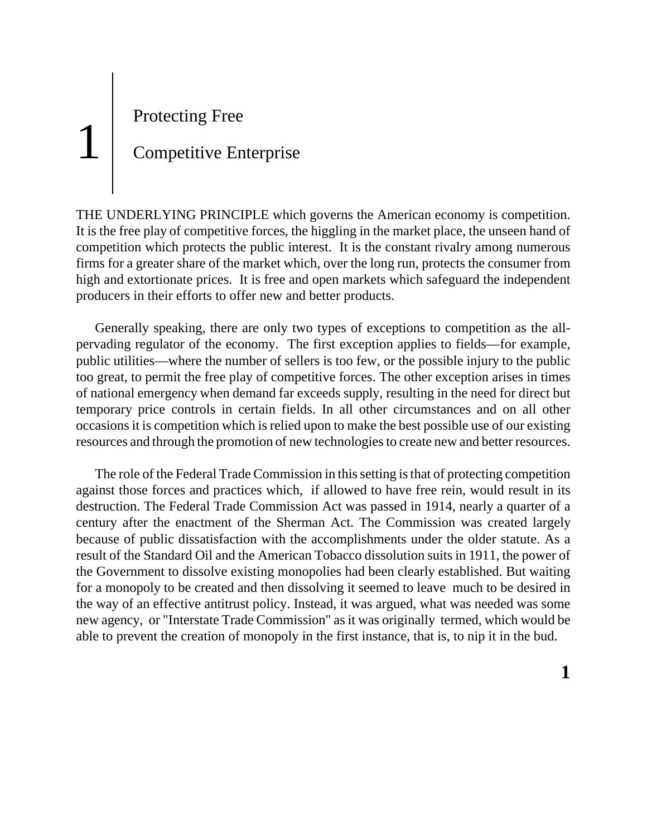## Protecting Free 1 Competitive Enterprise

THE UNDERLYING PRINCIPLE which governs the American economy is competition. It is the free play of competitive forces, the higgling in the market place, the unseen hand of competition which protects the public interest. It is the constant rivalry among numerous firms for a greater share of the market which, over the long run, protects the consumer from high and extortionate prices. It is free and open markets which safeguard the independent producers in their efforts to offer new and better products.

Generally speaking, there are only two types of exceptions to competition as the allpervading regulator of the economy. The first exception applies to fields—for example, public utilities—where the number of sellers is too few, or the possible injury to the public too great, to permit the free play of competitive forces. The other exception arises in times of national emergency when demand far exceeds supply, resulting in the need for direct but temporary price controls in certain fields. In all other circumstances and on all other occasions it is competition which isrelied upon to make the best possible use of our existing resources and through the promotion of new technologies to create new and better resources.

The role of the Federal Trade Commission in this setting is that of protecting competition against those forces and practices which, if allowed to have free rein, would result in its destruction. The Federal Trade Commission Act was passed in 1914, nearly a quarter of a century after the enactment of the Sherman Act. The Commission was created largely because of public dissatisfaction with the accomplishments under the older statute. As a result of the Standard Oil and the American Tobacco dissolution suits in 1911, the power of the Government to dissolve existing monopolies had been clearly established. But waiting for a monopoly to be created and then dissolving it seemed to leave much to be desired in the way of an effective antitrust policy. Instead, it was argued, what was needed was some new agency, or "Interstate Trade Commission" as it was originally termed, which would be able to prevent the creation of monopoly in the first instance, that is, to nip it in the bud.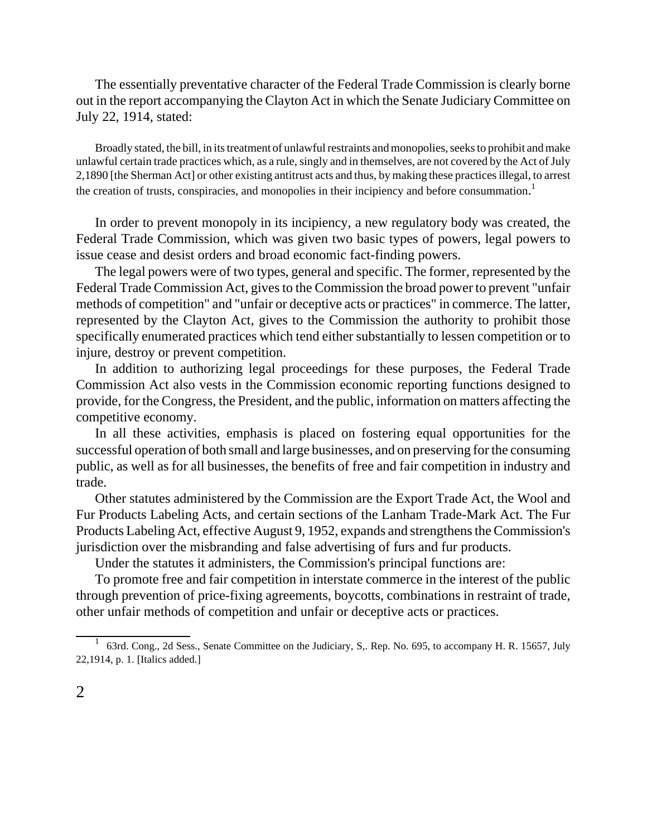The essentially preventative character of the Federal Trade Commission is clearly borne out in the report accompanying the Clayton Act in which the Senate JudiciaryCommittee on July 22, 1914, stated:

Broadly stated, the bill, in its treatment of unlawful restraints and monopolies, seeks to prohibit and make unlawful certain trade practices which, as a rule, singly and in themselves, are not covered by the Act of July 2,1890 [the Sherman Act] or other existing antitrust acts and thus, by making these practicesillegal, to arrest the creation of trusts, conspiracies, and monopolies in their incipiency and before consummation.<sup>1</sup>

In order to prevent monopoly in its incipiency, a new regulatory body was created, the Federal Trade Commission, which was given two basic types of powers, legal powers to issue cease and desist orders and broad economic fact-finding powers.

The legal powers were of two types, general and specific. The former, represented by the Federal Trade Commission Act, gives to the Commission the broad power to prevent "unfair" methods of competition" and "unfair or deceptive acts or practices" in commerce. The latter, represented by the Clayton Act, gives to the Commission the authority to prohibit those specifically enumerated practices which tend either substantially to lessen competition or to injure, destroy or prevent competition.

In addition to authorizing legal proceedings for these purposes, the Federal Trade Commission Act also vests in the Commission economic reporting functions designed to provide, for the Congress, the President, and the public, information on matters affecting the competitive economy.

In all these activities, emphasis is placed on fostering equal opportunities for the successful operation of both small and large businesses, and on preserving for the consuming public, as well as for all businesses, the benefits of free and fair competition in industry and trade.

Other statutes administered by the Commission are the Export Trade Act, the Wool and Fur Products Labeling Acts, and certain sections of the Lanham Trade-Mark Act. The Fur Products Labeling Act, effective August 9, 1952, expands and strengthens the Commission's jurisdiction over the misbranding and false advertising of furs and fur products.

Under the statutes it administers, the Commission's principal functions are:

To promote free and fair competition in interstate commerce in the interest of the public through prevention of price-fixing agreements, boycotts, combinations in restraint of trade, other unfair methods of competition and unfair or deceptive acts or practices.

<sup>1</sup> 63rd. Cong., 2d Sess., Senate Committee on the Judiciary, S,. Rep. No. 695, to accompany H. R. 15657, July 22,1914, p. 1. [Italics added.]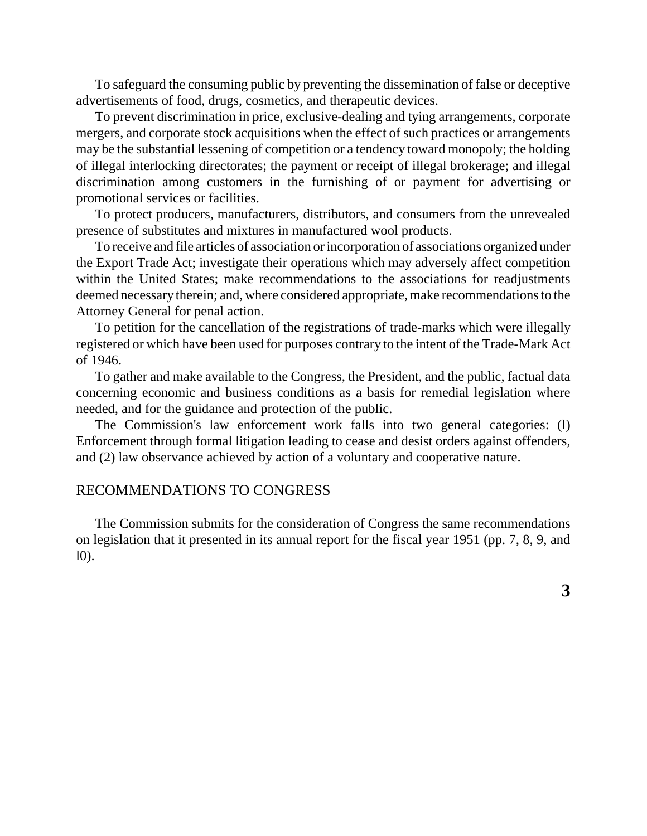To safeguard the consuming public by preventing the dissemination of false or deceptive advertisements of food, drugs, cosmetics, and therapeutic devices.

To prevent discrimination in price, exclusive-dealing and tying arrangements, corporate mergers, and corporate stock acquisitions when the effect of such practices or arrangements may be the substantial lessening of competition or a tendency toward monopoly; the holding of illegal interlocking directorates; the payment or receipt of illegal brokerage; and illegal discrimination among customers in the furnishing of or payment for advertising or promotional services or facilities.

To protect producers, manufacturers, distributors, and consumers from the unrevealed presence of substitutes and mixtures in manufactured wool products.

To receive and file articles of association or incorporation of associations organized under the Export Trade Act; investigate their operations which may adversely affect competition within the United States; make recommendations to the associations for readjustments deemed necessary therein; and, where considered appropriate, make recommendations to the Attorney General for penal action.

To petition for the cancellation of the registrations of trade-marks which were illegally registered or which have been used for purposes contrary to the intent of the Trade-Mark Act of 1946.

To gather and make available to the Congress, the President, and the public, factual data concerning economic and business conditions as a basis for remedial legislation where needed, and for the guidance and protection of the public.

The Commission's law enforcement work falls into two general categories: (l) Enforcement through formal litigation leading to cease and desist orders against offenders, and (2) law observance achieved by action of a voluntary and cooperative nature.

#### RECOMMENDATIONS TO CONGRESS

The Commission submits for the consideration of Congress the same recommendations on legislation that it presented in its annual report for the fiscal year 1951 (pp. 7, 8, 9, and l0).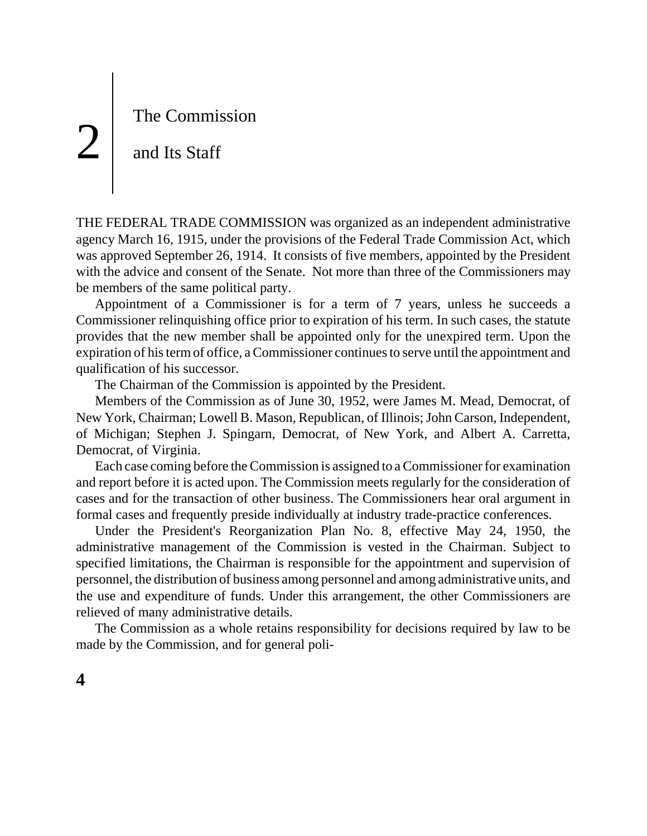### The Commission

# $2\left| \right.$  and Its Staff

THE FEDERAL TRADE COMMISSION was organized as an independent administrative agency March 16, 1915, under the provisions of the Federal Trade Commission Act, which was approved September 26, 1914. It consists of five members, appointed by the President with the advice and consent of the Senate. Not more than three of the Commissioners may be members of the same political party.

Appointment of a Commissioner is for a term of 7 years, unless he succeeds a Commissioner relinquishing office prior to expiration of his term. In such cases, the statute provides that the new member shall be appointed only for the unexpired term. Upon the expiration of histerm of office, a Commissioner continues to serve until the appointment and qualification of his successor.

The Chairman of the Commission is appointed by the President.

Members of the Commission as of June 30, 1952, were James M. Mead, Democrat, of New York, Chairman; Lowell B. Mason, Republican, of Illinois; John Carson, Independent, of Michigan; Stephen J. Spingarn, Democrat, of New York, and Albert A. Carretta, Democrat, of Virginia.

Each case coming before the Commission is assigned to a Commissioner for examination and report before it is acted upon. The Commission meets regularly for the consideration of cases and for the transaction of other business. The Commissioners hear oral argument in formal cases and frequently preside individually at industry trade-practice conferences.

Under the President's Reorganization Plan No. 8, effective May 24, 1950, the administrative management of the Commission is vested in the Chairman. Subject to specified limitations, the Chairman is responsible for the appointment and supervision of personnel, the distribution of business among personnel and among administrative units, and the use and expenditure of funds. Under this arrangement, the other Commissioners are relieved of many administrative details.

The Commission as a whole retains responsibility for decisions required by law to be made by the Commission, and for general poli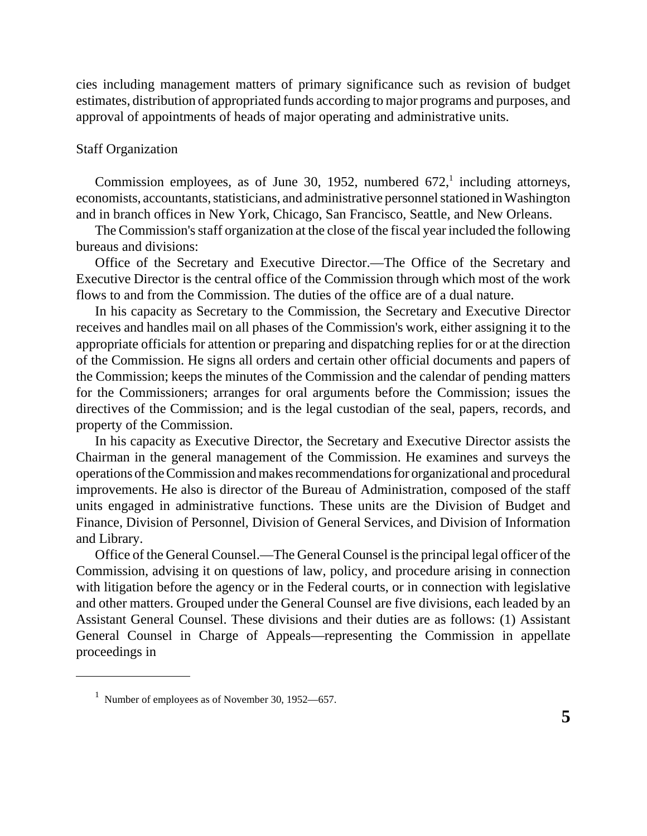cies including management matters of primary significance such as revision of budget estimates, distribution of appropriated funds according to major programs and purposes, and approval of appointments of heads of major operating and administrative units.

#### Staff Organization

Commission employees, as of June 30, 1952, numbered  $672$ ,<sup>1</sup> including attorneys, economists, accountants, statisticians, and administrative personnel stationed in Washington and in branch offices in New York, Chicago, San Francisco, Seattle, and New Orleans.

The Commission's staff organization at the close of the fiscal year included the following bureaus and divisions:

Office of the Secretary and Executive Director.—The Office of the Secretary and Executive Director is the central office of the Commission through which most of the work flows to and from the Commission. The duties of the office are of a dual nature.

In his capacity as Secretary to the Commission, the Secretary and Executive Director receives and handles mail on all phases of the Commission's work, either assigning it to the appropriate officials for attention or preparing and dispatching replies for or at the direction of the Commission. He signs all orders and certain other official documents and papers of the Commission; keeps the minutes of the Commission and the calendar of pending matters for the Commissioners; arranges for oral arguments before the Commission; issues the directives of the Commission; and is the legal custodian of the seal, papers, records, and property of the Commission.

In his capacity as Executive Director, the Secretary and Executive Director assists the Chairman in the general management of the Commission. He examines and surveys the operations of the Commission and makes recommendations for organizational and procedural improvements. He also is director of the Bureau of Administration, composed of the staff units engaged in administrative functions. These units are the Division of Budget and Finance, Division of Personnel, Division of General Services, and Division of Information and Library.

Office of the General Counsel.—The General Counsel isthe principal legal officer of the Commission, advising it on questions of law, policy, and procedure arising in connection with litigation before the agency or in the Federal courts, or in connection with legislative and other matters. Grouped under the General Counsel are five divisions, each leaded by an Assistant General Counsel. These divisions and their duties are as follows: (1) Assistant General Counsel in Charge of Appeals—representing the Commission in appellate proceedings in

<sup>&</sup>lt;sup>1</sup> Number of employees as of November 30, 1952–657.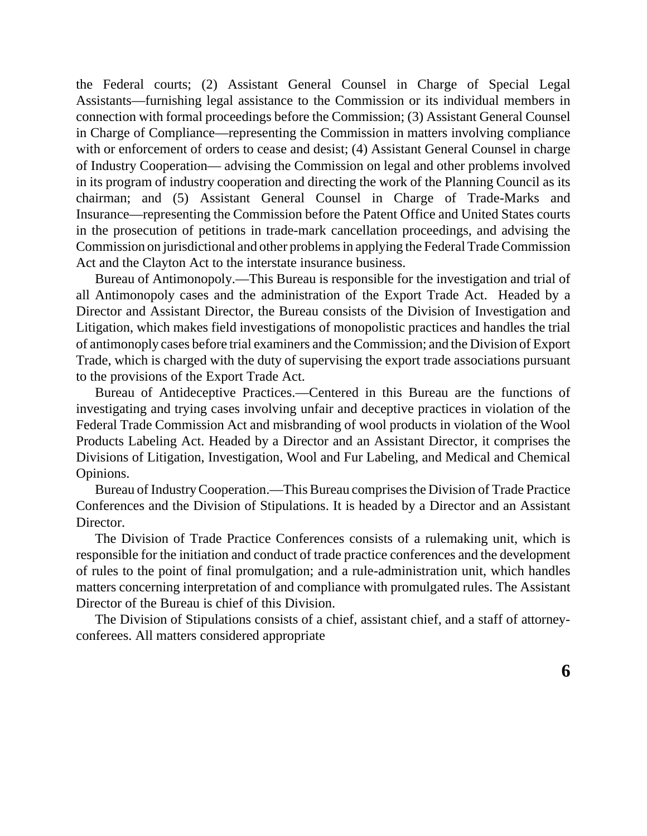the Federal courts; (2) Assistant General Counsel in Charge of Special Legal Assistants—furnishing legal assistance to the Commission or its individual members in connection with formal proceedings before the Commission; (3) Assistant General Counsel in Charge of Compliance—representing the Commission in matters involving compliance with or enforcement of orders to cease and desist; (4) Assistant General Counsel in charge of Industry Cooperation— advising the Commission on legal and other problems involved in its program of industry cooperation and directing the work of the Planning Council as its chairman; and (5) Assistant General Counsel in Charge of Trade-Marks and Insurance—representing the Commission before the Patent Office and United States courts in the prosecution of petitions in trade-mark cancellation proceedings, and advising the Commission on jurisdictional and other problems in applying the Federal Trade Commission Act and the Clayton Act to the interstate insurance business.

Bureau of Antimonopoly.—This Bureau is responsible for the investigation and trial of all Antimonopoly cases and the administration of the Export Trade Act. Headed by a Director and Assistant Director, the Bureau consists of the Division of Investigation and Litigation, which makes field investigations of monopolistic practices and handles the trial of antimonoply cases before trial examiners and the Commission; and the Division of Export Trade, which is charged with the duty of supervising the export trade associations pursuant to the provisions of the Export Trade Act.

Bureau of Antideceptive Practices.—Centered in this Bureau are the functions of investigating and trying cases involving unfair and deceptive practices in violation of the Federal Trade Commission Act and misbranding of wool products in violation of the Wool Products Labeling Act. Headed by a Director and an Assistant Director, it comprises the Divisions of Litigation, Investigation, Wool and Fur Labeling, and Medical and Chemical Opinions.

Bureau of Industry Cooperation.—This Bureau comprises the Division of Trade Practice Conferences and the Division of Stipulations. It is headed by a Director and an Assistant Director.

The Division of Trade Practice Conferences consists of a rulemaking unit, which is responsible for the initiation and conduct of trade practice conferences and the development of rules to the point of final promulgation; and a rule-administration unit, which handles matters concerning interpretation of and compliance with promulgated rules. The Assistant Director of the Bureau is chief of this Division.

The Division of Stipulations consists of a chief, assistant chief, and a staff of attorneyconferees. All matters considered appropriate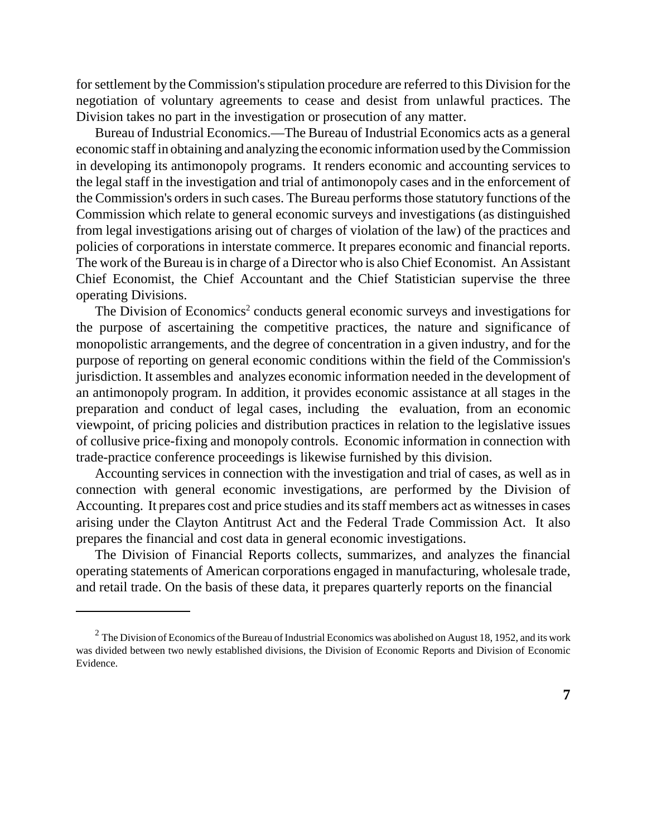for settlement by the Commission's stipulation procedure are referred to this Division for the negotiation of voluntary agreements to cease and desist from unlawful practices. The Division takes no part in the investigation or prosecution of any matter.

Bureau of Industrial Economics.—The Bureau of Industrial Economics acts as a general economic staffin obtaining and analyzing the economic information used by the Commission in developing its antimonopoly programs. It renders economic and accounting services to the legal staff in the investigation and trial of antimonopoly cases and in the enforcement of the Commission's orders in such cases. The Bureau performs those statutory functions of the Commission which relate to general economic surveys and investigations (as distinguished from legal investigations arising out of charges of violation of the law) of the practices and policies of corporations in interstate commerce. It prepares economic and financial reports. The work of the Bureau is in charge of a Director who is also Chief Economist. An Assistant Chief Economist, the Chief Accountant and the Chief Statistician supervise the three operating Divisions.

The Division of Economics<sup>2</sup> conducts general economic surveys and investigations for the purpose of ascertaining the competitive practices, the nature and significance of monopolistic arrangements, and the degree of concentration in a given industry, and for the purpose of reporting on general economic conditions within the field of the Commission's jurisdiction. It assembles and analyzes economic information needed in the development of an antimonopoly program. In addition, it provides economic assistance at all stages in the preparation and conduct of legal cases, including the evaluation, from an economic viewpoint, of pricing policies and distribution practices in relation to the legislative issues of collusive price-fixing and monopoly controls. Economic information in connection with trade-practice conference proceedings is likewise furnished by this division.

Accounting services in connection with the investigation and trial of cases, as well as in connection with general economic investigations, are performed by the Division of Accounting. It prepares cost and price studies and its staff members act as witnesses in cases arising under the Clayton Antitrust Act and the Federal Trade Commission Act. It also prepares the financial and cost data in general economic investigations.

The Division of Financial Reports collects, summarizes, and analyzes the financial operating statements of American corporations engaged in manufacturing, wholesale trade, and retail trade. On the basis of these data, it prepares quarterly reports on the financial

<sup>&</sup>lt;sup>2</sup> The Division of Economics of the Bureau of Industrial Economics was abolished on August 18, 1952, and its work was divided between two newly established divisions, the Division of Economic Reports and Division of Economic Evidence.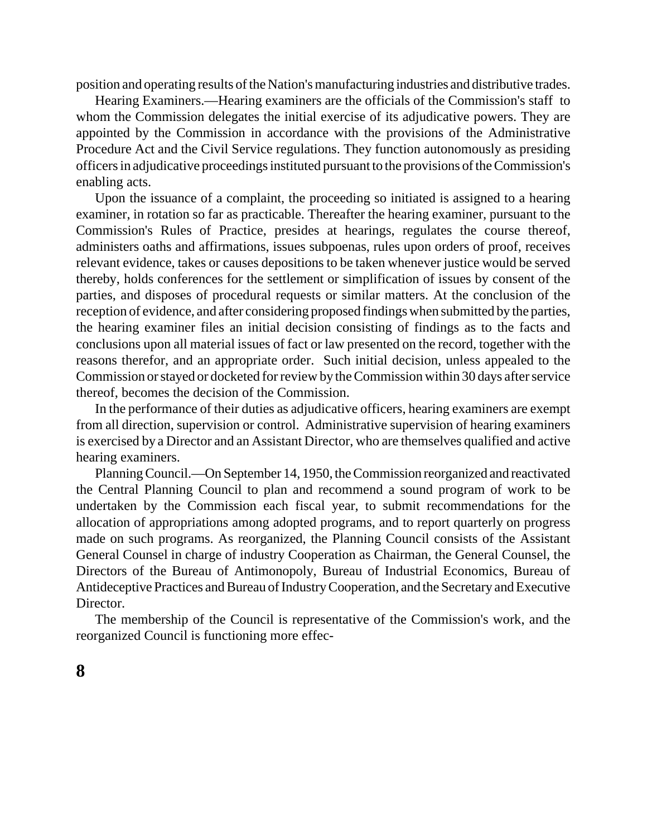position and operating results of the Nation's manufacturing industries and distributive trades.

Hearing Examiners.—Hearing examiners are the officials of the Commission's staff to whom the Commission delegates the initial exercise of its adjudicative powers. They are appointed by the Commission in accordance with the provisions of the Administrative Procedure Act and the Civil Service regulations. They function autonomously as presiding officersin adjudicative proceedingsinstituted pursuant to the provisions of the Commission's enabling acts.

Upon the issuance of a complaint, the proceeding so initiated is assigned to a hearing examiner, in rotation so far as practicable. Thereafter the hearing examiner, pursuant to the Commission's Rules of Practice, presides at hearings, regulates the course thereof, administers oaths and affirmations, issues subpoenas, rules upon orders of proof, receives relevant evidence, takes or causes depositions to be taken whenever justice would be served thereby, holds conferences for the settlement or simplification of issues by consent of the parties, and disposes of procedural requests or similar matters. At the conclusion of the reception of evidence, and after considering proposed findings when submitted by the parties, the hearing examiner files an initial decision consisting of findings as to the facts and conclusions upon all material issues of fact or law presented on the record, together with the reasons therefor, and an appropriate order. Such initial decision, unless appealed to the Commission or stayed or docketed for review by the Commission within 30 days after service thereof, becomes the decision of the Commission.

In the performance of their duties as adjudicative officers, hearing examiners are exempt from all direction, supervision or control. Administrative supervision of hearing examiners is exercised by a Director and an Assistant Director, who are themselves qualified and active hearing examiners.

Planning Council.—On September 14, 1950, the Commission reorganized and reactivated the Central Planning Council to plan and recommend a sound program of work to be undertaken by the Commission each fiscal year, to submit recommendations for the allocation of appropriations among adopted programs, and to report quarterly on progress made on such programs. As reorganized, the Planning Council consists of the Assistant General Counsel in charge of industry Cooperation as Chairman, the General Counsel, the Directors of the Bureau of Antimonopoly, Bureau of Industrial Economics, Bureau of Antideceptive Practices and Bureau of Industry Cooperation, and the Secretary and Executive Director.

The membership of the Council is representative of the Commission's work, and the reorganized Council is functioning more effec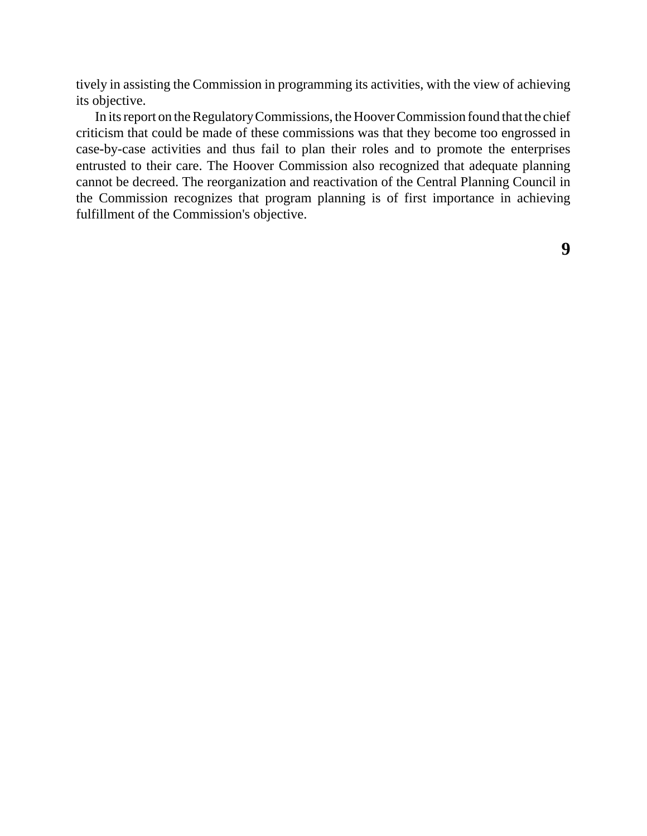tively in assisting the Commission in programming its activities, with the view of achieving its objective.

In its report on the Regulatory Commissions, the Hoover Commission found that the chief criticism that could be made of these commissions was that they become too engrossed in case-by-case activities and thus fail to plan their roles and to promote the enterprises entrusted to their care. The Hoover Commission also recognized that adequate planning cannot be decreed. The reorganization and reactivation of the Central Planning Council in the Commission recognizes that program planning is of first importance in achieving fulfillment of the Commission's objective.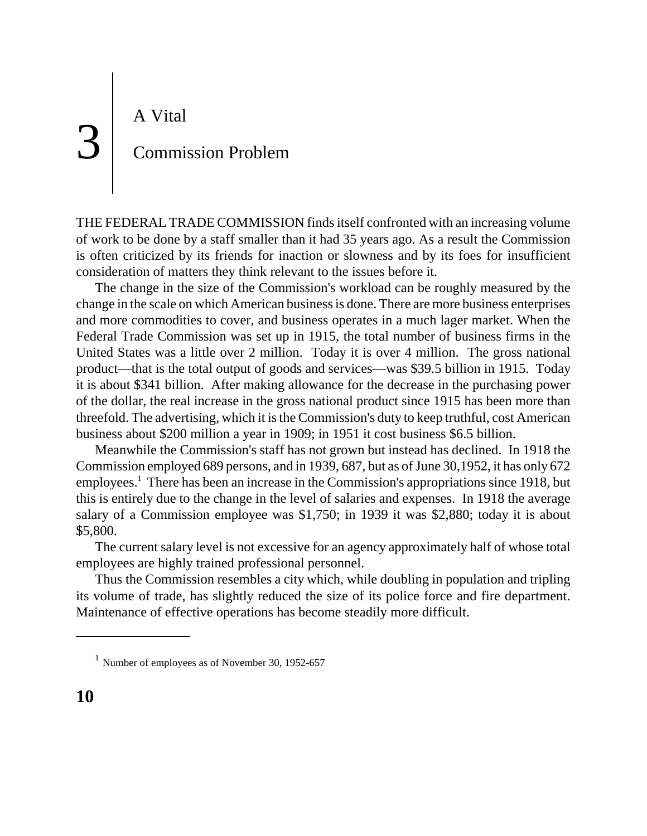## A Vital  $3 \int_{\text{Commission Problem}}$

THE FEDERAL TRADE COMMISSION finds itself confronted with an increasing volume of work to be done by a staff smaller than it had 35 years ago. As a result the Commission is often criticized by its friends for inaction or slowness and by its foes for insufficient consideration of matters they think relevant to the issues before it.

The change in the size of the Commission's workload can be roughly measured by the change in the scale on which American businessis done. There are more business enterprises and more commodities to cover, and business operates in a much lager market. When the Federal Trade Commission was set up in 1915, the total number of business firms in the United States was a little over 2 million. Today it is over 4 million. The gross national product—that is the total output of goods and services—was \$39.5 billion in 1915. Today it is about \$341 billion. After making allowance for the decrease in the purchasing power of the dollar, the real increase in the gross national product since 1915 has been more than threefold. The advertising, which it is the Commission's duty to keep truthful, cost American business about \$200 million a year in 1909; in 1951 it cost business \$6.5 billion.

Meanwhile the Commission's staff has not grown but instead has declined. In 1918 the Commission employed 689 persons, and in 1939, 687, but as of June 30, 1952, it has only 672 employees.<sup>1</sup> There has been an increase in the Commission's appropriations since 1918, but this is entirely due to the change in the level of salaries and expenses. In 1918 the average salary of a Commission employee was \$1,750; in 1939 it was \$2,880; today it is about \$5,800.

The current salary level is not excessive for an agency approximately half of whose total employees are highly trained professional personnel.

Thus the Commission resembles a city which, while doubling in population and tripling its volume of trade, has slightly reduced the size of its police force and fire department. Maintenance of effective operations has become steadily more difficult.

 $<sup>1</sup>$  Number of employees as of November 30, 1952-657</sup>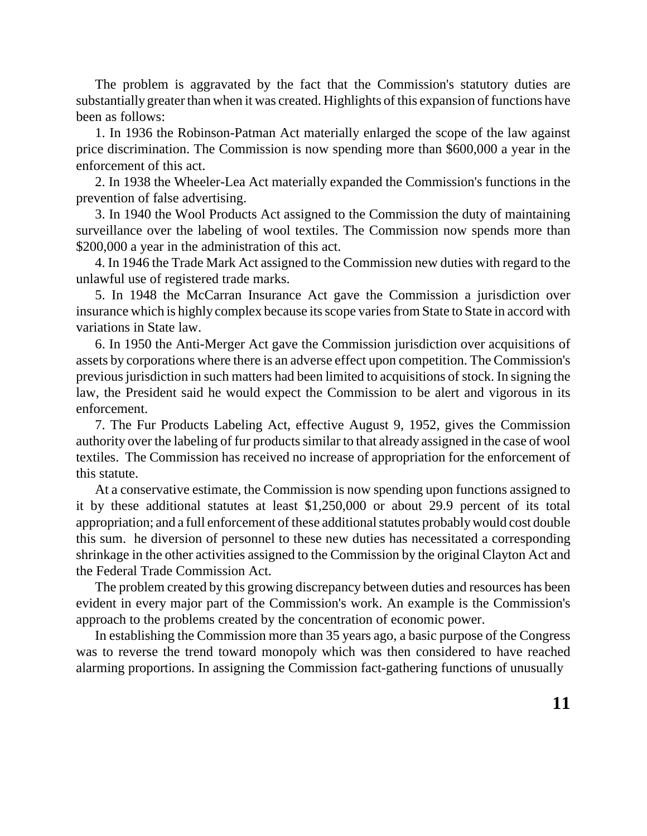The problem is aggravated by the fact that the Commission's statutory duties are substantially greater than when it was created. Highlights of this expansion of functions have been as follows:

1. In 1936 the Robinson-Patman Act materially enlarged the scope of the law against price discrimination. The Commission is now spending more than \$600,000 a year in the enforcement of this act.

2. In 1938 the Wheeler-Lea Act materially expanded the Commission's functions in the prevention of false advertising.

3. In 1940 the Wool Products Act assigned to the Commission the duty of maintaining surveillance over the labeling of wool textiles. The Commission now spends more than \$200,000 a year in the administration of this act.

4. In 1946 the Trade Mark Act assigned to the Commission new duties with regard to the unlawful use of registered trade marks.

5. In 1948 the McCarran Insurance Act gave the Commission a jurisdiction over insurance which is highly complex because its scope varies from State to State in accord with variations in State law.

6. In 1950 the Anti-Merger Act gave the Commission jurisdiction over acquisitions of assets by corporations where there is an adverse effect upon competition. The Commission's previous jurisdiction in such matters had been limited to acquisitions of stock. In signing the law, the President said he would expect the Commission to be alert and vigorous in its enforcement.

7. The Fur Products Labeling Act, effective August 9, 1952, gives the Commission authority over the labeling of fur products similar to that already assigned in the case of wool textiles. The Commission has received no increase of appropriation for the enforcement of this statute.

At a conservative estimate, the Commission is now spending upon functions assigned to it by these additional statutes at least \$1,250,000 or about 29.9 percent of its total appropriation; and a full enforcement of these additional statutes probably would cost double this sum. he diversion of personnel to these new duties has necessitated a corresponding shrinkage in the other activities assigned to the Commission by the original Clayton Act and the Federal Trade Commission Act.

The problem created by this growing discrepancy between duties and resources has been evident in every major part of the Commission's work. An example is the Commission's approach to the problems created by the concentration of economic power.

In establishing the Commission more than 35 years ago, a basic purpose of the Congress was to reverse the trend toward monopoly which was then considered to have reached alarming proportions. In assigning the Commission fact-gathering functions of unusually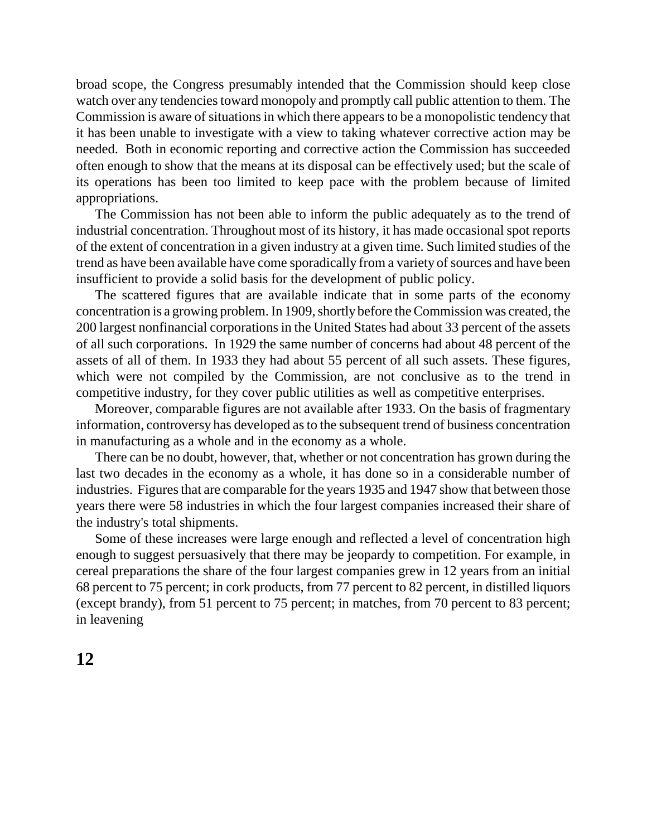broad scope, the Congress presumably intended that the Commission should keep close watch over any tendencies toward monopoly and promptly call public attention to them. The Commission is aware of situations in which there appears to be a monopolistic tendency that it has been unable to investigate with a view to taking whatever corrective action may be needed. Both in economic reporting and corrective action the Commission has succeeded often enough to show that the means at its disposal can be effectively used; but the scale of its operations has been too limited to keep pace with the problem because of limited appropriations.

The Commission has not been able to inform the public adequately as to the trend of industrial concentration. Throughout most of its history, it has made occasional spot reports of the extent of concentration in a given industry at a given time. Such limited studies of the trend as have been available have come sporadically from a variety of sources and have been insufficient to provide a solid basis for the development of public policy.

The scattered figures that are available indicate that in some parts of the economy concentration is a growing problem. In 1909, shortly before the Commission was created, the 200 largest nonfinancial corporations in the United States had about 33 percent of the assets of all such corporations. In 1929 the same number of concerns had about 48 percent of the assets of all of them. In 1933 they had about 55 percent of all such assets. These figures, which were not compiled by the Commission, are not conclusive as to the trend in competitive industry, for they cover public utilities as well as competitive enterprises.

Moreover, comparable figures are not available after 1933. On the basis of fragmentary information, controversy has developed as to the subsequent trend of business concentration in manufacturing as a whole and in the economy as a whole.

There can be no doubt, however, that, whether or not concentration has grown during the last two decades in the economy as a whole, it has done so in a considerable number of industries. Figures that are comparable for the years 1935 and 1947 show that between those years there were 58 industries in which the four largest companies increased their share of the industry's total shipments.

Some of these increases were large enough and reflected a level of concentration high enough to suggest persuasively that there may be jeopardy to competition. For example, in cereal preparations the share of the four largest companies grew in 12 years from an initial 68 percent to 75 percent; in cork products, from 77 percent to 82 percent, in distilled liquors (except brandy), from 51 percent to 75 percent; in matches, from 70 percent to 83 percent; in leavening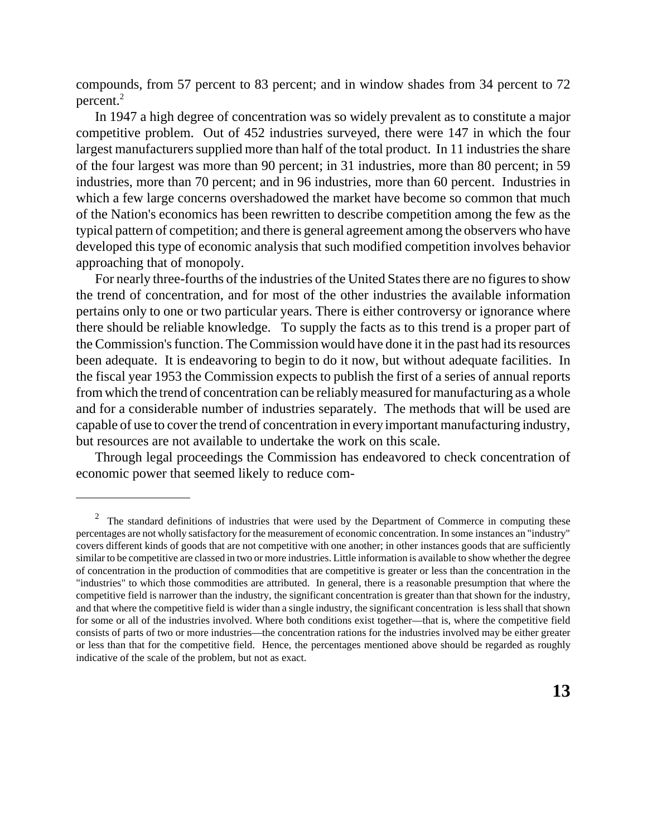compounds, from 57 percent to 83 percent; and in window shades from 34 percent to 72 percent.<sup>2</sup>

In 1947 a high degree of concentration was so widely prevalent as to constitute a major competitive problem. Out of 452 industries surveyed, there were 147 in which the four largest manufacturers supplied more than half of the total product. In 11 industries the share of the four largest was more than 90 percent; in 31 industries, more than 80 percent; in 59 industries, more than 70 percent; and in 96 industries, more than 60 percent. Industries in which a few large concerns overshadowed the market have become so common that much of the Nation's economics has been rewritten to describe competition among the few as the typical pattern of competition; and there is general agreement among the observers who have developed this type of economic analysis that such modified competition involves behavior approaching that of monopoly.

For nearly three-fourths of the industries of the United States there are no figures to show the trend of concentration, and for most of the other industries the available information pertains only to one or two particular years. There is either controversy or ignorance where there should be reliable knowledge. To supply the facts as to this trend is a proper part of the Commission's function. The Commission would have done it in the past had its resources been adequate. It is endeavoring to begin to do it now, but without adequate facilities. In the fiscal year 1953 the Commission expects to publish the first of a series of annual reports fromwhich the trend of concentration can be reliablymeasured for manufacturing as a whole and for a considerable number of industries separately. The methods that will be used are capable of use to cover the trend of concentration in every important manufacturing industry, but resources are not available to undertake the work on this scale.

Through legal proceedings the Commission has endeavored to check concentration of economic power that seemed likely to reduce com-

<sup>2</sup> The standard definitions of industries that were used by the Department of Commerce in computing these percentages are not wholly satisfactory for the measurement of economic concentration. In some instances an "industry" covers different kinds of goods that are not competitive with one another; in other instances goods that are sufficiently similar to be competitive are classed in two or more industries. Little information is available to show whether the degree of concentration in the production of commodities that are competitive is greater or less than the concentration in the "industries" to which those commodities are attributed. In general, there is a reasonable presumption that where the competitive field is narrower than the industry, the significant concentration is greater than that shown for the industry, and that where the competitive field is wider than a single industry, the significant concentration is less shall that shown for some or all of the industries involved. Where both conditions exist together—that is, where the competitive field consists of parts of two or more industries—the concentration rations for the industries involved may be either greater or less than that for the competitive field. Hence, the percentages mentioned above should be regarded as roughly indicative of the scale of the problem, but not as exact.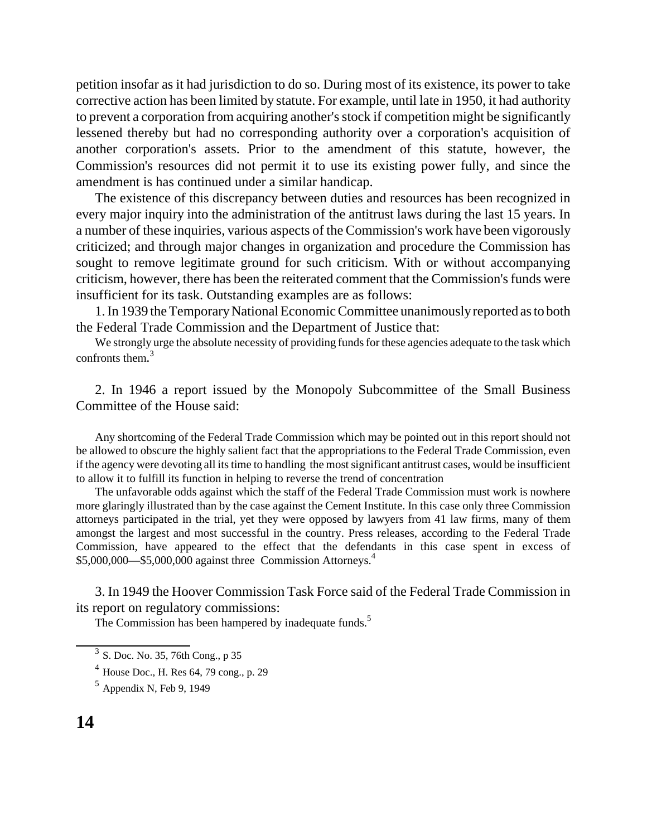petition insofar as it had jurisdiction to do so. During most of its existence, its power to take corrective action has been limited by statute. For example, until late in 1950, it had authority to prevent a corporation from acquiring another's stock if competition might be significantly lessened thereby but had no corresponding authority over a corporation's acquisition of another corporation's assets. Prior to the amendment of this statute, however, the Commission's resources did not permit it to use its existing power fully, and since the amendment is has continued under a similar handicap.

The existence of this discrepancy between duties and resources has been recognized in every major inquiry into the administration of the antitrust laws during the last 15 years. In a number of these inquiries, various aspects of the Commission's work have been vigorously criticized; and through major changes in organization and procedure the Commission has sought to remove legitimate ground for such criticism. With or without accompanying criticism, however, there has been the reiterated comment that the Commission'sfunds were insufficient for its task. Outstanding examples are as follows:

1.In 1939 theTemporaryNationalEconomicCommittee unanimouslyreported as to both the Federal Trade Commission and the Department of Justice that:

We strongly urge the absolute necessity of providing funds for these agencies adequate to the task which confronts them. 3

2. In 1946 a report issued by the Monopoly Subcommittee of the Small Business Committee of the House said:

Any shortcoming of the Federal Trade Commission which may be pointed out in this report should not be allowed to obscure the highly salient fact that the appropriations to the Federal Trade Commission, even if the agency were devoting all its time to handling the most significant antitrust cases, would be insufficient to allow it to fulfill its function in helping to reverse the trend of concentration

The unfavorable odds against which the staff of the Federal Trade Commission must work is nowhere more glaringly illustrated than by the case against the Cement Institute. In this case only three Commission attorneys participated in the trial, yet they were opposed by lawyers from 41 law firms, many of them amongst the largest and most successful in the country. Press releases, according to the Federal Trade Commission, have appeared to the effect that the defendants in this case spent in excess of  $$5,000,000$ — $$5,000,000$  against three Commission Attorneys.<sup>4</sup>

3. In 1949 the Hoover Commission Task Force said of the Federal Trade Commission in its report on regulatory commissions:

The Commission has been hampered by inadequate funds.<sup>5</sup>

<sup>3</sup> S. Doc. No. 35, 76th Cong., p 35

<sup>4</sup> House Doc., H. Res 64, 79 cong., p. 29

 $<sup>5</sup>$  Appendix N, Feb 9, 1949</sup>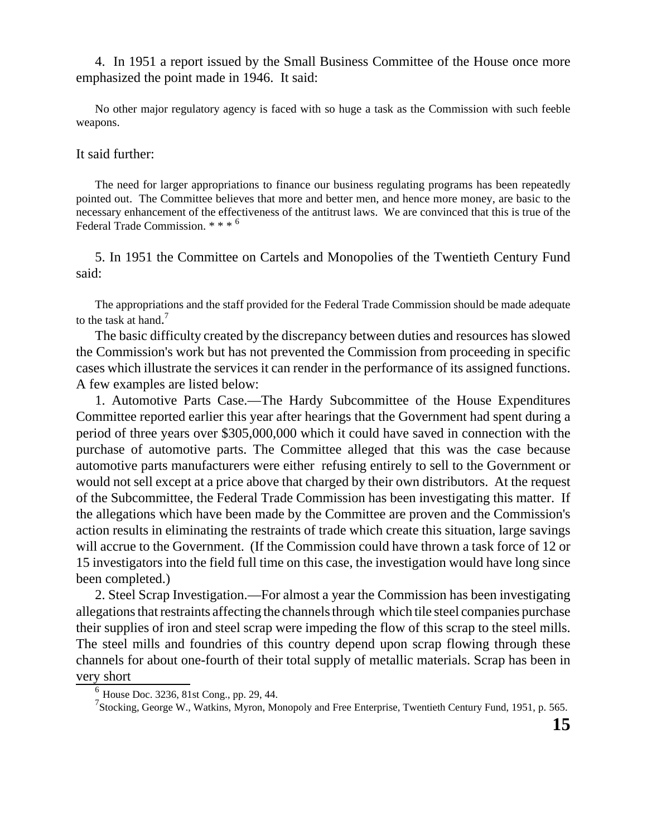#### 4. In 1951 a report issued by the Small Business Committee of the House once more emphasized the point made in 1946. It said:

No other major regulatory agency is faced with so huge a task as the Commission with such feeble weapons.

#### It said further:

The need for larger appropriations to finance our business regulating programs has been repeatedly pointed out. The Committee believes that more and better men, and hence more money, are basic to the necessary enhancement of the effectiveness of the antitrust laws. We are convinced that this is true of the Federal Trade Commission. \* \* \* <sup>6</sup>

5. In 1951 the Committee on Cartels and Monopolies of the Twentieth Century Fund said:

The appropriations and the staff provided for the Federal Trade Commission should be made adequate to the task at hand.<sup>7</sup>

The basic difficulty created by the discrepancy between duties and resources has slowed the Commission's work but has not prevented the Commission from proceeding in specific cases which illustrate the services it can render in the performance of its assigned functions. A few examples are listed below:

1. Automotive Parts Case.—The Hardy Subcommittee of the House Expenditures Committee reported earlier this year after hearings that the Government had spent during a period of three years over \$305,000,000 which it could have saved in connection with the purchase of automotive parts. The Committee alleged that this was the case because automotive parts manufacturers were either refusing entirely to sell to the Government or would not sell except at a price above that charged by their own distributors. At the request of the Subcommittee, the Federal Trade Commission has been investigating this matter. If the allegations which have been made by the Committee are proven and the Commission's action results in eliminating the restraints of trade which create this situation, large savings will accrue to the Government. (If the Commission could have thrown a task force of 12 or 15 investigators into the field full time on this case, the investigation would have long since been completed.)

2. Steel Scrap Investigation.—For almost a year the Commission has been investigating allegations that restraints affecting the channels through which tile steel companies purchase their supplies of iron and steel scrap were impeding the flow of this scrap to the steel mills. The steel mills and foundries of this country depend upon scrap flowing through these channels for about one-fourth of their total supply of metallic materials. Scrap has been in very short

 $^6$  House Doc. 3236, 81st Cong., pp. 29, 44.

<sup>&</sup>lt;sup>7</sup>Stocking, George W., Watkins, Myron, Monopoly and Free Enterprise, Twentieth Century Fund, 1951, p. 565.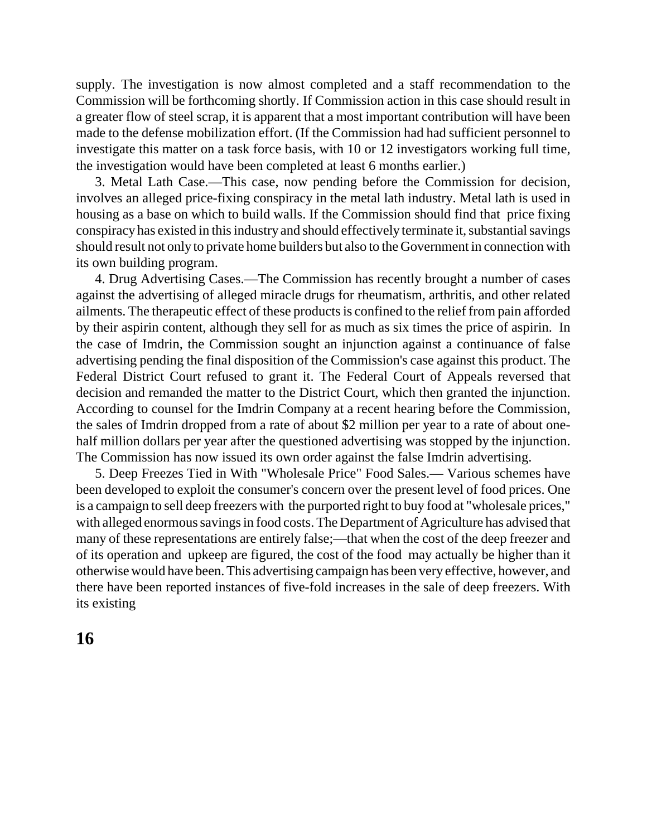supply. The investigation is now almost completed and a staff recommendation to the Commission will be forthcoming shortly. If Commission action in this case should result in a greater flow of steel scrap, it is apparent that a most important contribution will have been made to the defense mobilization effort. (If the Commission had had sufficient personnel to investigate this matter on a task force basis, with 10 or 12 investigators working full time, the investigation would have been completed at least 6 months earlier.)

3. Metal Lath Case.—This case, now pending before the Commission for decision, involves an alleged price-fixing conspiracy in the metal lath industry. Metal lath is used in housing as a base on which to build walls. If the Commission should find that price fixing conspiracy has existed in this industry and should effectively terminate it, substantial savings should result not only to private home builders but also to the Government in connection with its own building program.

4. Drug Advertising Cases.—The Commission has recently brought a number of cases against the advertising of alleged miracle drugs for rheumatism, arthritis, and other related ailments. The therapeutic effect of these productsis confined to the relief from pain afforded by their aspirin content, although they sell for as much as six times the price of aspirin. In the case of Imdrin, the Commission sought an injunction against a continuance of false advertising pending the final disposition of the Commission's case against this product. The Federal District Court refused to grant it. The Federal Court of Appeals reversed that decision and remanded the matter to the District Court, which then granted the injunction. According to counsel for the Imdrin Company at a recent hearing before the Commission, the sales of Imdrin dropped from a rate of about \$2 million per year to a rate of about onehalf million dollars per year after the questioned advertising was stopped by the injunction. The Commission has now issued its own order against the false Imdrin advertising.

5. Deep Freezes Tied in With "Wholesale Price" Food Sales.— Various schemes have been developed to exploit the consumer's concern over the present level of food prices. One is a campaign to sell deep freezers with the purported right to buy food at "wholesale prices," with alleged enormous savings in food costs. The Department of Agriculture has advised that many of these representations are entirely false;—that when the cost of the deep freezer and of its operation and upkeep are figured, the cost of the food may actually be higher than it otherwise would have been. This advertising campaign has been very effective, however, and there have been reported instances of five-fold increases in the sale of deep freezers. With its existing

**16**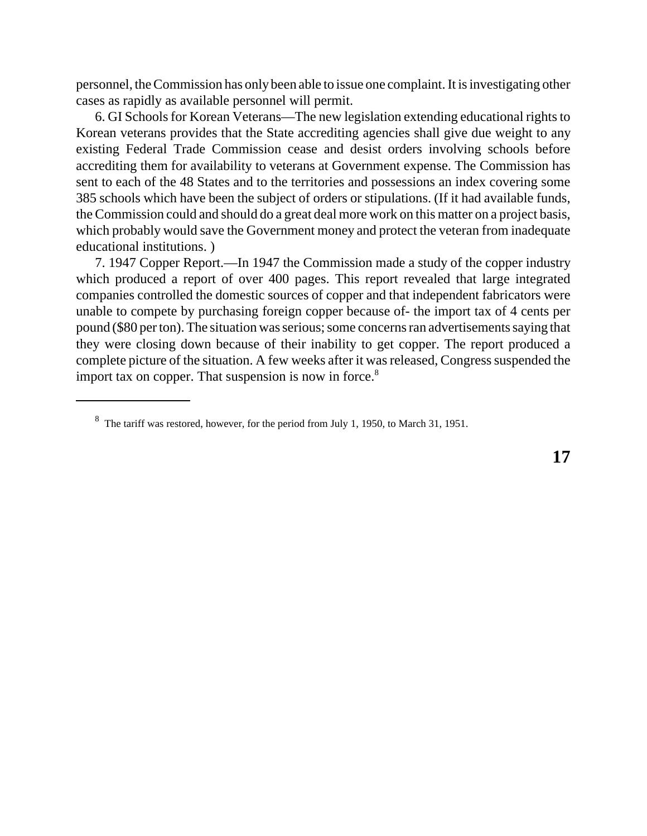personnel, theCommission has onlybeen able to issue one complaint.It isinvestigating other cases as rapidly as available personnel will permit.

6. GI Schools for Korean Veterans—The new legislation extending educational rights to Korean veterans provides that the State accrediting agencies shall give due weight to any existing Federal Trade Commission cease and desist orders involving schools before accrediting them for availability to veterans at Government expense. The Commission has sent to each of the 48 States and to the territories and possessions an index covering some 385 schools which have been the subject of orders or stipulations. (If it had available funds, theCommission could and should do a great deal more work on this matter on a project basis, which probably would save the Government money and protect the veteran from inadequate educational institutions. )

7. 1947 Copper Report.—In 1947 the Commission made a study of the copper industry which produced a report of over 400 pages. This report revealed that large integrated companies controlled the domestic sources of copper and that independent fabricators were unable to compete by purchasing foreign copper because of- the import tax of 4 cents per pound (\$80 per ton). The situation was serious; some concerns ran advertisements saying that they were closing down because of their inability to get copper. The report produced a complete picture of the situation. A few weeks after it was released, Congress suspended the import tax on copper. That suspension is now in force.<sup>8</sup>

 $8\text{ The tariff was restored, however, for the period from July 1, 1950, to March 31, 1951.}$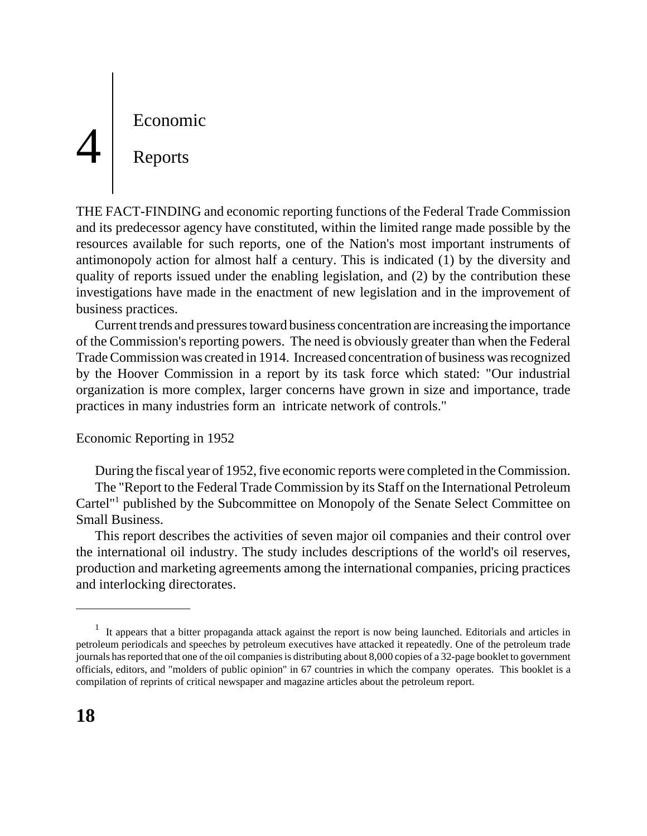## Economic Reports

THE FACT-FINDING and economic reporting functions of the Federal Trade Commission and its predecessor agency have constituted, within the limited range made possible by the resources available for such reports, one of the Nation's most important instruments of antimonopoly action for almost half a century. This is indicated (1) by the diversity and quality of reports issued under the enabling legislation, and (2) by the contribution these investigations have made in the enactment of new legislation and in the improvement of business practices.

Current trends and pressures toward business concentration are increasing the importance of the Commission's reporting powers. The need is obviously greater than when the Federal TradeCommission was created in 1914. Increased concentration of business was recognized by the Hoover Commission in a report by its task force which stated: "Our industrial organization is more complex, larger concerns have grown in size and importance, trade practices in many industries form an intricate network of controls."

Economic Reporting in 1952

During the fiscal year of 1952, five economic reports were completed in the Commission.

The "Report to the Federal Trade Commission by its Staff on the International Petroleum Cartel"<sup>1</sup> published by the Subcommittee on Monopoly of the Senate Select Committee on Small Business.

This report describes the activities of seven major oil companies and their control over the international oil industry. The study includes descriptions of the world's oil reserves, production and marketing agreements among the international companies, pricing practices and interlocking directorates.

<sup>&</sup>lt;sup>1</sup> It appears that a bitter propaganda attack against the report is now being launched. Editorials and articles in petroleum periodicals and speeches by petroleum executives have attacked it repeatedly. One of the petroleum trade journals has reported that one of the oil companies is distributing about 8,000 copies of a 32-page booklet to government officials, editors, and "molders of public opinion" in 67 countries in which the company operates. This booklet is a compilation of reprints of critical newspaper and magazine articles about the petroleum report.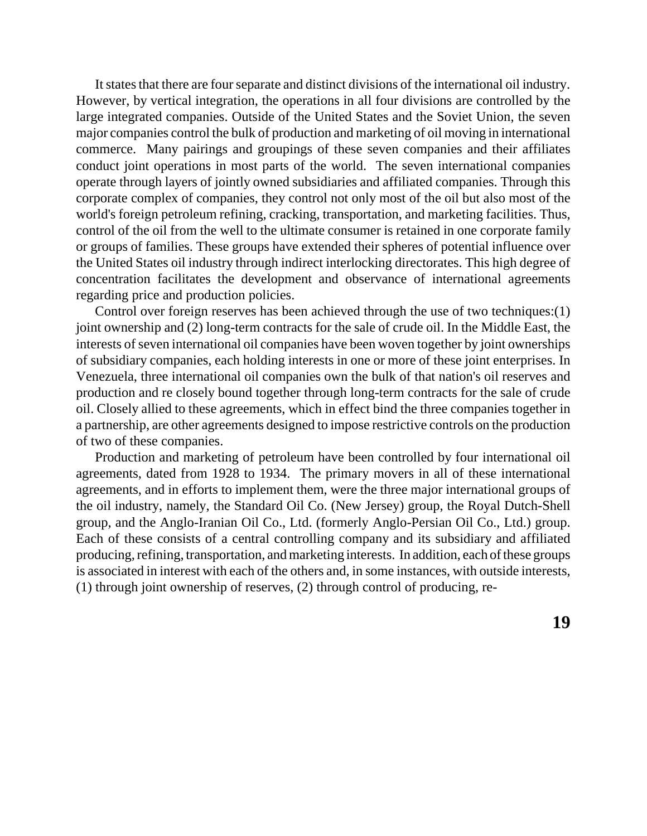It states that there are four separate and distinct divisions of the international oil industry. However, by vertical integration, the operations in all four divisions are controlled by the large integrated companies. Outside of the United States and the Soviet Union, the seven major companies control the bulk of production and marketing of oil moving in international commerce. Many pairings and groupings of these seven companies and their affiliates conduct joint operations in most parts of the world. The seven international companies operate through layers of jointly owned subsidiaries and affiliated companies. Through this corporate complex of companies, they control not only most of the oil but also most of the world's foreign petroleum refining, cracking, transportation, and marketing facilities. Thus, control of the oil from the well to the ultimate consumer is retained in one corporate family or groups of families. These groups have extended their spheres of potential influence over the United States oil industry through indirect interlocking directorates. This high degree of concentration facilitates the development and observance of international agreements regarding price and production policies.

Control over foreign reserves has been achieved through the use of two techniques:(1) joint ownership and (2) long-term contracts for the sale of crude oil. In the Middle East, the interests of seven international oil companies have been woven together by joint ownerships of subsidiary companies, each holding interests in one or more of these joint enterprises. In Venezuela, three international oil companies own the bulk of that nation's oil reserves and production and re closely bound together through long-term contracts for the sale of crude oil. Closely allied to these agreements, which in effect bind the three companies together in a partnership, are other agreements designed to impose restrictive controls on the production of two of these companies.

Production and marketing of petroleum have been controlled by four international oil agreements, dated from 1928 to 1934. The primary movers in all of these international agreements, and in efforts to implement them, were the three major international groups of the oil industry, namely, the Standard Oil Co. (New Jersey) group, the Royal Dutch-Shell group, and the Anglo-Iranian Oil Co., Ltd. (formerly Anglo-Persian Oil Co., Ltd.) group. Each of these consists of a central controlling company and its subsidiary and affiliated producing, refining, transportation, and marketing interests. In addition, each of these groups is associated in interest with each of the others and, in some instances, with outside interests, (1) through joint ownership of reserves, (2) through control of producing, re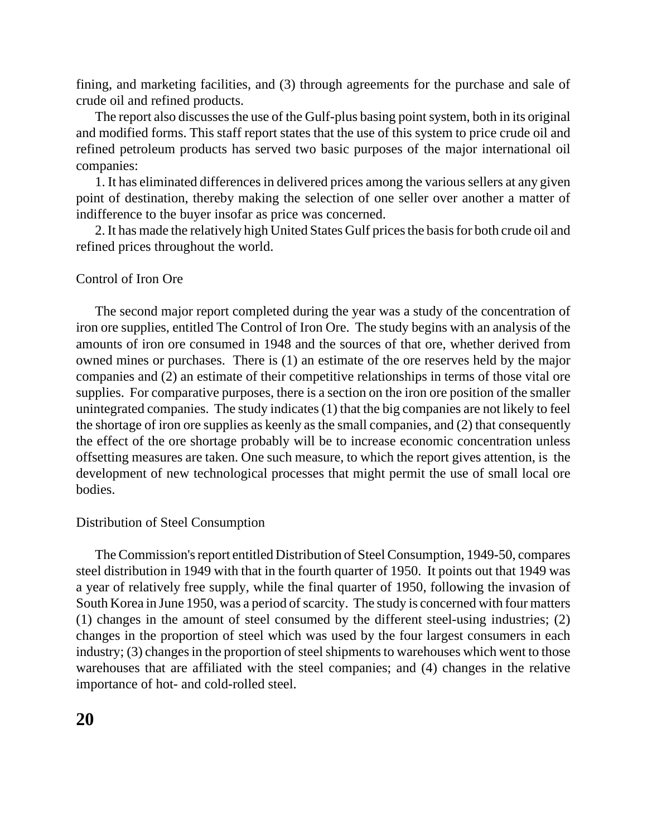fining, and marketing facilities, and (3) through agreements for the purchase and sale of crude oil and refined products.

The report also discusses the use of the Gulf-plus basing point system, both in its original and modified forms. This staff report states that the use of this system to price crude oil and refined petroleum products has served two basic purposes of the major international oil companies:

1. It has eliminated differences in delivered prices among the various sellers at any given point of destination, thereby making the selection of one seller over another a matter of indifference to the buyer insofar as price was concerned.

2. It has made the relatively high United States Gulf prices the basis for both crude oil and refined prices throughout the world.

#### Control of Iron Ore

The second major report completed during the year was a study of the concentration of iron ore supplies, entitled The Control of Iron Ore. The study begins with an analysis of the amounts of iron ore consumed in 1948 and the sources of that ore, whether derived from owned mines or purchases. There is (1) an estimate of the ore reserves held by the major companies and (2) an estimate of their competitive relationships in terms of those vital ore supplies. For comparative purposes, there is a section on the iron ore position of the smaller unintegrated companies. The study indicates (1) that the big companies are not likely to feel the shortage of iron ore supplies as keenly as the small companies, and (2) that consequently the effect of the ore shortage probably will be to increase economic concentration unless offsetting measures are taken. One such measure, to which the report gives attention, is the development of new technological processes that might permit the use of small local ore bodies.

#### Distribution of Steel Consumption

The Commission's report entitled Distribution of Steel Consumption, 1949-50, compares steel distribution in 1949 with that in the fourth quarter of 1950. It points out that 1949 was a year of relatively free supply, while the final quarter of 1950, following the invasion of South Korea in June 1950, was a period of scarcity. The study is concerned with four matters (1) changes in the amount of steel consumed by the different steel-using industries; (2) changes in the proportion of steel which was used by the four largest consumers in each industry;  $(3)$  changes in the proportion of steel shipments to warehouses which went to those warehouses that are affiliated with the steel companies; and (4) changes in the relative importance of hot- and cold-rolled steel.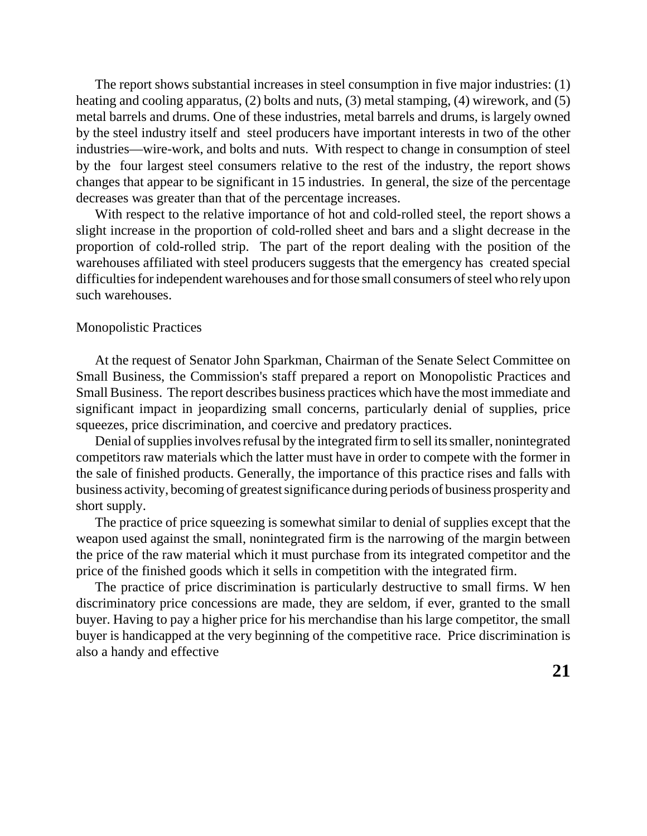The report shows substantial increases in steel consumption in five major industries: (1) heating and cooling apparatus, (2) bolts and nuts, (3) metal stamping, (4) wirework, and (5) metal barrels and drums. One of these industries, metal barrels and drums, is largely owned by the steel industry itself and steel producers have important interests in two of the other industries—wire-work, and bolts and nuts. With respect to change in consumption of steel by the four largest steel consumers relative to the rest of the industry, the report shows changes that appear to be significant in 15 industries. In general, the size of the percentage decreases was greater than that of the percentage increases.

With respect to the relative importance of hot and cold-rolled steel, the report shows a slight increase in the proportion of cold-rolled sheet and bars and a slight decrease in the proportion of cold-rolled strip. The part of the report dealing with the position of the warehouses affiliated with steel producers suggests that the emergency has created special difficulties for independent warehouses and for those small consumers of steel who rely upon such warehouses.

#### Monopolistic Practices

At the request of Senator John Sparkman, Chairman of the Senate Select Committee on Small Business, the Commission's staff prepared a report on Monopolistic Practices and Small Business. The report describes business practices which have the most immediate and significant impact in jeopardizing small concerns, particularly denial of supplies, price squeezes, price discrimination, and coercive and predatory practices.

Denial of supplies involves refusal by the integrated firm to sell its smaller, nonintegrated competitors raw materials which the latter must have in order to compete with the former in the sale of finished products. Generally, the importance of this practice rises and falls with business activity, becoming of greatest significance during periods of business prosperity and short supply.

The practice of price squeezing is somewhat similar to denial of supplies except that the weapon used against the small, nonintegrated firm is the narrowing of the margin between the price of the raw material which it must purchase from its integrated competitor and the price of the finished goods which it sells in competition with the integrated firm.

The practice of price discrimination is particularly destructive to small firms. W hen discriminatory price concessions are made, they are seldom, if ever, granted to the small buyer. Having to pay a higher price for his merchandise than his large competitor, the small buyer is handicapped at the very beginning of the competitive race. Price discrimination is also a handy and effective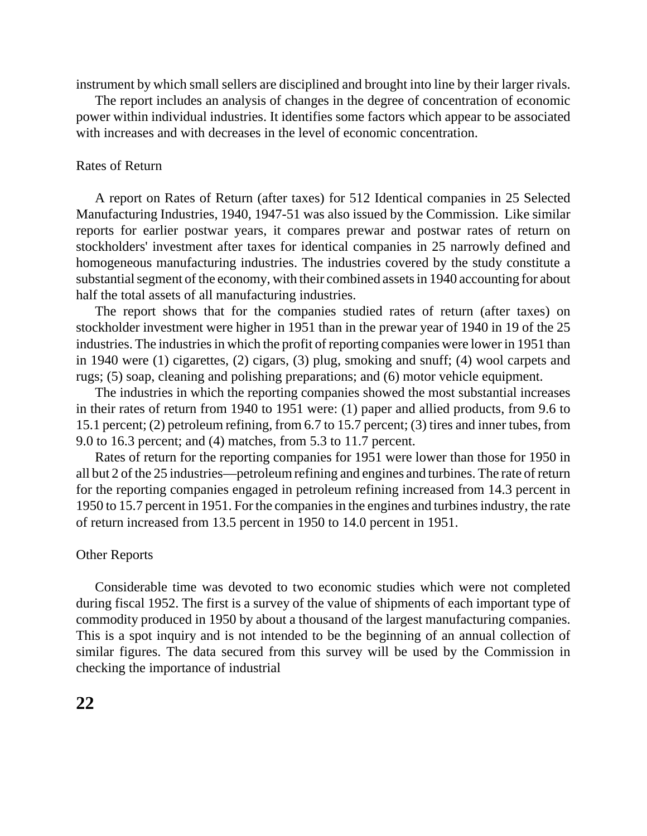instrument by which small sellers are disciplined and brought into line by their larger rivals.

The report includes an analysis of changes in the degree of concentration of economic power within individual industries. It identifies some factors which appear to be associated with increases and with decreases in the level of economic concentration.

#### Rates of Return

A report on Rates of Return (after taxes) for 512 Identical companies in 25 Selected Manufacturing Industries, 1940, 1947-51 was also issued by the Commission. Like similar reports for earlier postwar years, it compares prewar and postwar rates of return on stockholders' investment after taxes for identical companies in 25 narrowly defined and homogeneous manufacturing industries. The industries covered by the study constitute a substantial segment of the economy, with their combined assets in 1940 accounting for about half the total assets of all manufacturing industries.

The report shows that for the companies studied rates of return (after taxes) on stockholder investment were higher in 1951 than in the prewar year of 1940 in 19 of the 25 industries. The industries in which the profit of reporting companies were lower in 1951 than in 1940 were (1) cigarettes, (2) cigars, (3) plug, smoking and snuff; (4) wool carpets and rugs; (5) soap, cleaning and polishing preparations; and (6) motor vehicle equipment.

The industries in which the reporting companies showed the most substantial increases in their rates of return from 1940 to 1951 were: (1) paper and allied products, from 9.6 to 15.1 percent; (2) petroleum refining, from 6.7 to 15.7 percent; (3) tires and inner tubes, from 9.0 to 16.3 percent; and (4) matches, from 5.3 to 11.7 percent.

Rates of return for the reporting companies for 1951 were lower than those for 1950 in all but 2 of the 25 industries—petroleum refining and engines and turbines. The rate of return for the reporting companies engaged in petroleum refining increased from 14.3 percent in 1950 to 15.7 percent in 1951. For the companiesin the engines and turbinesindustry, the rate of return increased from 13.5 percent in 1950 to 14.0 percent in 1951.

#### Other Reports

Considerable time was devoted to two economic studies which were not completed during fiscal 1952. The first is a survey of the value of shipments of each important type of commodity produced in 1950 by about a thousand of the largest manufacturing companies. This is a spot inquiry and is not intended to be the beginning of an annual collection of similar figures. The data secured from this survey will be used by the Commission in checking the importance of industrial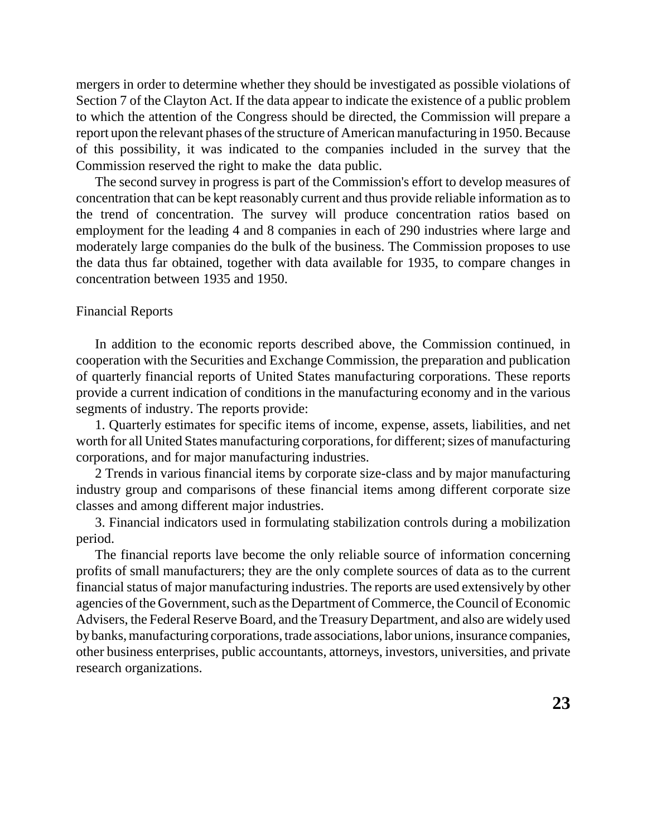mergers in order to determine whether they should be investigated as possible violations of Section 7 of the Clayton Act. If the data appear to indicate the existence of a public problem to which the attention of the Congress should be directed, the Commission will prepare a report upon the relevant phases of the structure of American manufacturing in 1950. Because of this possibility, it was indicated to the companies included in the survey that the Commission reserved the right to make the data public.

The second survey in progress is part of the Commission's effort to develop measures of concentration that can be kept reasonably current and thus provide reliable information as to the trend of concentration. The survey will produce concentration ratios based on employment for the leading 4 and 8 companies in each of 290 industries where large and moderately large companies do the bulk of the business. The Commission proposes to use the data thus far obtained, together with data available for 1935, to compare changes in concentration between 1935 and 1950.

#### Financial Reports

In addition to the economic reports described above, the Commission continued, in cooperation with the Securities and Exchange Commission, the preparation and publication of quarterly financial reports of United States manufacturing corporations. These reports provide a current indication of conditions in the manufacturing economy and in the various segments of industry. The reports provide:

1. Quarterly estimates for specific items of income, expense, assets, liabilities, and net worth for all United States manufacturing corporations, for different; sizes of manufacturing corporations, and for major manufacturing industries.

2 Trends in various financial items by corporate size-class and by major manufacturing industry group and comparisons of these financial items among different corporate size classes and among different major industries.

3. Financial indicators used in formulating stabilization controls during a mobilization period.

The financial reports lave become the only reliable source of information concerning profits of small manufacturers; they are the only complete sources of data as to the current financial status of major manufacturing industries. The reports are used extensively by other agencies of the Government, such as the Department of Commerce, the Council of Economic Advisers, the Federal Reserve Board, and the TreasuryDepartment, and also are widely used bybanks,manufacturing corporations, trade associations, labor unions, insurance companies, other business enterprises, public accountants, attorneys, investors, universities, and private research organizations.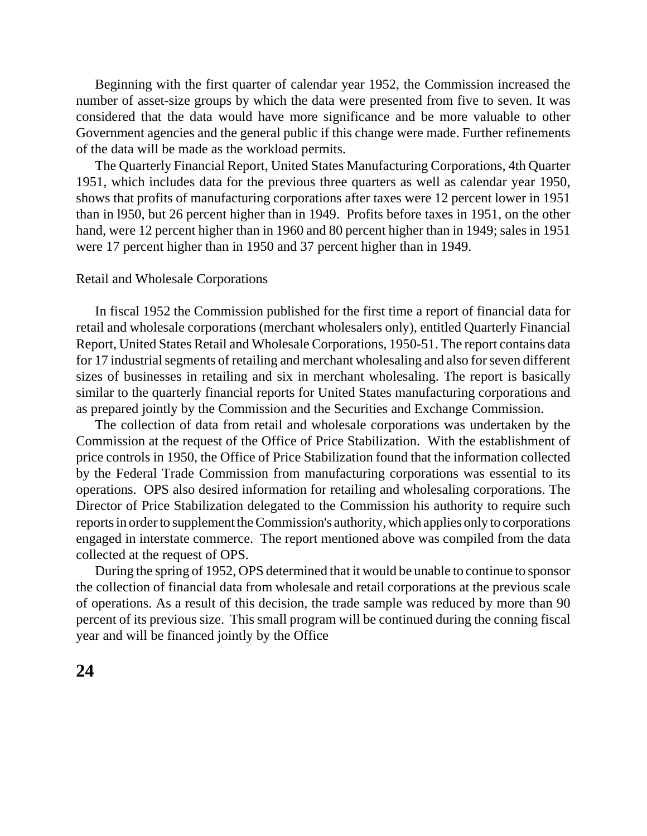Beginning with the first quarter of calendar year 1952, the Commission increased the number of asset-size groups by which the data were presented from five to seven. It was considered that the data would have more significance and be more valuable to other Government agencies and the general public if this change were made. Further refinements of the data will be made as the workload permits.

The Quarterly Financial Report, United States Manufacturing Corporations, 4th Quarter 1951, which includes data for the previous three quarters as well as calendar year 1950, shows that profits of manufacturing corporations after taxes were 12 percent lower in 1951 than in l950, but 26 percent higher than in 1949. Profits before taxes in 1951, on the other hand, were 12 percent higher than in 1960 and 80 percent higher than in 1949; sales in 1951 were 17 percent higher than in 1950 and 37 percent higher than in 1949.

#### Retail and Wholesale Corporations

In fiscal 1952 the Commission published for the first time a report of financial data for retail and wholesale corporations (merchant wholesalers only), entitled Quarterly Financial Report, United States Retail and Wholesale Corporations, 1950-51. The report contains data for 17 industrial segments of retailing and merchant wholesaling and also for seven different sizes of businesses in retailing and six in merchant wholesaling. The report is basically similar to the quarterly financial reports for United States manufacturing corporations and as prepared jointly by the Commission and the Securities and Exchange Commission.

The collection of data from retail and wholesale corporations was undertaken by the Commission at the request of the Office of Price Stabilization. With the establishment of price controls in 1950, the Office of Price Stabilization found that the information collected by the Federal Trade Commission from manufacturing corporations was essential to its operations. OPS also desired information for retailing and wholesaling corporations. The Director of Price Stabilization delegated to the Commission his authority to require such reportsin order to supplement the Commission's authority, which applies only to corporations engaged in interstate commerce. The report mentioned above was compiled from the data collected at the request of OPS.

During the spring of 1952, OPS determined that it would be unable to continue to sponsor the collection of financial data from wholesale and retail corporations at the previous scale of operations. As a result of this decision, the trade sample was reduced by more than 90 percent of its previous size. This small program will be continued during the conning fiscal year and will be financed jointly by the Office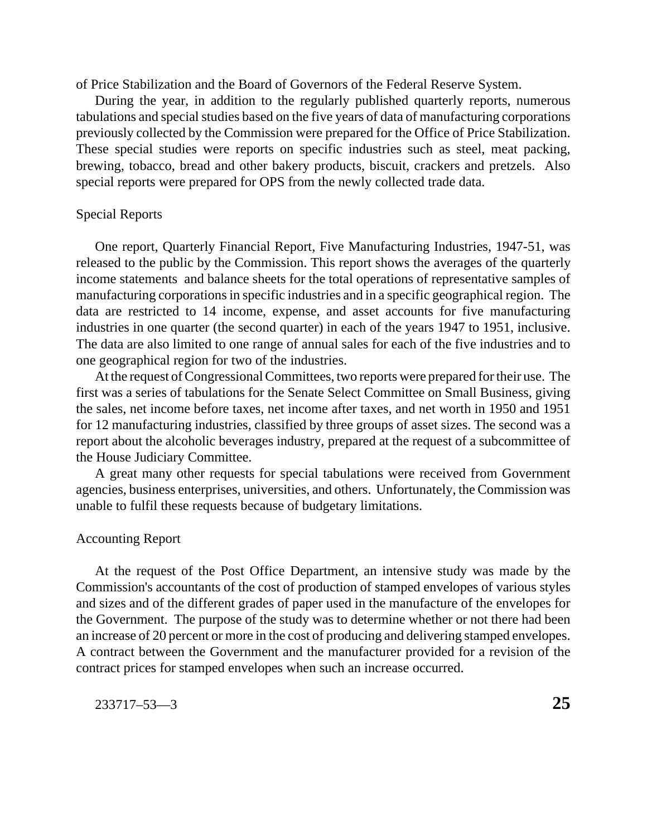of Price Stabilization and the Board of Governors of the Federal Reserve System.

During the year, in addition to the regularly published quarterly reports, numerous tabulations and special studies based on the five years of data of manufacturing corporations previously collected by the Commission were prepared for the Office of Price Stabilization. These special studies were reports on specific industries such as steel, meat packing, brewing, tobacco, bread and other bakery products, biscuit, crackers and pretzels. Also special reports were prepared for OPS from the newly collected trade data.

#### Special Reports

One report, Quarterly Financial Report, Five Manufacturing Industries, 1947-51, was released to the public by the Commission. This report shows the averages of the quarterly income statements and balance sheets for the total operations of representative samples of manufacturing corporations in specific industries and in a specific geographical region. The data are restricted to 14 income, expense, and asset accounts for five manufacturing industries in one quarter (the second quarter) in each of the years 1947 to 1951, inclusive. The data are also limited to one range of annual sales for each of the five industries and to one geographical region for two of the industries.

At the request of Congressional Committees, two reports were prepared for their use. The first was a series of tabulations for the Senate Select Committee on Small Business, giving the sales, net income before taxes, net income after taxes, and net worth in 1950 and 1951 for 12 manufacturing industries, classified by three groups of asset sizes. The second was a report about the alcoholic beverages industry, prepared at the request of a subcommittee of the House Judiciary Committee.

A great many other requests for special tabulations were received from Government agencies, business enterprises, universities, and others. Unfortunately, the Commission was unable to fulfil these requests because of budgetary limitations.

#### Accounting Report

At the request of the Post Office Department, an intensive study was made by the Commission's accountants of the cost of production of stamped envelopes of various styles and sizes and of the different grades of paper used in the manufacture of the envelopes for the Government. The purpose of the study was to determine whether or not there had been an increase of 20 percent or more in the cost of producing and delivering stamped envelopes. A contract between the Government and the manufacturer provided for a revision of the contract prices for stamped envelopes when such an increase occurred.

233717–53—3 **25**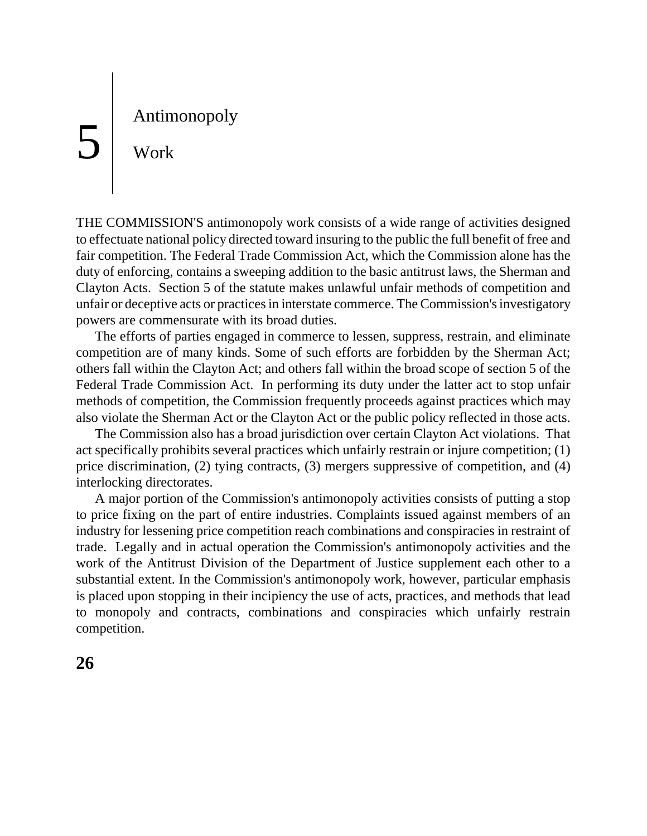## Antimonopoly

# $5\Big|$  Work

THE COMMISSION'S antimonopoly work consists of a wide range of activities designed to effectuate national policy directed toward insuring to the public the full benefit of free and fair competition. The Federal Trade Commission Act, which the Commission alone has the duty of enforcing, contains a sweeping addition to the basic antitrust laws, the Sherman and Clayton Acts. Section 5 of the statute makes unlawful unfair methods of competition and unfair or deceptive acts or practices in interstate commerce. The Commission's investigatory powers are commensurate with its broad duties.

The efforts of parties engaged in commerce to lessen, suppress, restrain, and eliminate competition are of many kinds. Some of such efforts are forbidden by the Sherman Act; others fall within the Clayton Act; and others fall within the broad scope of section 5 of the Federal Trade Commission Act. In performing its duty under the latter act to stop unfair methods of competition, the Commission frequently proceeds against practices which may also violate the Sherman Act or the Clayton Act or the public policy reflected in those acts.

The Commission also has a broad jurisdiction over certain Clayton Act violations. That act specifically prohibits several practices which unfairly restrain or injure competition; (1) price discrimination, (2) tying contracts, (3) mergers suppressive of competition, and (4) interlocking directorates.

A major portion of the Commission's antimonopoly activities consists of putting a stop to price fixing on the part of entire industries. Complaints issued against members of an industry for lessening price competition reach combinations and conspiracies in restraint of trade. Legally and in actual operation the Commission's antimonopoly activities and the work of the Antitrust Division of the Department of Justice supplement each other to a substantial extent. In the Commission's antimonopoly work, however, particular emphasis is placed upon stopping in their incipiency the use of acts, practices, and methods that lead to monopoly and contracts, combinations and conspiracies which unfairly restrain competition.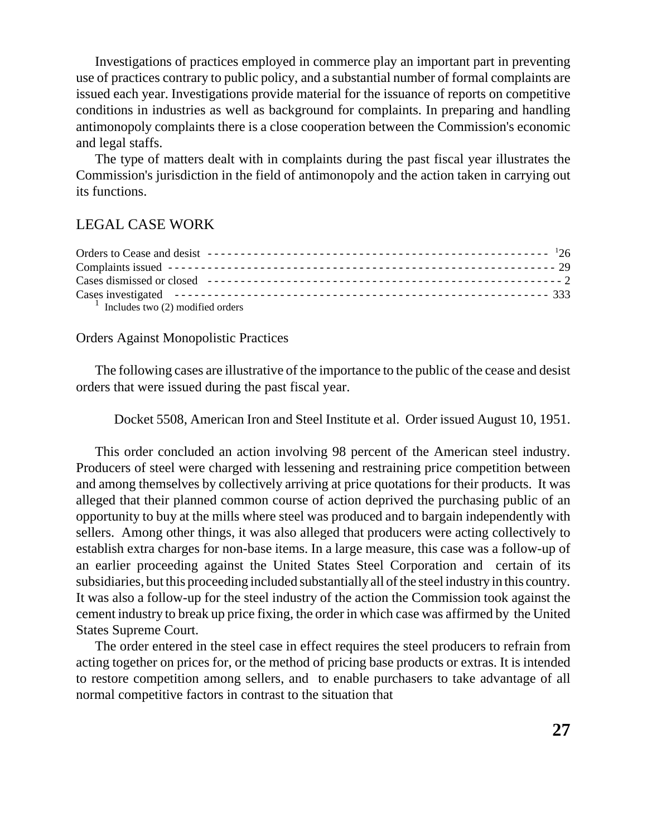Investigations of practices employed in commerce play an important part in preventing use of practices contrary to public policy, and a substantial number of formal complaints are issued each year. Investigations provide material for the issuance of reports on competitive conditions in industries as well as background for complaints. In preparing and handling antimonopoly complaints there is a close cooperation between the Commission's economic and legal staffs.

The type of matters dealt with in complaints during the past fiscal year illustrates the Commission's jurisdiction in the field of antimonopoly and the action taken in carrying out its functions.

#### LEGAL CASE WORK

| Cases investigated<br><sup>1</sup> Includes two (2) modified orders |  |
|---------------------------------------------------------------------|--|
|                                                                     |  |

#### Orders Against Monopolistic Practices

The following cases are illustrative of the importance to the public of the cease and desist orders that were issued during the past fiscal year.

Docket 5508, American Iron and Steel Institute et al. Order issued August 10, 1951.

This order concluded an action involving 98 percent of the American steel industry. Producers of steel were charged with lessening and restraining price competition between and among themselves by collectively arriving at price quotations for their products. It was alleged that their planned common course of action deprived the purchasing public of an opportunity to buy at the mills where steel was produced and to bargain independently with sellers. Among other things, it was also alleged that producers were acting collectively to establish extra charges for non-base items. In a large measure, this case was a follow-up of an earlier proceeding against the United States Steel Corporation and certain of its subsidiaries, but this proceeding included substantially all of the steel industry in this country. It was also a follow-up for the steel industry of the action the Commission took against the cement industry to break up price fixing, the order in which case was affirmed by the United States Supreme Court.

The order entered in the steel case in effect requires the steel producers to refrain from acting together on prices for, or the method of pricing base products or extras. It is intended to restore competition among sellers, and to enable purchasers to take advantage of all normal competitive factors in contrast to the situation that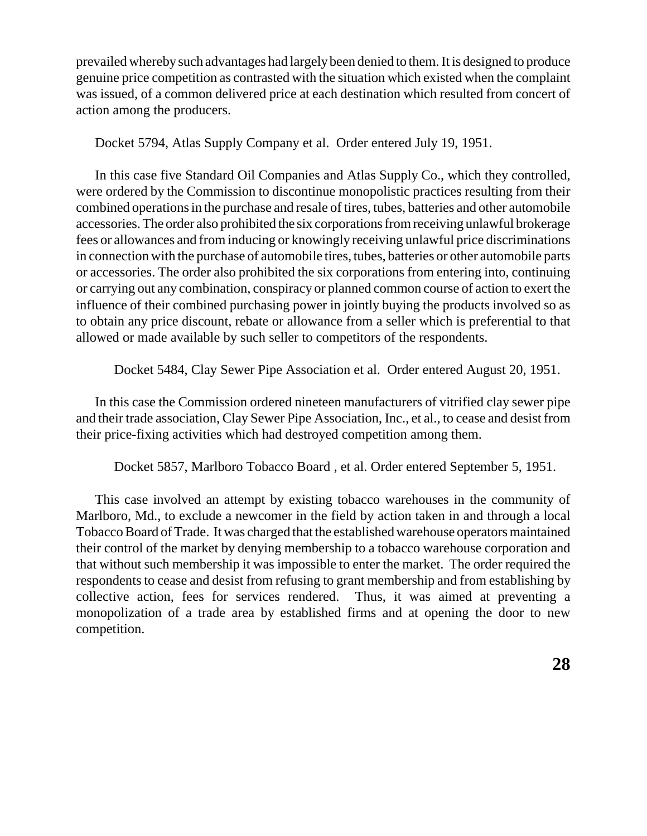prevailed whereby such advantages had largelybeen denied to them.It is designed to produce genuine price competition as contrasted with the situation which existed when the complaint was issued, of a common delivered price at each destination which resulted from concert of action among the producers.

Docket 5794, Atlas Supply Company et al. Order entered July 19, 1951.

In this case five Standard Oil Companies and Atlas Supply Co., which they controlled, were ordered by the Commission to discontinue monopolistic practices resulting from their combined operations in the purchase and resale of tires, tubes, batteries and other automobile accessories. The order also prohibited the six corporations from receiving unlawful brokerage fees or allowances and from inducing or knowingly receiving unlawful price discriminations in connection with the purchase of automobile tires, tubes, batteries or other automobile parts or accessories. The order also prohibited the six corporations from entering into, continuing or carrying out any combination, conspiracy or planned common course of action to exert the influence of their combined purchasing power in jointly buying the products involved so as to obtain any price discount, rebate or allowance from a seller which is preferential to that allowed or made available by such seller to competitors of the respondents.

Docket 5484, Clay Sewer Pipe Association et al. Order entered August 20, 1951.

In this case the Commission ordered nineteen manufacturers of vitrified clay sewer pipe and their trade association, Clay Sewer Pipe Association, Inc., et al., to cease and desist from their price-fixing activities which had destroyed competition among them.

Docket 5857, Marlboro Tobacco Board , et al. Order entered September 5, 1951.

This case involved an attempt by existing tobacco warehouses in the community of Marlboro, Md., to exclude a newcomer in the field by action taken in and through a local Tobacco Board of Trade. It was charged that the established warehouse operators maintained their control of the market by denying membership to a tobacco warehouse corporation and that without such membership it was impossible to enter the market. The order required the respondents to cease and desist from refusing to grant membership and from establishing by collective action, fees for services rendered. Thus, it was aimed at preventing a monopolization of a trade area by established firms and at opening the door to new competition.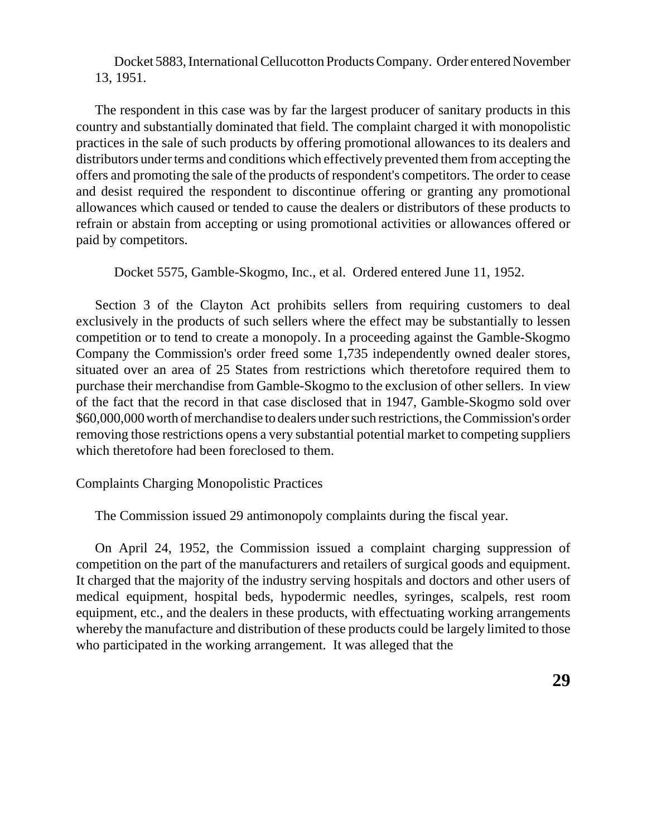Docket 5883, International Cellucotton Products Company. Order entered November 13, 1951.

The respondent in this case was by far the largest producer of sanitary products in this country and substantially dominated that field. The complaint charged it with monopolistic practices in the sale of such products by offering promotional allowances to its dealers and distributors under terms and conditions which effectively prevented them fromaccepting the offers and promoting the sale of the products of respondent's competitors. The order to cease and desist required the respondent to discontinue offering or granting any promotional allowances which caused or tended to cause the dealers or distributors of these products to refrain or abstain from accepting or using promotional activities or allowances offered or paid by competitors.

Docket 5575, Gamble-Skogmo, Inc., et al. Ordered entered June 11, 1952.

Section 3 of the Clayton Act prohibits sellers from requiring customers to deal exclusively in the products of such sellers where the effect may be substantially to lessen competition or to tend to create a monopoly. In a proceeding against the Gamble-Skogmo Company the Commission's order freed some 1,735 independently owned dealer stores, situated over an area of 25 States from restrictions which theretofore required them to purchase their merchandise from Gamble-Skogmo to the exclusion of other sellers. In view of the fact that the record in that case disclosed that in 1947, Gamble-Skogmo sold over \$60,000,000 worth of merchandise to dealers under such restrictions, the Commission's order removing those restrictions opens a very substantial potential market to competing suppliers which theretofore had been foreclosed to them.

#### Complaints Charging Monopolistic Practices

The Commission issued 29 antimonopoly complaints during the fiscal year.

On April 24, 1952, the Commission issued a complaint charging suppression of competition on the part of the manufacturers and retailers of surgical goods and equipment. It charged that the majority of the industry serving hospitals and doctors and other users of medical equipment, hospital beds, hypodermic needles, syringes, scalpels, rest room equipment, etc., and the dealers in these products, with effectuating working arrangements whereby the manufacture and distribution of these products could be largely limited to those who participated in the working arrangement. It was alleged that the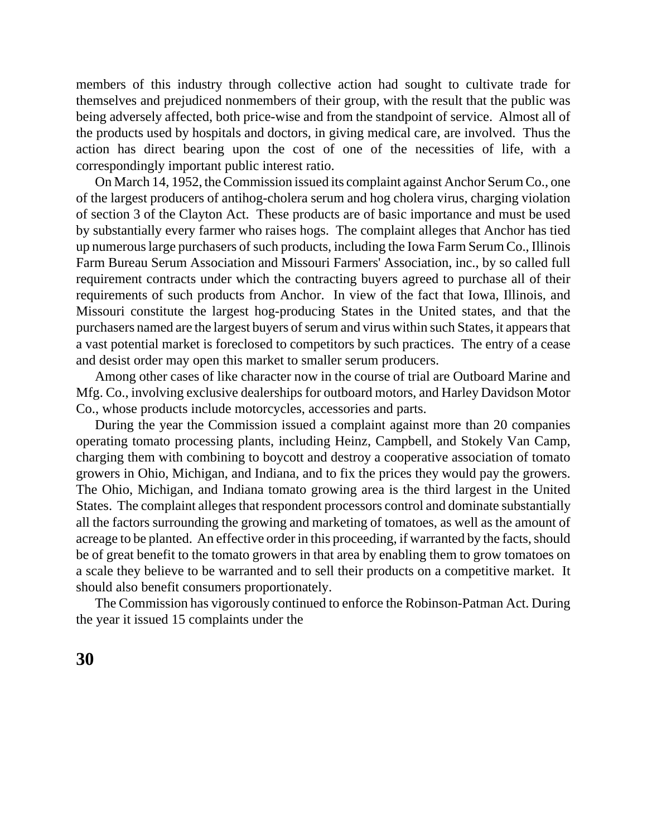members of this industry through collective action had sought to cultivate trade for themselves and prejudiced nonmembers of their group, with the result that the public was being adversely affected, both price-wise and from the standpoint of service. Almost all of the products used by hospitals and doctors, in giving medical care, are involved. Thus the action has direct bearing upon the cost of one of the necessities of life, with a correspondingly important public interest ratio.

On March 14, 1952, the Commission issued its complaint against Anchor Serum Co., one of the largest producers of antihog-cholera serum and hog cholera virus, charging violation of section 3 of the Clayton Act. These products are of basic importance and must be used by substantially every farmer who raises hogs. The complaint alleges that Anchor has tied up numerouslarge purchasers of such products, including the Iowa Farm Serum Co., Illinois Farm Bureau Serum Association and Missouri Farmers' Association, inc., by so called full requirement contracts under which the contracting buyers agreed to purchase all of their requirements of such products from Anchor. In view of the fact that Iowa, Illinois, and Missouri constitute the largest hog-producing States in the United states, and that the purchasers named are the largest buyers of serum and virus within such States, it appears that a vast potential market is foreclosed to competitors by such practices. The entry of a cease and desist order may open this market to smaller serum producers.

Among other cases of like character now in the course of trial are Outboard Marine and Mfg. Co., involving exclusive dealerships for outboard motors, and Harley Davidson Motor Co., whose products include motorcycles, accessories and parts.

During the year the Commission issued a complaint against more than 20 companies operating tomato processing plants, including Heinz, Campbell, and Stokely Van Camp, charging them with combining to boycott and destroy a cooperative association of tomato growers in Ohio, Michigan, and Indiana, and to fix the prices they would pay the growers. The Ohio, Michigan, and Indiana tomato growing area is the third largest in the United States. The complaint alleges that respondent processors control and dominate substantially all the factors surrounding the growing and marketing of tomatoes, as well as the amount of acreage to be planted. An effective order in this proceeding, if warranted by the facts, should be of great benefit to the tomato growers in that area by enabling them to grow tomatoes on a scale they believe to be warranted and to sell their products on a competitive market. It should also benefit consumers proportionately.

The Commission has vigorously continued to enforce the Robinson-Patman Act. During the year it issued 15 complaints under the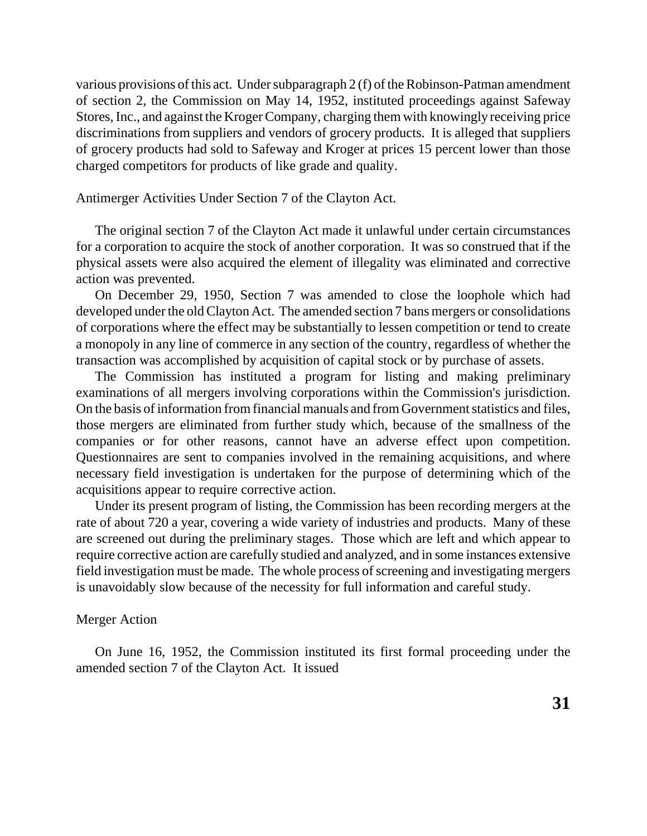various provisions of this act. Under subparagraph  $2(f)$  of the Robinson-Patman amendment of section 2, the Commission on May 14, 1952, instituted proceedings against Safeway Stores, Inc., and against the Kroger Company, charging them with knowingly receiving price discriminations from suppliers and vendors of grocery products. It is alleged that suppliers of grocery products had sold to Safeway and Kroger at prices 15 percent lower than those charged competitors for products of like grade and quality.

Antimerger Activities Under Section 7 of the Clayton Act.

The original section 7 of the Clayton Act made it unlawful under certain circumstances for a corporation to acquire the stock of another corporation. It was so construed that if the physical assets were also acquired the element of illegality was eliminated and corrective action was prevented.

On December 29, 1950, Section 7 was amended to close the loophole which had developed under the old Clayton Act. The amended section 7 bans mergers or consolidations of corporations where the effect may be substantially to lessen competition or tend to create a monopoly in any line of commerce in any section of the country, regardless of whether the transaction was accomplished by acquisition of capital stock or by purchase of assets.

The Commission has instituted a program for listing and making preliminary examinations of all mergers involving corporations within the Commission's jurisdiction. On the basis of information from financial manuals and from Government statistics and files, those mergers are eliminated from further study which, because of the smallness of the companies or for other reasons, cannot have an adverse effect upon competition. Questionnaires are sent to companies involved in the remaining acquisitions, and where necessary field investigation is undertaken for the purpose of determining which of the acquisitions appear to require corrective action.

Under its present program of listing, the Commission has been recording mergers at the rate of about 720 a year, covering a wide variety of industries and products. Many of these are screened out during the preliminary stages. Those which are left and which appear to require corrective action are carefully studied and analyzed, and in some instances extensive field investigation must be made. The whole process of screening and investigating mergers is unavoidably slow because of the necessity for full information and careful study.

#### Merger Action

On June 16, 1952, the Commission instituted its first formal proceeding under the amended section 7 of the Clayton Act. It issued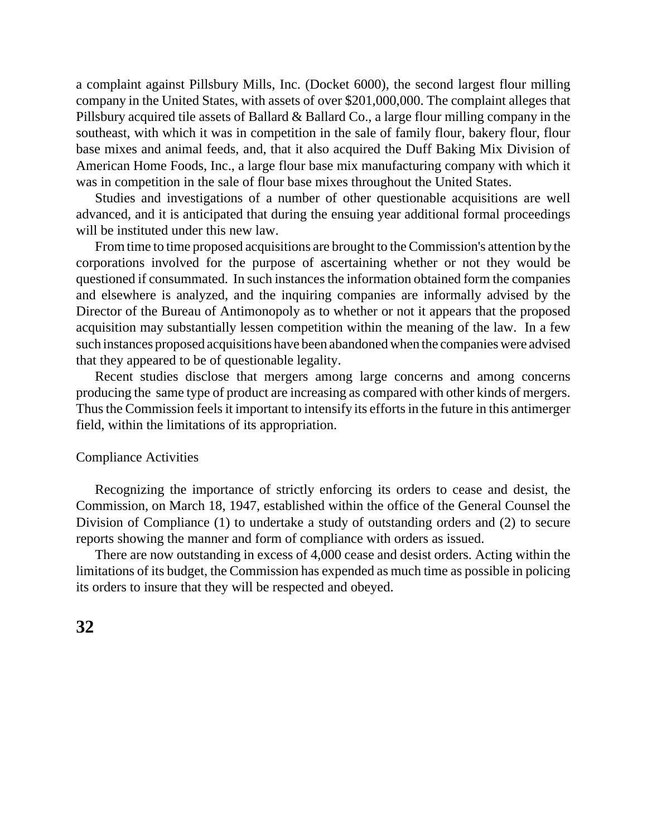a complaint against Pillsbury Mills, Inc. (Docket 6000), the second largest flour milling company in the United States, with assets of over \$201,000,000. The complaint alleges that Pillsbury acquired tile assets of Ballard & Ballard Co., a large flour milling company in the southeast, with which it was in competition in the sale of family flour, bakery flour, flour base mixes and animal feeds, and, that it also acquired the Duff Baking Mix Division of American Home Foods, Inc., a large flour base mix manufacturing company with which it was in competition in the sale of flour base mixes throughout the United States.

Studies and investigations of a number of other questionable acquisitions are well advanced, and it is anticipated that during the ensuing year additional formal proceedings will be instituted under this new law.

From time to time proposed acquisitions are brought to the Commission's attention by the corporations involved for the purpose of ascertaining whether or not they would be questioned if consummated. In such instances the information obtained form the companies and elsewhere is analyzed, and the inquiring companies are informally advised by the Director of the Bureau of Antimonopoly as to whether or not it appears that the proposed acquisition may substantially lessen competition within the meaning of the law. In a few such instances proposed acquisitions have been abandoned when the companies were advised that they appeared to be of questionable legality.

Recent studies disclose that mergers among large concerns and among concerns producing the same type of product are increasing as compared with other kinds of mergers. Thus the Commission feels it important to intensify its efforts in the future in this antimerger field, within the limitations of its appropriation.

#### Compliance Activities

Recognizing the importance of strictly enforcing its orders to cease and desist, the Commission, on March 18, 1947, established within the office of the General Counsel the Division of Compliance (1) to undertake a study of outstanding orders and (2) to secure reports showing the manner and form of compliance with orders as issued.

There are now outstanding in excess of 4,000 cease and desist orders. Acting within the limitations of its budget, the Commission has expended as much time as possible in policing its orders to insure that they will be respected and obeyed.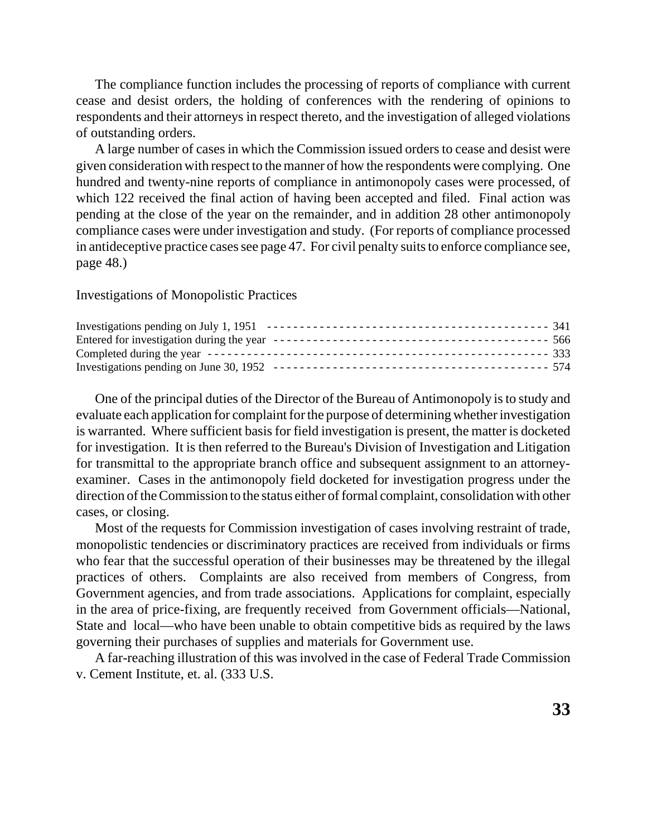The compliance function includes the processing of reports of compliance with current cease and desist orders, the holding of conferences with the rendering of opinions to respondents and their attorneys in respect thereto, and the investigation of alleged violations of outstanding orders.

A large number of cases in which the Commission issued orders to cease and desist were given consideration with respect to the manner of how the respondents were complying. One hundred and twenty-nine reports of compliance in antimonopoly cases were processed, of which 122 received the final action of having been accepted and filed. Final action was pending at the close of the year on the remainder, and in addition 28 other antimonopoly compliance cases were under investigation and study. (For reports of compliance processed in antideceptive practice cases see page 47. For civil penalty suits to enforce compliance see, page 48.)

# Investigations of Monopolistic Practices

One of the principal duties of the Director of the Bureau of Antimonopoly is to study and evaluate each application for complaint for the purpose of determining whether investigation is warranted. Where sufficient basis for field investigation is present, the matter is docketed for investigation. It is then referred to the Bureau's Division of Investigation and Litigation for transmittal to the appropriate branch office and subsequent assignment to an attorneyexaminer. Cases in the antimonopoly field docketed for investigation progress under the direction of the Commission to the status either of formal complaint, consolidation with other cases, or closing.

Most of the requests for Commission investigation of cases involving restraint of trade, monopolistic tendencies or discriminatory practices are received from individuals or firms who fear that the successful operation of their businesses may be threatened by the illegal practices of others. Complaints are also received from members of Congress, from Government agencies, and from trade associations. Applications for complaint, especially in the area of price-fixing, are frequently received from Government officials—National, State and local—who have been unable to obtain competitive bids as required by the laws governing their purchases of supplies and materials for Government use.

A far-reaching illustration of this was involved in the case of Federal Trade Commission v. Cement Institute, et. al. (333 U.S.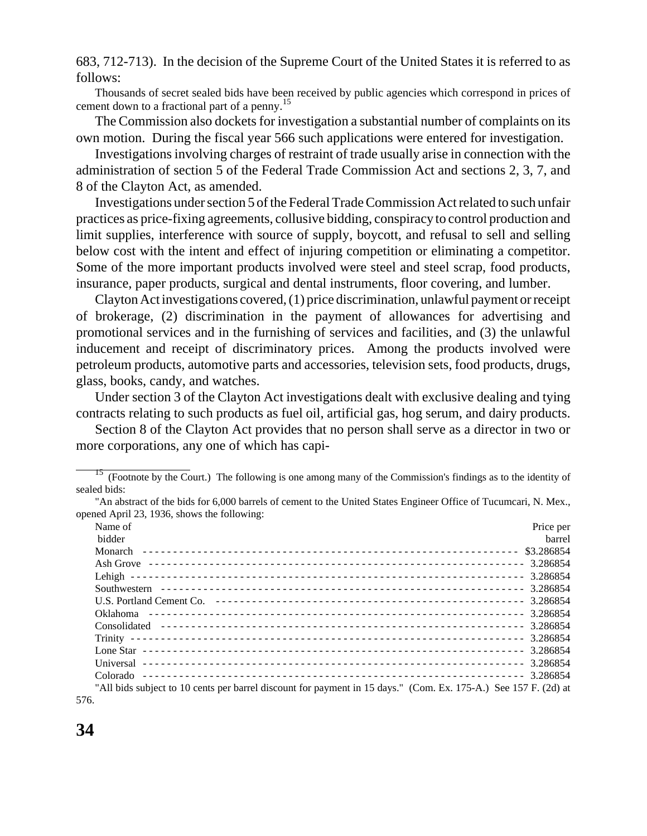683, 712-713). In the decision of the Supreme Court of the United States it is referred to as follows:

Thousands of secret sealed bids have been received by public agencies which correspond in prices of cement down to a fractional part of a penny.<sup>15</sup>

The Commission also dockets for investigation a substantial number of complaints on its own motion. During the fiscal year 566 such applications were entered for investigation.

Investigations involving charges of restraint of trade usually arise in connection with the administration of section 5 of the Federal Trade Commission Act and sections 2, 3, 7, and 8 of the Clayton Act, as amended.

Investigations under section 5 of the Federal Trade Commission Act related to such unfair practices as price-fixing agreements, collusive bidding, conspiracy to control production and limit supplies, interference with source of supply, boycott, and refusal to sell and selling below cost with the intent and effect of injuring competition or eliminating a competitor. Some of the more important products involved were steel and steel scrap, food products, insurance, paper products, surgical and dental instruments, floor covering, and lumber.

ClaytonAct investigations covered,(1) price discrimination, unlawful payment or receipt of brokerage, (2) discrimination in the payment of allowances for advertising and promotional services and in the furnishing of services and facilities, and (3) the unlawful inducement and receipt of discriminatory prices. Among the products involved were petroleum products, automotive parts and accessories, television sets, food products, drugs, glass, books, candy, and watches.

Under section 3 of the Clayton Act investigations dealt with exclusive dealing and tying contracts relating to such products as fuel oil, artificial gas, hog serum, and dairy products.

Section 8 of the Clayton Act provides that no person shall serve as a director in two or more corporations, any one of which has capi-

<sup>&</sup>quot;An abstract of the bids for 6,000 barrels of cement to the United States Engineer Office of Tucumcari, N. Mex., opened April 23, 1936, shows the following:

| Name of                                                                                                         | Price per  |
|-----------------------------------------------------------------------------------------------------------------|------------|
| bidder                                                                                                          | barrel     |
|                                                                                                                 | \$3.286854 |
|                                                                                                                 |            |
|                                                                                                                 |            |
|                                                                                                                 |            |
|                                                                                                                 |            |
|                                                                                                                 |            |
|                                                                                                                 |            |
|                                                                                                                 |            |
|                                                                                                                 |            |
|                                                                                                                 |            |
|                                                                                                                 | 3.286854   |
| "All bids subject to 10 cents per barrel discount for payment in 15 days." (Com. Ex. 175-A.) See 157 F. (2d) at |            |
| 576.                                                                                                            |            |

<sup>15</sup> (Footnote by the Court.) The following is one among many of the Commission's findings as to the identity of sealed bids: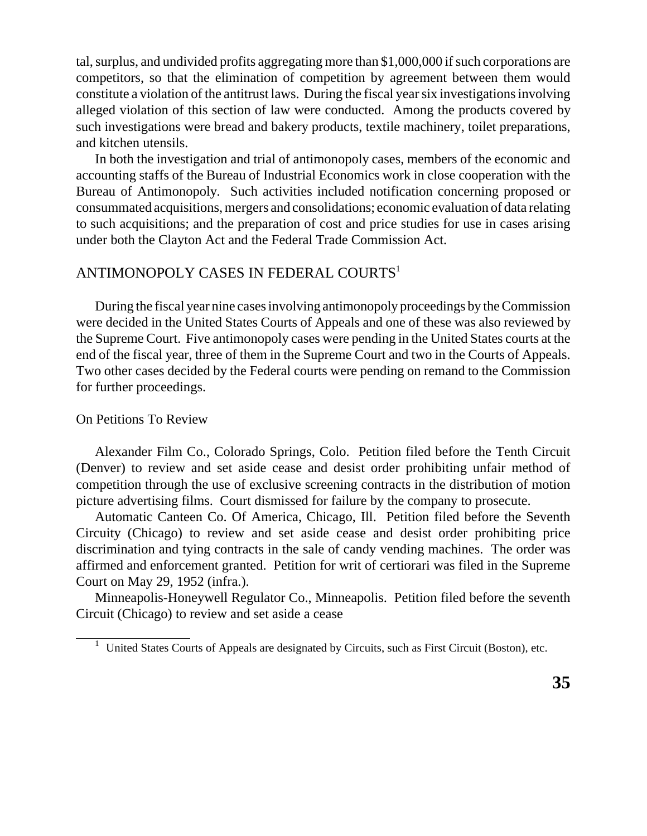tal, surplus, and undivided profits aggregating more than \$1,000,000 if such corporations are competitors, so that the elimination of competition by agreement between them would constitute a violation of the antitrust laws. During the fiscal year six investigations involving alleged violation of this section of law were conducted. Among the products covered by such investigations were bread and bakery products, textile machinery, toilet preparations, and kitchen utensils.

In both the investigation and trial of antimonopoly cases, members of the economic and accounting staffs of the Bureau of Industrial Economics work in close cooperation with the Bureau of Antimonopoly. Such activities included notification concerning proposed or consummated acquisitions, mergers and consolidations; economic evaluation of data relating to such acquisitions; and the preparation of cost and price studies for use in cases arising under both the Clayton Act and the Federal Trade Commission Act.

# ANTIMONOPOLY CASES IN FEDERAL COURTS<sup>1</sup>

During the fiscal year nine casesinvolving antimonopoly proceedings by the Commission were decided in the United States Courts of Appeals and one of these was also reviewed by the Supreme Court. Five antimonopoly cases were pending in the United States courts at the end of the fiscal year, three of them in the Supreme Court and two in the Courts of Appeals. Two other cases decided by the Federal courts were pending on remand to the Commission for further proceedings.

# On Petitions To Review

Alexander Film Co., Colorado Springs, Colo. Petition filed before the Tenth Circuit (Denver) to review and set aside cease and desist order prohibiting unfair method of competition through the use of exclusive screening contracts in the distribution of motion picture advertising films. Court dismissed for failure by the company to prosecute.

Automatic Canteen Co. Of America, Chicago, Ill. Petition filed before the Seventh Circuity (Chicago) to review and set aside cease and desist order prohibiting price discrimination and tying contracts in the sale of candy vending machines. The order was affirmed and enforcement granted. Petition for writ of certiorari was filed in the Supreme Court on May 29, 1952 (infra.).

Minneapolis-Honeywell Regulator Co., Minneapolis. Petition filed before the seventh Circuit (Chicago) to review and set aside a cease

<sup>&</sup>lt;sup>1</sup> United States Courts of Appeals are designated by Circuits, such as First Circuit (Boston), etc.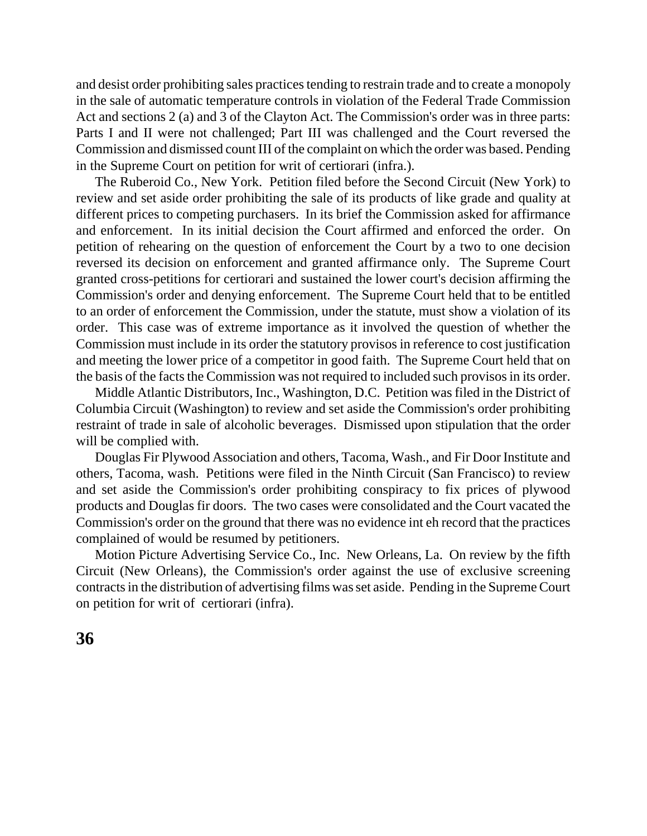and desist order prohibiting sales practices tending to restrain trade and to create a monopoly in the sale of automatic temperature controls in violation of the Federal Trade Commission Act and sections 2 (a) and 3 of the Clayton Act. The Commission's order was in three parts: Parts I and II were not challenged; Part III was challenged and the Court reversed the Commission and dismissed count III of the complaint on which the order was based. Pending in the Supreme Court on petition for writ of certiorari (infra.).

The Ruberoid Co., New York. Petition filed before the Second Circuit (New York) to review and set aside order prohibiting the sale of its products of like grade and quality at different prices to competing purchasers. In its brief the Commission asked for affirmance and enforcement. In its initial decision the Court affirmed and enforced the order. On petition of rehearing on the question of enforcement the Court by a two to one decision reversed its decision on enforcement and granted affirmance only. The Supreme Court granted cross-petitions for certiorari and sustained the lower court's decision affirming the Commission's order and denying enforcement. The Supreme Court held that to be entitled to an order of enforcement the Commission, under the statute, must show a violation of its order. This case was of extreme importance as it involved the question of whether the Commission must include in its order the statutory provisos in reference to cost justification and meeting the lower price of a competitor in good faith. The Supreme Court held that on the basis of the facts the Commission was not required to included such provisos in its order.

Middle Atlantic Distributors, Inc., Washington, D.C. Petition was filed in the District of Columbia Circuit (Washington) to review and set aside the Commission's order prohibiting restraint of trade in sale of alcoholic beverages. Dismissed upon stipulation that the order will be complied with.

Douglas Fir Plywood Association and others, Tacoma, Wash., and Fir Door Institute and others, Tacoma, wash. Petitions were filed in the Ninth Circuit (San Francisco) to review and set aside the Commission's order prohibiting conspiracy to fix prices of plywood products and Douglas fir doors. The two cases were consolidated and the Court vacated the Commission's order on the ground that there was no evidence int eh record that the practices complained of would be resumed by petitioners.

Motion Picture Advertising Service Co., Inc. New Orleans, La. On review by the fifth Circuit (New Orleans), the Commission's order against the use of exclusive screening contractsin the distribution of advertising films wasset aside. Pending in the Supreme Court on petition for writ of certiorari (infra).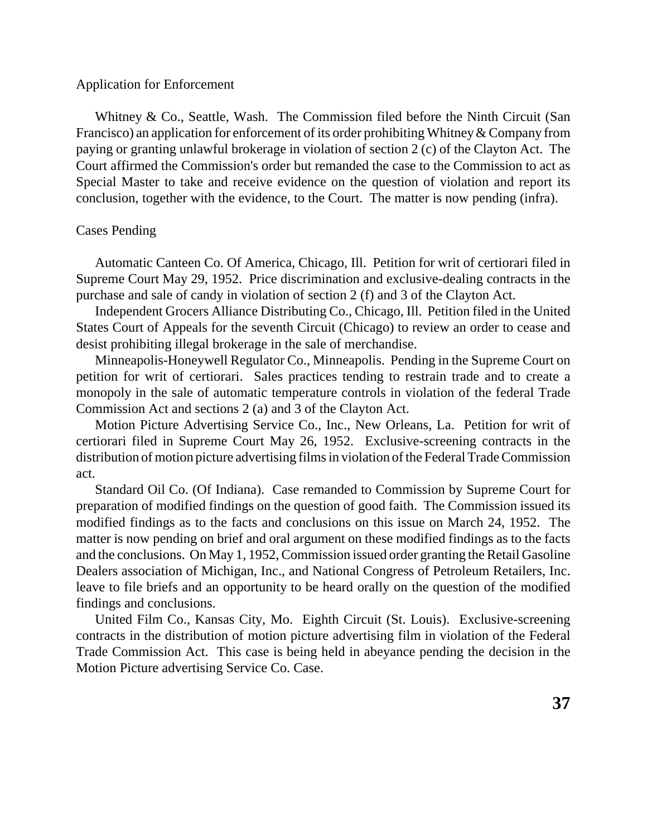### Application for Enforcement

Whitney & Co., Seattle, Wash. The Commission filed before the Ninth Circuit (San Francisco) an application for enforcement of its order prohibiting Whitney& Company from paying or granting unlawful brokerage in violation of section 2 (c) of the Clayton Act. The Court affirmed the Commission's order but remanded the case to the Commission to act as Special Master to take and receive evidence on the question of violation and report its conclusion, together with the evidence, to the Court. The matter is now pending (infra).

## Cases Pending

Automatic Canteen Co. Of America, Chicago, Ill. Petition for writ of certiorari filed in Supreme Court May 29, 1952. Price discrimination and exclusive-dealing contracts in the purchase and sale of candy in violation of section 2 (f) and 3 of the Clayton Act.

Independent Grocers Alliance Distributing Co., Chicago, Ill. Petition filed in the United States Court of Appeals for the seventh Circuit (Chicago) to review an order to cease and desist prohibiting illegal brokerage in the sale of merchandise.

Minneapolis-Honeywell Regulator Co., Minneapolis. Pending in the Supreme Court on petition for writ of certiorari. Sales practices tending to restrain trade and to create a monopoly in the sale of automatic temperature controls in violation of the federal Trade Commission Act and sections 2 (a) and 3 of the Clayton Act.

Motion Picture Advertising Service Co., Inc., New Orleans, La. Petition for writ of certiorari filed in Supreme Court May 26, 1952. Exclusive-screening contracts in the distribution of motion picture advertising films in violation of the Federal Trade Commission act.

Standard Oil Co. (Of Indiana). Case remanded to Commission by Supreme Court for preparation of modified findings on the question of good faith. The Commission issued its modified findings as to the facts and conclusions on this issue on March 24, 1952. The matter is now pending on brief and oral argument on these modified findings as to the facts and the conclusions. On May 1, 1952, Commission issued order granting the Retail Gasoline Dealers association of Michigan, Inc., and National Congress of Petroleum Retailers, Inc. leave to file briefs and an opportunity to be heard orally on the question of the modified findings and conclusions.

United Film Co., Kansas City, Mo. Eighth Circuit (St. Louis). Exclusive-screening contracts in the distribution of motion picture advertising film in violation of the Federal Trade Commission Act. This case is being held in abeyance pending the decision in the Motion Picture advertising Service Co. Case.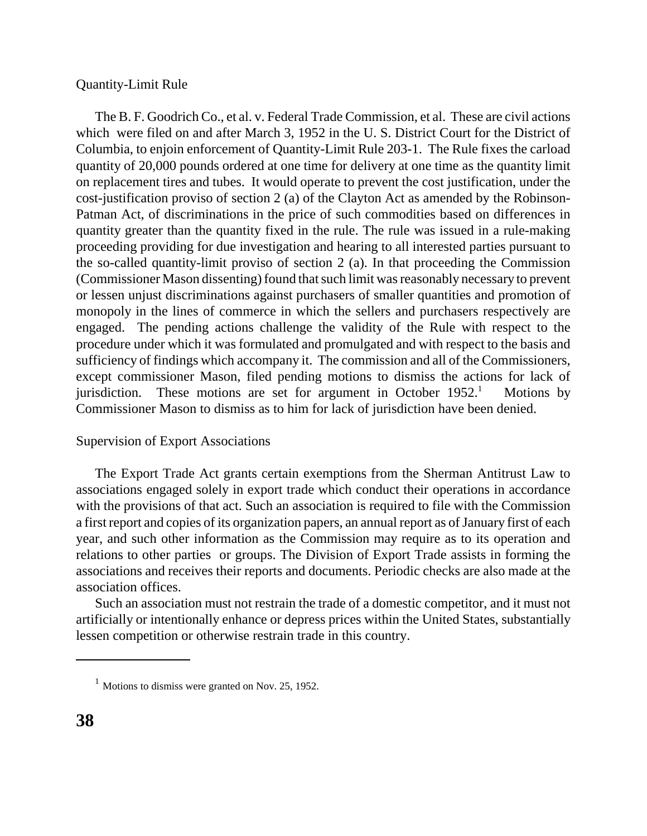# Quantity-Limit Rule

The B. F. Goodrich Co., et al. v. Federal Trade Commission, et al. These are civil actions which were filed on and after March 3, 1952 in the U. S. District Court for the District of Columbia, to enjoin enforcement of Quantity-Limit Rule 203-1. The Rule fixes the carload quantity of 20,000 pounds ordered at one time for delivery at one time as the quantity limit on replacement tires and tubes. It would operate to prevent the cost justification, under the cost-justification proviso of section 2 (a) of the Clayton Act as amended by the Robinson-Patman Act, of discriminations in the price of such commodities based on differences in quantity greater than the quantity fixed in the rule. The rule was issued in a rule-making proceeding providing for due investigation and hearing to all interested parties pursuant to the so-called quantity-limit proviso of section 2 (a). In that proceeding the Commission (Commissioner Mason dissenting) found that such limit was reasonably necessary to prevent or lessen unjust discriminations against purchasers of smaller quantities and promotion of monopoly in the lines of commerce in which the sellers and purchasers respectively are engaged. The pending actions challenge the validity of the Rule with respect to the procedure under which it was formulated and promulgated and with respect to the basis and sufficiency of findings which accompany it. The commission and all of the Commissioners, except commissioner Mason, filed pending motions to dismiss the actions for lack of jurisdiction. These motions are set for argument in October  $1952<sup>1</sup>$  Motions by Commissioner Mason to dismiss as to him for lack of jurisdiction have been denied.

# Supervision of Export Associations

The Export Trade Act grants certain exemptions from the Sherman Antitrust Law to associations engaged solely in export trade which conduct their operations in accordance with the provisions of that act. Such an association is required to file with the Commission a first report and copies of its organization papers, an annual report as of January first of each year, and such other information as the Commission may require as to its operation and relations to other parties or groups. The Division of Export Trade assists in forming the associations and receives their reports and documents. Periodic checks are also made at the association offices.

Such an association must not restrain the trade of a domestic competitor, and it must not artificially or intentionally enhance or depress prices within the United States, substantially lessen competition or otherwise restrain trade in this country.

 $<sup>1</sup>$  Motions to dismiss were granted on Nov. 25, 1952.</sup>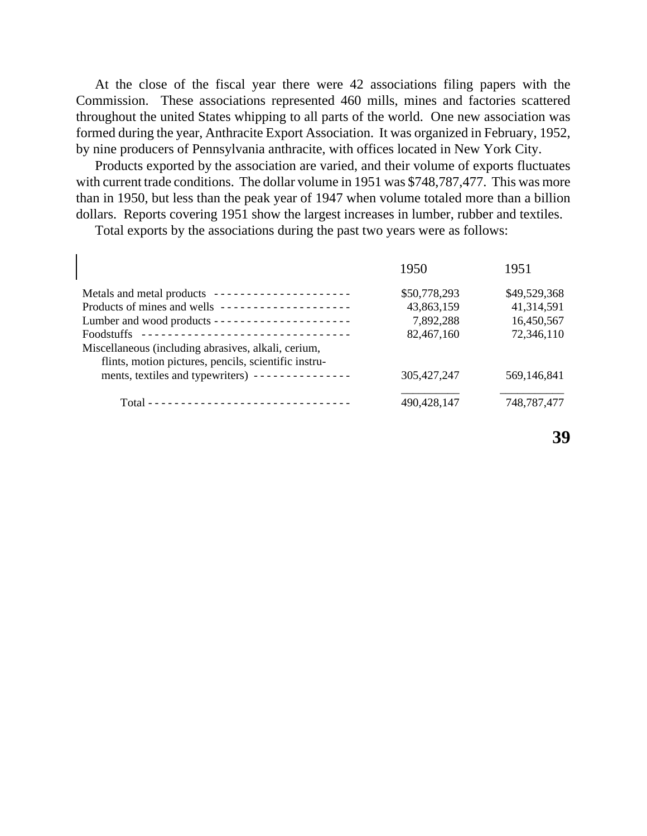At the close of the fiscal year there were 42 associations filing papers with the Commission. These associations represented 460 mills, mines and factories scattered throughout the united States whipping to all parts of the world. One new association was formed during the year, Anthracite Export Association. It was organized in February, 1952, by nine producers of Pennsylvania anthracite, with offices located in New York City.

Products exported by the association are varied, and their volume of exports fluctuates with current trade conditions. The dollar volume in 1951 was \$748,787,477. This was more than in 1950, but less than the peak year of 1947 when volume totaled more than a billion dollars. Reports covering 1951 show the largest increases in lumber, rubber and textiles.

Total exports by the associations during the past two years were as follows:

|                                                                                                             | 1950         | 1951         |
|-------------------------------------------------------------------------------------------------------------|--------------|--------------|
| Metals and metal products ---------------------                                                             | \$50,778,293 | \$49,529,368 |
| Products of mines and wells ---------------------                                                           | 43,863,159   | 41,314,591   |
|                                                                                                             | 7,892,288    | 16,450,567   |
| -----------------------------------<br>Foodstuffs                                                           | 82,467,160   | 72,346,110   |
| Miscellaneous (including abrasives, alkali, cerium,<br>flints, motion pictures, pencils, scientific instru- |              |              |
| ments, textiles and typewriters) ---------------                                                            | 305,427,247  | 569,146,841  |
|                                                                                                             | 490,428,147  | 748,787,477  |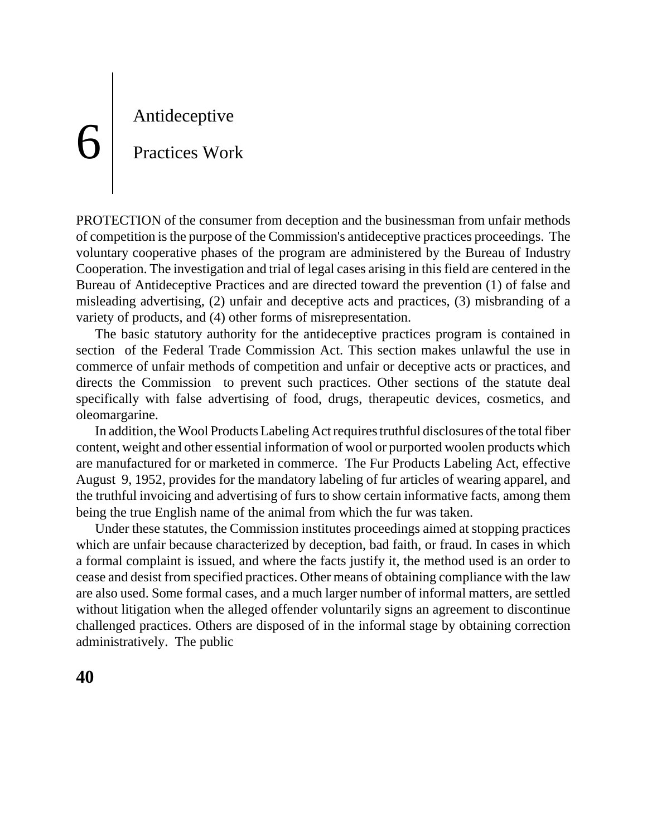# Antideceptive 6 Practices Work

PROTECTION of the consumer from deception and the businessman from unfair methods of competition isthe purpose of the Commission's antideceptive practices proceedings. The voluntary cooperative phases of the program are administered by the Bureau of Industry Cooperation. The investigation and trial of legal cases arising in thisfield are centered in the Bureau of Antideceptive Practices and are directed toward the prevention (1) of false and misleading advertising, (2) unfair and deceptive acts and practices, (3) misbranding of a variety of products, and (4) other forms of misrepresentation.

The basic statutory authority for the antideceptive practices program is contained in section of the Federal Trade Commission Act. This section makes unlawful the use in commerce of unfair methods of competition and unfair or deceptive acts or practices, and directs the Commission to prevent such practices. Other sections of the statute deal specifically with false advertising of food, drugs, therapeutic devices, cosmetics, and oleomargarine.

In addition, the Wool Products Labeling Act requires truthful disclosures of the total fiber content, weight and other essential information of wool or purported woolen products which are manufactured for or marketed in commerce. The Fur Products Labeling Act, effective August 9, 1952, provides for the mandatory labeling of fur articles of wearing apparel, and the truthful invoicing and advertising of furs to show certain informative facts, among them being the true English name of the animal from which the fur was taken.

Under these statutes, the Commission institutes proceedings aimed at stopping practices which are unfair because characterized by deception, bad faith, or fraud. In cases in which a formal complaint is issued, and where the facts justify it, the method used is an order to cease and desist from specified practices. Other means of obtaining compliance with the law are also used. Some formal cases, and a much larger number of informal matters, are settled without litigation when the alleged offender voluntarily signs an agreement to discontinue challenged practices. Others are disposed of in the informal stage by obtaining correction administratively. The public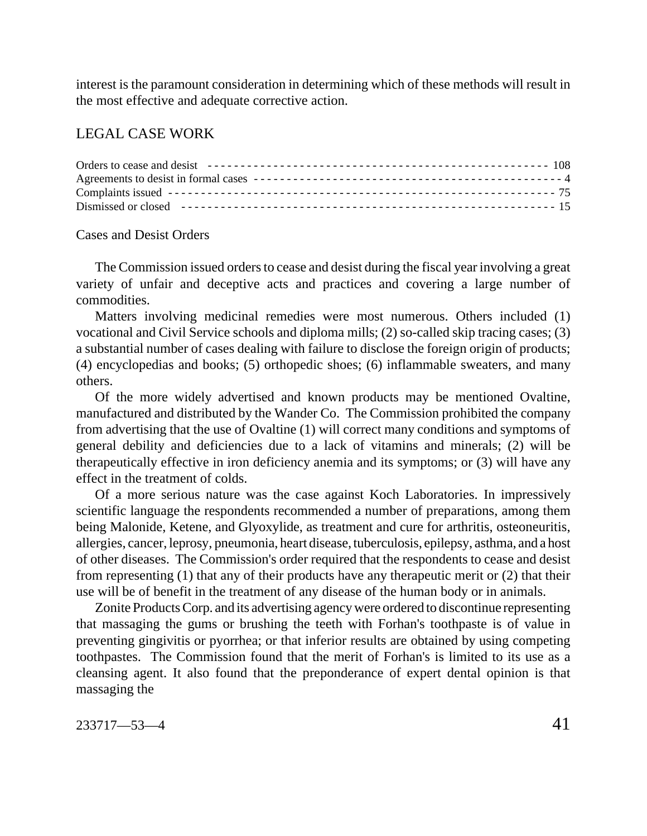interest is the paramount consideration in determining which of these methods will result in the most effective and adequate corrective action.

# LEGAL CASE WORK

| Orders to cease and desist <b>contained</b> and the contract of the contract of the contract of the contract of the contract of the contract of the contract of the contract of the contract of the contract of the contract of the |  |
|-------------------------------------------------------------------------------------------------------------------------------------------------------------------------------------------------------------------------------------|--|
|                                                                                                                                                                                                                                     |  |
|                                                                                                                                                                                                                                     |  |
|                                                                                                                                                                                                                                     |  |

## Cases and Desist Orders

The Commission issued orders to cease and desist during the fiscal year involving a great variety of unfair and deceptive acts and practices and covering a large number of commodities.

Matters involving medicinal remedies were most numerous. Others included (1) vocational and Civil Service schools and diploma mills; (2) so-called skip tracing cases; (3) a substantial number of cases dealing with failure to disclose the foreign origin of products; (4) encyclopedias and books; (5) orthopedic shoes; (6) inflammable sweaters, and many others.

Of the more widely advertised and known products may be mentioned Ovaltine, manufactured and distributed by the Wander Co. The Commission prohibited the company from advertising that the use of Ovaltine (1) will correct many conditions and symptoms of general debility and deficiencies due to a lack of vitamins and minerals; (2) will be therapeutically effective in iron deficiency anemia and its symptoms; or (3) will have any effect in the treatment of colds.

Of a more serious nature was the case against Koch Laboratories. In impressively scientific language the respondents recommended a number of preparations, among them being Malonide, Ketene, and Glyoxylide, as treatment and cure for arthritis, osteoneuritis, allergies, cancer, leprosy, pneumonia, heart disease, tuberculosis, epilepsy, asthma, and a host of other diseases. The Commission's order required that the respondents to cease and desist from representing (1) that any of their products have any therapeutic merit or (2) that their use will be of benefit in the treatment of any disease of the human body or in animals.

Zonite Products Corp. and its advertising agency were ordered to discontinue representing that massaging the gums or brushing the teeth with Forhan's toothpaste is of value in preventing gingivitis or pyorrhea; or that inferior results are obtained by using competing toothpastes. The Commission found that the merit of Forhan's is limited to its use as a cleansing agent. It also found that the preponderance of expert dental opinion is that massaging the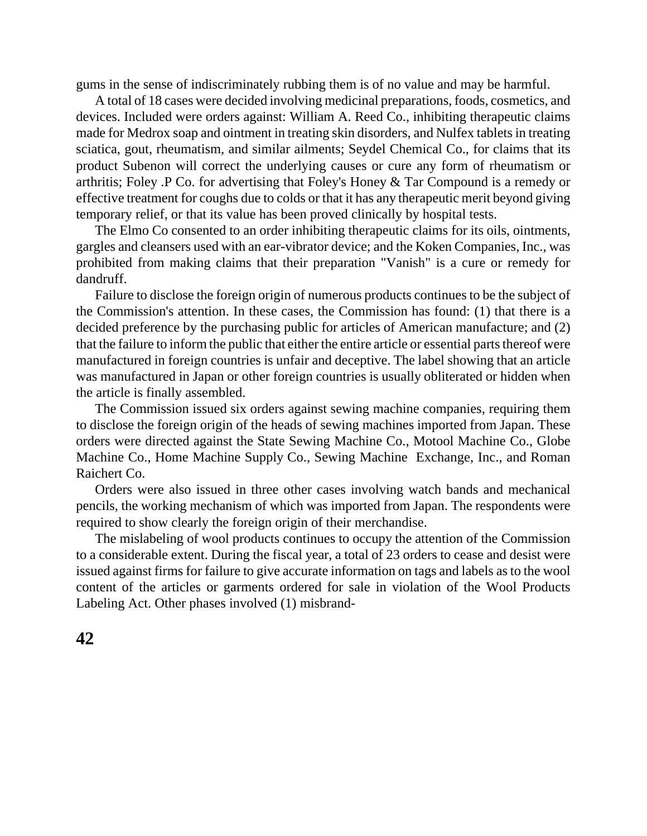gums in the sense of indiscriminately rubbing them is of no value and may be harmful.

A total of 18 cases were decided involving medicinal preparations, foods, cosmetics, and devices. Included were orders against: William A. Reed Co., inhibiting therapeutic claims made for Medrox soap and ointment in treating skin disorders, and Nulfex tablets in treating sciatica, gout, rheumatism, and similar ailments; Seydel Chemical Co., for claims that its product Subenon will correct the underlying causes or cure any form of rheumatism or arthritis; Foley .P Co. for advertising that Foley's Honey & Tar Compound is a remedy or effective treatment for coughs due to colds or that it has any therapeutic merit beyond giving temporary relief, or that its value has been proved clinically by hospital tests.

The Elmo Co consented to an order inhibiting therapeutic claims for its oils, ointments, gargles and cleansers used with an ear-vibrator device; and the Koken Companies, Inc., was prohibited from making claims that their preparation "Vanish" is a cure or remedy for dandruff.

Failure to disclose the foreign origin of numerous products continues to be the subject of the Commission's attention. In these cases, the Commission has found: (1) that there is a decided preference by the purchasing public for articles of American manufacture; and (2) that the failure to inform the public that either the entire article or essential parts thereof were manufactured in foreign countries is unfair and deceptive. The label showing that an article was manufactured in Japan or other foreign countries is usually obliterated or hidden when the article is finally assembled.

The Commission issued six orders against sewing machine companies, requiring them to disclose the foreign origin of the heads of sewing machines imported from Japan. These orders were directed against the State Sewing Machine Co., Motool Machine Co., Globe Machine Co., Home Machine Supply Co., Sewing Machine Exchange, Inc., and Roman Raichert Co.

Orders were also issued in three other cases involving watch bands and mechanical pencils, the working mechanism of which was imported from Japan. The respondents were required to show clearly the foreign origin of their merchandise.

The mislabeling of wool products continues to occupy the attention of the Commission to a considerable extent. During the fiscal year, a total of 23 orders to cease and desist were issued against firms for failure to give accurate information on tags and labels as to the wool content of the articles or garments ordered for sale in violation of the Wool Products Labeling Act. Other phases involved (1) misbrand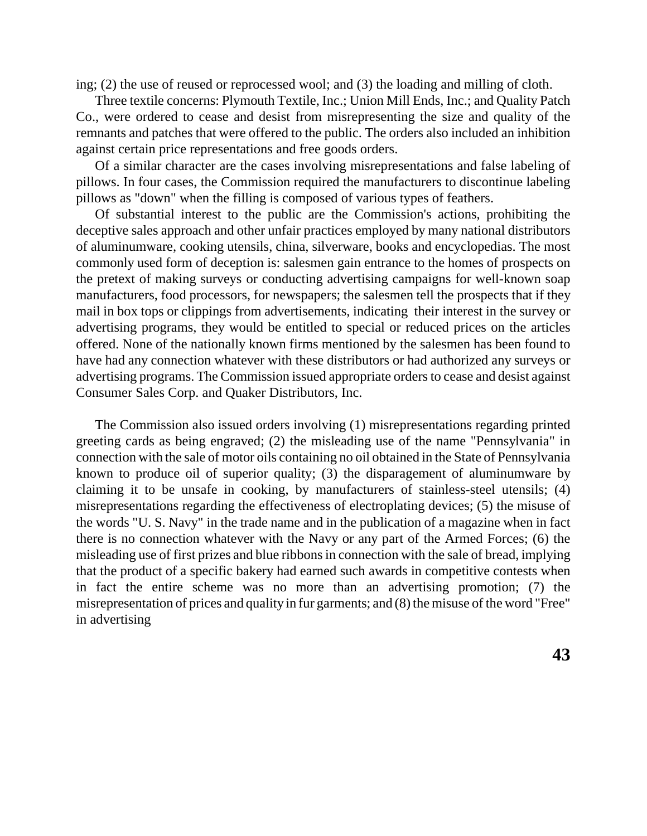ing; (2) the use of reused or reprocessed wool; and (3) the loading and milling of cloth.

Three textile concerns: Plymouth Textile, Inc.; Union Mill Ends, Inc.; and Quality Patch Co., were ordered to cease and desist from misrepresenting the size and quality of the remnants and patches that were offered to the public. The orders also included an inhibition against certain price representations and free goods orders.

Of a similar character are the cases involving misrepresentations and false labeling of pillows. In four cases, the Commission required the manufacturers to discontinue labeling pillows as "down" when the filling is composed of various types of feathers.

Of substantial interest to the public are the Commission's actions, prohibiting the deceptive sales approach and other unfair practices employed by many national distributors of aluminumware, cooking utensils, china, silverware, books and encyclopedias. The most commonly used form of deception is: salesmen gain entrance to the homes of prospects on the pretext of making surveys or conducting advertising campaigns for well-known soap manufacturers, food processors, for newspapers; the salesmen tell the prospects that if they mail in box tops or clippings from advertisements, indicating their interest in the survey or advertising programs, they would be entitled to special or reduced prices on the articles offered. None of the nationally known firms mentioned by the salesmen has been found to have had any connection whatever with these distributors or had authorized any surveys or advertising programs. The Commission issued appropriate orders to cease and desist against Consumer Sales Corp. and Quaker Distributors, Inc.

The Commission also issued orders involving (1) misrepresentations regarding printed greeting cards as being engraved; (2) the misleading use of the name "Pennsylvania" in connection with the sale of motor oils containing no oil obtained in the State of Pennsylvania known to produce oil of superior quality; (3) the disparagement of aluminumware by claiming it to be unsafe in cooking, by manufacturers of stainless-steel utensils; (4) misrepresentations regarding the effectiveness of electroplating devices; (5) the misuse of the words "U. S. Navy" in the trade name and in the publication of a magazine when in fact there is no connection whatever with the Navy or any part of the Armed Forces; (6) the misleading use of first prizes and blue ribbonsin connection with the sale of bread, implying that the product of a specific bakery had earned such awards in competitive contests when in fact the entire scheme was no more than an advertising promotion; (7) the misrepresentation of prices and quality in fur garments; and  $(8)$  the misuse of the word "Free" in advertising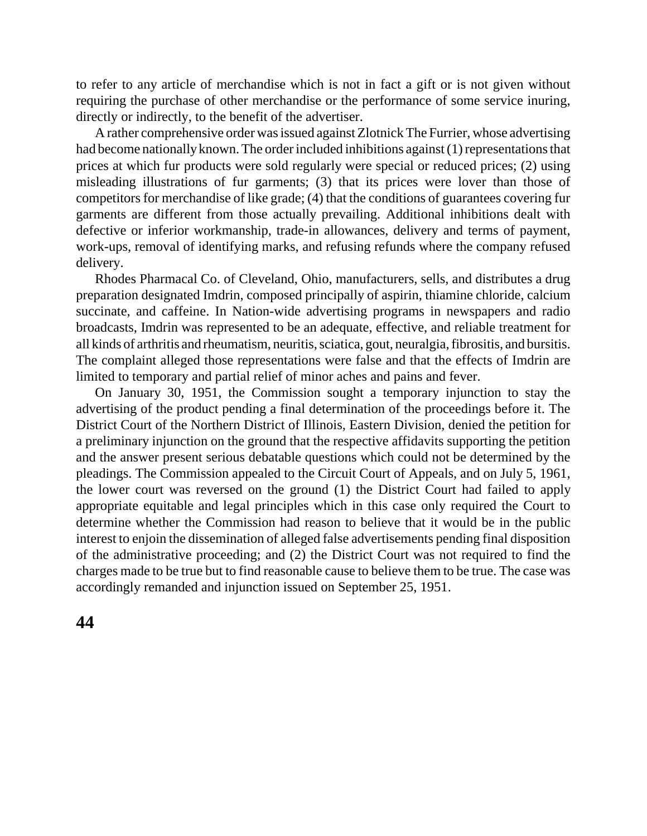to refer to any article of merchandise which is not in fact a gift or is not given without requiring the purchase of other merchandise or the performance of some service inuring, directly or indirectly, to the benefit of the advertiser.

A rather comprehensive order wasissued againstZlotnickThe Furrier, whose advertising had become nationally known. The order included inhibitions against (1) representations that prices at which fur products were sold regularly were special or reduced prices; (2) using misleading illustrations of fur garments; (3) that its prices were lover than those of competitors for merchandise of like grade;  $(4)$  that the conditions of guarantees covering fur garments are different from those actually prevailing. Additional inhibitions dealt with defective or inferior workmanship, trade-in allowances, delivery and terms of payment, work-ups, removal of identifying marks, and refusing refunds where the company refused delivery.

Rhodes Pharmacal Co. of Cleveland, Ohio, manufacturers, sells, and distributes a drug preparation designated Imdrin, composed principally of aspirin, thiamine chloride, calcium succinate, and caffeine. In Nation-wide advertising programs in newspapers and radio broadcasts, Imdrin was represented to be an adequate, effective, and reliable treatment for all kinds of arthritis and rheumatism, neuritis, sciatica, gout, neuralgia, fibrositis, and bursitis. The complaint alleged those representations were false and that the effects of Imdrin are limited to temporary and partial relief of minor aches and pains and fever.

On January 30, 1951, the Commission sought a temporary injunction to stay the advertising of the product pending a final determination of the proceedings before it. The District Court of the Northern District of Illinois, Eastern Division, denied the petition for a preliminary injunction on the ground that the respective affidavits supporting the petition and the answer present serious debatable questions which could not be determined by the pleadings. The Commission appealed to the Circuit Court of Appeals, and on July 5, 1961, the lower court was reversed on the ground (1) the District Court had failed to apply appropriate equitable and legal principles which in this case only required the Court to determine whether the Commission had reason to believe that it would be in the public interest to enjoin the dissemination of alleged false advertisements pending final disposition of the administrative proceeding; and (2) the District Court was not required to find the charges made to be true but to find reasonable cause to believe them to be true. The case was accordingly remanded and injunction issued on September 25, 1951.

**44**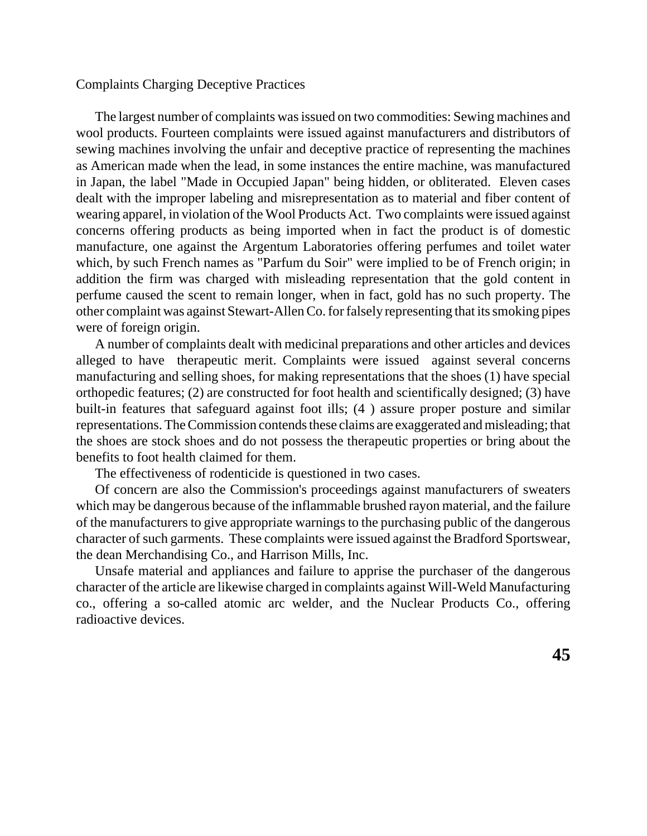#### Complaints Charging Deceptive Practices

The largest number of complaints wasissued on two commodities: Sewing machines and wool products. Fourteen complaints were issued against manufacturers and distributors of sewing machines involving the unfair and deceptive practice of representing the machines as American made when the lead, in some instances the entire machine, was manufactured in Japan, the label "Made in Occupied Japan" being hidden, or obliterated. Eleven cases dealt with the improper labeling and misrepresentation as to material and fiber content of wearing apparel, in violation of the Wool Products Act. Two complaints were issued against concerns offering products as being imported when in fact the product is of domestic manufacture, one against the Argentum Laboratories offering perfumes and toilet water which, by such French names as "Parfum du Soir" were implied to be of French origin; in addition the firm was charged with misleading representation that the gold content in perfume caused the scent to remain longer, when in fact, gold has no such property. The other complaint was against Stewart-AllenCo.forfalsely representing that itssmoking pipes were of foreign origin.

A number of complaints dealt with medicinal preparations and other articles and devices alleged to have therapeutic merit. Complaints were issued against several concerns manufacturing and selling shoes, for making representations that the shoes (1) have special orthopedic features; (2) are constructed for foot health and scientifically designed; (3) have built-in features that safeguard against foot ills; (4 ) assure proper posture and similar representations.TheCommission contends these claims are exaggerated and misleading; that the shoes are stock shoes and do not possess the therapeutic properties or bring about the benefits to foot health claimed for them.

The effectiveness of rodenticide is questioned in two cases.

Of concern are also the Commission's proceedings against manufacturers of sweaters which may be dangerous because of the inflammable brushed rayon material, and the failure of the manufacturers to give appropriate warnings to the purchasing public of the dangerous character of such garments. These complaints were issued against the Bradford Sportswear, the dean Merchandising Co., and Harrison Mills, Inc.

Unsafe material and appliances and failure to apprise the purchaser of the dangerous character of the article are likewise charged in complaints against Will-Weld Manufacturing co., offering a so-called atomic arc welder, and the Nuclear Products Co., offering radioactive devices.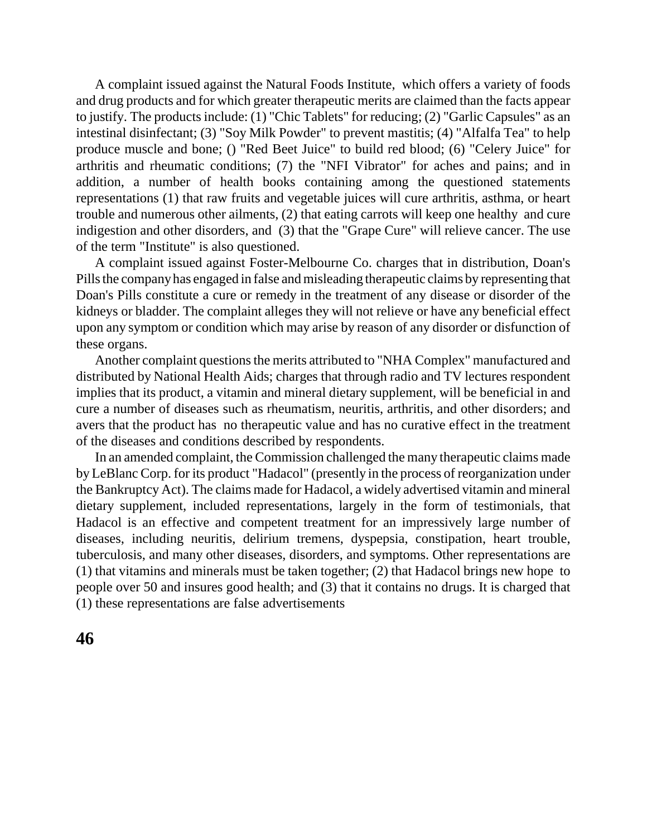A complaint issued against the Natural Foods Institute, which offers a variety of foods and drug products and for which greater therapeutic merits are claimed than the facts appear to justify. The products include: (1) "Chic Tablets" for reducing; (2) "Garlic Capsules" as an intestinal disinfectant; (3) "Soy Milk Powder" to prevent mastitis; (4) "Alfalfa Tea" to help produce muscle and bone; () "Red Beet Juice" to build red blood; (6) "Celery Juice" for arthritis and rheumatic conditions; (7) the "NFI Vibrator" for aches and pains; and in addition, a number of health books containing among the questioned statements representations (1) that raw fruits and vegetable juices will cure arthritis, asthma, or heart trouble and numerous other ailments, (2) that eating carrots will keep one healthy and cure indigestion and other disorders, and (3) that the "Grape Cure" will relieve cancer. The use of the term "Institute" is also questioned.

A complaint issued against Foster-Melbourne Co. charges that in distribution, Doan's Pills the company has engaged in false and misleading therapeutic claims by representing that Doan's Pills constitute a cure or remedy in the treatment of any disease or disorder of the kidneys or bladder. The complaint alleges they will not relieve or have any beneficial effect upon any symptom or condition which may arise by reason of any disorder or disfunction of these organs.

Another complaint questions the merits attributed to "NHA Complex" manufactured and distributed by National Health Aids; charges that through radio and TV lectures respondent implies that its product, a vitamin and mineral dietary supplement, will be beneficial in and cure a number of diseases such as rheumatism, neuritis, arthritis, and other disorders; and avers that the product has no therapeutic value and has no curative effect in the treatment of the diseases and conditions described by respondents.

In an amended complaint, the Commission challenged the many therapeutic claims made byLeBlanc Corp. for its product "Hadacol" (presently in the process of reorganization under the Bankruptcy Act). The claims made for Hadacol, a widely advertised vitamin and mineral dietary supplement, included representations, largely in the form of testimonials, that Hadacol is an effective and competent treatment for an impressively large number of diseases, including neuritis, delirium tremens, dyspepsia, constipation, heart trouble, tuberculosis, and many other diseases, disorders, and symptoms. Other representations are (1) that vitamins and minerals must be taken together; (2) that Hadacol brings new hope to people over 50 and insures good health; and (3) that it contains no drugs. It is charged that (1) these representations are false advertisements

**46**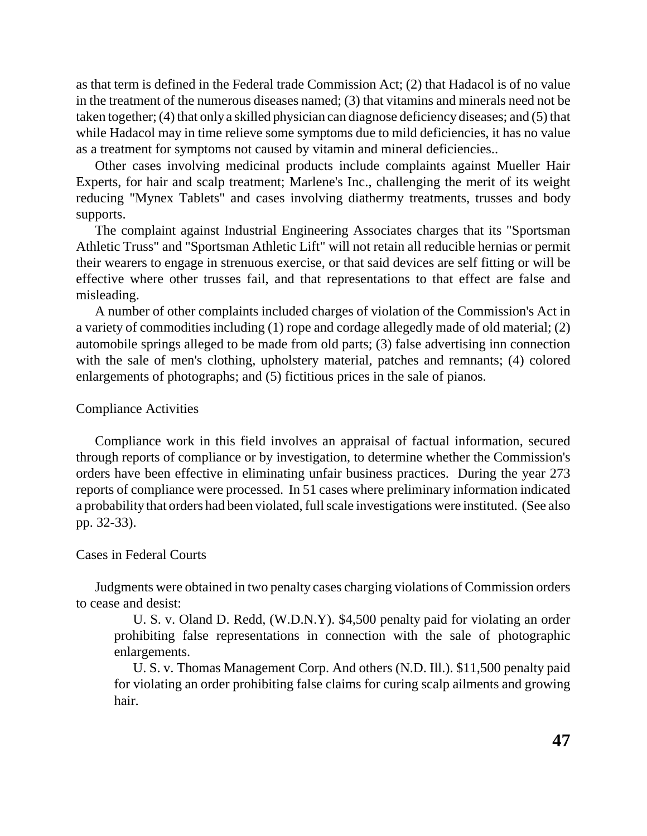as that term is defined in the Federal trade Commission Act; (2) that Hadacol is of no value in the treatment of the numerous diseases named; (3) that vitamins and minerals need not be taken together; (4) that only a skilled physician can diagnose deficiency diseases; and (5) that while Hadacol may in time relieve some symptoms due to mild deficiencies, it has no value as a treatment for symptoms not caused by vitamin and mineral deficiencies..

Other cases involving medicinal products include complaints against Mueller Hair Experts, for hair and scalp treatment; Marlene's Inc., challenging the merit of its weight reducing "Mynex Tablets" and cases involving diathermy treatments, trusses and body supports.

The complaint against Industrial Engineering Associates charges that its "Sportsman Athletic Truss" and "Sportsman Athletic Lift" will not retain all reducible hernias or permit their wearers to engage in strenuous exercise, or that said devices are self fitting or will be effective where other trusses fail, and that representations to that effect are false and misleading.

A number of other complaints included charges of violation of the Commission's Act in a variety of commodities including (1) rope and cordage allegedly made of old material; (2) automobile springs alleged to be made from old parts; (3) false advertising inn connection with the sale of men's clothing, upholstery material, patches and remnants; (4) colored enlargements of photographs; and (5) fictitious prices in the sale of pianos.

#### Compliance Activities

Compliance work in this field involves an appraisal of factual information, secured through reports of compliance or by investigation, to determine whether the Commission's orders have been effective in eliminating unfair business practices. During the year 273 reports of compliance were processed. In 51 cases where preliminary information indicated a probability that orders had been violated, full scale investigations were instituted. (See also pp. 32-33).

#### Cases in Federal Courts

Judgments were obtained in two penalty cases charging violations of Commission orders to cease and desist:

U. S. v. Oland D. Redd, (W.D.N.Y). \$4,500 penalty paid for violating an order prohibiting false representations in connection with the sale of photographic enlargements.

U. S. v. Thomas Management Corp. And others (N.D. Ill.). \$11,500 penalty paid for violating an order prohibiting false claims for curing scalp ailments and growing hair.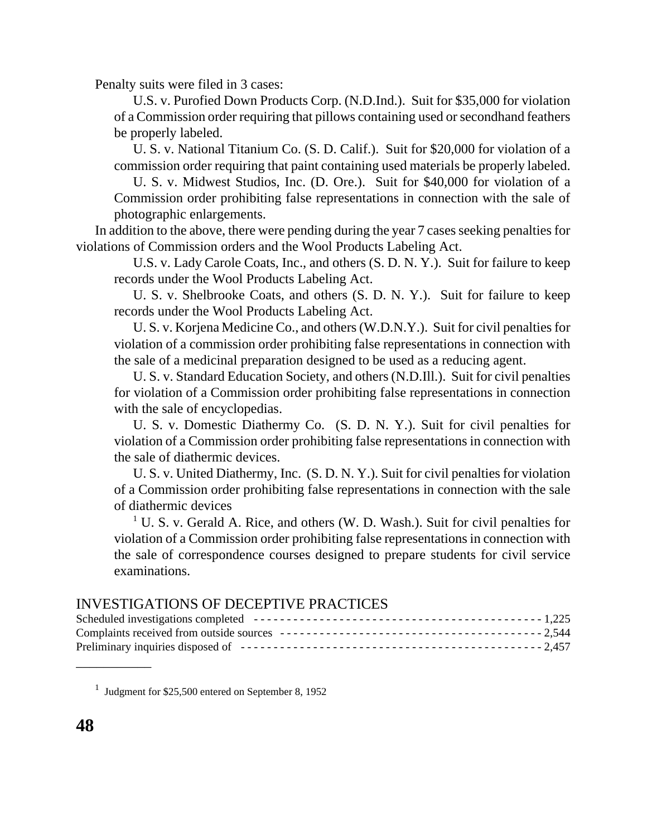Penalty suits were filed in 3 cases:

U.S. v. Purofied Down Products Corp. (N.D.Ind.). Suit for \$35,000 for violation of a Commission order requiring that pillows containing used or secondhand feathers be properly labeled.

U. S. v. National Titanium Co. (S. D. Calif.). Suit for \$20,000 for violation of a commission order requiring that paint containing used materials be properly labeled.

U. S. v. Midwest Studios, Inc. (D. Ore.). Suit for \$40,000 for violation of a Commission order prohibiting false representations in connection with the sale of photographic enlargements.

In addition to the above, there were pending during the year 7 cases seeking penalties for violations of Commission orders and the Wool Products Labeling Act.

U.S. v. Lady Carole Coats, Inc., and others (S. D. N. Y.). Suit for failure to keep records under the Wool Products Labeling Act.

U. S. v. Shelbrooke Coats, and others (S. D. N. Y.). Suit for failure to keep records under the Wool Products Labeling Act.

U. S. v. Korjena Medicine Co., and others(W.D.N.Y.). Suit for civil penalties for violation of a commission order prohibiting false representations in connection with the sale of a medicinal preparation designed to be used as a reducing agent.

U. S. v. Standard Education Society, and others (N.D.Ill.). Suit for civil penalties for violation of a Commission order prohibiting false representations in connection with the sale of encyclopedias.

U. S. v. Domestic Diathermy Co. (S. D. N. Y.). Suit for civil penalties for violation of a Commission order prohibiting false representations in connection with the sale of diathermic devices.

U. S. v. United Diathermy, Inc. (S. D. N. Y.). Suit for civil penalties for violation of a Commission order prohibiting false representations in connection with the sale of diathermic devices

<sup>1</sup> U. S. v. Gerald A. Rice, and others (W. D. Wash.). Suit for civil penalties for violation of a Commission order prohibiting false representations in connection with the sale of correspondence courses designed to prepare students for civil service examinations.

# INVESTIGATIONS OF DECEPTIVE PRACTICES

<sup>&</sup>lt;sup>1</sup> Judgment for \$25,500 entered on September 8, 1952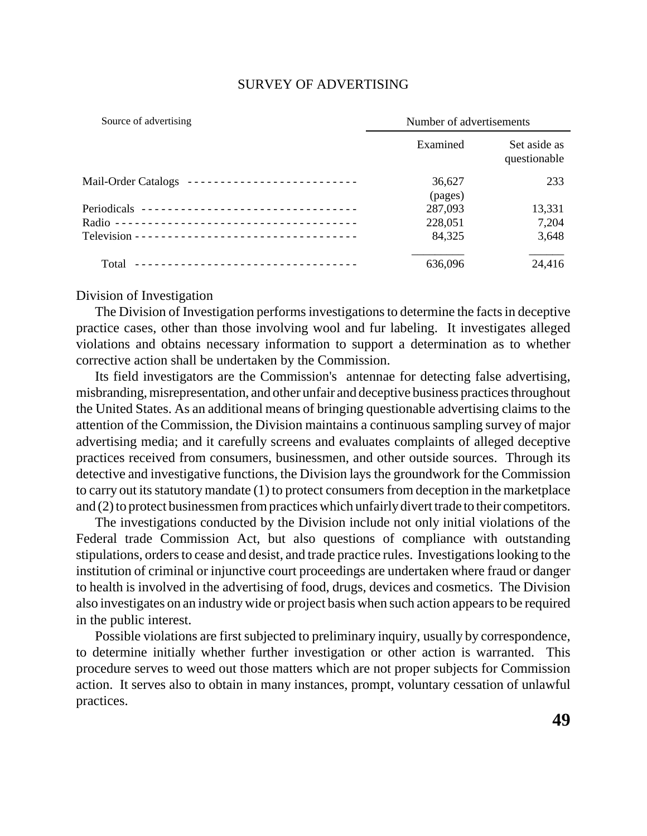# SURVEY OF ADVERTISING

| Source of advertising                           | Number of advertisements |                              |
|-------------------------------------------------|--------------------------|------------------------------|
|                                                 | Examined                 | Set aside as<br>questionable |
| Mail-Order Catalogs --------------------------- | 36,627                   | 233                          |
| Periodicals ----------------------------------  | (pages)<br>287,093       | 13,331                       |
|                                                 | 228,051                  | 7,204                        |
| Television -----------------------------------  |                          |                              |
|                                                 | 84,325                   | 3,648                        |
| Total                                           | 636,096                  | 24,416                       |

#### Division of Investigation

The Division of Investigation performs investigations to determine the facts in deceptive practice cases, other than those involving wool and fur labeling. It investigates alleged violations and obtains necessary information to support a determination as to whether corrective action shall be undertaken by the Commission.

Its field investigators are the Commission's antennae for detecting false advertising, misbranding, misrepresentation, and other unfair and deceptive business practices throughout the United States. As an additional means of bringing questionable advertising claims to the attention of the Commission, the Division maintains a continuoussampling survey of major advertising media; and it carefully screens and evaluates complaints of alleged deceptive practices received from consumers, businessmen, and other outside sources. Through its detective and investigative functions, the Division lays the groundwork for the Commission to carry out its statutory mandate  $(1)$  to protect consumers from deception in the marketplace and (2) to protect businessmen from practices which unfairly divert trade to their competitors.

The investigations conducted by the Division include not only initial violations of the Federal trade Commission Act, but also questions of compliance with outstanding stipulations, orders to cease and desist, and trade practice rules. Investigations looking to the institution of criminal or injunctive court proceedings are undertaken where fraud or danger to health is involved in the advertising of food, drugs, devices and cosmetics. The Division also investigates on an industry wide or project basis when such action appears to be required in the public interest.

Possible violations are first subjected to preliminary inquiry, usually by correspondence, to determine initially whether further investigation or other action is warranted. This procedure serves to weed out those matters which are not proper subjects for Commission action. It serves also to obtain in many instances, prompt, voluntary cessation of unlawful practices.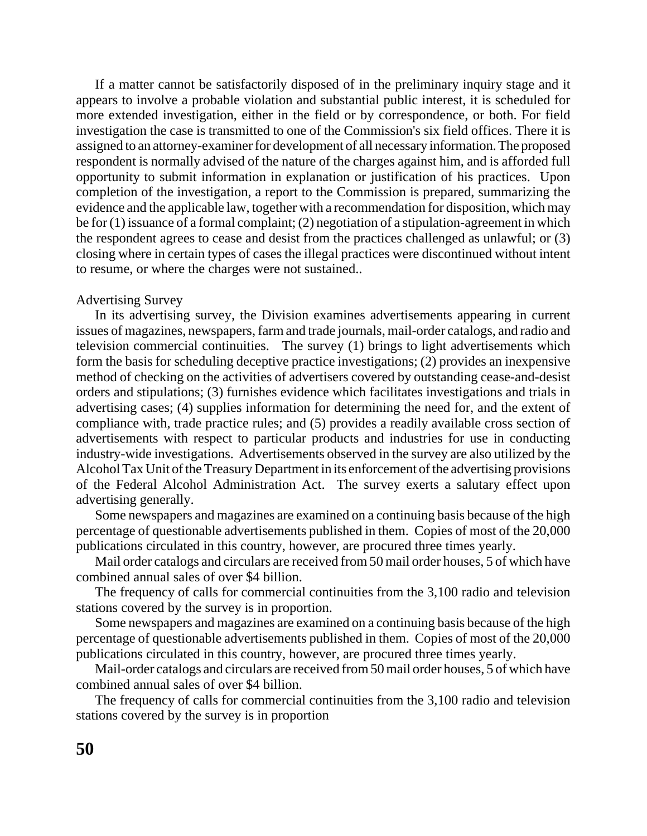If a matter cannot be satisfactorily disposed of in the preliminary inquiry stage and it appears to involve a probable violation and substantial public interest, it is scheduled for more extended investigation, either in the field or by correspondence, or both. For field investigation the case is transmitted to one of the Commission's six field offices. There it is assigned to an attorney-examinerfor development of all necessary information. The proposed respondent is normally advised of the nature of the charges against him, and is afforded full opportunity to submit information in explanation or justification of his practices. Upon completion of the investigation, a report to the Commission is prepared, summarizing the evidence and the applicable law, together with a recommendation for disposition, which may be for  $(1)$  issuance of a formal complaint;  $(2)$  negotiation of a stipulation-agreement in which the respondent agrees to cease and desist from the practices challenged as unlawful; or (3) closing where in certain types of cases the illegal practices were discontinued without intent to resume, or where the charges were not sustained..

#### Advertising Survey

In its advertising survey, the Division examines advertisements appearing in current issues of magazines, newspapers, farm and trade journals, mail-order catalogs, and radio and television commercial continuities. The survey (1) brings to light advertisements which form the basis for scheduling deceptive practice investigations; (2) provides an inexpensive method of checking on the activities of advertisers covered by outstanding cease-and-desist orders and stipulations; (3) furnishes evidence which facilitates investigations and trials in advertising cases; (4) supplies information for determining the need for, and the extent of compliance with, trade practice rules; and (5) provides a readily available cross section of advertisements with respect to particular products and industries for use in conducting industry-wide investigations. Advertisements observed in the survey are also utilized by the AlcoholTax Unit of the Treasury Department in its enforcement of the advertising provisions of the Federal Alcohol Administration Act. The survey exerts a salutary effect upon advertising generally.

Some newspapers and magazines are examined on a continuing basis because of the high percentage of questionable advertisements published in them. Copies of most of the 20,000 publications circulated in this country, however, are procured three times yearly.

Mail order catalogs and circulars are received from 50 mail order houses, 5 of which have combined annual sales of over \$4 billion.

The frequency of calls for commercial continuities from the 3,100 radio and television stations covered by the survey is in proportion.

Some newspapers and magazines are examined on a continuing basis because of the high percentage of questionable advertisements published in them. Copies of most of the 20,000 publications circulated in this country, however, are procured three times yearly.

Mail-order catalogs and circulars are received from50 mail order houses, 5 of which have combined annual sales of over \$4 billion.

The frequency of calls for commercial continuities from the 3,100 radio and television stations covered by the survey is in proportion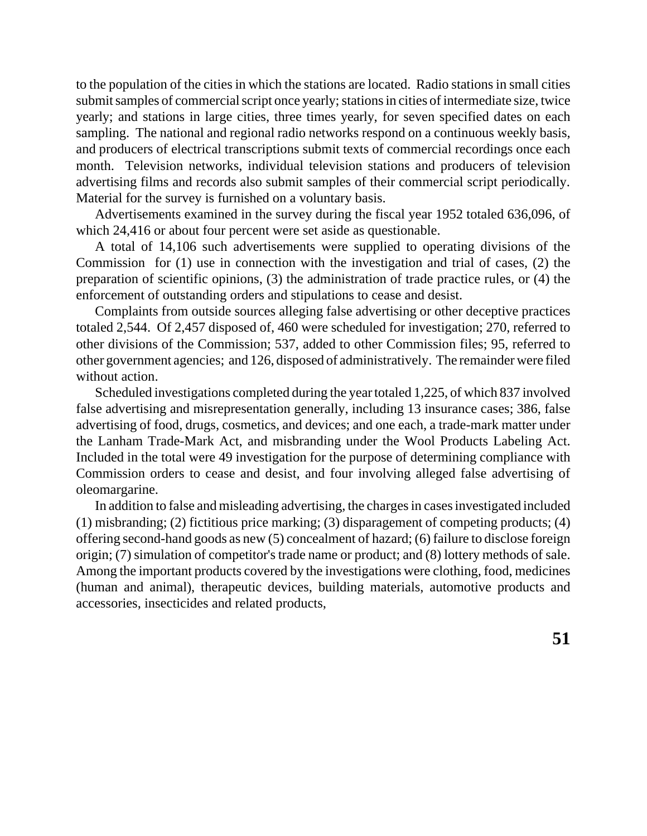to the population of the cities in which the stations are located. Radio stations in small cities submit samples of commercial script once yearly; stations in cities of intermediate size, twice yearly; and stations in large cities, three times yearly, for seven specified dates on each sampling. The national and regional radio networks respond on a continuous weekly basis, and producers of electrical transcriptions submit texts of commercial recordings once each month. Television networks, individual television stations and producers of television advertising films and records also submit samples of their commercial script periodically. Material for the survey is furnished on a voluntary basis.

Advertisements examined in the survey during the fiscal year 1952 totaled 636,096, of which 24,416 or about four percent were set aside as questionable.

A total of 14,106 such advertisements were supplied to operating divisions of the Commission for (1) use in connection with the investigation and trial of cases, (2) the preparation of scientific opinions, (3) the administration of trade practice rules, or (4) the enforcement of outstanding orders and stipulations to cease and desist.

Complaints from outside sources alleging false advertising or other deceptive practices totaled 2,544. Of 2,457 disposed of, 460 were scheduled for investigation; 270, referred to other divisions of the Commission; 537, added to other Commission files; 95, referred to other government agencies; and 126, disposed of administratively. The remainder were filed without action.

Scheduled investigations completed during the yeartotaled 1,225, of which 837 involved false advertising and misrepresentation generally, including 13 insurance cases; 386, false advertising of food, drugs, cosmetics, and devices; and one each, a trade-mark matter under the Lanham Trade-Mark Act, and misbranding under the Wool Products Labeling Act. Included in the total were 49 investigation for the purpose of determining compliance with Commission orders to cease and desist, and four involving alleged false advertising of oleomargarine.

In addition to false and misleading advertising, the charges in cases investigated included (1) misbranding; (2) fictitious price marking; (3) disparagement of competing products; (4) offering second-hand goods as new (5) concealment of hazard; (6) failure to disclose foreign origin; (7) simulation of competitor's trade name or product; and (8) lottery methods of sale. Among the important products covered by the investigations were clothing, food, medicines (human and animal), therapeutic devices, building materials, automotive products and accessories, insecticides and related products,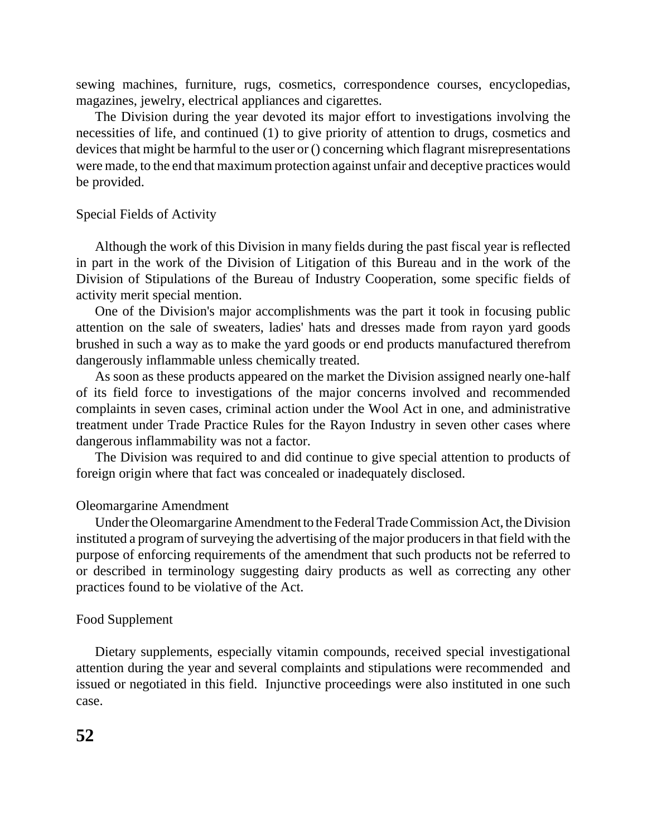sewing machines, furniture, rugs, cosmetics, correspondence courses, encyclopedias, magazines, jewelry, electrical appliances and cigarettes.

The Division during the year devoted its major effort to investigations involving the necessities of life, and continued (1) to give priority of attention to drugs, cosmetics and devices that might be harmful to the user or () concerning which flagrant misrepresentations were made, to the end that maximum protection against unfair and deceptive practices would be provided.

# Special Fields of Activity

Although the work of this Division in many fields during the past fiscal year is reflected in part in the work of the Division of Litigation of this Bureau and in the work of the Division of Stipulations of the Bureau of Industry Cooperation, some specific fields of activity merit special mention.

One of the Division's major accomplishments was the part it took in focusing public attention on the sale of sweaters, ladies' hats and dresses made from rayon yard goods brushed in such a way as to make the yard goods or end products manufactured therefrom dangerously inflammable unless chemically treated.

As soon as these products appeared on the market the Division assigned nearly one-half of its field force to investigations of the major concerns involved and recommended complaints in seven cases, criminal action under the Wool Act in one, and administrative treatment under Trade Practice Rules for the Rayon Industry in seven other cases where dangerous inflammability was not a factor.

The Division was required to and did continue to give special attention to products of foreign origin where that fact was concealed or inadequately disclosed.

#### Oleomargarine Amendment

Under the Oleomargarine Amendment to the Federal Trade Commission Act, the Division instituted a program of surveying the advertising of the major producers in that field with the purpose of enforcing requirements of the amendment that such products not be referred to or described in terminology suggesting dairy products as well as correcting any other practices found to be violative of the Act.

#### Food Supplement

Dietary supplements, especially vitamin compounds, received special investigational attention during the year and several complaints and stipulations were recommended and issued or negotiated in this field. Injunctive proceedings were also instituted in one such case.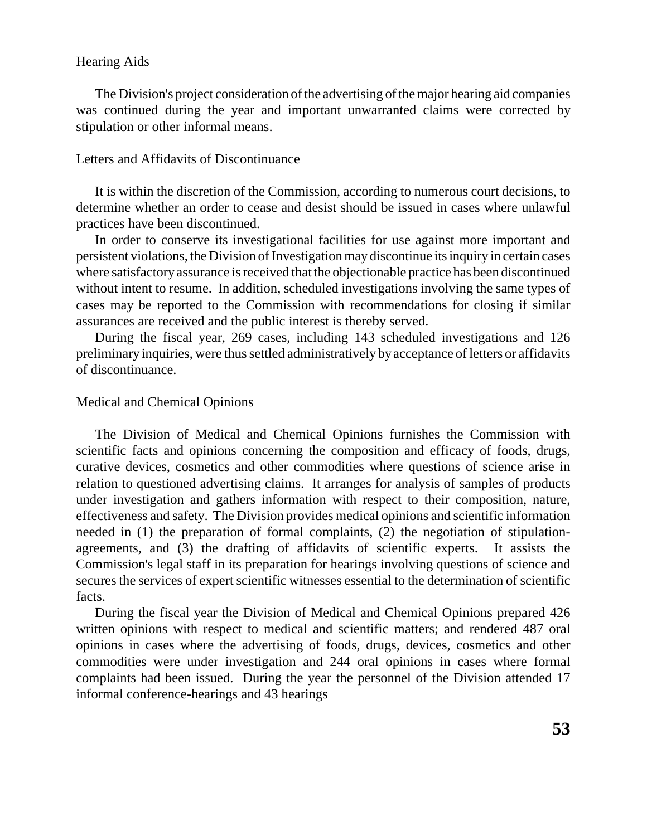## Hearing Aids

The Division's project consideration of the advertising of the major hearing aid companies was continued during the year and important unwarranted claims were corrected by stipulation or other informal means.

# Letters and Affidavits of Discontinuance

It is within the discretion of the Commission, according to numerous court decisions, to determine whether an order to cease and desist should be issued in cases where unlawful practices have been discontinued.

In order to conserve its investigational facilities for use against more important and persistent violations, the Division of Investigation may discontinue its inquiry in certain cases where satisfactory assurance is received that the objectionable practice has been discontinued without intent to resume. In addition, scheduled investigations involving the same types of cases may be reported to the Commission with recommendations for closing if similar assurances are received and the public interest is thereby served.

During the fiscal year, 269 cases, including 143 scheduled investigations and 126 preliminary inquiries, were thus settled administratively by acceptance of letters or affidavits of discontinuance.

# Medical and Chemical Opinions

The Division of Medical and Chemical Opinions furnishes the Commission with scientific facts and opinions concerning the composition and efficacy of foods, drugs, curative devices, cosmetics and other commodities where questions of science arise in relation to questioned advertising claims. It arranges for analysis of samples of products under investigation and gathers information with respect to their composition, nature, effectiveness and safety. The Division provides medical opinions and scientific information needed in (1) the preparation of formal complaints, (2) the negotiation of stipulationagreements, and (3) the drafting of affidavits of scientific experts. It assists the Commission's legal staff in its preparation for hearings involving questions of science and secures the services of expert scientific witnesses essential to the determination of scientific facts.

During the fiscal year the Division of Medical and Chemical Opinions prepared 426 written opinions with respect to medical and scientific matters; and rendered 487 oral opinions in cases where the advertising of foods, drugs, devices, cosmetics and other commodities were under investigation and 244 oral opinions in cases where formal complaints had been issued. During the year the personnel of the Division attended 17 informal conference-hearings and 43 hearings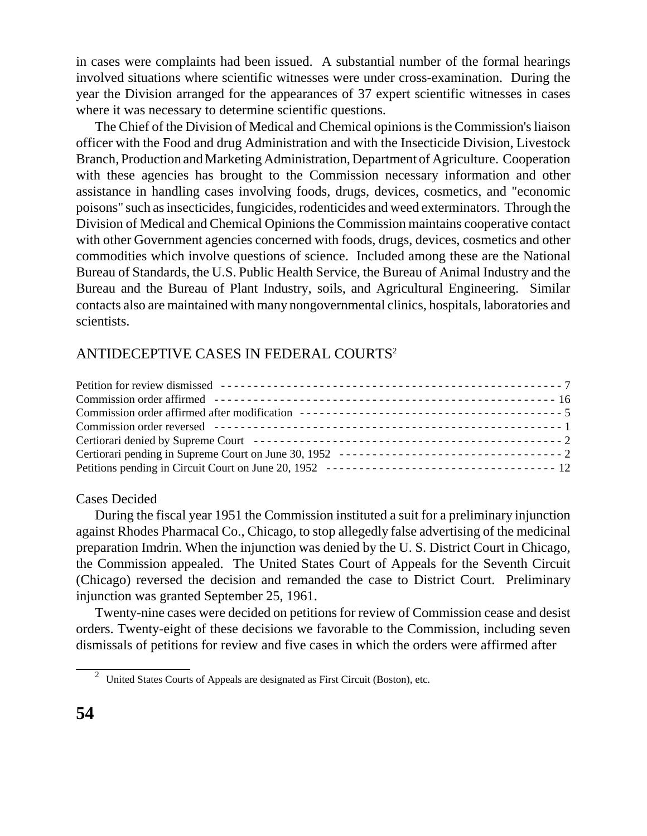in cases were complaints had been issued. A substantial number of the formal hearings involved situations where scientific witnesses were under cross-examination. During the year the Division arranged for the appearances of 37 expert scientific witnesses in cases where it was necessary to determine scientific questions.

The Chief of the Division of Medical and Chemical opinions is the Commission's liaison officer with the Food and drug Administration and with the Insecticide Division, Livestock Branch, Production and Marketing Administration, Department of Agriculture. Cooperation with these agencies has brought to the Commission necessary information and other assistance in handling cases involving foods, drugs, devices, cosmetics, and "economic poisons" such asinsecticides, fungicides, rodenticides and weed exterminators. Through the Division of Medical and Chemical Opinionsthe Commission maintains cooperative contact with other Government agencies concerned with foods, drugs, devices, cosmetics and other commodities which involve questions of science. Included among these are the National Bureau of Standards, the U.S. Public Health Service, the Bureau of Animal Industry and the Bureau and the Bureau of Plant Industry, soils, and Agricultural Engineering. Similar contacts also are maintained with many nongovernmental clinics, hospitals, laboratories and scientists.

# ANTIDECEPTIVE CASES IN FEDERAL COURTS<sup>2</sup>

# Cases Decided

During the fiscal year 1951 the Commission instituted a suit for a preliminary injunction against Rhodes Pharmacal Co., Chicago, to stop allegedly false advertising of the medicinal preparation Imdrin. When the injunction was denied by the U. S. District Court in Chicago, the Commission appealed. The United States Court of Appeals for the Seventh Circuit (Chicago) reversed the decision and remanded the case to District Court. Preliminary injunction was granted September 25, 1961.

Twenty-nine cases were decided on petitions for review of Commission cease and desist orders. Twenty-eight of these decisions we favorable to the Commission, including seven dismissals of petitions for review and five cases in which the orders were affirmed after

<sup>&</sup>lt;sup>2</sup> United States Courts of Appeals are designated as First Circuit (Boston), etc.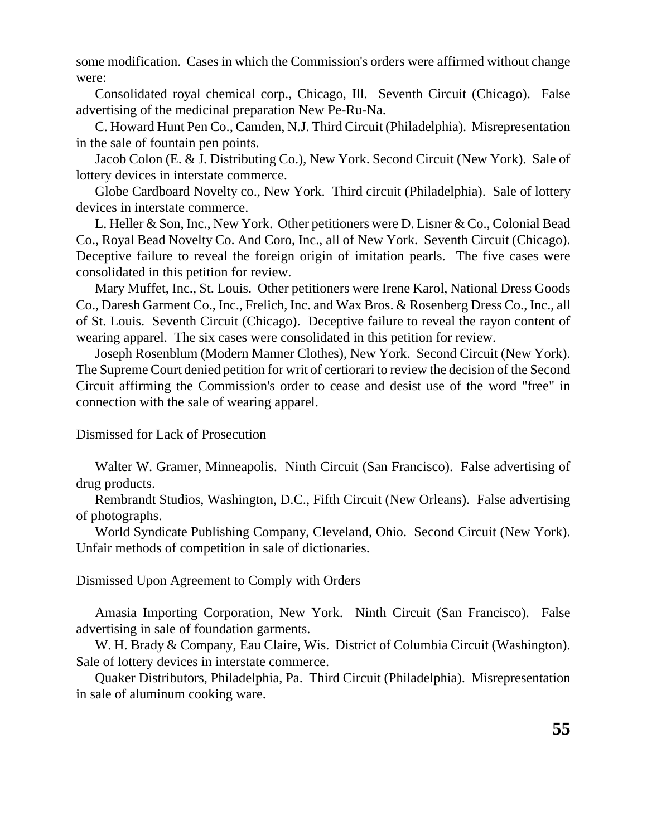some modification. Cases in which the Commission's orders were affirmed without change were:

Consolidated royal chemical corp., Chicago, Ill. Seventh Circuit (Chicago). False advertising of the medicinal preparation New Pe-Ru-Na.

C. Howard Hunt Pen Co., Camden, N.J. Third Circuit (Philadelphia). Misrepresentation in the sale of fountain pen points.

Jacob Colon (E. & J. Distributing Co.), New York. Second Circuit (New York). Sale of lottery devices in interstate commerce.

Globe Cardboard Novelty co., New York. Third circuit (Philadelphia). Sale of lottery devices in interstate commerce.

L. Heller & Son, Inc., New York. Other petitioners were D. Lisner & Co., Colonial Bead Co., Royal Bead Novelty Co. And Coro, Inc., all of New York. Seventh Circuit (Chicago). Deceptive failure to reveal the foreign origin of imitation pearls. The five cases were consolidated in this petition for review.

Mary Muffet, Inc., St. Louis. Other petitioners were Irene Karol, National Dress Goods Co., Daresh Garment Co., Inc., Frelich, Inc. and Wax Bros. & Rosenberg Dress Co., Inc., all of St. Louis. Seventh Circuit (Chicago). Deceptive failure to reveal the rayon content of wearing apparel. The six cases were consolidated in this petition for review.

Joseph Rosenblum (Modern Manner Clothes), New York. Second Circuit (New York). The Supreme Court denied petition for writ of certiorari to review the decision of the Second Circuit affirming the Commission's order to cease and desist use of the word "free" in connection with the sale of wearing apparel.

# Dismissed for Lack of Prosecution

Walter W. Gramer, Minneapolis. Ninth Circuit (San Francisco). False advertising of drug products.

Rembrandt Studios, Washington, D.C., Fifth Circuit (New Orleans). False advertising of photographs.

World Syndicate Publishing Company, Cleveland, Ohio. Second Circuit (New York). Unfair methods of competition in sale of dictionaries.

Dismissed Upon Agreement to Comply with Orders

Amasia Importing Corporation, New York. Ninth Circuit (San Francisco). False advertising in sale of foundation garments.

W. H. Brady & Company, Eau Claire, Wis. District of Columbia Circuit (Washington). Sale of lottery devices in interstate commerce.

Quaker Distributors, Philadelphia, Pa. Third Circuit (Philadelphia). Misrepresentation in sale of aluminum cooking ware.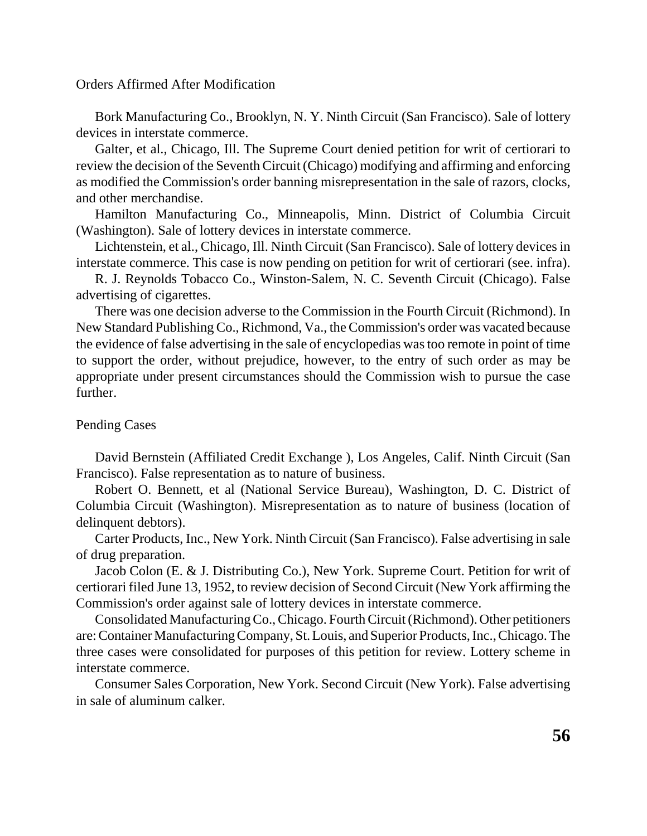Orders Affirmed After Modification

Bork Manufacturing Co., Brooklyn, N. Y. Ninth Circuit (San Francisco). Sale of lottery devices in interstate commerce.

Galter, et al., Chicago, Ill. The Supreme Court denied petition for writ of certiorari to review the decision of the Seventh Circuit (Chicago) modifying and affirming and enforcing as modified the Commission's order banning misrepresentation in the sale of razors, clocks, and other merchandise.

Hamilton Manufacturing Co., Minneapolis, Minn. District of Columbia Circuit (Washington). Sale of lottery devices in interstate commerce.

Lichtenstein, et al., Chicago, Ill. Ninth Circuit (San Francisco). Sale of lottery devices in interstate commerce. This case is now pending on petition for writ of certiorari (see. infra).

R. J. Reynolds Tobacco Co., Winston-Salem, N. C. Seventh Circuit (Chicago). False advertising of cigarettes.

There was one decision adverse to the Commission in the Fourth Circuit (Richmond). In New Standard Publishing Co., Richmond, Va., the Commission's order was vacated because the evidence of false advertising in the sale of encyclopedias wastoo remote in point of time to support the order, without prejudice, however, to the entry of such order as may be appropriate under present circumstances should the Commission wish to pursue the case further.

# Pending Cases

David Bernstein (Affiliated Credit Exchange ), Los Angeles, Calif. Ninth Circuit (San Francisco). False representation as to nature of business.

Robert O. Bennett, et al (National Service Bureau), Washington, D. C. District of Columbia Circuit (Washington). Misrepresentation as to nature of business (location of delinquent debtors).

Carter Products, Inc., New York. Ninth Circuit (San Francisco). False advertising in sale of drug preparation.

Jacob Colon (E. & J. Distributing Co.), New York. Supreme Court. Petition for writ of certiorari filed June 13, 1952, to review decision of Second Circuit (New York affirming the Commission's order against sale of lottery devices in interstate commerce.

Consolidated Manufacturing Co., Chicago. Fourth Circuit (Richmond). Other petitioners are: Container Manufacturing Company, St. Louis, and Superior Products, Inc., Chicago. The three cases were consolidated for purposes of this petition for review. Lottery scheme in interstate commerce.

Consumer Sales Corporation, New York. Second Circuit (New York). False advertising in sale of aluminum calker.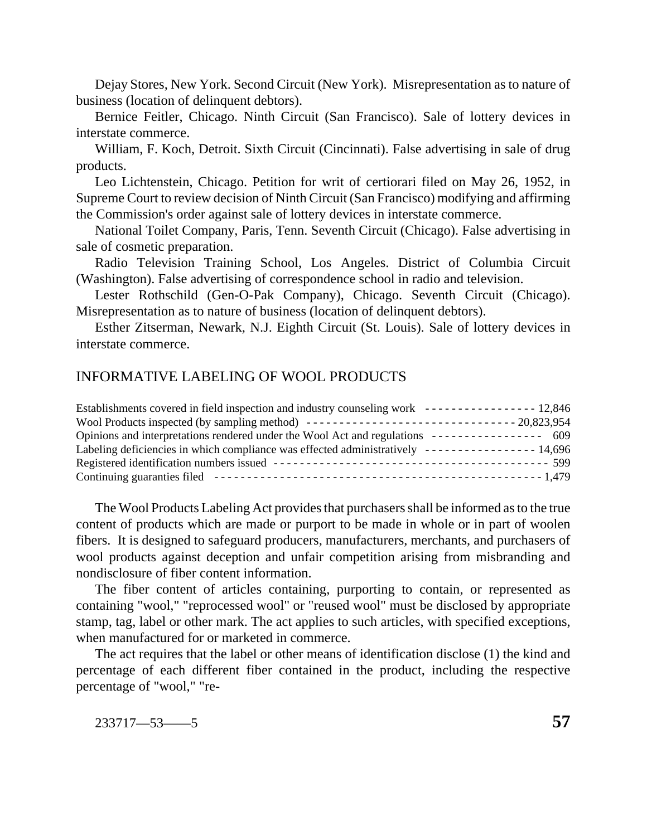Dejay Stores, New York. Second Circuit (New York). Misrepresentation as to nature of business (location of delinquent debtors).

Bernice Feitler, Chicago. Ninth Circuit (San Francisco). Sale of lottery devices in interstate commerce.

William, F. Koch, Detroit. Sixth Circuit (Cincinnati). False advertising in sale of drug products.

Leo Lichtenstein, Chicago. Petition for writ of certiorari filed on May 26, 1952, in Supreme Court to review decision of Ninth Circuit (San Francisco) modifying and affirming the Commission's order against sale of lottery devices in interstate commerce.

National Toilet Company, Paris, Tenn. Seventh Circuit (Chicago). False advertising in sale of cosmetic preparation.

Radio Television Training School, Los Angeles. District of Columbia Circuit (Washington). False advertising of correspondence school in radio and television.

Lester Rothschild (Gen-O-Pak Company), Chicago. Seventh Circuit (Chicago). Misrepresentation as to nature of business (location of delinquent debtors).

Esther Zitserman, Newark, N.J. Eighth Circuit (St. Louis). Sale of lottery devices in interstate commerce.

# INFORMATIVE LABELING OF WOOL PRODUCTS

| Opinions and interpretations rendered under the Wool Act and regulations ---------------- 609 |  |
|-----------------------------------------------------------------------------------------------|--|
|                                                                                               |  |
|                                                                                               |  |
|                                                                                               |  |

The Wool Products Labeling Act provides that purchasers shall be informed as to the true content of products which are made or purport to be made in whole or in part of woolen fibers. It is designed to safeguard producers, manufacturers, merchants, and purchasers of wool products against deception and unfair competition arising from misbranding and nondisclosure of fiber content information.

The fiber content of articles containing, purporting to contain, or represented as containing "wool," "reprocessed wool" or "reused wool" must be disclosed by appropriate stamp, tag, label or other mark. The act applies to such articles, with specified exceptions, when manufactured for or marketed in commerce.

The act requires that the label or other means of identification disclose (1) the kind and percentage of each different fiber contained in the product, including the respective percentage of "wool," "re-

233717—53——5 **57**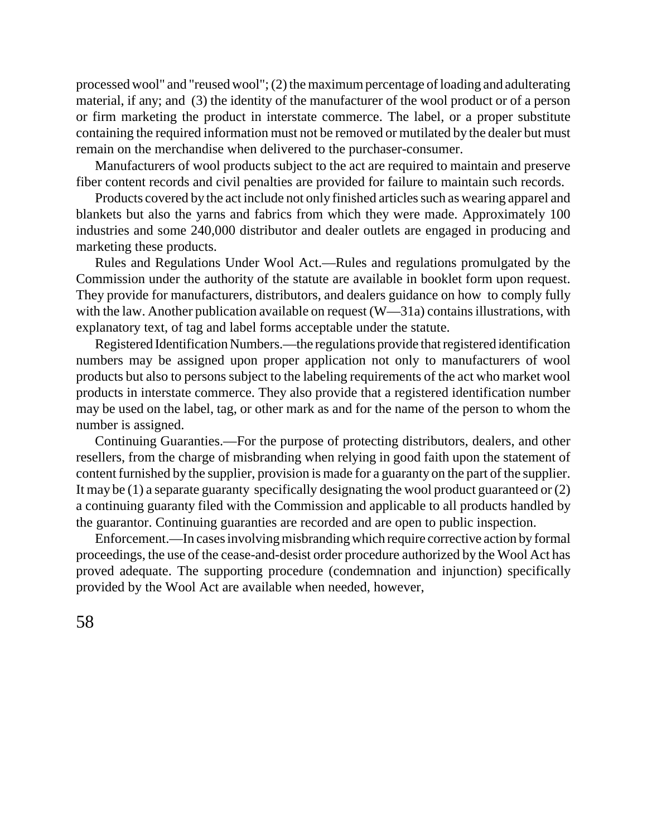processed wool" and "reused wool"; (2) the maximum percentage of loading and adulterating material, if any; and (3) the identity of the manufacturer of the wool product or of a person or firm marketing the product in interstate commerce. The label, or a proper substitute containing the required information must not be removed or mutilated by the dealer but must remain on the merchandise when delivered to the purchaser-consumer.

Manufacturers of wool products subject to the act are required to maintain and preserve fiber content records and civil penalties are provided for failure to maintain such records.

Products covered by the act include not only finished articles such as wearing apparel and blankets but also the yarns and fabrics from which they were made. Approximately 100 industries and some 240,000 distributor and dealer outlets are engaged in producing and marketing these products.

Rules and Regulations Under Wool Act.—Rules and regulations promulgated by the Commission under the authority of the statute are available in booklet form upon request. They provide for manufacturers, distributors, and dealers guidance on how to comply fully with the law. Another publication available on request  $(W-31a)$  contains illustrations, with explanatory text, of tag and label forms acceptable under the statute.

Registered Identification Numbers.—the regulations provide that registered identification numbers may be assigned upon proper application not only to manufacturers of wool products but also to persons subject to the labeling requirements of the act who market wool products in interstate commerce. They also provide that a registered identification number may be used on the label, tag, or other mark as and for the name of the person to whom the number is assigned.

Continuing Guaranties.—For the purpose of protecting distributors, dealers, and other resellers, from the charge of misbranding when relying in good faith upon the statement of content furnished by the supplier, provision is made for a guaranty on the part of the supplier. It may be (1) a separate guaranty specifically designating the wool product guaranteed or (2) a continuing guaranty filed with the Commission and applicable to all products handled by the guarantor. Continuing guaranties are recorded and are open to public inspection.

Enforcement.—In cases involving misbranding which require corrective action by formal proceedings, the use of the cease-and-desist order procedure authorized by the Wool Act has proved adequate. The supporting procedure (condemnation and injunction) specifically provided by the Wool Act are available when needed, however,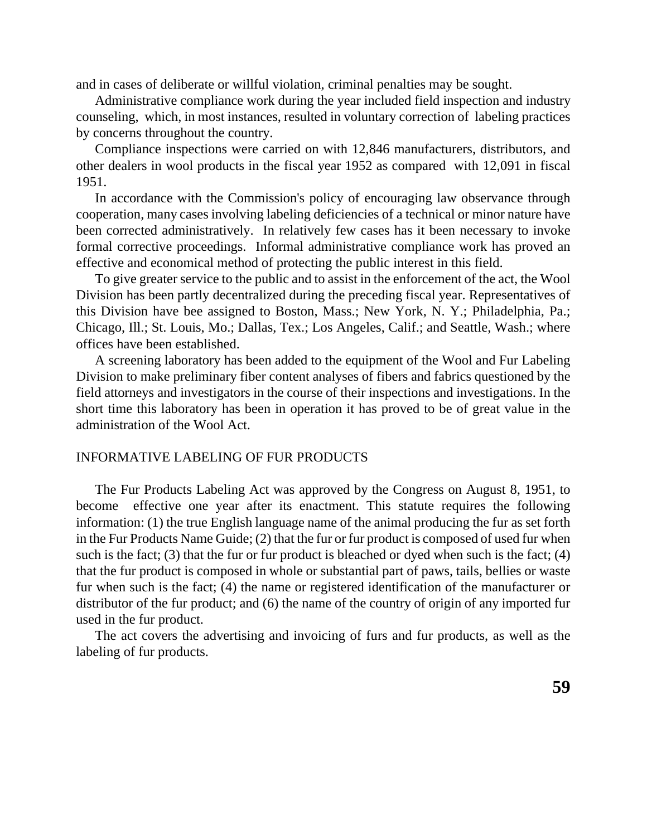and in cases of deliberate or willful violation, criminal penalties may be sought.

Administrative compliance work during the year included field inspection and industry counseling, which, in most instances, resulted in voluntary correction of labeling practices by concerns throughout the country.

Compliance inspections were carried on with 12,846 manufacturers, distributors, and other dealers in wool products in the fiscal year 1952 as compared with 12,091 in fiscal 1951.

In accordance with the Commission's policy of encouraging law observance through cooperation, many cases involving labeling deficiencies of a technical or minor nature have been corrected administratively. In relatively few cases has it been necessary to invoke formal corrective proceedings. Informal administrative compliance work has proved an effective and economical method of protecting the public interest in this field.

To give greater service to the public and to assist in the enforcement of the act, the Wool Division has been partly decentralized during the preceding fiscal year. Representatives of this Division have bee assigned to Boston, Mass.; New York, N. Y.; Philadelphia, Pa.; Chicago, Ill.; St. Louis, Mo.; Dallas, Tex.; Los Angeles, Calif.; and Seattle, Wash.; where offices have been established.

A screening laboratory has been added to the equipment of the Wool and Fur Labeling Division to make preliminary fiber content analyses of fibers and fabrics questioned by the field attorneys and investigators in the course of their inspections and investigations. In the short time this laboratory has been in operation it has proved to be of great value in the administration of the Wool Act.

# INFORMATIVE LABELING OF FUR PRODUCTS

The Fur Products Labeling Act was approved by the Congress on August 8, 1951, to become effective one year after its enactment. This statute requires the following information: (1) the true English language name of the animal producing the fur as set forth in the Fur Products Name Guide; (2) that the fur or fur product is composed of used fur when such is the fact; (3) that the fur or fur product is bleached or dyed when such is the fact; (4) that the fur product is composed in whole or substantial part of paws, tails, bellies or waste fur when such is the fact; (4) the name or registered identification of the manufacturer or distributor of the fur product; and (6) the name of the country of origin of any imported fur used in the fur product.

The act covers the advertising and invoicing of furs and fur products, as well as the labeling of fur products.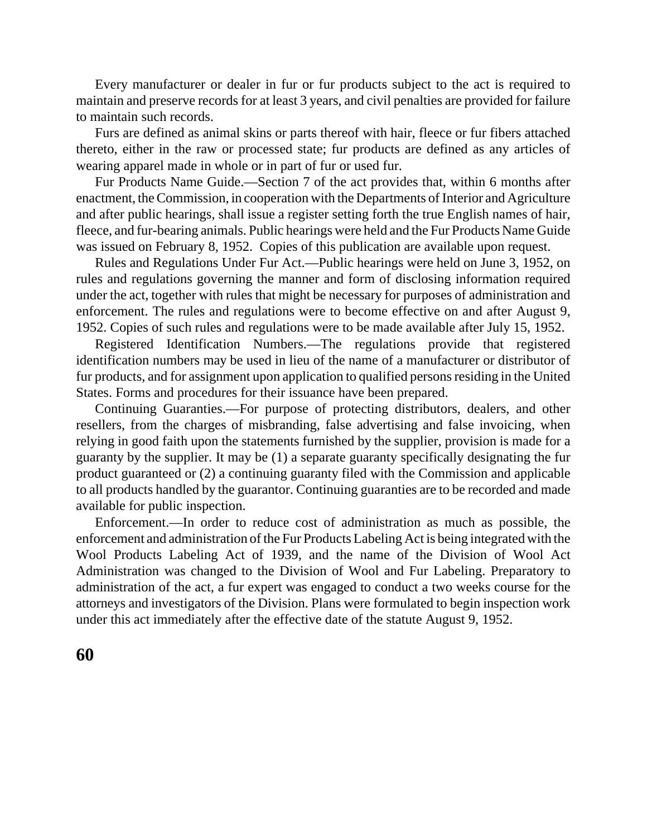Every manufacturer or dealer in fur or fur products subject to the act is required to maintain and preserve records for at least 3 years, and civil penalties are provided for failure to maintain such records.

Furs are defined as animal skins or parts thereof with hair, fleece or fur fibers attached thereto, either in the raw or processed state; fur products are defined as any articles of wearing apparel made in whole or in part of fur or used fur.

Fur Products Name Guide.—Section 7 of the act provides that, within 6 months after enactment, the Commission, in cooperation with the Departments of Interior and Agriculture and after public hearings, shall issue a register setting forth the true English names of hair, fleece, and fur-bearing animals. Public hearings were held and the Fur Products Name Guide was issued on February 8, 1952. Copies of this publication are available upon request.

Rules and Regulations Under Fur Act.—Public hearings were held on June 3, 1952, on rules and regulations governing the manner and form of disclosing information required under the act, together with rules that might be necessary for purposes of administration and enforcement. The rules and regulations were to become effective on and after August 9, 1952. Copies of such rules and regulations were to be made available after July 15, 1952.

Registered Identification Numbers.—The regulations provide that registered identification numbers may be used in lieu of the name of a manufacturer or distributor of fur products, and for assignment upon application to qualified persons residing in the United States. Forms and procedures for their issuance have been prepared.

Continuing Guaranties.—For purpose of protecting distributors, dealers, and other resellers, from the charges of misbranding, false advertising and false invoicing, when relying in good faith upon the statements furnished by the supplier, provision is made for a guaranty by the supplier. It may be (1) a separate guaranty specifically designating the fur product guaranteed or (2) a continuing guaranty filed with the Commission and applicable to all products handled by the guarantor. Continuing guaranties are to be recorded and made available for public inspection.

Enforcement.—In order to reduce cost of administration as much as possible, the enforcement and administration of the Fur Products Labeling Act is being integrated with the Wool Products Labeling Act of 1939, and the name of the Division of Wool Act Administration was changed to the Division of Wool and Fur Labeling. Preparatory to administration of the act, a fur expert was engaged to conduct a two weeks course for the attorneys and investigators of the Division. Plans were formulated to begin inspection work under this act immediately after the effective date of the statute August 9, 1952.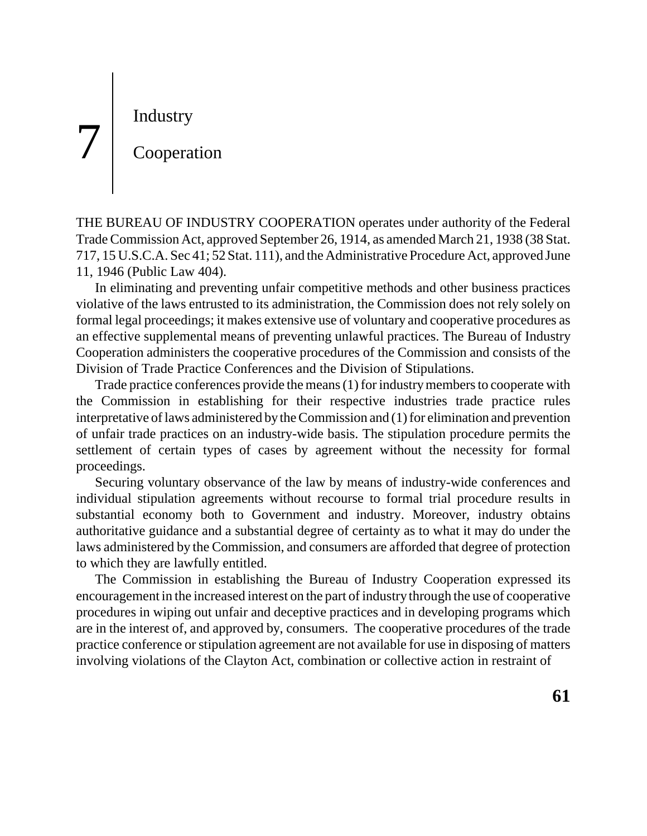# Industry  $7 \vert$  Cooperation

THE BUREAU OF INDUSTRY COOPERATION operates under authority of the Federal Trade Commission Act, approved September 26, 1914, as amended March 21, 1938 (38 Stat. 717, 15 U.S.C.A. Sec 41; 52 Stat. 111), and the Administrative Procedure Act, approved June 11, 1946 (Public Law 404).

In eliminating and preventing unfair competitive methods and other business practices violative of the laws entrusted to its administration, the Commission does not rely solely on formal legal proceedings; it makes extensive use of voluntary and cooperative procedures as an effective supplemental means of preventing unlawful practices. The Bureau of Industry Cooperation administers the cooperative procedures of the Commission and consists of the Division of Trade Practice Conferences and the Division of Stipulations.

Trade practice conferences provide the means  $(1)$  for industry members to cooperate with the Commission in establishing for their respective industries trade practice rules interpretative of laws administered by the Commission and  $(1)$  for elimination and prevention of unfair trade practices on an industry-wide basis. The stipulation procedure permits the settlement of certain types of cases by agreement without the necessity for formal proceedings.

Securing voluntary observance of the law by means of industry-wide conferences and individual stipulation agreements without recourse to formal trial procedure results in substantial economy both to Government and industry. Moreover, industry obtains authoritative guidance and a substantial degree of certainty as to what it may do under the laws administered by the Commission, and consumers are afforded that degree of protection to which they are lawfully entitled.

The Commission in establishing the Bureau of Industry Cooperation expressed its encouragement in the increased interest on the part of industry through the use of cooperative procedures in wiping out unfair and deceptive practices and in developing programs which are in the interest of, and approved by, consumers. The cooperative procedures of the trade practice conference orstipulation agreement are not available for use in disposing of matters involving violations of the Clayton Act, combination or collective action in restraint of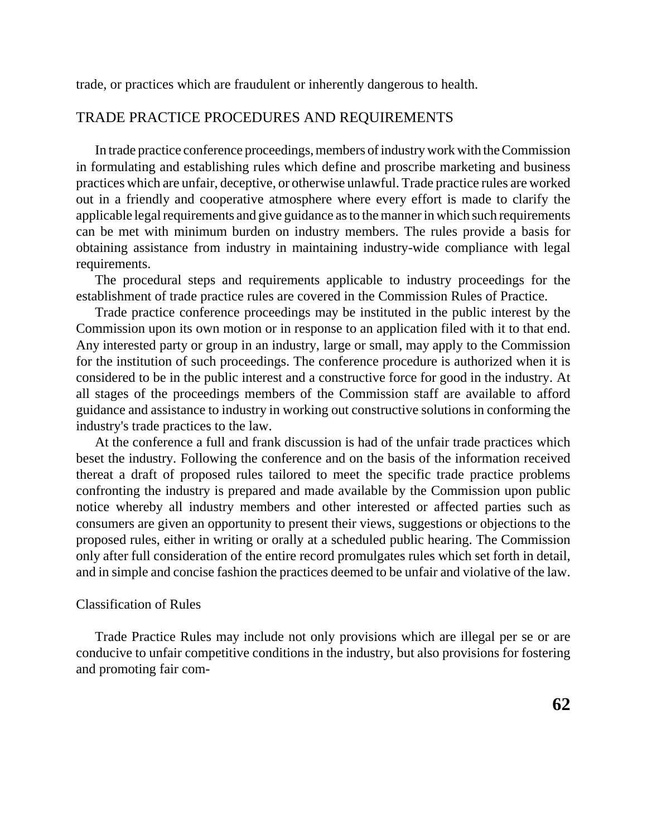trade, or practices which are fraudulent or inherently dangerous to health.

# TRADE PRACTICE PROCEDURES AND REQUIREMENTS

In trade practice conference proceedings, members of industry work with the Commission in formulating and establishing rules which define and proscribe marketing and business practices which are unfair, deceptive, or otherwise unlawful. Trade practice rules are worked out in a friendly and cooperative atmosphere where every effort is made to clarify the applicable legal requirements and give guidance as to the manner in which such requirements can be met with minimum burden on industry members. The rules provide a basis for obtaining assistance from industry in maintaining industry-wide compliance with legal requirements.

The procedural steps and requirements applicable to industry proceedings for the establishment of trade practice rules are covered in the Commission Rules of Practice.

Trade practice conference proceedings may be instituted in the public interest by the Commission upon its own motion or in response to an application filed with it to that end. Any interested party or group in an industry, large or small, may apply to the Commission for the institution of such proceedings. The conference procedure is authorized when it is considered to be in the public interest and a constructive force for good in the industry. At all stages of the proceedings members of the Commission staff are available to afford guidance and assistance to industry in working out constructive solutions in conforming the industry's trade practices to the law.

At the conference a full and frank discussion is had of the unfair trade practices which beset the industry. Following the conference and on the basis of the information received thereat a draft of proposed rules tailored to meet the specific trade practice problems confronting the industry is prepared and made available by the Commission upon public notice whereby all industry members and other interested or affected parties such as consumers are given an opportunity to present their views, suggestions or objections to the proposed rules, either in writing or orally at a scheduled public hearing. The Commission only after full consideration of the entire record promulgates rules which set forth in detail, and in simple and concise fashion the practices deemed to be unfair and violative of the law.

# Classification of Rules

Trade Practice Rules may include not only provisions which are illegal per se or are conducive to unfair competitive conditions in the industry, but also provisions for fostering and promoting fair com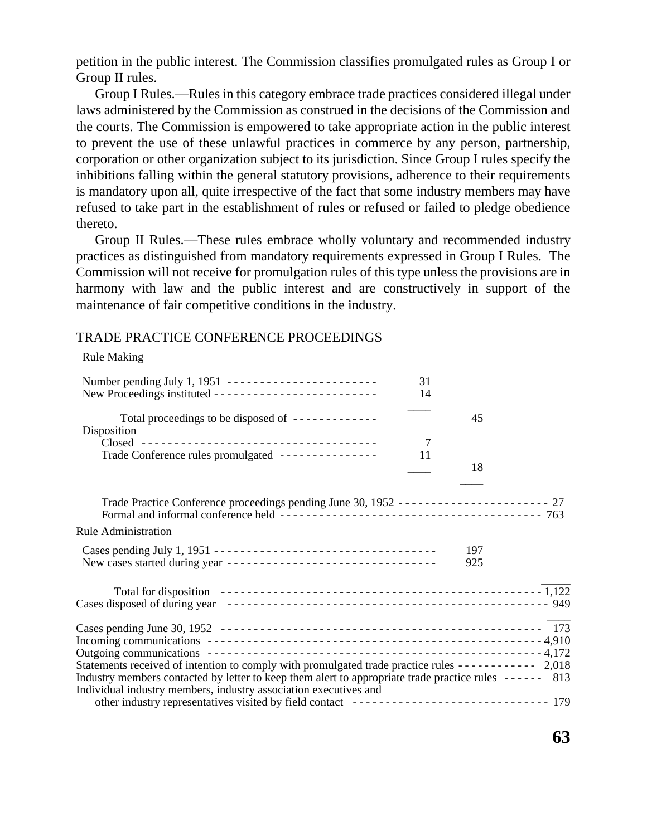petition in the public interest. The Commission classifies promulgated rules as Group I or Group II rules.

Group I Rules.—Rules in this category embrace trade practices considered illegal under laws administered by the Commission as construed in the decisions of the Commission and the courts. The Commission is empowered to take appropriate action in the public interest to prevent the use of these unlawful practices in commerce by any person, partnership, corporation or other organization subject to its jurisdiction. Since Group I rules specify the inhibitions falling within the general statutory provisions, adherence to their requirements is mandatory upon all, quite irrespective of the fact that some industry members may have refused to take part in the establishment of rules or refused or failed to pledge obedience thereto.

Group II Rules.—These rules embrace wholly voluntary and recommended industry practices as distinguished from mandatory requirements expressed in Group I Rules. The Commission will not receive for promulgation rules of this type unless the provisions are in harmony with law and the public interest and are constructively in support of the maintenance of fair competitive conditions in the industry.

#### TRADE PRACTICE CONFERENCE PROCEEDINGS

#### Rule Making

| New Proceedings instituted --------------------------                                                                                                                      | 31<br>14                   |
|----------------------------------------------------------------------------------------------------------------------------------------------------------------------------|----------------------------|
| Total proceedings to be disposed of -------------<br>Disposition                                                                                                           | 45                         |
| Trade Conference rules promulgated ---------------                                                                                                                         | $\overline{7}$<br>11<br>18 |
| Trade Practice Conference proceedings pending June 30, 1952 --------------------- 27                                                                                       |                            |
| <b>Rule Administration</b>                                                                                                                                                 |                            |
| New cases started during year ----------------------------------                                                                                                           | 197<br>925                 |
|                                                                                                                                                                            |                            |
|                                                                                                                                                                            |                            |
| Statements received of intention to comply with promulgated trade practice rules ----------- 2,018                                                                         |                            |
| Industry members contacted by letter to keep them alert to appropriate trade practice rules ------ 813<br>Individual industry members, industry association executives and |                            |
| other industry representatives visited by field contact ----------------------------- 179                                                                                  |                            |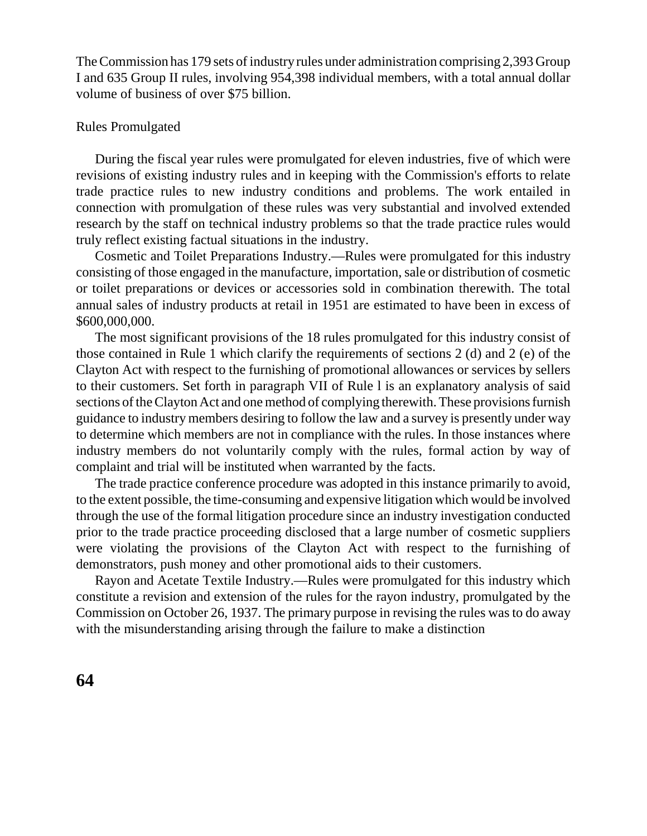TheCommission has 179 sets of industryrules under administration comprising 2,393 Group I and 635 Group II rules, involving 954,398 individual members, with a total annual dollar volume of business of over \$75 billion.

## Rules Promulgated

During the fiscal year rules were promulgated for eleven industries, five of which were revisions of existing industry rules and in keeping with the Commission's efforts to relate trade practice rules to new industry conditions and problems. The work entailed in connection with promulgation of these rules was very substantial and involved extended research by the staff on technical industry problems so that the trade practice rules would truly reflect existing factual situations in the industry.

Cosmetic and Toilet Preparations Industry.—Rules were promulgated for this industry consisting of those engaged in the manufacture, importation,sale or distribution of cosmetic or toilet preparations or devices or accessories sold in combination therewith. The total annual sales of industry products at retail in 1951 are estimated to have been in excess of \$600,000,000.

The most significant provisions of the 18 rules promulgated for this industry consist of those contained in Rule 1 which clarify the requirements of sections 2 (d) and 2 (e) of the Clayton Act with respect to the furnishing of promotional allowances or services by sellers to their customers. Set forth in paragraph VII of Rule l is an explanatory analysis of said sections of the Clayton Act and one method of complying therewith. These provisions furnish guidance to industry members desiring to follow the law and a survey is presently under way to determine which members are not in compliance with the rules. In those instances where industry members do not voluntarily comply with the rules, formal action by way of complaint and trial will be instituted when warranted by the facts.

The trade practice conference procedure was adopted in this instance primarily to avoid, to the extent possible, the time-consuming and expensive litigation which would be involved through the use of the formal litigation procedure since an industry investigation conducted prior to the trade practice proceeding disclosed that a large number of cosmetic suppliers were violating the provisions of the Clayton Act with respect to the furnishing of demonstrators, push money and other promotional aids to their customers.

Rayon and Acetate Textile Industry.—Rules were promulgated for this industry which constitute a revision and extension of the rules for the rayon industry, promulgated by the Commission on October 26, 1937. The primary purpose in revising the rules was to do away with the misunderstanding arising through the failure to make a distinction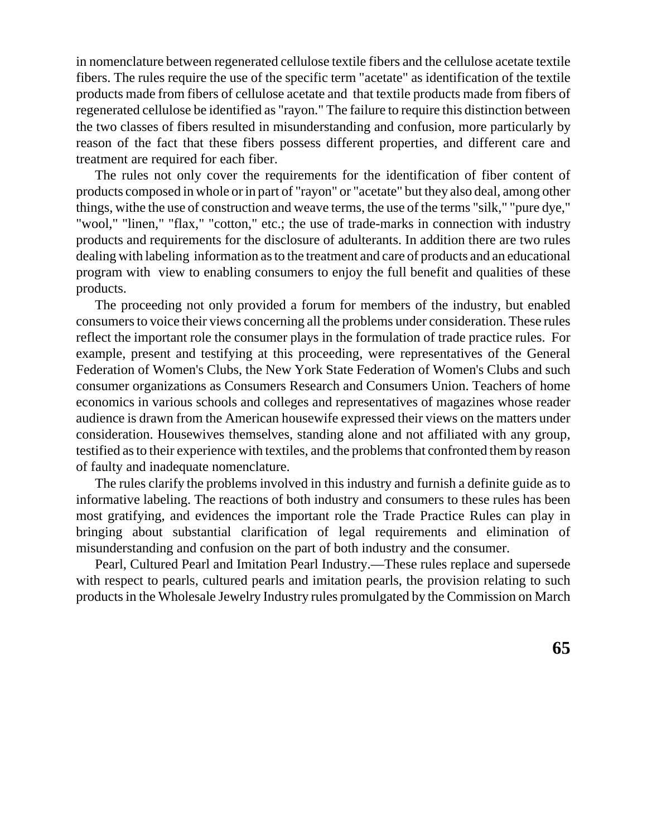in nomenclature between regenerated cellulose textile fibers and the cellulose acetate textile fibers. The rules require the use of the specific term "acetate" as identification of the textile products made from fibers of cellulose acetate and that textile products made from fibers of regenerated cellulose be identified as "rayon." The failure to require this distinction between the two classes of fibers resulted in misunderstanding and confusion, more particularly by reason of the fact that these fibers possess different properties, and different care and treatment are required for each fiber.

The rules not only cover the requirements for the identification of fiber content of products composed in whole orin part of "rayon" or "acetate" but they also deal, among other things, withe the use of construction and weave terms, the use of the terms "silk," "pure dye," "wool," "linen," "flax," "cotton," etc.; the use of trade-marks in connection with industry products and requirements for the disclosure of adulterants. In addition there are two rules dealing with labeling information as to the treatment and care of products and an educational program with view to enabling consumers to enjoy the full benefit and qualities of these products.

The proceeding not only provided a forum for members of the industry, but enabled consumers to voice their views concerning all the problems under consideration. These rules reflect the important role the consumer plays in the formulation of trade practice rules. For example, present and testifying at this proceeding, were representatives of the General Federation of Women's Clubs, the New York State Federation of Women's Clubs and such consumer organizations as Consumers Research and Consumers Union. Teachers of home economics in various schools and colleges and representatives of magazines whose reader audience is drawn from the American housewife expressed their views on the matters under consideration. Housewives themselves, standing alone and not affiliated with any group, testified as to their experience with textiles, and the problems that confronted them by reason of faulty and inadequate nomenclature.

The rules clarify the problems involved in this industry and furnish a definite guide as to informative labeling. The reactions of both industry and consumers to these rules has been most gratifying, and evidences the important role the Trade Practice Rules can play in bringing about substantial clarification of legal requirements and elimination of misunderstanding and confusion on the part of both industry and the consumer.

Pearl, Cultured Pearl and Imitation Pearl Industry.—These rules replace and supersede with respect to pearls, cultured pearls and imitation pearls, the provision relating to such productsin the Wholesale Jewelry Industry rules promulgated by the Commission on March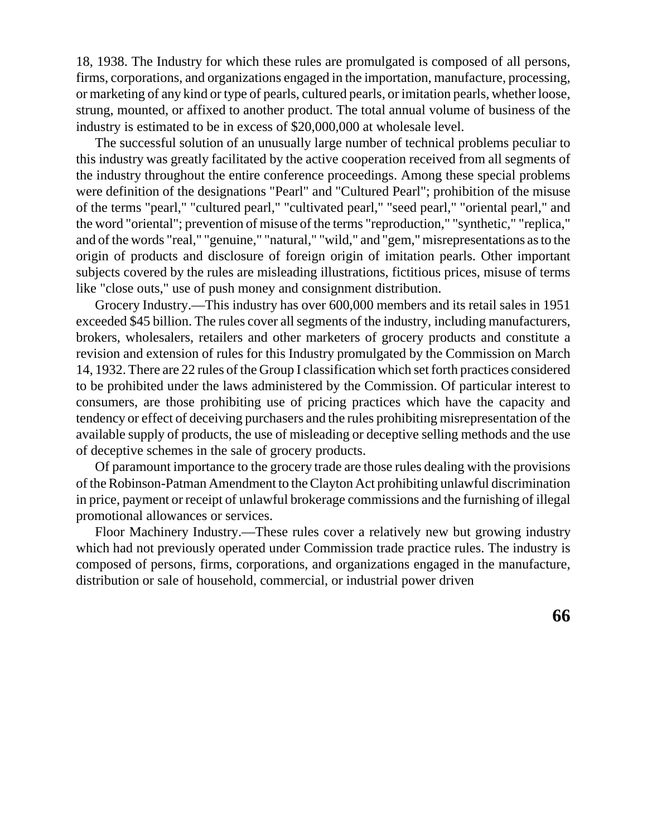18, 1938. The Industry for which these rules are promulgated is composed of all persons, firms, corporations, and organizations engaged in the importation, manufacture, processing, or marketing of any kind or type of pearls, cultured pearls, or imitation pearls, whether loose, strung, mounted, or affixed to another product. The total annual volume of business of the industry is estimated to be in excess of \$20,000,000 at wholesale level.

The successful solution of an unusually large number of technical problems peculiar to this industry was greatly facilitated by the active cooperation received from all segments of the industry throughout the entire conference proceedings. Among these special problems were definition of the designations "Pearl" and "Cultured Pearl"; prohibition of the misuse of the terms "pearl," "cultured pearl," "cultivated pearl," "seed pearl," "oriental pearl," and the word "oriental"; prevention of misuse of the terms "reproduction," "synthetic," "replica," and of the words "real," "genuine," "natural," "wild," and "gem," misrepresentations asto the origin of products and disclosure of foreign origin of imitation pearls. Other important subjects covered by the rules are misleading illustrations, fictitious prices, misuse of terms like "close outs," use of push money and consignment distribution.

Grocery Industry.—This industry has over 600,000 members and its retail sales in 1951 exceeded \$45 billion. The rules cover all segments of the industry, including manufacturers, brokers, wholesalers, retailers and other marketers of grocery products and constitute a revision and extension of rules for this Industry promulgated by the Commission on March 14, 1932. There are 22 rules of the Group I classification which set forth practices considered to be prohibited under the laws administered by the Commission. Of particular interest to consumers, are those prohibiting use of pricing practices which have the capacity and tendency or effect of deceiving purchasers and the rules prohibiting misrepresentation of the available supply of products, the use of misleading or deceptive selling methods and the use of deceptive schemes in the sale of grocery products.

Of paramount importance to the grocery trade are those rules dealing with the provisions of theRobinson-Patman Amendment to theClayton Act prohibiting unlawful discrimination in price, payment or receipt of unlawful brokerage commissions and the furnishing of illegal promotional allowances or services.

Floor Machinery Industry.—These rules cover a relatively new but growing industry which had not previously operated under Commission trade practice rules. The industry is composed of persons, firms, corporations, and organizations engaged in the manufacture, distribution or sale of household, commercial, or industrial power driven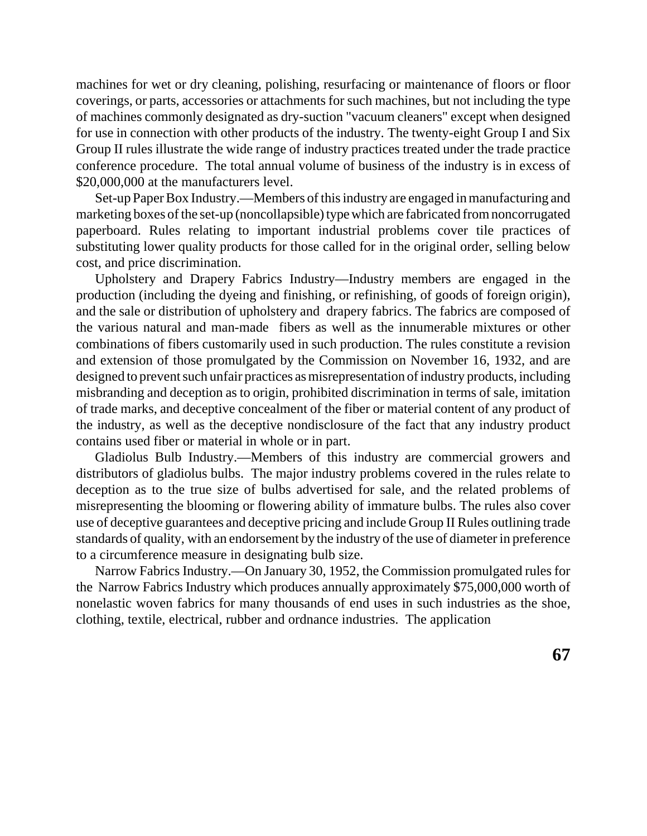machines for wet or dry cleaning, polishing, resurfacing or maintenance of floors or floor coverings, or parts, accessories or attachments for such machines, but not including the type of machines commonly designated as dry-suction "vacuum cleaners" except when designed for use in connection with other products of the industry. The twenty-eight Group I and Six Group II rules illustrate the wide range of industry practices treated under the trade practice conference procedure. The total annual volume of business of the industry is in excess of \$20,000,000 at the manufacturers level.

Set-up Paper Box Industry.—Members of this industry are engaged in manufacturing and marketing boxes of the set-up (noncollapsible) type which are fabricated from noncorrugated paperboard. Rules relating to important industrial problems cover tile practices of substituting lower quality products for those called for in the original order, selling below cost, and price discrimination.

Upholstery and Drapery Fabrics Industry—Industry members are engaged in the production (including the dyeing and finishing, or refinishing, of goods of foreign origin), and the sale or distribution of upholstery and drapery fabrics. The fabrics are composed of the various natural and man-made fibers as well as the innumerable mixtures or other combinations of fibers customarily used in such production. The rules constitute a revision and extension of those promulgated by the Commission on November 16, 1932, and are designed to prevent such unfair practices as misrepresentation of industry products, including misbranding and deception as to origin, prohibited discrimination in terms of sale, imitation of trade marks, and deceptive concealment of the fiber or material content of any product of the industry, as well as the deceptive nondisclosure of the fact that any industry product contains used fiber or material in whole or in part.

Gladiolus Bulb Industry.—Members of this industry are commercial growers and distributors of gladiolus bulbs. The major industry problems covered in the rules relate to deception as to the true size of bulbs advertised for sale, and the related problems of misrepresenting the blooming or flowering ability of immature bulbs. The rules also cover use of deceptive guarantees and deceptive pricing and include Group II Rules outlining trade standards of quality, with an endorsement by the industry of the use of diameterin preference to a circumference measure in designating bulb size.

Narrow Fabrics Industry.—On January 30, 1952, the Commission promulgated rules for the Narrow Fabrics Industry which produces annually approximately \$75,000,000 worth of nonelastic woven fabrics for many thousands of end uses in such industries as the shoe, clothing, textile, electrical, rubber and ordnance industries. The application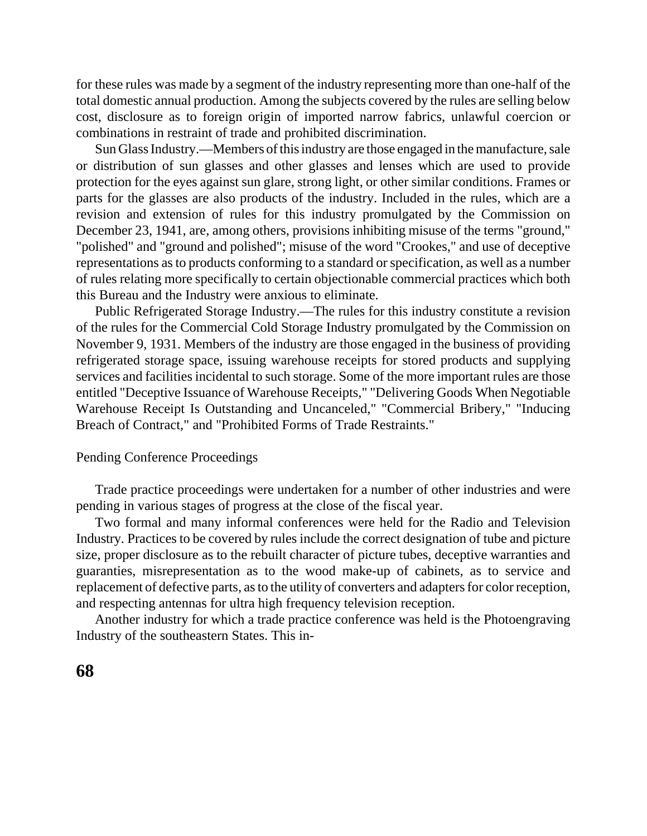for these rules was made by a segment of the industry representing more than one-half of the total domestic annual production. Among the subjects covered by the rules are selling below cost, disclosure as to foreign origin of imported narrow fabrics, unlawful coercion or combinations in restraint of trade and prohibited discrimination.

Sun Glass Industry.—Members of this industry are those engaged in the manufacture, sale or distribution of sun glasses and other glasses and lenses which are used to provide protection for the eyes against sun glare, strong light, or other similar conditions. Frames or parts for the glasses are also products of the industry. Included in the rules, which are a revision and extension of rules for this industry promulgated by the Commission on December 23, 1941, are, among others, provisions inhibiting misuse of the terms "ground," "polished" and "ground and polished"; misuse of the word "Crookes," and use of deceptive representations asto products conforming to a standard orspecification, as well as a number of rules relating more specifically to certain objectionable commercial practices which both this Bureau and the Industry were anxious to eliminate.

Public Refrigerated Storage Industry.—The rules for this industry constitute a revision of the rules for the Commercial Cold Storage Industry promulgated by the Commission on November 9, 1931. Members of the industry are those engaged in the business of providing refrigerated storage space, issuing warehouse receipts for stored products and supplying services and facilities incidental to such storage. Some of the more important rules are those entitled "Deceptive Issuance of Warehouse Receipts," "Delivering Goods When Negotiable Warehouse Receipt Is Outstanding and Uncanceled," "Commercial Bribery," "Inducing Breach of Contract," and "Prohibited Forms of Trade Restraints."

#### Pending Conference Proceedings

Trade practice proceedings were undertaken for a number of other industries and were pending in various stages of progress at the close of the fiscal year.

Two formal and many informal conferences were held for the Radio and Television Industry. Practices to be covered by rules include the correct designation of tube and picture size, proper disclosure as to the rebuilt character of picture tubes, deceptive warranties and guaranties, misrepresentation as to the wood make-up of cabinets, as to service and replacement of defective parts, as to the utility of converters and adapters for color reception, and respecting antennas for ultra high frequency television reception.

Another industry for which a trade practice conference was held is the Photoengraving Industry of the southeastern States. This in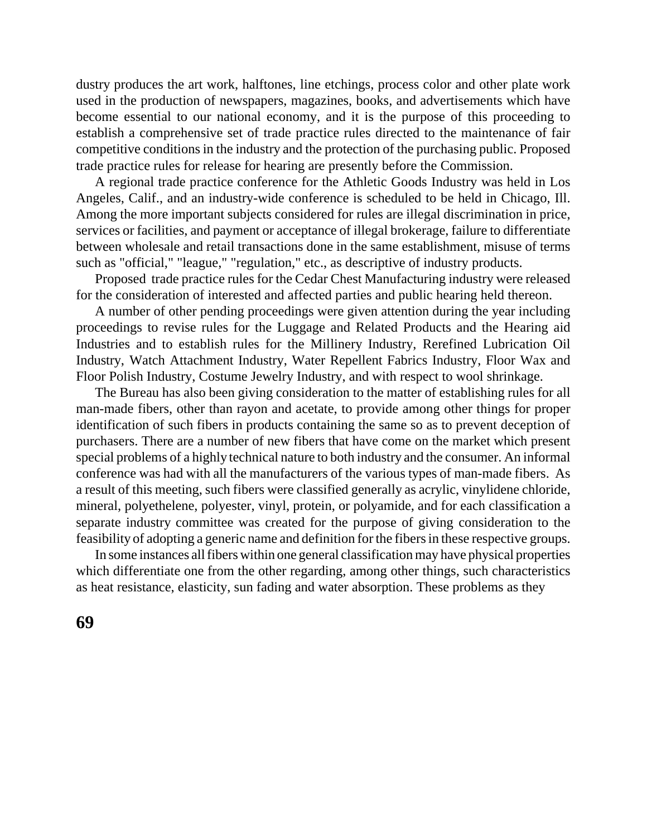dustry produces the art work, halftones, line etchings, process color and other plate work used in the production of newspapers, magazines, books, and advertisements which have become essential to our national economy, and it is the purpose of this proceeding to establish a comprehensive set of trade practice rules directed to the maintenance of fair competitive conditions in the industry and the protection of the purchasing public. Proposed trade practice rules for release for hearing are presently before the Commission.

A regional trade practice conference for the Athletic Goods Industry was held in Los Angeles, Calif., and an industry-wide conference is scheduled to be held in Chicago, Ill. Among the more important subjects considered for rules are illegal discrimination in price, services or facilities, and payment or acceptance of illegal brokerage, failure to differentiate between wholesale and retail transactions done in the same establishment, misuse of terms such as "official," "league," "regulation," etc., as descriptive of industry products.

Proposed trade practice rules for the Cedar Chest Manufacturing industry were released for the consideration of interested and affected parties and public hearing held thereon.

A number of other pending proceedings were given attention during the year including proceedings to revise rules for the Luggage and Related Products and the Hearing aid Industries and to establish rules for the Millinery Industry, Rerefined Lubrication Oil Industry, Watch Attachment Industry, Water Repellent Fabrics Industry, Floor Wax and Floor Polish Industry, Costume Jewelry Industry, and with respect to wool shrinkage.

The Bureau has also been giving consideration to the matter of establishing rules for all man-made fibers, other than rayon and acetate, to provide among other things for proper identification of such fibers in products containing the same so as to prevent deception of purchasers. There are a number of new fibers that have come on the market which present special problems of a highly technical nature to both industry and the consumer. An informal conference was had with all the manufacturers of the various types of man-made fibers. As a result of this meeting, such fibers were classified generally as acrylic, vinylidene chloride, mineral, polyethelene, polyester, vinyl, protein, or polyamide, and for each classification a separate industry committee was created for the purpose of giving consideration to the feasibility of adopting a generic name and definition for the fibers in these respective groups.

In some instances all fibers within one general classification may have physical properties which differentiate one from the other regarding, among other things, such characteristics as heat resistance, elasticity, sun fading and water absorption. These problems as they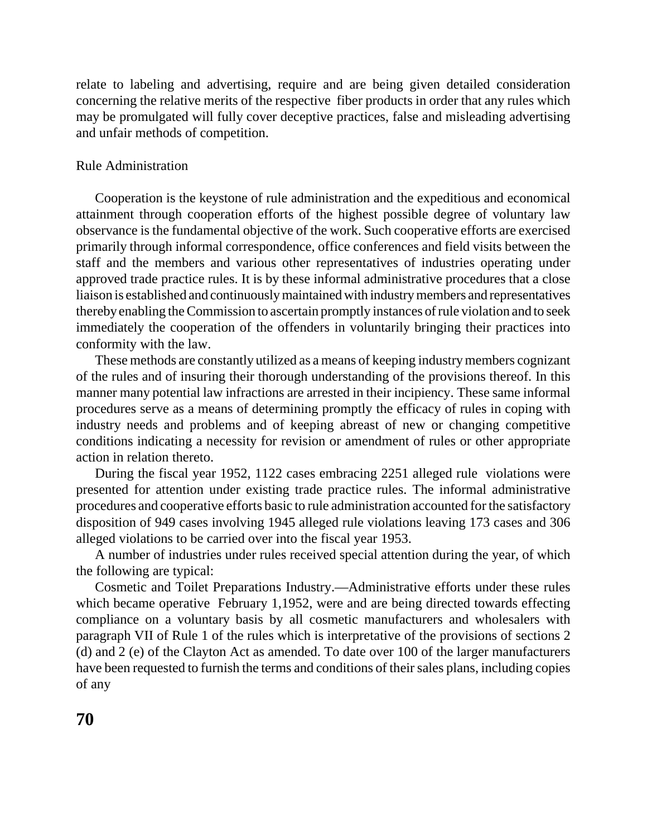relate to labeling and advertising, require and are being given detailed consideration concerning the relative merits of the respective fiber products in order that any rules which may be promulgated will fully cover deceptive practices, false and misleading advertising and unfair methods of competition.

#### Rule Administration

Cooperation is the keystone of rule administration and the expeditious and economical attainment through cooperation efforts of the highest possible degree of voluntary law observance is the fundamental objective of the work. Such cooperative efforts are exercised primarily through informal correspondence, office conferences and field visits between the staff and the members and various other representatives of industries operating under approved trade practice rules. It is by these informal administrative procedures that a close liaison is established and continuously maintained with industry members and representatives therebyenabling theCommission to ascertain promptly instances of rule violation and to seek immediately the cooperation of the offenders in voluntarily bringing their practices into conformity with the law.

These methods are constantly utilized as a means of keeping industrymembers cognizant of the rules and of insuring their thorough understanding of the provisions thereof. In this manner many potential law infractions are arrested in their incipiency. These same informal procedures serve as a means of determining promptly the efficacy of rules in coping with industry needs and problems and of keeping abreast of new or changing competitive conditions indicating a necessity for revision or amendment of rules or other appropriate action in relation thereto.

During the fiscal year 1952, 1122 cases embracing 2251 alleged rule violations were presented for attention under existing trade practice rules. The informal administrative procedures and cooperative efforts basic to rule administration accounted for the satisfactory disposition of 949 cases involving 1945 alleged rule violations leaving 173 cases and 306 alleged violations to be carried over into the fiscal year 1953.

A number of industries under rules received special attention during the year, of which the following are typical:

Cosmetic and Toilet Preparations Industry.—Administrative efforts under these rules which became operative February 1,1952, were and are being directed towards effecting compliance on a voluntary basis by all cosmetic manufacturers and wholesalers with paragraph VII of Rule 1 of the rules which is interpretative of the provisions of sections 2 (d) and 2 (e) of the Clayton Act as amended. To date over 100 of the larger manufacturers have been requested to furnish the terms and conditions of their sales plans, including copies of any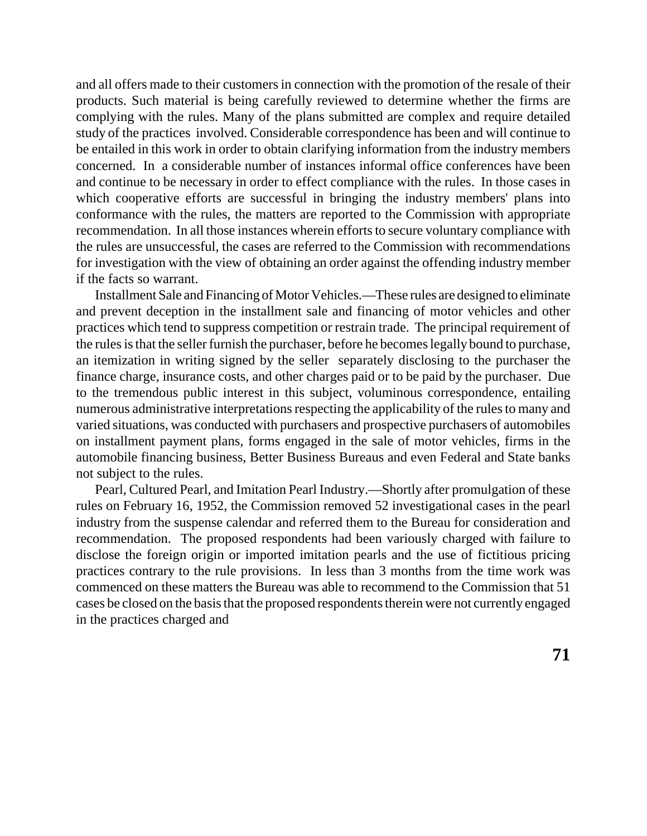and all offers made to their customers in connection with the promotion of the resale of their products. Such material is being carefully reviewed to determine whether the firms are complying with the rules. Many of the plans submitted are complex and require detailed study of the practices involved. Considerable correspondence has been and will continue to be entailed in this work in order to obtain clarifying information from the industry members concerned. In a considerable number of instances informal office conferences have been and continue to be necessary in order to effect compliance with the rules. In those cases in which cooperative efforts are successful in bringing the industry members' plans into conformance with the rules, the matters are reported to the Commission with appropriate recommendation. In all those instances wherein efforts to secure voluntary compliance with the rules are unsuccessful, the cases are referred to the Commission with recommendations for investigation with the view of obtaining an order against the offending industry member if the facts so warrant.

Installment Sale and Financing of Motor Vehicles.—These rules are designed to eliminate and prevent deception in the installment sale and financing of motor vehicles and other practices which tend to suppress competition or restrain trade. The principal requirement of the rules is that the seller furnish the purchaser, before he becomes legally bound to purchase, an itemization in writing signed by the seller separately disclosing to the purchaser the finance charge, insurance costs, and other charges paid or to be paid by the purchaser. Due to the tremendous public interest in this subject, voluminous correspondence, entailing numerous administrative interpretations respecting the applicability of the rules to many and varied situations, was conducted with purchasers and prospective purchasers of automobiles on installment payment plans, forms engaged in the sale of motor vehicles, firms in the automobile financing business, Better Business Bureaus and even Federal and State banks not subject to the rules.

Pearl, Cultured Pearl, and Imitation Pearl Industry.—Shortly after promulgation of these rules on February 16, 1952, the Commission removed 52 investigational cases in the pearl industry from the suspense calendar and referred them to the Bureau for consideration and recommendation. The proposed respondents had been variously charged with failure to disclose the foreign origin or imported imitation pearls and the use of fictitious pricing practices contrary to the rule provisions. In less than 3 months from the time work was commenced on these matters the Bureau was able to recommend to the Commission that 51 cases be closed on the basis that the proposed respondents therein were not currently engaged in the practices charged and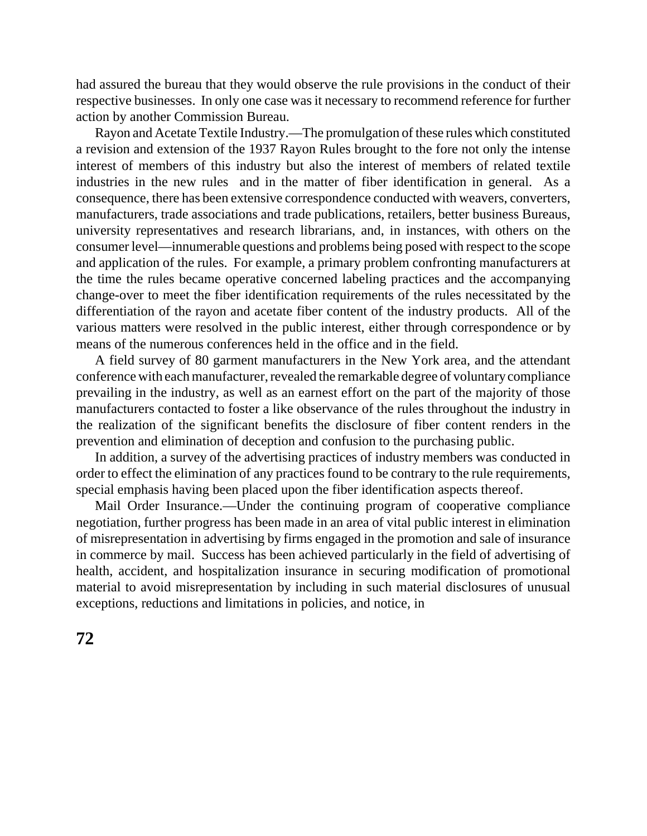had assured the bureau that they would observe the rule provisions in the conduct of their respective businesses. In only one case was it necessary to recommend reference for further action by another Commission Bureau.

Rayon and Acetate Textile Industry.—The promulgation of these rules which constituted a revision and extension of the 1937 Rayon Rules brought to the fore not only the intense interest of members of this industry but also the interest of members of related textile industries in the new rules and in the matter of fiber identification in general. As a consequence, there has been extensive correspondence conducted with weavers, converters, manufacturers, trade associations and trade publications, retailers, better business Bureaus, university representatives and research librarians, and, in instances, with others on the consumer level—innumerable questions and problems being posed with respect to the scope and application of the rules. For example, a primary problem confronting manufacturers at the time the rules became operative concerned labeling practices and the accompanying change-over to meet the fiber identification requirements of the rules necessitated by the differentiation of the rayon and acetate fiber content of the industry products. All of the various matters were resolved in the public interest, either through correspondence or by means of the numerous conferences held in the office and in the field.

A field survey of 80 garment manufacturers in the New York area, and the attendant conference with each manufacturer, revealed the remarkable degree of voluntary compliance prevailing in the industry, as well as an earnest effort on the part of the majority of those manufacturers contacted to foster a like observance of the rules throughout the industry in the realization of the significant benefits the disclosure of fiber content renders in the prevention and elimination of deception and confusion to the purchasing public.

In addition, a survey of the advertising practices of industry members was conducted in order to effect the elimination of any practices found to be contrary to the rule requirements, special emphasis having been placed upon the fiber identification aspects thereof.

Mail Order Insurance.—Under the continuing program of cooperative compliance negotiation, further progress has been made in an area of vital public interest in elimination of misrepresentation in advertising by firms engaged in the promotion and sale of insurance in commerce by mail. Success has been achieved particularly in the field of advertising of health, accident, and hospitalization insurance in securing modification of promotional material to avoid misrepresentation by including in such material disclosures of unusual exceptions, reductions and limitations in policies, and notice, in

**72**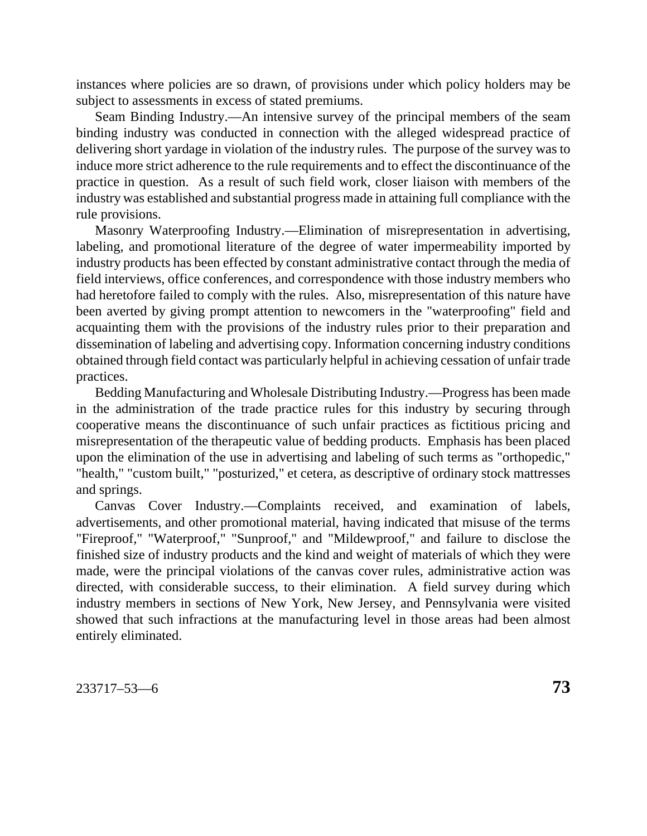instances where policies are so drawn, of provisions under which policy holders may be subject to assessments in excess of stated premiums.

Seam Binding Industry.—An intensive survey of the principal members of the seam binding industry was conducted in connection with the alleged widespread practice of delivering short yardage in violation of the industry rules. The purpose of the survey was to induce more strict adherence to the rule requirements and to effect the discontinuance of the practice in question. As a result of such field work, closer liaison with members of the industry was established and substantial progress made in attaining full compliance with the rule provisions.

Masonry Waterproofing Industry.—Elimination of misrepresentation in advertising, labeling, and promotional literature of the degree of water impermeability imported by industry products has been effected by constant administrative contact through the media of field interviews, office conferences, and correspondence with those industry members who had heretofore failed to comply with the rules. Also, misrepresentation of this nature have been averted by giving prompt attention to newcomers in the "waterproofing" field and acquainting them with the provisions of the industry rules prior to their preparation and dissemination of labeling and advertising copy. Information concerning industry conditions obtained through field contact was particularly helpful in achieving cessation of unfair trade practices.

Bedding Manufacturing and Wholesale Distributing Industry.—Progress has been made in the administration of the trade practice rules for this industry by securing through cooperative means the discontinuance of such unfair practices as fictitious pricing and misrepresentation of the therapeutic value of bedding products. Emphasis has been placed upon the elimination of the use in advertising and labeling of such terms as "orthopedic," "health," "custom built," "posturized," et cetera, as descriptive of ordinary stock mattresses and springs.

Canvas Cover Industry.—Complaints received, and examination of labels, advertisements, and other promotional material, having indicated that misuse of the terms "Fireproof," "Waterproof," "Sunproof," and "Mildewproof," and failure to disclose the finished size of industry products and the kind and weight of materials of which they were made, were the principal violations of the canvas cover rules, administrative action was directed, with considerable success, to their elimination. A field survey during which industry members in sections of New York, New Jersey, and Pennsylvania were visited showed that such infractions at the manufacturing level in those areas had been almost entirely eliminated.

233717–53—6 **73**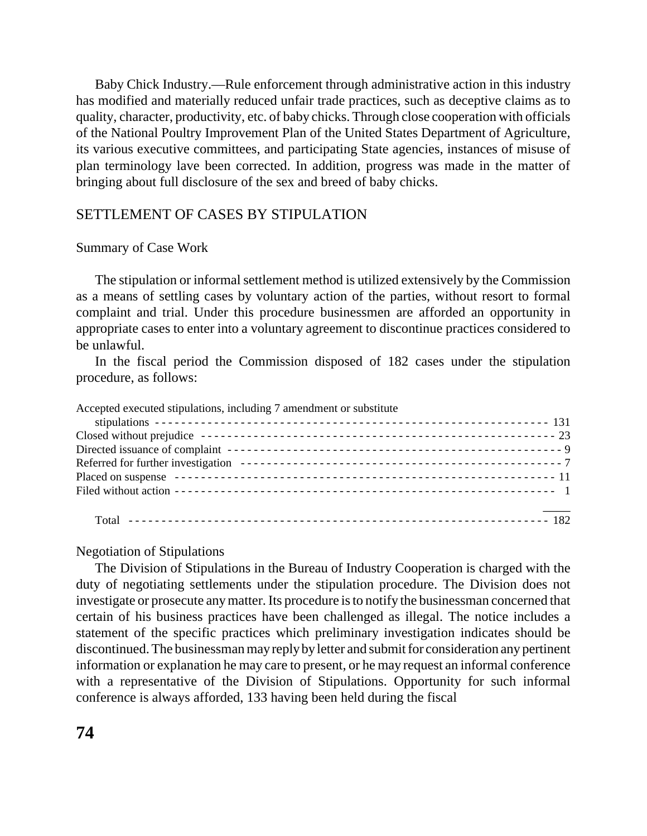Baby Chick Industry.—Rule enforcement through administrative action in this industry has modified and materially reduced unfair trade practices, such as deceptive claims as to quality, character, productivity, etc. of baby chicks. Through close cooperation with officials of the National Poultry Improvement Plan of the United States Department of Agriculture, its various executive committees, and participating State agencies, instances of misuse of plan terminology lave been corrected. In addition, progress was made in the matter of bringing about full disclosure of the sex and breed of baby chicks.

#### SETTLEMENT OF CASES BY STIPULATION

#### Summary of Case Work

The stipulation or informal settlement method is utilized extensively by the Commission as a means of settling cases by voluntary action of the parties, without resort to formal complaint and trial. Under this procedure businessmen are afforded an opportunity in appropriate cases to enter into a voluntary agreement to discontinue practices considered to be unlawful.

In the fiscal period the Commission disposed of 182 cases under the stipulation procedure, as follows:

Accepted executed stipulations, including 7 amendment or substitute

#### Negotiation of Stipulations

The Division of Stipulations in the Bureau of Industry Cooperation is charged with the duty of negotiating settlements under the stipulation procedure. The Division does not investigate or prosecute any matter. Its procedure is to notify the businessman concerned that certain of his business practices have been challenged as illegal. The notice includes a statement of the specific practices which preliminary investigation indicates should be discontinued. The businessman may reply by letter and submit for consideration any pertinent information or explanation he may care to present, or he may request an informal conference with a representative of the Division of Stipulations. Opportunity for such informal conference is always afforded, 133 having been held during the fiscal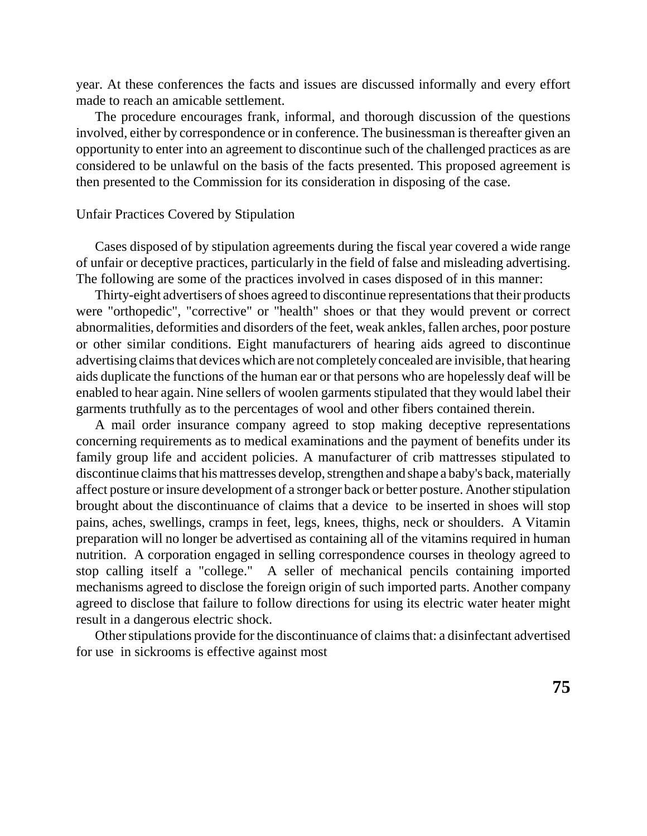year. At these conferences the facts and issues are discussed informally and every effort made to reach an amicable settlement.

The procedure encourages frank, informal, and thorough discussion of the questions involved, either by correspondence or in conference. The businessman is thereafter given an opportunity to enter into an agreement to discontinue such of the challenged practices as are considered to be unlawful on the basis of the facts presented. This proposed agreement is then presented to the Commission for its consideration in disposing of the case.

#### Unfair Practices Covered by Stipulation

Cases disposed of by stipulation agreements during the fiscal year covered a wide range of unfair or deceptive practices, particularly in the field of false and misleading advertising. The following are some of the practices involved in cases disposed of in this manner:

Thirty-eight advertisers of shoes agreed to discontinue representations that their products were "orthopedic", "corrective" or "health" shoes or that they would prevent or correct abnormalities, deformities and disorders of the feet, weak ankles, fallen arches, poor posture or other similar conditions. Eight manufacturers of hearing aids agreed to discontinue advertising claims that devices which are not completely concealed are invisible, that hearing aids duplicate the functions of the human ear or that persons who are hopelessly deaf will be enabled to hear again. Nine sellers of woolen garments stipulated that they would label their garments truthfully as to the percentages of wool and other fibers contained therein.

A mail order insurance company agreed to stop making deceptive representations concerning requirements as to medical examinations and the payment of benefits under its family group life and accident policies. A manufacturer of crib mattresses stipulated to discontinue claims that his mattresses develop, strengthen and shape a baby's back, materially affect posture or insure development of a stronger back or better posture. Another stipulation brought about the discontinuance of claims that a device to be inserted in shoes will stop pains, aches, swellings, cramps in feet, legs, knees, thighs, neck or shoulders. A Vitamin preparation will no longer be advertised as containing all of the vitamins required in human nutrition. A corporation engaged in selling correspondence courses in theology agreed to stop calling itself a "college." A seller of mechanical pencils containing imported mechanisms agreed to disclose the foreign origin of such imported parts. Another company agreed to disclose that failure to follow directions for using its electric water heater might result in a dangerous electric shock.

Other stipulations provide for the discontinuance of claims that: a disinfectant advertised for use in sickrooms is effective against most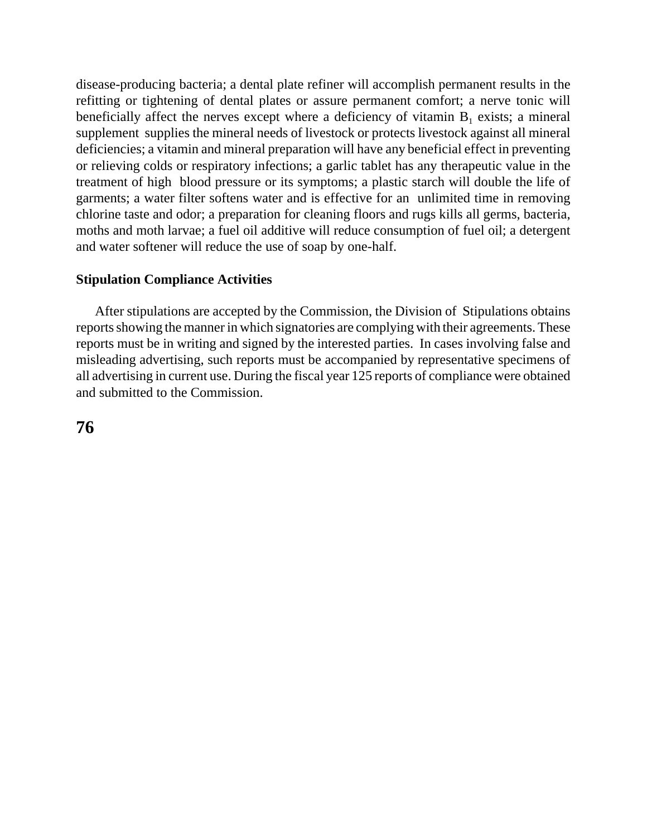disease-producing bacteria; a dental plate refiner will accomplish permanent results in the refitting or tightening of dental plates or assure permanent comfort; a nerve tonic will beneficially affect the nerves except where a deficiency of vitamin  $B_1$  exists; a mineral supplement supplies the mineral needs of livestock or protects livestock against all mineral deficiencies; a vitamin and mineral preparation will have any beneficial effect in preventing or relieving colds or respiratory infections; a garlic tablet has any therapeutic value in the treatment of high blood pressure or its symptoms; a plastic starch will double the life of garments; a water filter softens water and is effective for an unlimited time in removing chlorine taste and odor; a preparation for cleaning floors and rugs kills all germs, bacteria, moths and moth larvae; a fuel oil additive will reduce consumption of fuel oil; a detergent and water softener will reduce the use of soap by one-half.

### **Stipulation Compliance Activities**

After stipulations are accepted by the Commission, the Division of Stipulations obtains reports showing the manner in which signatories are complying with their agreements. These reports must be in writing and signed by the interested parties. In cases involving false and misleading advertising, such reports must be accompanied by representative specimens of all advertising in current use. During the fiscal year 125 reports of compliance were obtained and submitted to the Commission.

**76**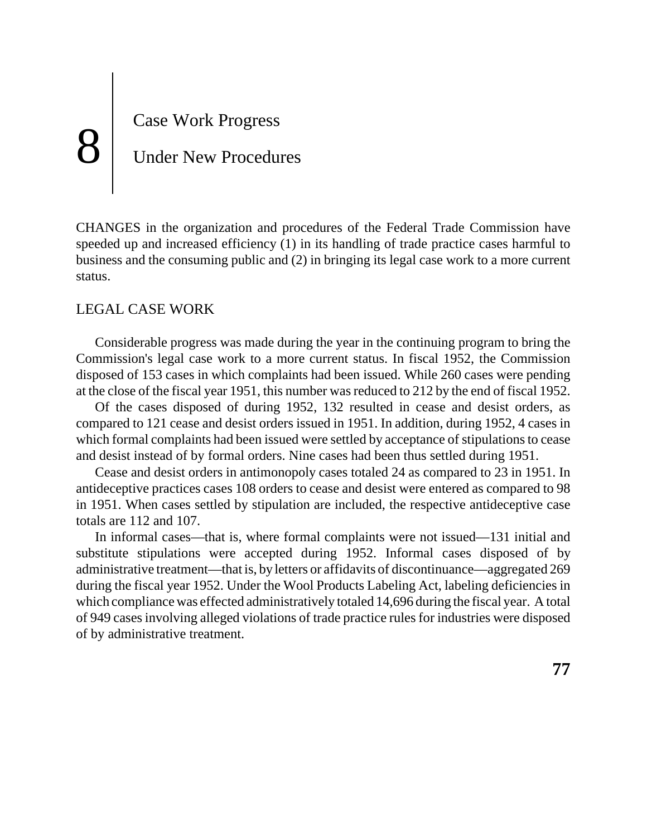## Case Work Progress 8 Under New Procedures

CHANGES in the organization and procedures of the Federal Trade Commission have speeded up and increased efficiency (1) in its handling of trade practice cases harmful to business and the consuming public and (2) in bringing its legal case work to a more current status.

## LEGAL CASE WORK

Considerable progress was made during the year in the continuing program to bring the Commission's legal case work to a more current status. In fiscal 1952, the Commission disposed of 153 cases in which complaints had been issued. While 260 cases were pending at the close of the fiscal year 1951, this number was reduced to 212 by the end of fiscal 1952.

Of the cases disposed of during 1952, 132 resulted in cease and desist orders, as compared to 121 cease and desist orders issued in 1951. In addition, during 1952, 4 cases in which formal complaints had been issued were settled by acceptance of stipulations to cease and desist instead of by formal orders. Nine cases had been thus settled during 1951.

Cease and desist orders in antimonopoly cases totaled 24 as compared to 23 in 1951. In antideceptive practices cases 108 orders to cease and desist were entered as compared to 98 in 1951. When cases settled by stipulation are included, the respective antideceptive case totals are 112 and 107.

In informal cases—that is, where formal complaints were not issued—131 initial and substitute stipulations were accepted during 1952. Informal cases disposed of by administrative treatment—that is, by letters or affidavits of discontinuance—aggregated 269 during the fiscal year 1952. Under the Wool Products Labeling Act, labeling deficiencies in which compliance was effected administratively totaled 14,696 during the fiscal year. A total of 949 cases involving alleged violations of trade practice rules for industries were disposed of by administrative treatment.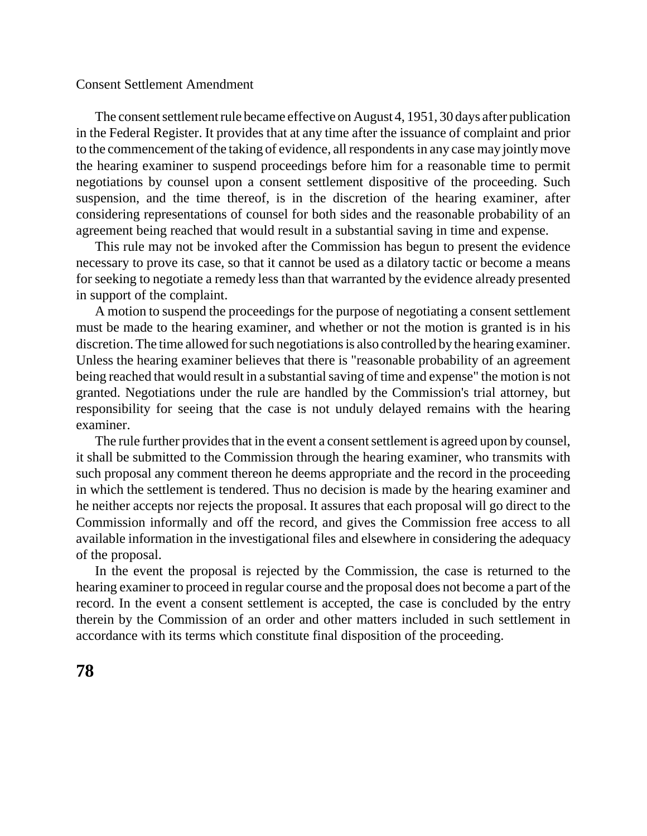#### Consent Settlement Amendment

The consent settlement rule became effective on August 4, 1951, 30 days after publication in the Federal Register. It provides that at any time after the issuance of complaint and prior to the commencement of the taking of evidence, all respondents in any case may jointly move the hearing examiner to suspend proceedings before him for a reasonable time to permit negotiations by counsel upon a consent settlement dispositive of the proceeding. Such suspension, and the time thereof, is in the discretion of the hearing examiner, after considering representations of counsel for both sides and the reasonable probability of an agreement being reached that would result in a substantial saving in time and expense.

This rule may not be invoked after the Commission has begun to present the evidence necessary to prove its case, so that it cannot be used as a dilatory tactic or become a means for seeking to negotiate a remedy less than that warranted by the evidence already presented in support of the complaint.

A motion to suspend the proceedings for the purpose of negotiating a consent settlement must be made to the hearing examiner, and whether or not the motion is granted is in his discretion. The time allowed for such negotiations is also controlled by the hearing examiner. Unless the hearing examiner believes that there is "reasonable probability of an agreement being reached that would result in a substantial saving of time and expense" the motion is not granted. Negotiations under the rule are handled by the Commission's trial attorney, but responsibility for seeing that the case is not unduly delayed remains with the hearing examiner.

The rule further provides that in the event a consent settlement is agreed upon by counsel, it shall be submitted to the Commission through the hearing examiner, who transmits with such proposal any comment thereon he deems appropriate and the record in the proceeding in which the settlement is tendered. Thus no decision is made by the hearing examiner and he neither accepts nor rejects the proposal. It assures that each proposal will go direct to the Commission informally and off the record, and gives the Commission free access to all available information in the investigational files and elsewhere in considering the adequacy of the proposal.

In the event the proposal is rejected by the Commission, the case is returned to the hearing examiner to proceed in regular course and the proposal does not become a part of the record. In the event a consent settlement is accepted, the case is concluded by the entry therein by the Commission of an order and other matters included in such settlement in accordance with its terms which constitute final disposition of the proceeding.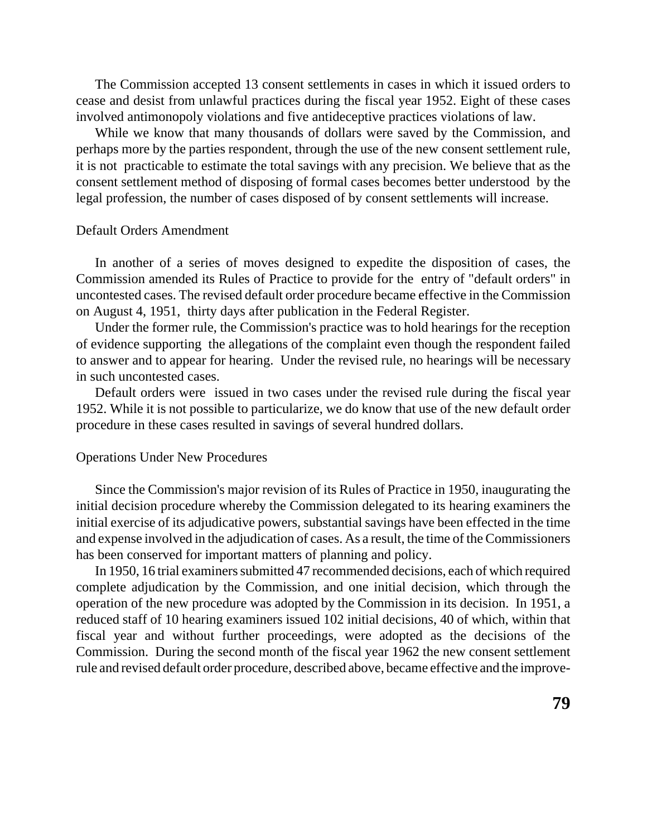The Commission accepted 13 consent settlements in cases in which it issued orders to cease and desist from unlawful practices during the fiscal year 1952. Eight of these cases involved antimonopoly violations and five antideceptive practices violations of law.

While we know that many thousands of dollars were saved by the Commission, and perhaps more by the parties respondent, through the use of the new consent settlement rule, it is not practicable to estimate the total savings with any precision. We believe that as the consent settlement method of disposing of formal cases becomes better understood by the legal profession, the number of cases disposed of by consent settlements will increase.

#### Default Orders Amendment

In another of a series of moves designed to expedite the disposition of cases, the Commission amended its Rules of Practice to provide for the entry of "default orders" in uncontested cases. The revised default order procedure became effective in the Commission on August 4, 1951, thirty days after publication in the Federal Register.

Under the former rule, the Commission's practice was to hold hearings for the reception of evidence supporting the allegations of the complaint even though the respondent failed to answer and to appear for hearing. Under the revised rule, no hearings will be necessary in such uncontested cases.

Default orders were issued in two cases under the revised rule during the fiscal year 1952. While it is not possible to particularize, we do know that use of the new default order procedure in these cases resulted in savings of several hundred dollars.

#### Operations Under New Procedures

Since the Commission's major revision of its Rules of Practice in 1950, inaugurating the initial decision procedure whereby the Commission delegated to its hearing examiners the initial exercise of its adjudicative powers, substantial savings have been effected in the time and expense involved in the adjudication of cases. As a result, the time of the Commissioners has been conserved for important matters of planning and policy.

In 1950, 16 trial examiners submitted 47 recommended decisions, each of which required complete adjudication by the Commission, and one initial decision, which through the operation of the new procedure was adopted by the Commission in its decision. In 1951, a reduced staff of 10 hearing examiners issued 102 initial decisions, 40 of which, within that fiscal year and without further proceedings, were adopted as the decisions of the Commission. During the second month of the fiscal year 1962 the new consent settlement rule and revised default order procedure, described above, became effective and the improve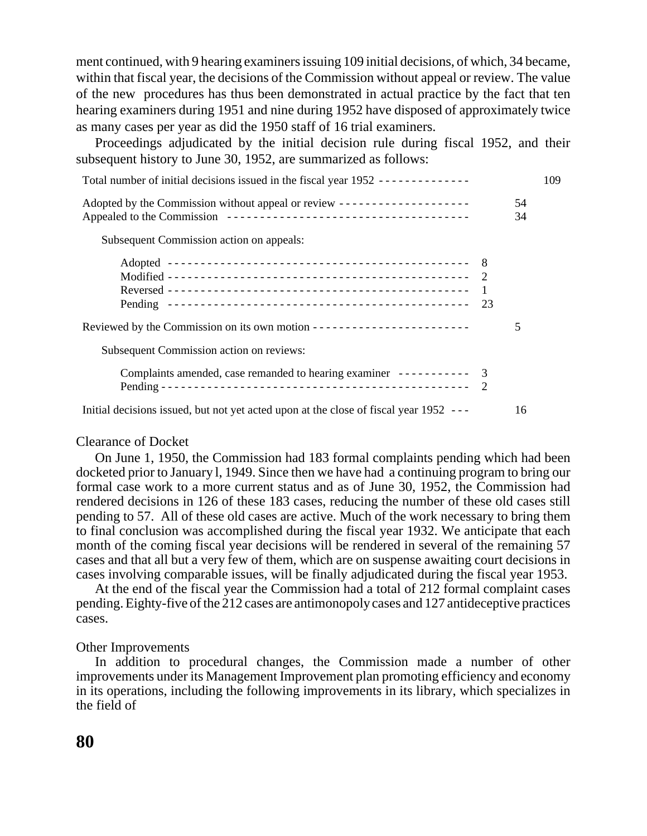ment continued, with 9 hearing examinersissuing 109 initial decisions, of which, 34 became, within that fiscal year, the decisions of the Commission without appeal or review. The value of the new procedures has thus been demonstrated in actual practice by the fact that ten hearing examiners during 1951 and nine during 1952 have disposed of approximately twice as many cases per year as did the 1950 staff of 16 trial examiners.

Proceedings adjudicated by the initial decision rule during fiscal 1952, and their subsequent history to June 30, 1952, are summarized as follows:

| Total number of initial decisions issued in the fiscal year 1952 --------------       |    |          | 109 |
|---------------------------------------------------------------------------------------|----|----------|-----|
| Adopted by the Commission without appeal or review --------------------               |    | 54<br>34 |     |
| Subsequent Commission action on appeals:                                              |    |          |     |
|                                                                                       | 23 |          |     |
| Reviewed by the Commission on its own motion ------------------------                 |    | 5        |     |
| Subsequent Commission action on reviews:                                              |    |          |     |
| Complaints amended, case remanded to hearing examiner ----------- 3                   |    |          |     |
| Initial decisions issued, but not yet acted upon at the close of fiscal year 1952 --- |    | 16       |     |

#### Clearance of Docket

On June 1, 1950, the Commission had 183 formal complaints pending which had been docketed prior to January l, 1949. Since then we have had a continuing program to bring our formal case work to a more current status and as of June 30, 1952, the Commission had rendered decisions in 126 of these 183 cases, reducing the number of these old cases still pending to 57. All of these old cases are active. Much of the work necessary to bring them to final conclusion was accomplished during the fiscal year 1932. We anticipate that each month of the coming fiscal year decisions will be rendered in several of the remaining 57 cases and that all but a very few of them, which are on suspense awaiting court decisions in cases involving comparable issues, will be finally adjudicated during the fiscal year 1953.

At the end of the fiscal year the Commission had a total of 212 formal complaint cases pending.Eighty-five ofthe 212 cases are antimonopolycases and 127 antideceptive practices cases.

#### Other Improvements

In addition to procedural changes, the Commission made a number of other improvements under its Management Improvement plan promoting efficiency and economy in its operations, including the following improvements in its library, which specializes in the field of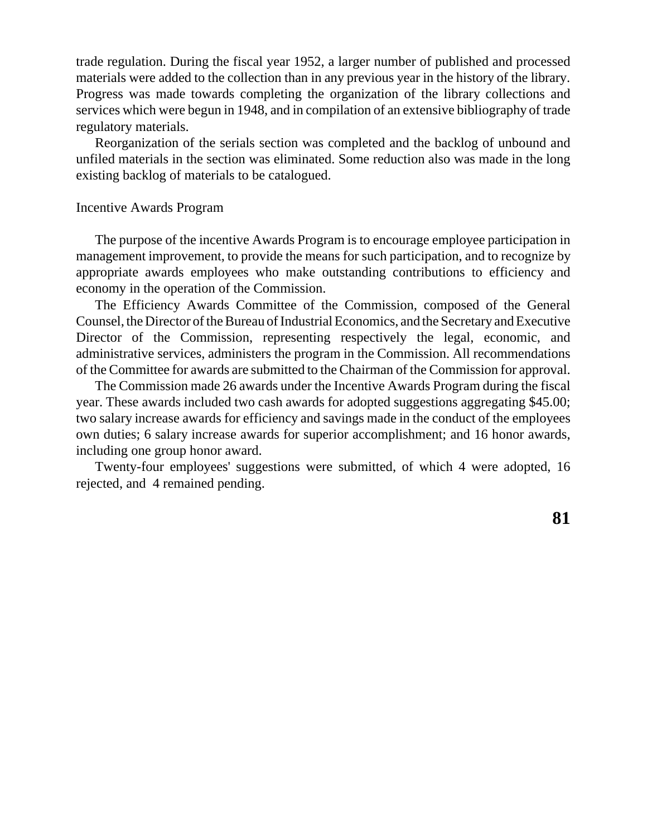trade regulation. During the fiscal year 1952, a larger number of published and processed materials were added to the collection than in any previous year in the history of the library. Progress was made towards completing the organization of the library collections and services which were begun in 1948, and in compilation of an extensive bibliography of trade regulatory materials.

Reorganization of the serials section was completed and the backlog of unbound and unfiled materials in the section was eliminated. Some reduction also was made in the long existing backlog of materials to be catalogued.

#### Incentive Awards Program

The purpose of the incentive Awards Program is to encourage employee participation in management improvement, to provide the means for such participation, and to recognize by appropriate awards employees who make outstanding contributions to efficiency and economy in the operation of the Commission.

The Efficiency Awards Committee of the Commission, composed of the General Counsel, the Director of the Bureau of Industrial Economics, and the Secretary and Executive Director of the Commission, representing respectively the legal, economic, and administrative services, administers the program in the Commission. All recommendations of the Committee for awards are submitted to the Chairman of the Commission for approval.

The Commission made 26 awards under the Incentive Awards Program during the fiscal year. These awards included two cash awards for adopted suggestions aggregating \$45.00; two salary increase awards for efficiency and savings made in the conduct of the employees own duties; 6 salary increase awards for superior accomplishment; and 16 honor awards, including one group honor award.

Twenty-four employees' suggestions were submitted, of which 4 were adopted, 16 rejected, and 4 remained pending.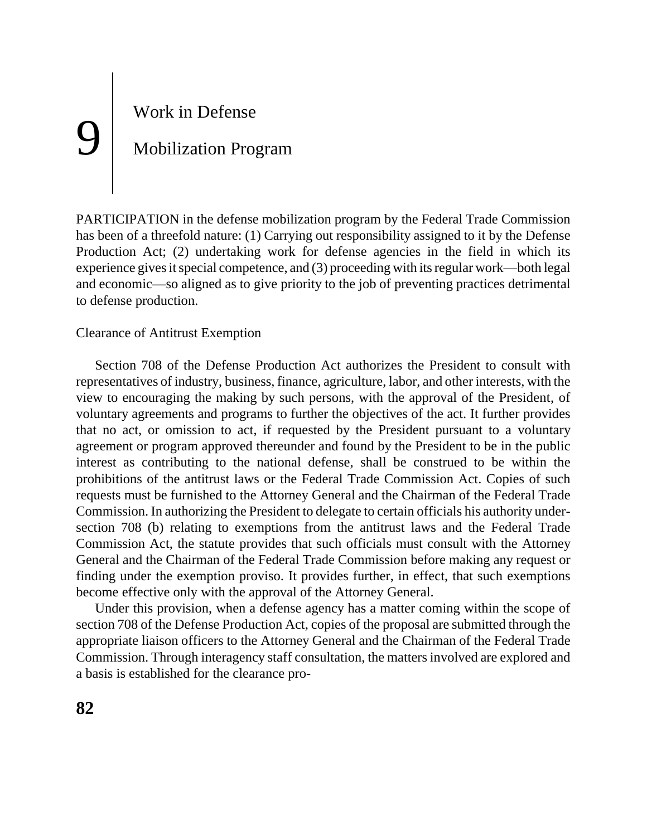# Work in Defense 9 Mobilization Program

PARTICIPATION in the defense mobilization program by the Federal Trade Commission has been of a threefold nature: (1) Carrying out responsibility assigned to it by the Defense Production Act; (2) undertaking work for defense agencies in the field in which its experience gives it special competence, and (3) proceeding with its regular work—both legal and economic—so aligned as to give priority to the job of preventing practices detrimental to defense production.

## Clearance of Antitrust Exemption

Section 708 of the Defense Production Act authorizes the President to consult with representatives of industry, business, finance, agriculture, labor, and other interests, with the view to encouraging the making by such persons, with the approval of the President, of voluntary agreements and programs to further the objectives of the act. It further provides that no act, or omission to act, if requested by the President pursuant to a voluntary agreement or program approved thereunder and found by the President to be in the public interest as contributing to the national defense, shall be construed to be within the prohibitions of the antitrust laws or the Federal Trade Commission Act. Copies of such requests must be furnished to the Attorney General and the Chairman of the Federal Trade Commission. In authorizing the President to delegate to certain officials his authority undersection 708 (b) relating to exemptions from the antitrust laws and the Federal Trade Commission Act, the statute provides that such officials must consult with the Attorney General and the Chairman of the Federal Trade Commission before making any request or finding under the exemption proviso. It provides further, in effect, that such exemptions become effective only with the approval of the Attorney General.

Under this provision, when a defense agency has a matter coming within the scope of section 708 of the Defense Production Act, copies of the proposal are submitted through the appropriate liaison officers to the Attorney General and the Chairman of the Federal Trade Commission. Through interagency staff consultation, the mattersinvolved are explored and a basis is established for the clearance pro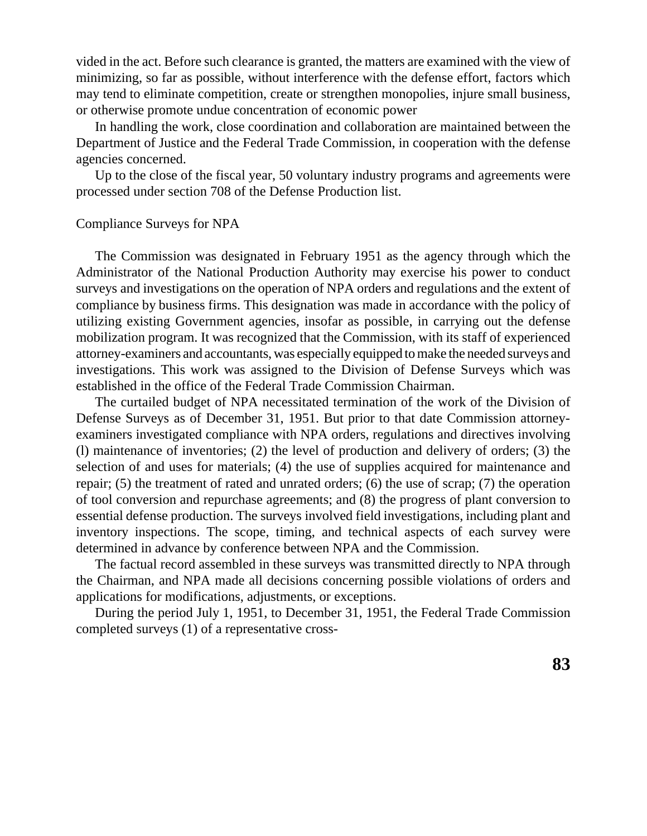vided in the act. Before such clearance is granted, the matters are examined with the view of minimizing, so far as possible, without interference with the defense effort, factors which may tend to eliminate competition, create or strengthen monopolies, injure small business, or otherwise promote undue concentration of economic power

In handling the work, close coordination and collaboration are maintained between the Department of Justice and the Federal Trade Commission, in cooperation with the defense agencies concerned.

Up to the close of the fiscal year, 50 voluntary industry programs and agreements were processed under section 708 of the Defense Production list.

#### Compliance Surveys for NPA

The Commission was designated in February 1951 as the agency through which the Administrator of the National Production Authority may exercise his power to conduct surveys and investigations on the operation of NPA orders and regulations and the extent of compliance by business firms. This designation was made in accordance with the policy of utilizing existing Government agencies, insofar as possible, in carrying out the defense mobilization program. It was recognized that the Commission, with its staff of experienced attorney-examiners and accountants, was especially equipped to make the needed surveys and investigations. This work was assigned to the Division of Defense Surveys which was established in the office of the Federal Trade Commission Chairman.

The curtailed budget of NPA necessitated termination of the work of the Division of Defense Surveys as of December 31, 1951. But prior to that date Commission attorneyexaminers investigated compliance with NPA orders, regulations and directives involving (l) maintenance of inventories; (2) the level of production and delivery of orders; (3) the selection of and uses for materials; (4) the use of supplies acquired for maintenance and repair; (5) the treatment of rated and unrated orders; (6) the use of scrap; (7) the operation of tool conversion and repurchase agreements; and (8) the progress of plant conversion to essential defense production. The surveys involved field investigations, including plant and inventory inspections. The scope, timing, and technical aspects of each survey were determined in advance by conference between NPA and the Commission.

The factual record assembled in these surveys was transmitted directly to NPA through the Chairman, and NPA made all decisions concerning possible violations of orders and applications for modifications, adjustments, or exceptions.

During the period July 1, 1951, to December 31, 1951, the Federal Trade Commission completed surveys (1) of a representative cross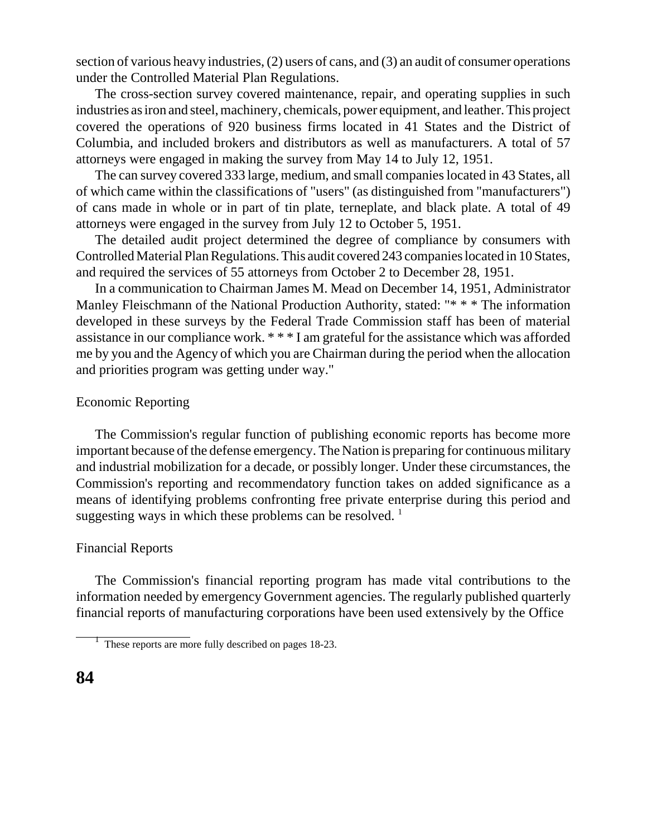section of various heavy industries, (2) users of cans, and (3) an audit of consumer operations under the Controlled Material Plan Regulations.

The cross-section survey covered maintenance, repair, and operating supplies in such industries as iron and steel, machinery, chemicals, power equipment, and leather. This project covered the operations of 920 business firms located in 41 States and the District of Columbia, and included brokers and distributors as well as manufacturers. A total of 57 attorneys were engaged in making the survey from May 14 to July 12, 1951.

The can survey covered 333 large, medium, and small companies located in 43 States, all of which came within the classifications of "users" (as distinguished from "manufacturers") of cans made in whole or in part of tin plate, terneplate, and black plate. A total of 49 attorneys were engaged in the survey from July 12 to October 5, 1951.

The detailed audit project determined the degree of compliance by consumers with Controlled Material Plan Regulations. This audit covered 243 companies located in 10 States, and required the services of 55 attorneys from October 2 to December 28, 1951.

In a communication to Chairman James M. Mead on December 14, 1951, Administrator Manley Fleischmann of the National Production Authority, stated: "\* \* \* The information developed in these surveys by the Federal Trade Commission staff has been of material assistance in our compliance work. \* \* \* I am grateful for the assistance which was afforded me by you and the Agency of which you are Chairman during the period when the allocation and priorities program was getting under way."

#### Economic Reporting

The Commission's regular function of publishing economic reports has become more important because of the defense emergency. The Nation is preparing for continuous military and industrial mobilization for a decade, or possibly longer. Under these circumstances, the Commission's reporting and recommendatory function takes on added significance as a means of identifying problems confronting free private enterprise during this period and suggesting ways in which these problems can be resolved.<sup>1</sup>

#### Financial Reports

The Commission's financial reporting program has made vital contributions to the information needed by emergency Government agencies. The regularly published quarterly financial reports of manufacturing corporations have been used extensively by the Office

<sup>1</sup> These reports are more fully described on pages 18-23.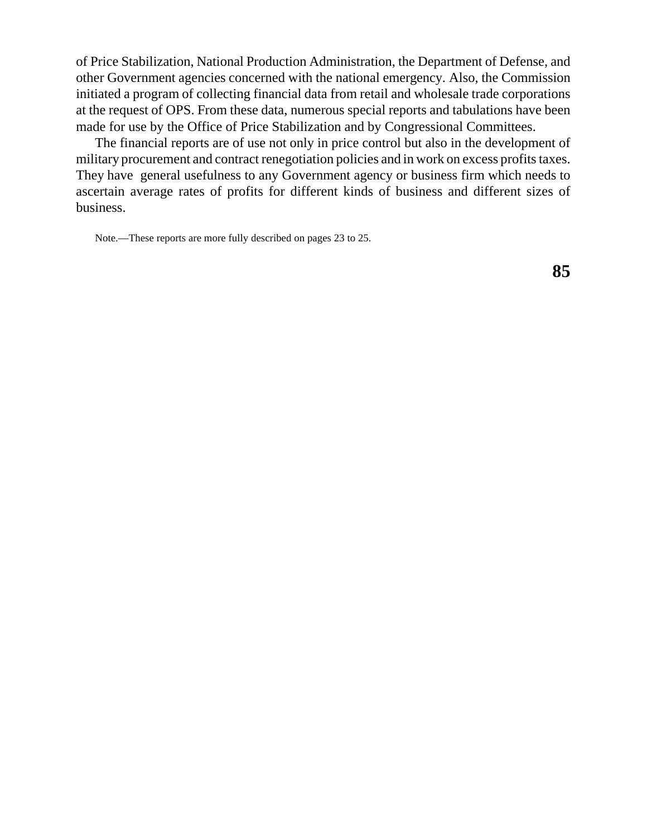of Price Stabilization, National Production Administration, the Department of Defense, and other Government agencies concerned with the national emergency. Also, the Commission initiated a program of collecting financial data from retail and wholesale trade corporations at the request of OPS. From these data, numerous special reports and tabulations have been made for use by the Office of Price Stabilization and by Congressional Committees.

The financial reports are of use not only in price control but also in the development of military procurement and contract renegotiation policies and in work on excess profits taxes. They have general usefulness to any Government agency or business firm which needs to ascertain average rates of profits for different kinds of business and different sizes of business.

Note.—These reports are more fully described on pages 23 to 25.

**85**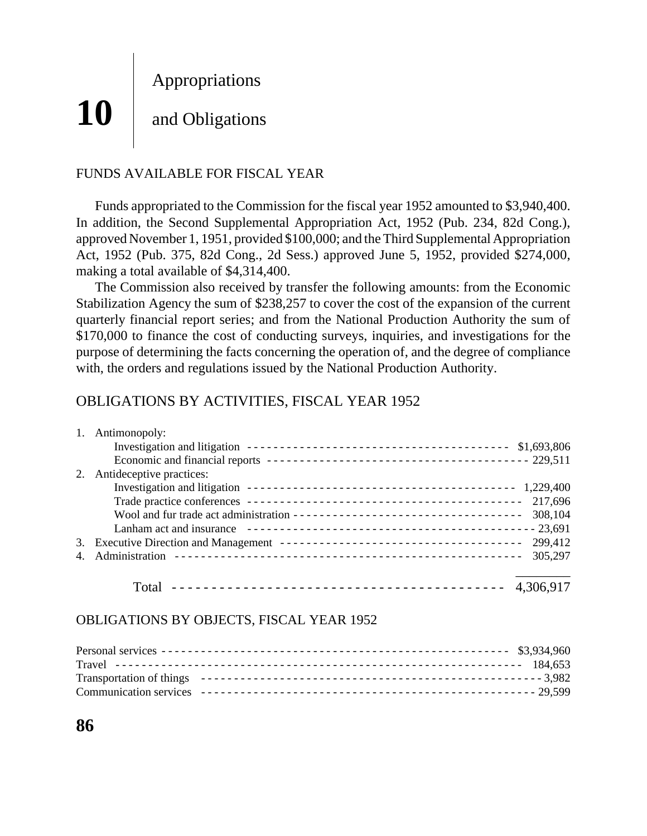Appropriations **10** and Obligations

## FUNDS AVAILABLE FOR FISCAL YEAR

Funds appropriated to the Commission for the fiscal year 1952 amounted to \$3,940,400. In addition, the Second Supplemental Appropriation Act, 1952 (Pub. 234, 82d Cong.), approved November 1, 1951, provided \$100,000; and the Third Supplemental Appropriation Act, 1952 (Pub. 375, 82d Cong., 2d Sess.) approved June 5, 1952, provided \$274,000, making a total available of \$4,314,400.

The Commission also received by transfer the following amounts: from the Economic Stabilization Agency the sum of \$238,257 to cover the cost of the expansion of the current quarterly financial report series; and from the National Production Authority the sum of \$170,000 to finance the cost of conducting surveys, inquiries, and investigations for the purpose of determining the facts concerning the operation of, and the degree of compliance with, the orders and regulations issued by the National Production Authority.

## OBLIGATIONS BY ACTIVITIES, FISCAL YEAR 1952

| 1. | Antimonopoly:            |           |
|----|--------------------------|-----------|
|    |                          |           |
|    |                          |           |
| 2. | Antideceptive practices: |           |
|    |                          |           |
|    |                          |           |
|    |                          | 308,104   |
|    |                          |           |
|    |                          |           |
|    |                          | 305,297   |
|    |                          |           |
|    |                          | 4,306,917 |

#### OBLIGATIONS BY OBJECTS, FISCAL YEAR 1952

| Transportation of things entertainment contains the contract of the state of the state of the state of the state of the state of the state of the state of the state of the state of the state of the state of the state of th |
|--------------------------------------------------------------------------------------------------------------------------------------------------------------------------------------------------------------------------------|
|                                                                                                                                                                                                                                |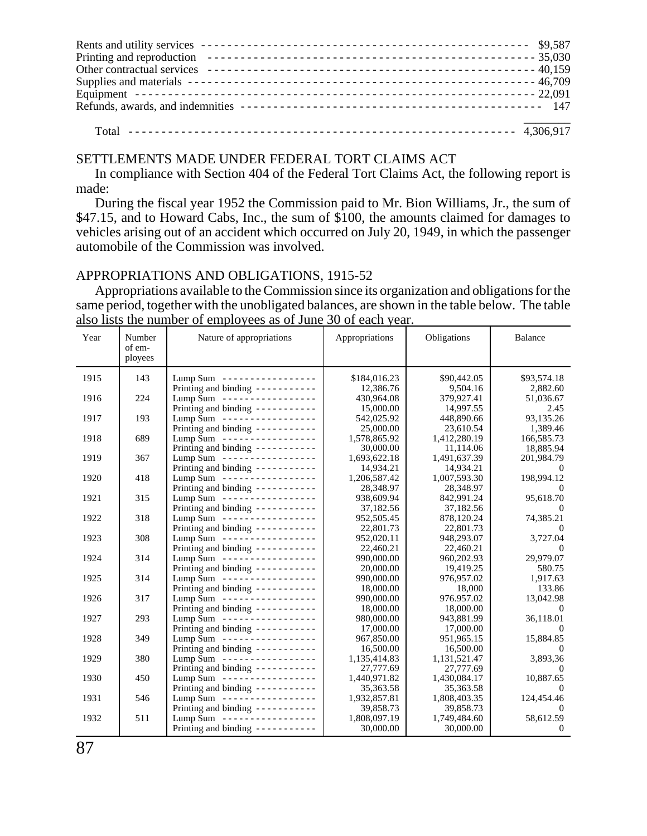#### SETTLEMENTS MADE UNDER FEDERAL TORT CLAIMS ACT

In compliance with Section 404 of the Federal Tort Claims Act, the following report is made:

During the fiscal year 1952 the Commission paid to Mr. Bion Williams, Jr., the sum of \$47.15, and to Howard Cabs, Inc., the sum of \$100, the amounts claimed for damages to vehicles arising out of an accident which occurred on July 20, 1949, in which the passenger automobile of the Commission was involved.

#### APPROPRIATIONS AND OBLIGATIONS, 1915-52

Appropriations available to the Commission since its organization and obligations for the same period, together with the unobligated balances, are shown in the table below. The table also lists the number of employees as of June 30 of each year.

| Year | Number<br>of em-<br>ployees | Nature of appropriations                       | Appropriations | Obligations  | <b>Balance</b> |
|------|-----------------------------|------------------------------------------------|----------------|--------------|----------------|
| 1915 | 143                         | Lump Sum ------------------                    | \$184,016.23   | \$90,442.05  | \$93,574.18    |
|      |                             | Printing and binding -----------               | 12,386.76      | 9,504.16     | 2,882.60       |
| 1916 | 224                         | Lump Sum -----------------                     | 430,964.08     | 379,927.41   | 51,036.67      |
|      |                             | Printing and binding $-$ - - - - - - - - - - - | 15,000.00      | 14,997.55    | 2.45           |
| 1917 | 193                         | Lump Sum ------------------                    | 542,025.92     | 448,890.66   | 93,135.26      |
|      |                             | Printing and binding $-$ - - - - - - - - - - - | 25,000.00      | 23,610.54    | 1,389.46       |
| 1918 | 689                         | Lump Sum ------------------                    | 1,578,865.92   | 1,412,280.19 | 166,585.73     |
|      |                             | Printing and binding $-$ - - - - - - - - - - - | 30,000.00      | 11,114.06    | 18,885.94      |
| 1919 | 367                         | Lump Sum ------------------                    | 1,693,622.18   | 1,491,637.39 | 201,984.79     |
|      |                             | Printing and binding $-$ - - - - - - - - - - - | 14,934.21      | 14,934.21    | 0              |
| 1920 | 418                         | Lump Sum ------------------                    | 1,206,587.42   | 1,007,593.30 | 198,994.12     |
|      |                             | Printing and binding -----------               | 28.348.97      | 28.348.97    | $_{0}$         |
| 1921 | 315                         | Lump Sum ------------------                    | 938,609.94     | 842,991.24   | 95,618.70      |
|      |                             | Printing and binding -----------               | 37,182.56      | 37,182.56    | $\theta$       |
| 1922 | 318                         | Lump Sum ------------------                    | 952,505.45     | 878,120.24   | 74,385.21      |
|      |                             | Printing and binding -----------               | 22,801.73      | 22,801.73    | 0              |
| 1923 | 308                         | Lump Sum ------------------                    | 952,020.11     | 948,293.07   | 3,727.04       |
|      |                             | Printing and binding -----------               | 22,460.21      | 22,460.21    | 0              |
| 1924 | 314                         | Lump Sum -----------------                     | 990,000.00     | 960,202.93   | 29.979.07      |
|      |                             | Printing and binding $- - - - - - - - - -$     | 20,000.00      | 19,419.25    | 580.75         |
| 1925 | 314                         | Lump Sum ------------------                    | 990,000.00     | 976,957.02   | 1,917.63       |
|      |                             | Printing and binding $- - - - - - - - - -$     | 18,000.00      | 18,000       | 133.86         |
| 1926 | 317                         | Lump Sum ------------------                    | 990,000.00     | 976.957.02   | 13,042.98      |
|      |                             | Printing and binding -----------               | 18,000.00      | 18,000.00    | $^{(1)}$       |
| 1927 | 293                         | Lump Sum ------------------                    | 980,000.00     | 943,881.99   | 36,118.01      |
|      |                             | Printing and binding -----------               | 17,000.00      | 17,000.00    | $\theta$       |
| 1928 | 349                         | Lump Sum -----------------                     | 967,850.00     | 951,965.15   | 15,884.85      |
|      |                             | Printing and binding -----------               | 16,500.00      | 16,500.00    | $\theta$       |
| 1929 | 380                         | Lump Sum ------------------                    | 1,135,414.83   | 1,131,521.47 | 3,893,36       |
|      |                             | Printing and binding -----------               | 27,777.69      | 27,777.69    |                |
| 1930 | 450                         | Lump Sum ------------------                    | 1,440,971.82   | 1,430,084.17 | 10,887.65      |
|      |                             | Printing and binding -----------               | 35,363.58      | 35,363.58    | 0              |
| 1931 | 546                         | Lump Sum -----------------                     | 1,932,857.81   | 1,808,403.35 | 124,454.46     |
|      |                             | Printing and binding $-$ - - - - - - - - - -   | 39,858.73      | 39,858.73    | $\theta$       |
| 1932 | 511                         | Lump Sum ------------------                    | 1,808,097.19   | 1,749,484.60 | 58,612.59      |
|      |                             | Printing and binding $-$ - - - - - - - - - -   | 30,000.00      | 30,000.00    | 0              |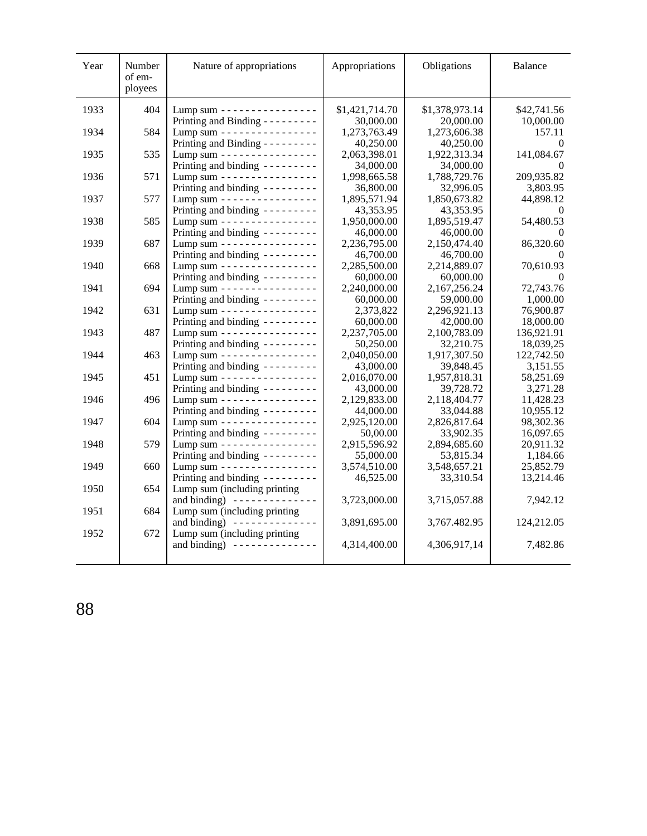| Year | Number<br>of em-<br>ployees | Nature of appropriations                                 | Appropriations | Obligations    | Balance     |
|------|-----------------------------|----------------------------------------------------------|----------------|----------------|-------------|
|      |                             |                                                          |                |                |             |
| 1933 | 404                         | Lump sum ----------------                                | \$1,421,714.70 | \$1,378,973.14 | \$42,741.56 |
|      |                             | Printing and Binding - - - - - - - - -                   | 30,000.00      | 20,000.00      | 10,000.00   |
| 1934 | 584                         | Lump sum ----------------                                | 1,273,763.49   | 1,273,606.38   | 157.11      |
|      |                             | Printing and Binding - - - - - - - - -                   | 40,250.00      | 40,250.00      | 0           |
| 1935 | 535                         | Lump sum ----------------                                | 2,063,398.01   | 1,922,313.34   | 141,084.67  |
|      |                             | Printing and binding $---$                               | 34,000.00      | 34,000.00      | 0           |
| 1936 | 571                         | Lump sum ----------------                                | 1,998,665.58   | 1,788,729.76   | 209,935.82  |
|      |                             | Printing and binding $- - - - - - - -$                   | 36,800.00      | 32,996.05      | 3,803.95    |
| 1937 | 577                         | Lump sum ----------------                                | 1,895,571.94   | 1,850,673.82   | 44,898.12   |
|      |                             | Printing and binding $---$                               | 43,353.95      | 43,353.95      | $\theta$    |
| 1938 | 585                         | Lump sum ----------------                                | 1,950,000.00   | 1,895,519.47   | 54,480.53   |
|      |                             | Printing and binding $---$                               | 46,000.00      | 46,000.00      | $\theta$    |
| 1939 | 687                         | Lump sum ----------------                                | 2,236,795.00   | 2,150,474.40   | 86,320.60   |
|      |                             | Printing and binding $---$                               | 46,700.00      | 46,700.00      |             |
| 1940 | 668                         | Lump sum ----------------                                | 2,285,500.00   | 2,214,889.07   | 70,610.93   |
|      |                             | Printing and binding $-$ - - - - - - - -                 | 60,000.00      | 60,000.00      | $\Omega$    |
| 1941 | 694                         | Lump sum ----------------                                | 2,240,000.00   | 2,167,256.24   | 72,743.76   |
|      |                             | Printing and binding $---$                               | 60,000.00      | 59,000.00      | 1,000.00    |
| 1942 | 631                         | Lump sum -----------------                               | 2,373,822      | 2,296,921.13   | 76,900.87   |
|      |                             | Printing and binding $---$                               | 60,000.00      | 42,000.00      | 18,000.00   |
| 1943 | 487                         | Lump sum ----------------                                | 2,237,705.00   | 2,100,783.09   | 136,921.91  |
|      |                             | Printing and binding $---$                               | 50,250.00      | 32,210.75      | 18,039,25   |
| 1944 | 463                         | Lump sum ----------------                                | 2,040,050.00   | 1,917,307.50   | 122,742.50  |
|      |                             | Printing and binding $---$                               | 43,000.00      | 39,848.45      | 3,151.55    |
| 1945 | 451                         | Lump sum -----------------                               | 2,016,070.00   | 1,957,818.31   | 58,251.69   |
|      |                             | Printing and binding $---$                               | 43,000.00      | 39,728.72      | 3,271.28    |
| 1946 | 496                         | Lump sum ----------------                                | 2,129,833.00   | 2,118,404.77   | 11,428.23   |
|      |                             | Printing and binding $---$                               | 44,000.00      | 33,044.88      | 10,955.12   |
| 1947 | 604                         | Lump sum ----------------                                | 2,925,120.00   | 2,826,817.64   | 98,302.36   |
|      |                             | Printing and binding $---$                               | 50,00.00       | 33,902.35      | 16,097.65   |
| 1948 | 579                         | Lump sum ----------------                                | 2,915,596.92   | 2,894,685.60   | 20,911.32   |
|      |                             | Printing and binding $---$                               | 55,000.00      | 53,815.34      | 1,184.66    |
| 1949 | 660                         | Lump sum ----------------                                | 3,574,510.00   | 3,548,657.21   | 25,852.79   |
|      |                             | Printing and binding $---$                               | 46,525.00      | 33,310.54      | 13,214.46   |
| 1950 | 654                         | Lump sum (including printing                             |                |                |             |
|      |                             | and binding)                                             | 3,723,000.00   | 3,715,057.88   | 7,942.12    |
| 1951 | 684                         | Lump sum (including printing                             |                |                |             |
|      |                             | and binding) $\cdots$                                    | 3,891,695.00   | 3,767.482.95   | 124,212.05  |
| 1952 | 672                         | Lump sum (including printing<br>and binding)<br><u>.</u> | 4,314,400.00   | 4,306,917,14   | 7,482.86    |
|      |                             |                                                          |                |                |             |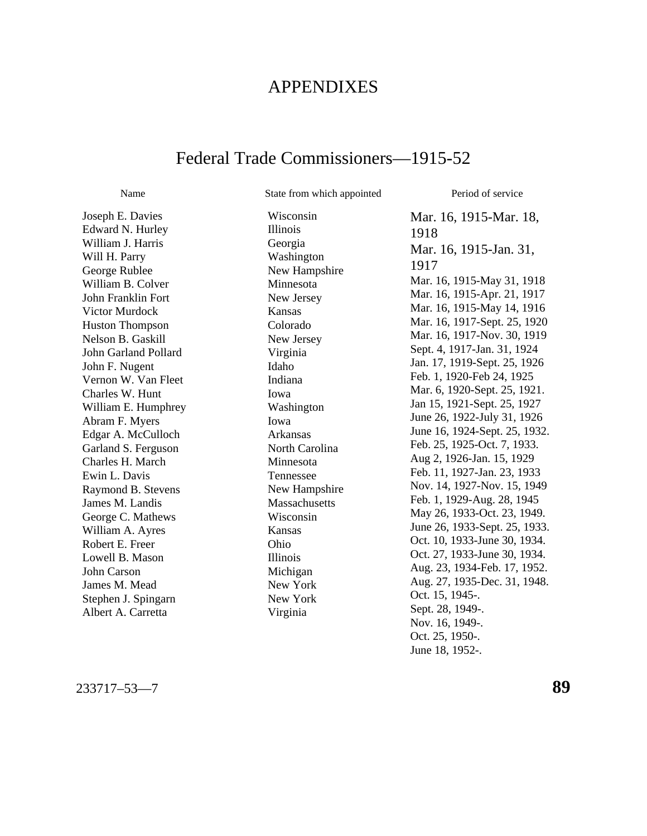## APPENDIXES

## Federal Trade Commissioners—1915-52

Name State from which appointed Period of service

Joseph E. Davies Edward N. Hurley William J. Harris Will H. Parry George Rublee William B. Colver John Franklin Fort Victor Murdock Huston Thompson Nelson B. Gaskill John Garland Pollard John F. Nugent Vernon W. Van Fleet Charles W. Hunt William E. Humphrey Abram F. Myers Edgar A. McCulloch Garland S. Ferguson Charles H. March Ewin L. Davis Raymond B. Stevens James M. Landis George C. Mathews William A. Ayres Robert E. Freer Lowell B. Mason John Carson James M. Mead Stephen J. Spingarn Albert A. Carretta

Wisconsin Illinois Georgia Washington New Hampshire Minnesota New Jersey Kansas Colorado New Jersey Virginia Idaho Indiana Iowa Washington Iowa Arkansas North Carolina Minnesota Tennessee New Hampshire **Massachusetts** Wisconsin Kansas Ohio Illinois Michigan New York New York Virginia

Mar. 16, 1915-Mar. 18, 1918 Mar. 16, 1915-Jan. 31, 1917 Mar. 16, 1915-May 31, 1918 Mar. 16, 1915-Apr. 21, 1917 Mar. 16, 1915-May 14, 1916 Mar. 16, 1917-Sept. 25, 1920 Mar. 16, 1917-Nov. 30, 1919 Sept. 4, 1917-Jan. 31, 1924 Jan. 17, 1919-Sept. 25, 1926 Feb. 1, 1920-Feb 24, 1925 Mar. 6, 1920-Sept. 25, 1921. Jan 15, 1921-Sept. 25, 1927 June 26, 1922-July 31, 1926 June 16, 1924-Sept. 25, 1932. Feb. 25, 1925-Oct. 7, 1933. Aug 2, 1926-Jan. 15, 1929 Feb. 11, 1927-Jan. 23, 1933 Nov. 14, 1927-Nov. 15, 1949 Feb. 1, 1929-Aug. 28, 1945 May 26, 1933-Oct. 23, 1949. June 26, 1933-Sept. 25, 1933. Oct. 10, 1933-June 30, 1934. Oct. 27, 1933-June 30, 1934. Aug. 23, 1934-Feb. 17, 1952. Aug. 27, 1935-Dec. 31, 1948. Oct. 15, 1945-. Sept. 28, 1949-. Nov. 16, 1949-. Oct. 25, 1950-. June 18, 1952-.

233717–53—7 **89**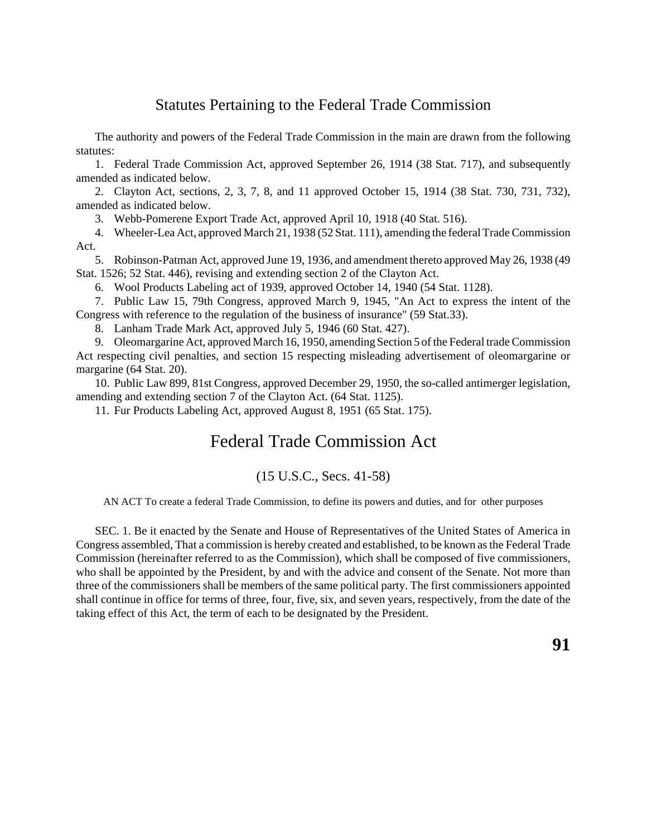## Statutes Pertaining to the Federal Trade Commission

The authority and powers of the Federal Trade Commission in the main are drawn from the following statutes:

1. Federal Trade Commission Act, approved September 26, 1914 (38 Stat. 717), and subsequently amended as indicated below.

2. Clayton Act, sections, 2, 3, 7, 8, and 11 approved October 15, 1914 (38 Stat. 730, 731, 732), amended as indicated below.

3. Webb-Pomerene Export Trade Act, approved April 10, 1918 (40 Stat. 516).

4. Wheeler-Lea Act, approved March 21, 1938 (52 Stat. 111), amending the federal Trade Commission Act.

5. Robinson-Patman Act, approved June 19, 1936, and amendment thereto approved May 26, 1938 (49 Stat. 1526; 52 Stat. 446), revising and extending section 2 of the Clayton Act.

6. Wool Products Labeling act of 1939, approved October 14, 1940 (54 Stat. 1128).

7. Public Law 15, 79th Congress, approved March 9, 1945, "An Act to express the intent of the Congress with reference to the regulation of the business of insurance" (59 Stat.33).

8. Lanham Trade Mark Act, approved July 5, 1946 (60 Stat. 427).

9. Oleomargarine Act, approved March 16, 1950, amending Section 5 of the Federal trade Commission Act respecting civil penalties, and section 15 respecting misleading advertisement of oleomargarine or margarine (64 Stat. 20).

10. Public Law 899, 81st Congress, approved December 29, 1950, the so-called antimerger legislation, amending and extending section 7 of the Clayton Act. (64 Stat. 1125).

11. Fur Products Labeling Act, approved August 8, 1951 (65 Stat. 175).

## Federal Trade Commission Act

#### (15 U.S.C., Secs. 41-58)

AN ACT To create a federal Trade Commission, to define its powers and duties, and for other purposes

SEC. 1. Be it enacted by the Senate and House of Representatives of the United States of America in Congress assembled, That a commission is hereby created and established, to be known asthe Federal Trade Commission (hereinafter referred to as the Commission), which shall be composed of five commissioners, who shall be appointed by the President, by and with the advice and consent of the Senate. Not more than three of the commissioners shall be members of the same political party. The first commissioners appointed shall continue in office for terms of three, four, five, six, and seven years, respectively, from the date of the taking effect of this Act, the term of each to be designated by the President.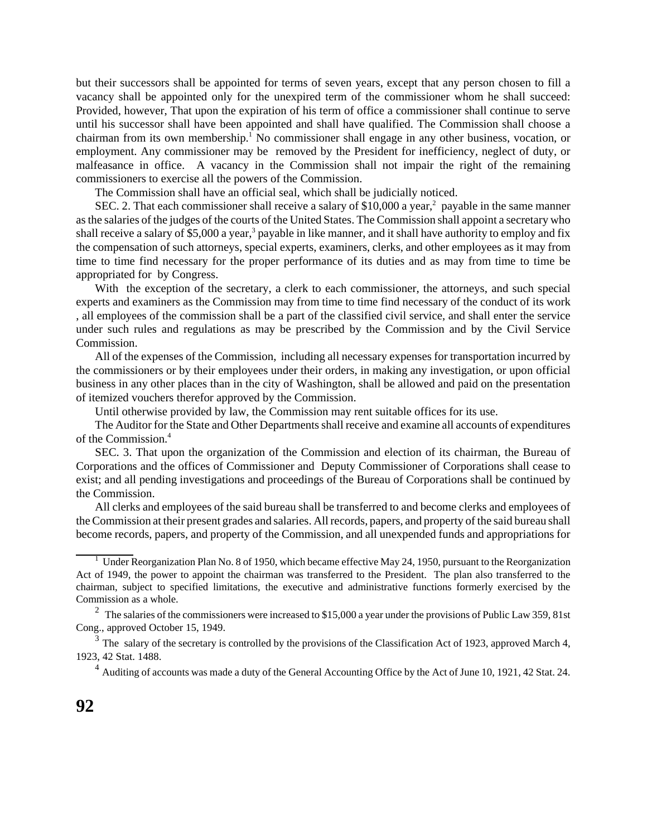but their successors shall be appointed for terms of seven years, except that any person chosen to fill a vacancy shall be appointed only for the unexpired term of the commissioner whom he shall succeed: Provided, however, That upon the expiration of his term of office a commissioner shall continue to serve until his successor shall have been appointed and shall have qualified. The Commission shall choose a chairman from its own membership.<sup>1</sup> No commissioner shall engage in any other business, vocation, or employment. Any commissioner may be removed by the President for inefficiency, neglect of duty, or malfeasance in office. A vacancy in the Commission shall not impair the right of the remaining commissioners to exercise all the powers of the Commission.

The Commission shall have an official seal, which shall be judicially noticed.

SEC. 2. That each commissioner shall receive a salary of \$10,000 a year,<sup>2</sup> payable in the same manner asthe salaries of the judges of the courts of the United States. The Commission shall appoint a secretary who shall receive a salary of \$5,000 a year,<sup>3</sup> payable in like manner, and it shall have authority to employ and fix the compensation of such attorneys, special experts, examiners, clerks, and other employees as it may from time to time find necessary for the proper performance of its duties and as may from time to time be appropriated for by Congress.

With the exception of the secretary, a clerk to each commissioner, the attorneys, and such special experts and examiners as the Commission may from time to time find necessary of the conduct of its work , all employees of the commission shall be a part of the classified civil service, and shall enter the service under such rules and regulations as may be prescribed by the Commission and by the Civil Service Commission.

All of the expenses of the Commission, including all necessary expenses for transportation incurred by the commissioners or by their employees under their orders, in making any investigation, or upon official business in any other places than in the city of Washington, shall be allowed and paid on the presentation of itemized vouchers therefor approved by the Commission.

Until otherwise provided by law, the Commission may rent suitable offices for its use.

The Auditor for the State and Other Departments shall receive and examine all accounts of expenditures of the Commission.<sup>4</sup>

SEC. 3. That upon the organization of the Commission and election of its chairman, the Bureau of Corporations and the offices of Commissioner and Deputy Commissioner of Corporations shall cease to exist; and all pending investigations and proceedings of the Bureau of Corporations shall be continued by the Commission.

All clerks and employees of the said bureau shall be transferred to and become clerks and employees of theCommission at their present grades and salaries. Allrecords, papers, and property of the said bureau shall become records, papers, and property of the Commission, and all unexpended funds and appropriations for

 $\frac{1}{1}$  Under Reorganization Plan No. 8 of 1950, which became effective May 24, 1950, pursuant to the Reorganization Act of 1949, the power to appoint the chairman was transferred to the President. The plan also transferred to the chairman, subject to specified limitations, the executive and administrative functions formerly exercised by the Commission as a whole.

<sup>&</sup>lt;sup>2</sup> The salaries of the commissioners were increased to \$15,000 a year under the provisions of Public Law 359, 81st Cong., approved October 15, 1949.

 $3$  The salary of the secretary is controlled by the provisions of the Classification Act of 1923, approved March 4, 1923, 42 Stat. 1488.

 $^4$  Auditing of accounts was made a duty of the General Accounting Office by the Act of June 10, 1921, 42 Stat. 24.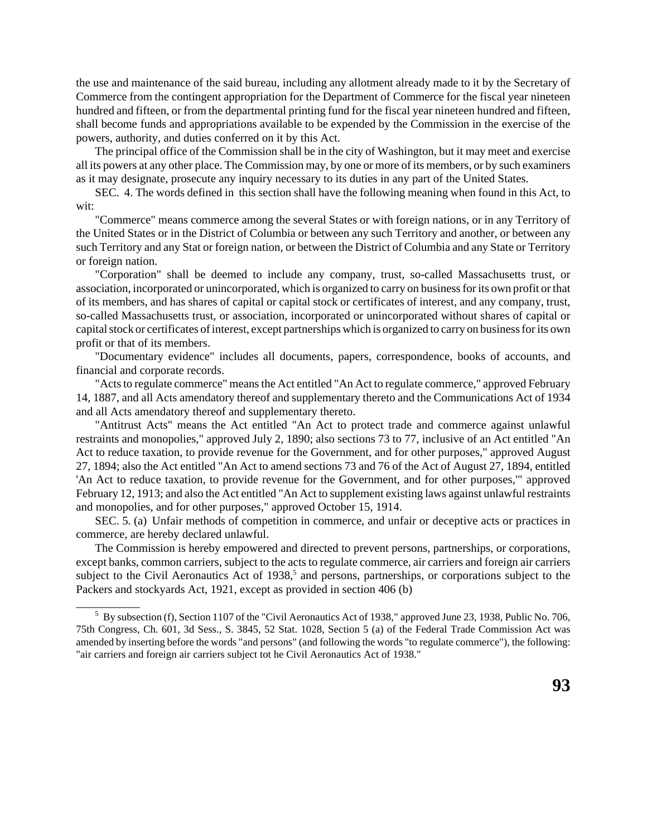the use and maintenance of the said bureau, including any allotment already made to it by the Secretary of Commerce from the contingent appropriation for the Department of Commerce for the fiscal year nineteen hundred and fifteen, or from the departmental printing fund for the fiscal year nineteen hundred and fifteen, shall become funds and appropriations available to be expended by the Commission in the exercise of the powers, authority, and duties conferred on it by this Act.

The principal office of the Commission shall be in the city of Washington, but it may meet and exercise all its powers at any other place. The Commission may, by one or more of its members, or by such examiners as it may designate, prosecute any inquiry necessary to its duties in any part of the United States.

SEC. 4. The words defined in this section shall have the following meaning when found in this Act, to wit:

"Commerce" means commerce among the several States or with foreign nations, or in any Territory of the United States or in the District of Columbia or between any such Territory and another, or between any such Territory and any Stat or foreign nation, or between the District of Columbia and any State or Territory or foreign nation.

"Corporation" shall be deemed to include any company, trust, so-called Massachusetts trust, or association, incorporated or unincorporated, which is organized to carry on businessforits own profit orthat of its members, and has shares of capital or capital stock or certificates of interest, and any company, trust, so-called Massachusetts trust, or association, incorporated or unincorporated without shares of capital or capital stock or certificates of interest, except partnerships which is organized to carry on business for its own profit or that of its members.

"Documentary evidence" includes all documents, papers, correspondence, books of accounts, and financial and corporate records.

"Acts to regulate commerce" means the Act entitled "An Act to regulate commerce," approved February 14, 1887, and all Acts amendatory thereof and supplementary thereto and the Communications Act of 1934 and all Acts amendatory thereof and supplementary thereto.

"Antitrust Acts" means the Act entitled "An Act to protect trade and commerce against unlawful restraints and monopolies," approved July 2, 1890; also sections 73 to 77, inclusive of an Act entitled "An Act to reduce taxation, to provide revenue for the Government, and for other purposes," approved August 27, 1894; also the Act entitled "An Act to amend sections 73 and 76 of the Act of August 27, 1894, entitled 'An Act to reduce taxation, to provide revenue for the Government, and for other purposes,'" approved February 12, 1913; and also the Act entitled "An Act to supplement existing laws against unlawful restraints and monopolies, and for other purposes," approved October 15, 1914.

SEC. 5. (a) Unfair methods of competition in commerce, and unfair or deceptive acts or practices in commerce, are hereby declared unlawful.

The Commission is hereby empowered and directed to prevent persons, partnerships, or corporations, except banks, common carriers, subject to the acts to regulate commerce, air carriers and foreign air carriers subject to the Civil Aeronautics Act of 1938,<sup>5</sup> and persons, partnerships, or corporations subject to the Packers and stockyards Act, 1921, except as provided in section 406 (b)

\_\_\_\_\_\_\_\_\_\_\_

<sup>&</sup>lt;sup>5</sup> By subsection (f), Section 1107 of the "Civil Aeronautics Act of 1938," approved June 23, 1938, Public No. 706, 75th Congress, Ch. 601, 3d Sess., S. 3845, 52 Stat. 1028, Section 5 (a) of the Federal Trade Commission Act was amended by inserting before the words "and persons" (and following the words "to regulate commerce"), the following: "air carriers and foreign air carriers subject tot he Civil Aeronautics Act of 1938."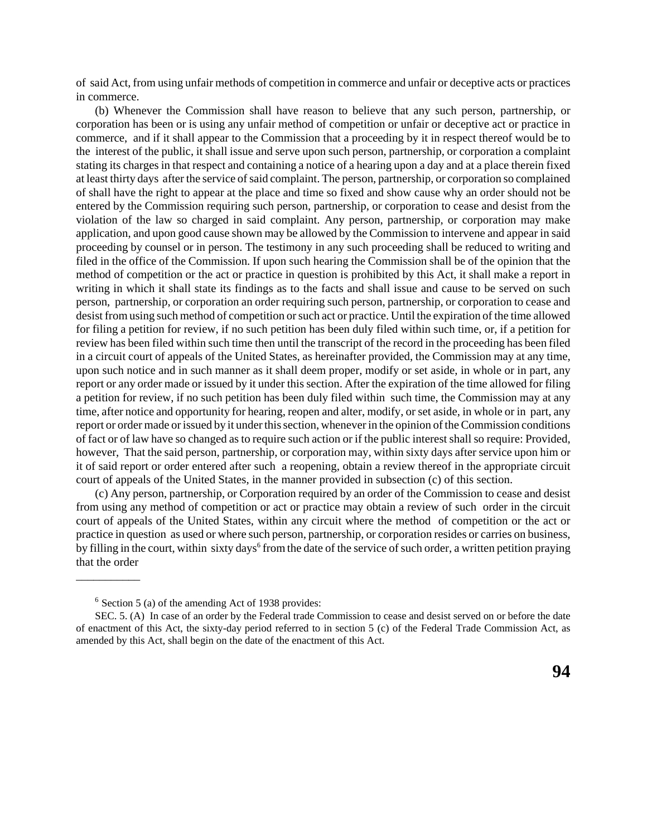of said Act, from using unfair methods of competition in commerce and unfair or deceptive acts or practices in commerce.

(b) Whenever the Commission shall have reason to believe that any such person, partnership, or corporation has been or is using any unfair method of competition or unfair or deceptive act or practice in commerce, and if it shall appear to the Commission that a proceeding by it in respect thereof would be to the interest of the public, it shall issue and serve upon such person, partnership, or corporation a complaint stating its charges in that respect and containing a notice of a hearing upon a day and at a place therein fixed at least thirty days after the service of said complaint. The person, partnership, or corporation so complained of shall have the right to appear at the place and time so fixed and show cause why an order should not be entered by the Commission requiring such person, partnership, or corporation to cease and desist from the violation of the law so charged in said complaint. Any person, partnership, or corporation may make application, and upon good cause shown may be allowed by the Commission to intervene and appear in said proceeding by counsel or in person. The testimony in any such proceeding shall be reduced to writing and filed in the office of the Commission. If upon such hearing the Commission shall be of the opinion that the method of competition or the act or practice in question is prohibited by this Act, it shall make a report in writing in which it shall state its findings as to the facts and shall issue and cause to be served on such person, partnership, or corporation an order requiring such person, partnership, or corporation to cease and desist fromusing such method of competition orsuch act or practice. Until the expiration of the time allowed for filing a petition for review, if no such petition has been duly filed within such time, or, if a petition for review has been filed within such time then until the transcript of the record in the proceeding has been filed in a circuit court of appeals of the United States, as hereinafter provided, the Commission may at any time, upon such notice and in such manner as it shall deem proper, modify or set aside, in whole or in part, any report or any order made or issued by it under this section. After the expiration of the time allowed for filing a petition for review, if no such petition has been duly filed within such time, the Commission may at any time, after notice and opportunity for hearing, reopen and alter, modify, or set aside, in whole or in part, any report or order made or issued by it under this section, whenever in the opinion of the Commission conditions of fact or of law have so changed as to require such action or if the public interest shall so require: Provided, however, That the said person, partnership, or corporation may, within sixty days after service upon him or it of said report or order entered after such a reopening, obtain a review thereof in the appropriate circuit court of appeals of the United States, in the manner provided in subsection (c) of this section.

(c) Any person, partnership, or Corporation required by an order of the Commission to cease and desist from using any method of competition or act or practice may obtain a review of such order in the circuit court of appeals of the United States, within any circuit where the method of competition or the act or practice in question as used or where such person, partnership, or corporation resides or carries on business, by filling in the court, within sixty days<sup>6</sup> from the date of the service of such order, a written petition praying that the order

\_\_\_\_\_\_\_\_\_\_\_

 $6$  Section 5 (a) of the amending Act of 1938 provides:

SEC. 5. (A) In case of an order by the Federal trade Commission to cease and desist served on or before the date of enactment of this Act, the sixty-day period referred to in section 5 (c) of the Federal Trade Commission Act, as amended by this Act, shall begin on the date of the enactment of this Act.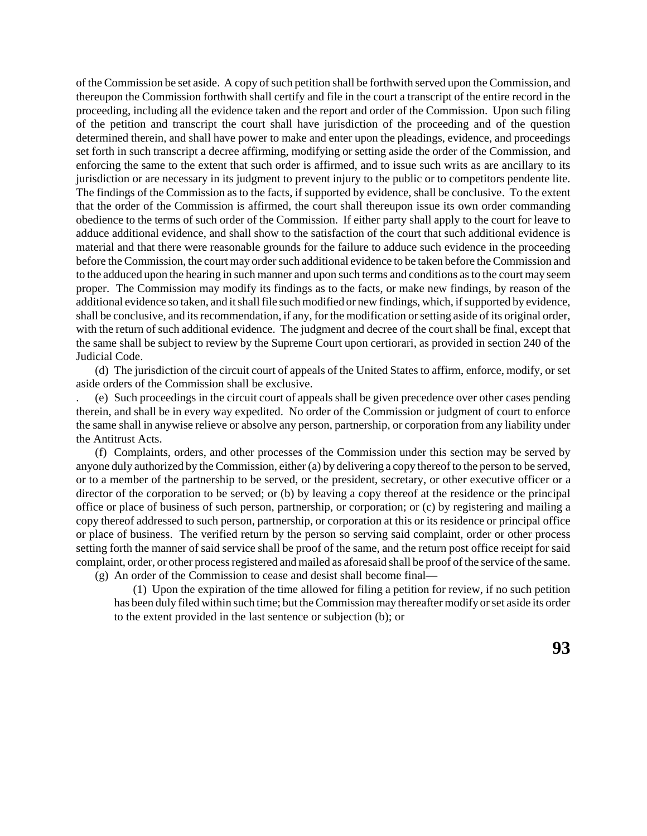of the Commission be set aside. A copy of such petition shall be forthwith served upon the Commission, and thereupon the Commission forthwith shall certify and file in the court a transcript of the entire record in the proceeding, including all the evidence taken and the report and order of the Commission. Upon such filing of the petition and transcript the court shall have jurisdiction of the proceeding and of the question determined therein, and shall have power to make and enter upon the pleadings, evidence, and proceedings set forth in such transcript a decree affirming, modifying or setting aside the order of the Commission, and enforcing the same to the extent that such order is affirmed, and to issue such writs as are ancillary to its jurisdiction or are necessary in its judgment to prevent injury to the public or to competitors pendente lite. The findings of the Commission as to the facts, if supported by evidence, shall be conclusive. To the extent that the order of the Commission is affirmed, the court shall thereupon issue its own order commanding obedience to the terms of such order of the Commission. If either party shall apply to the court for leave to adduce additional evidence, and shall show to the satisfaction of the court that such additional evidence is material and that there were reasonable grounds for the failure to adduce such evidence in the proceeding before the Commission, the court may order such additional evidence to be taken before the Commission and to the adduced upon the hearing in such manner and upon such terms and conditions asto the court may seem proper. The Commission may modify its findings as to the facts, or make new findings, by reason of the additional evidence so taken, and it shall file such modified or new findings, which, if supported by evidence, shall be conclusive, and its recommendation, if any, for the modification or setting aside of its original order, with the return of such additional evidence. The judgment and decree of the court shall be final, except that the same shall be subject to review by the Supreme Court upon certiorari, as provided in section 240 of the Judicial Code.

(d) The jurisdiction of the circuit court of appeals of the United States to affirm, enforce, modify, or set aside orders of the Commission shall be exclusive.

. (e) Such proceedings in the circuit court of appeals shall be given precedence over other cases pending therein, and shall be in every way expedited. No order of the Commission or judgment of court to enforce the same shall in anywise relieve or absolve any person, partnership, or corporation from any liability under the Antitrust Acts.

(f) Complaints, orders, and other processes of the Commission under this section may be served by anyone duly authorized by the Commission, either (a) by delivering a copy thereofto the person to be served, or to a member of the partnership to be served, or the president, secretary, or other executive officer or a director of the corporation to be served; or (b) by leaving a copy thereof at the residence or the principal office or place of business of such person, partnership, or corporation; or (c) by registering and mailing a copy thereof addressed to such person, partnership, or corporation at this or its residence or principal office or place of business. The verified return by the person so serving said complaint, order or other process setting forth the manner of said service shall be proof of the same, and the return post office receipt for said complaint, order, or other process registered and mailed as aforesaid shall be proof of the service of the same. (g) An order of the Commission to cease and desist shall become final—

(1) Upon the expiration of the time allowed for filing a petition for review, if no such petition has been duly filed within such time; but the Commission may thereafter modify or set aside its order to the extent provided in the last sentence or subjection (b); or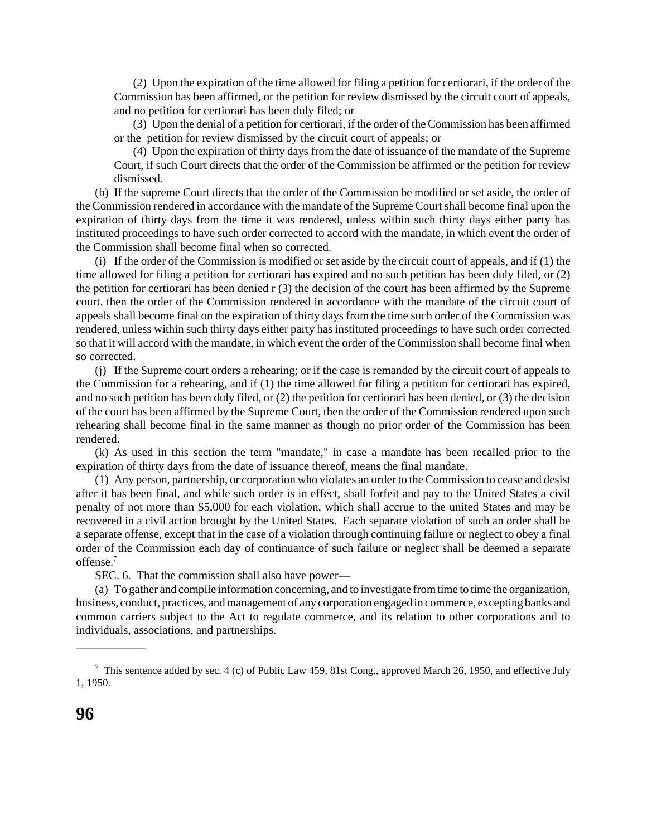(2) Upon the expiration of the time allowed for filing a petition for certiorari, if the order of the Commission has been affirmed, or the petition for review dismissed by the circuit court of appeals, and no petition for certiorari has been duly filed; or

(3) Upon the denial of a petition for certiorari, if the order oftheCommission has been affirmed or the petition for review dismissed by the circuit court of appeals; or

(4) Upon the expiration of thirty days from the date of issuance of the mandate of the Supreme Court, if such Court directs that the order of the Commission be affirmed or the petition for review dismissed.

(h) If the supreme Court directs that the order of the Commission be modified or set aside, the order of the Commission rendered in accordance with the mandate of the Supreme Courtshall become final upon the expiration of thirty days from the time it was rendered, unless within such thirty days either party has instituted proceedings to have such order corrected to accord with the mandate, in which event the order of the Commission shall become final when so corrected.

(i) If the order of the Commission is modified or set aside by the circuit court of appeals, and if (1) the time allowed for filing a petition for certiorari has expired and no such petition has been duly filed, or (2) the petition for certiorari has been denied r (3) the decision of the court has been affirmed by the Supreme court, then the order of the Commission rendered in accordance with the mandate of the circuit court of appeals shall become final on the expiration of thirty days from the time such order of the Commission was rendered, unless within such thirty days either party has instituted proceedings to have such order corrected so that it will accord with the mandate, in which event the order of the Commission shall become final when so corrected.

(j) If the Supreme court orders a rehearing; or if the case is remanded by the circuit court of appeals to the Commission for a rehearing, and if (1) the time allowed for filing a petition for certiorari has expired, and no such petition has been duly filed, or (2) the petition for certiorari has been denied, or (3) the decision of the court has been affirmed by the Supreme Court, then the order of the Commission rendered upon such rehearing shall become final in the same manner as though no prior order of the Commission has been rendered.

(k) As used in this section the term "mandate," in case a mandate has been recalled prior to the expiration of thirty days from the date of issuance thereof, means the final mandate.

(1) Any person, partnership, or corporation who violates an order to the Commission to cease and desist after it has been final, and while such order is in effect, shall forfeit and pay to the United States a civil penalty of not more than \$5,000 for each violation, which shall accrue to the united States and may be recovered in a civil action brought by the United States. Each separate violation of such an order shall be a separate offense, except that in the case of a violation through continuing failure or neglect to obey a final order of the Commission each day of continuance of such failure or neglect shall be deemed a separate offense.<sup>7</sup>

SEC. 6. That the commission shall also have power—

(a) To gather and compile information concerning, and to investigate fromtime to time the organization, business, conduct, practices, and management of any corporation engaged in commerce, excepting banks and common carriers subject to the Act to regulate commerce, and its relation to other corporations and to individuals, associations, and partnerships.

\_\_\_\_\_\_\_\_\_\_\_\_

<sup>&</sup>lt;sup>7</sup> This sentence added by sec. 4 (c) of Public Law 459, 81st Cong., approved March 26, 1950, and effective July 1, 1950.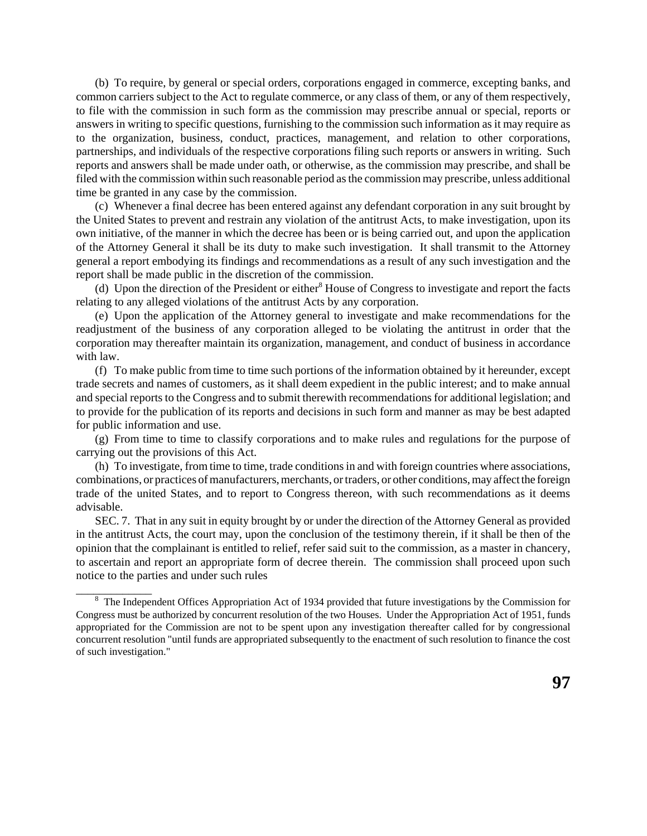(b) To require, by general or special orders, corporations engaged in commerce, excepting banks, and common carriers subject to the Act to regulate commerce, or any class of them, or any of them respectively, to file with the commission in such form as the commission may prescribe annual or special, reports or answers in writing to specific questions, furnishing to the commission such information as it may require as to the organization, business, conduct, practices, management, and relation to other corporations, partnerships, and individuals of the respective corporations filing such reports or answers in writing. Such reports and answers shall be made under oath, or otherwise, as the commission may prescribe, and shall be filed with the commission within such reasonable period asthe commission may prescribe, unless additional time be granted in any case by the commission.

(c) Whenever a final decree has been entered against any defendant corporation in any suit brought by the United States to prevent and restrain any violation of the antitrust Acts, to make investigation, upon its own initiative, of the manner in which the decree has been or is being carried out, and upon the application of the Attorney General it shall be its duty to make such investigation. It shall transmit to the Attorney general a report embodying its findings and recommendations as a result of any such investigation and the report shall be made public in the discretion of the commission.

(d) Upon the direction of the President or either<sup>8</sup> House of Congress to investigate and report the facts relating to any alleged violations of the antitrust Acts by any corporation.

(e) Upon the application of the Attorney general to investigate and make recommendations for the readjustment of the business of any corporation alleged to be violating the antitrust in order that the corporation may thereafter maintain its organization, management, and conduct of business in accordance with law.

(f) To make public from time to time such portions of the information obtained by it hereunder, except trade secrets and names of customers, as it shall deem expedient in the public interest; and to make annual and special reports to the Congress and to submit therewith recommendations for additional legislation; and to provide for the publication of its reports and decisions in such form and manner as may be best adapted for public information and use.

(g) From time to time to classify corporations and to make rules and regulations for the purpose of carrying out the provisions of this Act.

(h) To investigate, from time to time, trade conditionsin and with foreign countries where associations, combinations, or practices of manufacturers, merchants, or traders, or other conditions, may affect the foreign trade of the united States, and to report to Congress thereon, with such recommendations as it deems advisable.

SEC. 7. That in any suit in equity brought by or under the direction of the Attorney General as provided in the antitrust Acts, the court may, upon the conclusion of the testimony therein, if it shall be then of the opinion that the complainant is entitled to relief, refer said suit to the commission, as a master in chancery, to ascertain and report an appropriate form of decree therein. The commission shall proceed upon such notice to the parties and under such rules

\_\_\_\_\_\_\_\_\_\_\_\_\_

<sup>&</sup>lt;sup>8</sup> The Independent Offices Appropriation Act of 1934 provided that future investigations by the Commission for Congress must be authorized by concurrent resolution of the two Houses. Under the Appropriation Act of 1951, funds appropriated for the Commission are not to be spent upon any investigation thereafter called for by congressional concurrent resolution "until funds are appropriated subsequently to the enactment of such resolution to finance the cost of such investigation."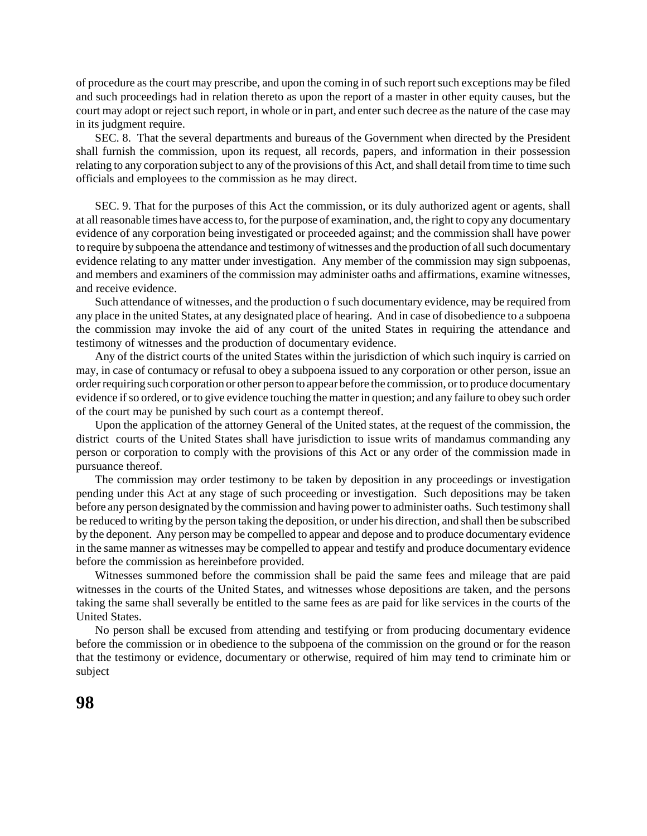of procedure as the court may prescribe, and upon the coming in of such reportsuch exceptions may be filed and such proceedings had in relation thereto as upon the report of a master in other equity causes, but the court may adopt or reject such report, in whole or in part, and enter such decree as the nature of the case may in its judgment require.

SEC. 8. That the several departments and bureaus of the Government when directed by the President shall furnish the commission, upon its request, all records, papers, and information in their possession relating to any corporation subject to any of the provisions of this Act, and shall detail fromtime to time such officials and employees to the commission as he may direct.

SEC. 9. That for the purposes of this Act the commission, or its duly authorized agent or agents, shall at all reasonable times have access to, for the purpose of examination, and, the right to copy any documentary evidence of any corporation being investigated or proceeded against; and the commission shall have power to require by subpoena the attendance and testimony of witnesses and the production of all such documentary evidence relating to any matter under investigation. Any member of the commission may sign subpoenas, and members and examiners of the commission may administer oaths and affirmations, examine witnesses, and receive evidence.

Such attendance of witnesses, and the production o f such documentary evidence, may be required from any place in the united States, at any designated place of hearing. And in case of disobedience to a subpoena the commission may invoke the aid of any court of the united States in requiring the attendance and testimony of witnesses and the production of documentary evidence.

Any of the district courts of the united States within the jurisdiction of which such inquiry is carried on may, in case of contumacy or refusal to obey a subpoena issued to any corporation or other person, issue an order requiring such corporation or other person to appear before the commission, or to produce documentary evidence if so ordered, or to give evidence touching the matter in question; and any failure to obey such order of the court may be punished by such court as a contempt thereof.

Upon the application of the attorney General of the United states, at the request of the commission, the district courts of the United States shall have jurisdiction to issue writs of mandamus commanding any person or corporation to comply with the provisions of this Act or any order of the commission made in pursuance thereof.

The commission may order testimony to be taken by deposition in any proceedings or investigation pending under this Act at any stage of such proceeding or investigation. Such depositions may be taken before any person designated by the commission and having power to administer oaths. Such testimony shall be reduced to writing by the person taking the deposition, or under his direction, and shall then be subscribed by the deponent. Any person may be compelled to appear and depose and to produce documentary evidence in the same manner as witnesses may be compelled to appear and testify and produce documentary evidence before the commission as hereinbefore provided.

Witnesses summoned before the commission shall be paid the same fees and mileage that are paid witnesses in the courts of the United States, and witnesses whose depositions are taken, and the persons taking the same shall severally be entitled to the same fees as are paid for like services in the courts of the United States.

No person shall be excused from attending and testifying or from producing documentary evidence before the commission or in obedience to the subpoena of the commission on the ground or for the reason that the testimony or evidence, documentary or otherwise, required of him may tend to criminate him or subject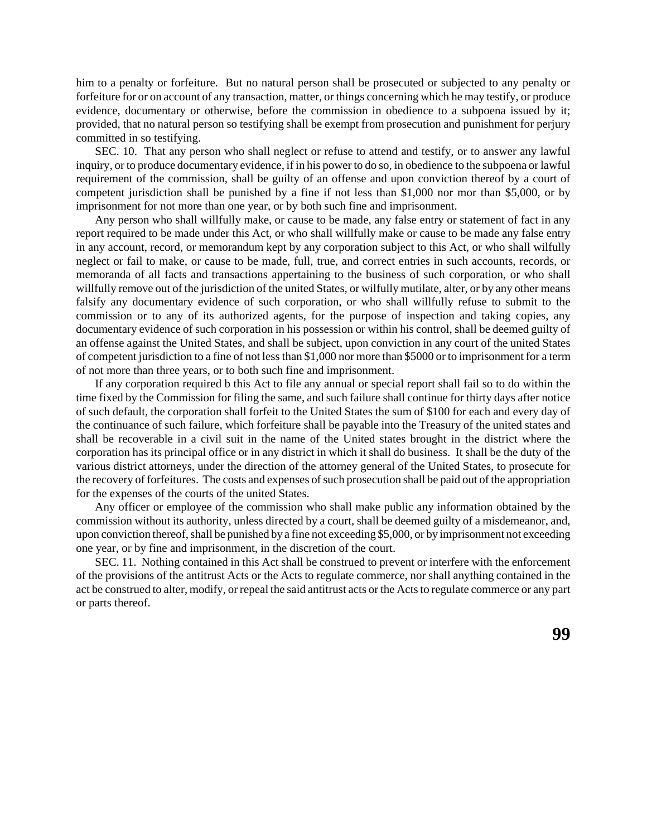him to a penalty or forfeiture. But no natural person shall be prosecuted or subjected to any penalty or forfeiture for or on account of any transaction, matter, or things concerning which he may testify, or produce evidence, documentary or otherwise, before the commission in obedience to a subpoena issued by it; provided, that no natural person so testifying shall be exempt from prosecution and punishment for perjury committed in so testifying.

SEC. 10. That any person who shall neglect or refuse to attend and testify, or to answer any lawful inquiry, or to produce documentary evidence, if in his power to do so, in obedience to the subpoena or lawful requirement of the commission, shall be guilty of an offense and upon conviction thereof by a court of competent jurisdiction shall be punished by a fine if not less than \$1,000 nor mor than \$5,000, or by imprisonment for not more than one year, or by both such fine and imprisonment.

Any person who shall willfully make, or cause to be made, any false entry or statement of fact in any report required to be made under this Act, or who shall willfully make or cause to be made any false entry in any account, record, or memorandum kept by any corporation subject to this Act, or who shall wilfully neglect or fail to make, or cause to be made, full, true, and correct entries in such accounts, records, or memoranda of all facts and transactions appertaining to the business of such corporation, or who shall willfully remove out of the jurisdiction of the united States, or wilfully mutilate, alter, or by any other means falsify any documentary evidence of such corporation, or who shall willfully refuse to submit to the commission or to any of its authorized agents, for the purpose of inspection and taking copies, any documentary evidence of such corporation in his possession or within his control, shall be deemed guilty of an offense against the United States, and shall be subject, upon conviction in any court of the united States of competent jurisdiction to a fine of not lessthan \$1,000 nor more than \$5000 or to imprisonment for a term of not more than three years, or to both such fine and imprisonment.

If any corporation required b this Act to file any annual or special report shall fail so to do within the time fixed by the Commission for filing the same, and such failure shall continue for thirty days after notice of such default, the corporation shall forfeit to the United States the sum of \$100 for each and every day of the continuance of such failure, which forfeiture shall be payable into the Treasury of the united states and shall be recoverable in a civil suit in the name of the United states brought in the district where the corporation has its principal office or in any district in which it shall do business. It shall be the duty of the various district attorneys, under the direction of the attorney general of the United States, to prosecute for the recovery of forfeitures. The costs and expenses of such prosecution shall be paid out of the appropriation for the expenses of the courts of the united States.

Any officer or employee of the commission who shall make public any information obtained by the commission without its authority, unless directed by a court, shall be deemed guilty of a misdemeanor, and, upon conviction thereof, shall be punished by a fine not exceeding \$5,000, or by imprisonment not exceeding one year, or by fine and imprisonment, in the discretion of the court.

SEC. 11. Nothing contained in this Act shall be construed to prevent or interfere with the enforcement of the provisions of the antitrust Acts or the Acts to regulate commerce, nor shall anything contained in the act be construed to alter, modify, or repeal the said antitrust acts or the Acts to regulate commerce or any part or parts thereof.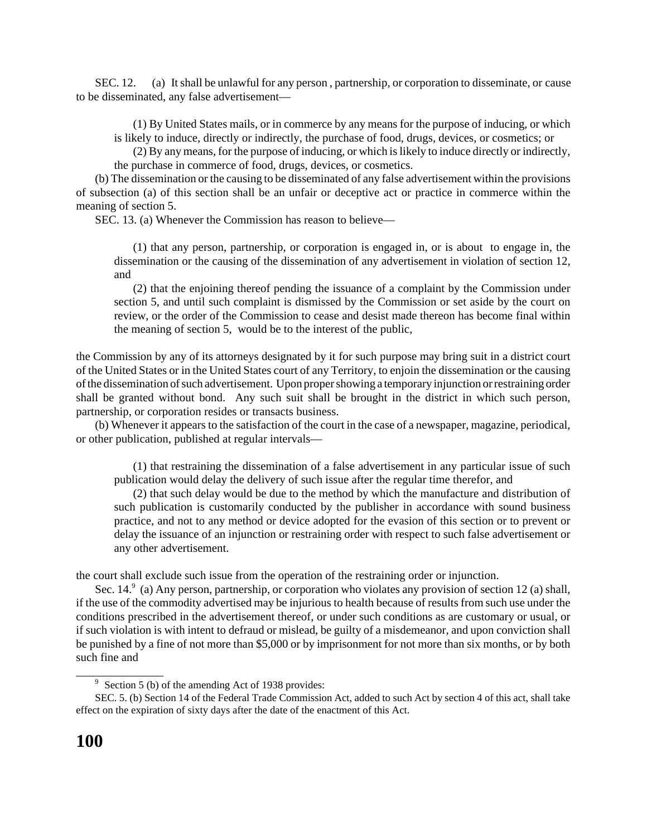SEC. 12. (a) Itshall be unlawful for any person , partnership, or corporation to disseminate, or cause to be disseminated, any false advertisement—

(1) By United States mails, or in commerce by any means for the purpose of inducing, or which is likely to induce, directly or indirectly, the purchase of food, drugs, devices, or cosmetics; or

(2) By any means, for the purpose of inducing, or which islikely to induce directly or indirectly, the purchase in commerce of food, drugs, devices, or cosmetics.

(b) The dissemination or the causing to be disseminated of any false advertisement within the provisions of subsection (a) of this section shall be an unfair or deceptive act or practice in commerce within the meaning of section 5.

SEC. 13. (a) Whenever the Commission has reason to believe—

(1) that any person, partnership, or corporation is engaged in, or is about to engage in, the dissemination or the causing of the dissemination of any advertisement in violation of section 12, and

(2) that the enjoining thereof pending the issuance of a complaint by the Commission under section 5, and until such complaint is dismissed by the Commission or set aside by the court on review, or the order of the Commission to cease and desist made thereon has become final within the meaning of section 5, would be to the interest of the public,

the Commission by any of its attorneys designated by it for such purpose may bring suit in a district court of the United States or in the United States court of any Territory, to enjoin the dissemination or the causing ofthe dissemination ofsuch advertisement. Upon proper showing a temporary injunction or restraining order shall be granted without bond. Any such suit shall be brought in the district in which such person, partnership, or corporation resides or transacts business.

(b) Whenever it appears to the satisfaction of the court in the case of a newspaper, magazine, periodical, or other publication, published at regular intervals—

(1) that restraining the dissemination of a false advertisement in any particular issue of such publication would delay the delivery of such issue after the regular time therefor, and

(2) that such delay would be due to the method by which the manufacture and distribution of such publication is customarily conducted by the publisher in accordance with sound business practice, and not to any method or device adopted for the evasion of this section or to prevent or delay the issuance of an injunction or restraining order with respect to such false advertisement or any other advertisement.

the court shall exclude such issue from the operation of the restraining order or injunction.

Sec. 14.<sup>9</sup> (a) Any person, partnership, or corporation who violates any provision of section 12 (a) shall, if the use of the commodity advertised may be injurious to health because of results from such use under the conditions prescribed in the advertisement thereof, or under such conditions as are customary or usual, or if such violation is with intent to defraud or mislead, be guilty of a misdemeanor, and upon conviction shall be punished by a fine of not more than \$5,000 or by imprisonment for not more than six months, or by both such fine and

\_\_\_\_\_\_\_\_\_\_\_\_\_\_\_

<sup>&</sup>lt;sup>9</sup> Section 5 (b) of the amending Act of 1938 provides:

SEC. 5. (b) Section 14 of the Federal Trade Commission Act, added to such Act by section 4 of this act, shall take effect on the expiration of sixty days after the date of the enactment of this Act.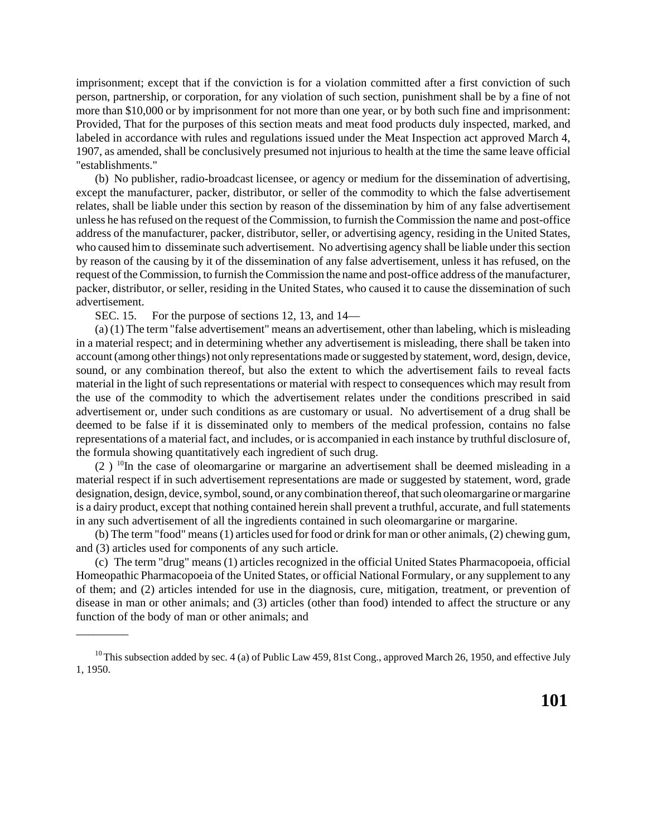imprisonment; except that if the conviction is for a violation committed after a first conviction of such person, partnership, or corporation, for any violation of such section, punishment shall be by a fine of not more than \$10,000 or by imprisonment for not more than one year, or by both such fine and imprisonment: Provided, That for the purposes of this section meats and meat food products duly inspected, marked, and labeled in accordance with rules and regulations issued under the Meat Inspection act approved March 4, 1907, as amended, shall be conclusively presumed not injurious to health at the time the same leave official "establishments."

(b) No publisher, radio-broadcast licensee, or agency or medium for the dissemination of advertising, except the manufacturer, packer, distributor, or seller of the commodity to which the false advertisement relates, shall be liable under this section by reason of the dissemination by him of any false advertisement unless he hasrefused on the request of the Commission, to furnish the Commission the name and post-office address of the manufacturer, packer, distributor, seller, or advertising agency, residing in the United States, who caused himto disseminate such advertisement. No advertising agency shall be liable under this section by reason of the causing by it of the dissemination of any false advertisement, unless it has refused, on the request oftheCommission, to furnish theCommission the name and post-office address ofthe manufacturer, packer, distributor, or seller, residing in the United States, who caused it to cause the dissemination of such advertisement.

SEC. 15. For the purpose of sections 12, 13, and 14—

\_\_\_\_\_\_\_\_\_

(a) (1) The term "false advertisement" means an advertisement, other than labeling, which is misleading in a material respect; and in determining whether any advertisement is misleading, there shall be taken into account (among other things) not only representations made or suggested by statement, word, design, device, sound, or any combination thereof, but also the extent to which the advertisement fails to reveal facts material in the light of such representations or material with respect to consequences which may result from the use of the commodity to which the advertisement relates under the conditions prescribed in said advertisement or, under such conditions as are customary or usual. No advertisement of a drug shall be deemed to be false if it is disseminated only to members of the medical profession, contains no false representations of a material fact, and includes, or is accompanied in each instance by truthful disclosure of, the formula showing quantitatively each ingredient of such drug.

 $(2)$  <sup>10</sup>In the case of oleomargarine or margarine an advertisement shall be deemed misleading in a material respect if in such advertisement representations are made or suggested by statement, word, grade designation, design, device, symbol, sound, or any combination thereof, that such oleomargarine or margarine is a dairy product, except that nothing contained herein shall prevent a truthful, accurate, and fullstatements in any such advertisement of all the ingredients contained in such oleomargarine or margarine.

(b) The term "food" means(1) articles used for food or drink for man or other animals, (2) chewing gum, and (3) articles used for components of any such article.

(c) The term "drug" means (1) articles recognized in the official United States Pharmacopoeia, official Homeopathic Pharmacopoeia of the United States, or official National Formulary, or any supplement to any of them; and (2) articles intended for use in the diagnosis, cure, mitigation, treatment, or prevention of disease in man or other animals; and (3) articles (other than food) intended to affect the structure or any function of the body of man or other animals; and

<sup>&</sup>lt;sup>10</sup>This subsection added by sec. 4 (a) of Public Law 459, 81st Cong., approved March 26, 1950, and effective July 1, 1950.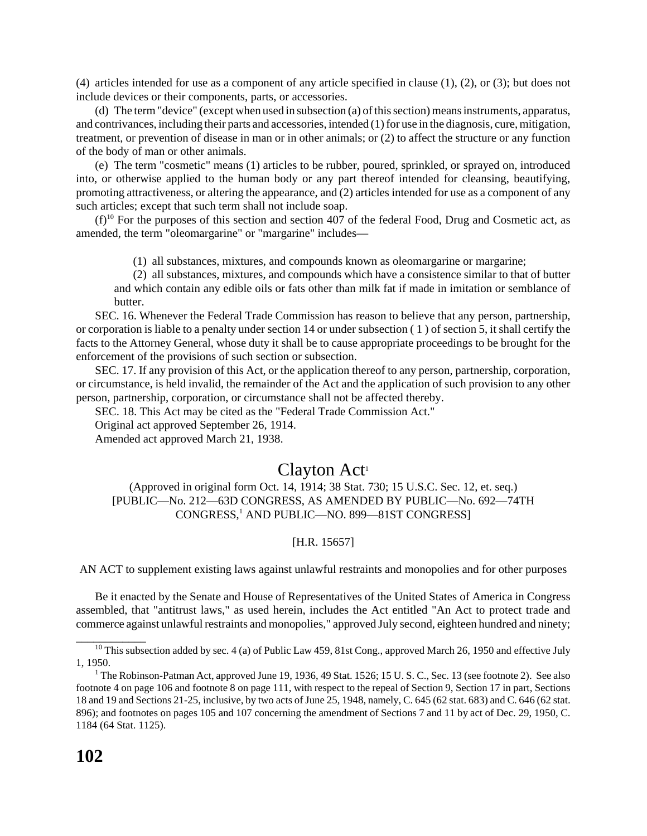(4) articles intended for use as a component of any article specified in clause (1), (2), or (3); but does not include devices or their components, parts, or accessories.

(d) The term "device" (except when used in subsection (a) of this section) means instruments, apparatus, and contrivances, including their parts and accessories, intended  $(1)$  for use in the diagnosis, cure, mitigation, treatment, or prevention of disease in man or in other animals; or (2) to affect the structure or any function of the body of man or other animals.

(e) The term "cosmetic" means (1) articles to be rubber, poured, sprinkled, or sprayed on, introduced into, or otherwise applied to the human body or any part thereof intended for cleansing, beautifying, promoting attractiveness, or altering the appearance, and (2) articles intended for use as a component of any such articles; except that such term shall not include soap.

 $(f)^{10}$  For the purposes of this section and section 407 of the federal Food, Drug and Cosmetic act, as amended, the term "oleomargarine" or "margarine" includes—

(1) all substances, mixtures, and compounds known as oleomargarine or margarine;

(2) all substances, mixtures, and compounds which have a consistence similar to that of butter

and which contain any edible oils or fats other than milk fat if made in imitation or semblance of butter.

SEC. 16. Whenever the Federal Trade Commission has reason to believe that any person, partnership, or corporation is liable to a penalty under section 14 or under subsection ( 1 ) of section 5, it shall certify the facts to the Attorney General, whose duty it shall be to cause appropriate proceedings to be brought for the enforcement of the provisions of such section or subsection.

SEC. 17. If any provision of this Act, or the application thereof to any person, partnership, corporation, or circumstance, is held invalid, the remainder of the Act and the application of such provision to any other person, partnership, corporation, or circumstance shall not be affected thereby.

SEC. 18. This Act may be cited as the "Federal Trade Commission Act."

Original act approved September 26, 1914.

Amended act approved March 21, 1938.

## $Clayton Act<sup>1</sup>$

(Approved in original form Oct. 14, 1914; 38 Stat. 730; 15 U.S.C. Sec. 12, et. seq.) [PUBLIC—No. 212—63D CONGRESS, AS AMENDED BY PUBLIC—No. 692—74TH CONGRESS,<sup>1</sup> AND PUBLIC—NO. 899—81ST CONGRESS]

#### [H.R. 15657]

AN ACT to supplement existing laws against unlawful restraints and monopolies and for other purposes

Be it enacted by the Senate and House of Representatives of the United States of America in Congress assembled, that "antitrust laws," as used herein, includes the Act entitled "An Act to protect trade and commerce against unlawful restraints and monopolies," approved July second, eighteen hundred and ninety;

\_\_\_\_\_\_\_\_\_\_\_\_

<sup>&</sup>lt;sup>10</sup> This subsection added by sec. 4 (a) of Public Law 459, 81st Cong., approved March 26, 1950 and effective July 1, 1950.

<sup>&</sup>lt;sup>1</sup> The Robinson-Patman Act, approved June 19, 1936, 49 Stat. 1526; 15 U.S.C., Sec. 13 (see footnote 2). See also footnote 4 on page 106 and footnote 8 on page 111, with respect to the repeal of Section 9, Section 17 in part, Sections 18 and 19 and Sections 21-25, inclusive, by two acts of June 25, 1948, namely, C. 645 (62 stat. 683) and C. 646 (62 stat. 896); and footnotes on pages 105 and 107 concerning the amendment of Sections 7 and 11 by act of Dec. 29, 1950, C. 1184 (64 Stat. 1125).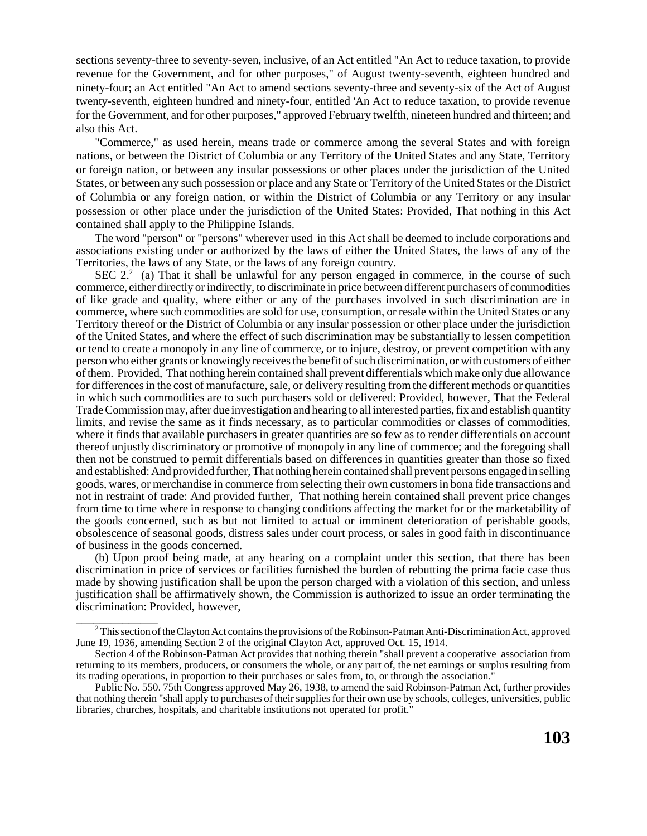sections seventy-three to seventy-seven, inclusive, of an Act entitled "An Act to reduce taxation, to provide revenue for the Government, and for other purposes," of August twenty-seventh, eighteen hundred and ninety-four; an Act entitled "An Act to amend sections seventy-three and seventy-six of the Act of August twenty-seventh, eighteen hundred and ninety-four, entitled 'An Act to reduce taxation, to provide revenue for the Government, and for other purposes," approved February twelfth, nineteen hundred and thirteen; and also this Act.

"Commerce," as used herein, means trade or commerce among the several States and with foreign nations, or between the District of Columbia or any Territory of the United States and any State, Territory or foreign nation, or between any insular possessions or other places under the jurisdiction of the United States, or between any such possession or place and any State or Territory of the United States or the District of Columbia or any foreign nation, or within the District of Columbia or any Territory or any insular possession or other place under the jurisdiction of the United States: Provided, That nothing in this Act contained shall apply to the Philippine Islands.

The word "person" or "persons" wherever used in this Act shall be deemed to include corporations and associations existing under or authorized by the laws of either the United States, the laws of any of the Territories, the laws of any State, or the laws of any foreign country.

SEC  $2<sup>2</sup>$  (a) That it shall be unlawful for any person engaged in commerce, in the course of such commerce, either directly orindirectly, to discriminate in price between different purchasers of commodities of like grade and quality, where either or any of the purchases involved in such discrimination are in commerce, where such commodities are sold for use, consumption, or resale within the United States or any Territory thereof or the District of Columbia or any insular possession or other place under the jurisdiction of the United States, and where the effect of such discrimination may be substantially to lessen competition or tend to create a monopoly in any line of commerce, or to injure, destroy, or prevent competition with any person who either grants or knowingly receives the benefit of such discrimination, or with customers of either ofthem. Provided, That nothing herein contained shall prevent differentials which make only due allowance for differences in the cost of manufacture, sale, or delivery resulting from the different methods or quantities in which such commodities are to such purchasers sold or delivered: Provided, however, That the Federal TradeCommissionmay, after due investigation and hearing to all interested parties,fix and establish quantity limits, and revise the same as it finds necessary, as to particular commodities or classes of commodities, where it finds that available purchasers in greater quantities are so few as to render differentials on account thereof unjustly discriminatory or promotive of monopoly in any line of commerce; and the foregoing shall then not be construed to permit differentials based on differences in quantities greater than those so fixed and established: And provided further, That nothing herein contained shall prevent persons engaged in selling goods, wares, or merchandise in commerce from selecting their own customersin bona fide transactions and not in restraint of trade: And provided further, That nothing herein contained shall prevent price changes from time to time where in response to changing conditions affecting the market for or the marketability of the goods concerned, such as but not limited to actual or imminent deterioration of perishable goods, obsolescence of seasonal goods, distress sales under court process, or sales in good faith in discontinuance of business in the goods concerned.

(b) Upon proof being made, at any hearing on a complaint under this section, that there has been discrimination in price of services or facilities furnished the burden of rebutting the prima facie case thus made by showing justification shall be upon the person charged with a violation of this section, and unless justification shall be affirmatively shown, the Commission is authorized to issue an order terminating the discrimination: Provided, however, \_\_\_\_\_\_\_\_\_\_\_\_\_\_

<sup>&</sup>lt;sup>2</sup> This section of the Clayton Act contains the provisions of the Robinson-Patman Anti-Discrimination Act, approved June 19, 1936, amending Section 2 of the original Clayton Act, approved Oct. 15, 1914.

Section 4 of the Robinson-Patman Act provides that nothing therein "shall prevent a cooperative association from returning to its members, producers, or consumers the whole, or any part of, the net earnings or surplus resulting from its trading operations, in proportion to their purchases or sales from, to, or through the association."

Public No. 550. 75th Congress approved May 26, 1938, to amend the said Robinson-Patman Act, further provides that nothing therein "shall apply to purchases of their supplies for their own use by schools, colleges, universities, public libraries, churches, hospitals, and charitable institutions not operated for profit."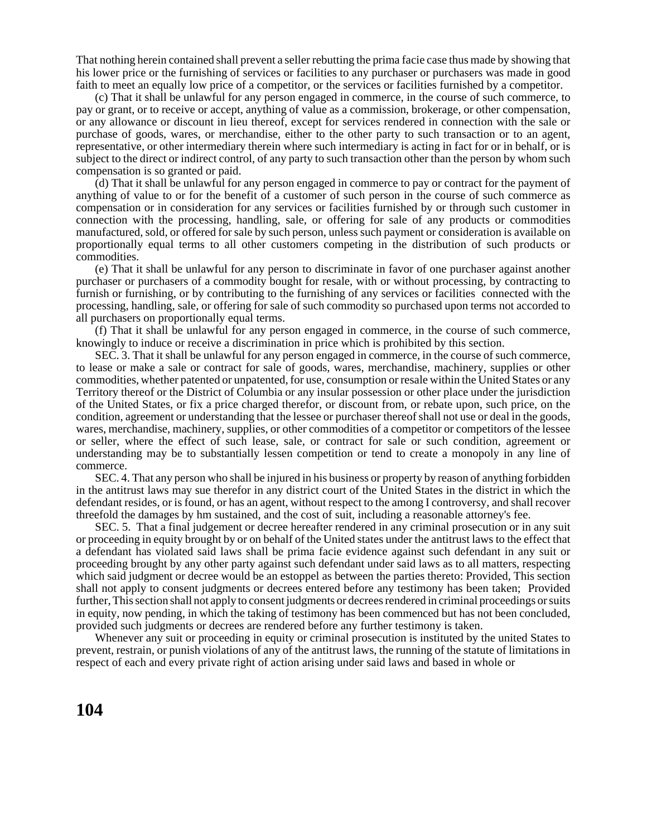That nothing herein contained shall prevent a seller rebutting the prima facie case thus made by showing that his lower price or the furnishing of services or facilities to any purchaser or purchasers was made in good faith to meet an equally low price of a competitor, or the services or facilities furnished by a competitor.

(c) That it shall be unlawful for any person engaged in commerce, in the course of such commerce, to pay or grant, or to receive or accept, anything of value as a commission, brokerage, or other compensation, or any allowance or discount in lieu thereof, except for services rendered in connection with the sale or purchase of goods, wares, or merchandise, either to the other party to such transaction or to an agent, representative, or other intermediary therein where such intermediary is acting in fact for or in behalf, or is subject to the direct or indirect control, of any party to such transaction other than the person by whom such compensation is so granted or paid.

(d) That it shall be unlawful for any person engaged in commerce to pay or contract for the payment of anything of value to or for the benefit of a customer of such person in the course of such commerce as compensation or in consideration for any services or facilities furnished by or through such customer in connection with the processing, handling, sale, or offering for sale of any products or commodities manufactured, sold, or offered for sale by such person, unless such payment or consideration is available on proportionally equal terms to all other customers competing in the distribution of such products or commodities.

(e) That it shall be unlawful for any person to discriminate in favor of one purchaser against another purchaser or purchasers of a commodity bought for resale, with or without processing, by contracting to furnish or furnishing, or by contributing to the furnishing of any services or facilities connected with the processing, handling, sale, or offering for sale of such commodity so purchased upon terms not accorded to all purchasers on proportionally equal terms.

(f) That it shall be unlawful for any person engaged in commerce, in the course of such commerce, knowingly to induce or receive a discrimination in price which is prohibited by this section.

SEC. 3. That it shall be unlawful for any person engaged in commerce, in the course of such commerce, to lease or make a sale or contract for sale of goods, wares, merchandise, machinery, supplies or other commodities, whether patented or unpatented, for use, consumption or resale within the United States or any Territory thereof or the District of Columbia or any insular possession or other place under the jurisdiction of the United States, or fix a price charged therefor, or discount from, or rebate upon, such price, on the condition, agreement or understanding that the lessee or purchaser thereof shall not use or deal in the goods, wares, merchandise, machinery, supplies, or other commodities of a competitor or competitors of the lessee or seller, where the effect of such lease, sale, or contract for sale or such condition, agreement or understanding may be to substantially lessen competition or tend to create a monopoly in any line of commerce.

SEC. 4. That any person who shall be injured in his business or property by reason of anything forbidden in the antitrust laws may sue therefor in any district court of the United States in the district in which the defendant resides, or is found, or has an agent, without respect to the among I controversy, and shall recover threefold the damages by hm sustained, and the cost of suit, including a reasonable attorney's fee.

SEC. 5. That a final judgement or decree hereafter rendered in any criminal prosecution or in any suit or proceeding in equity brought by or on behalf of the United states under the antitrust laws to the effect that a defendant has violated said laws shall be prima facie evidence against such defendant in any suit or proceeding brought by any other party against such defendant under said laws as to all matters, respecting which said judgment or decree would be an estoppel as between the parties thereto: Provided, This section shall not apply to consent judgments or decrees entered before any testimony has been taken; Provided further, This section shall not apply to consent judgments or decrees rendered in criminal proceedings or suits in equity, now pending, in which the taking of testimony has been commenced but has not been concluded, provided such judgments or decrees are rendered before any further testimony is taken.

Whenever any suit or proceeding in equity or criminal prosecution is instituted by the united States to prevent, restrain, or punish violations of any of the antitrust laws, the running of the statute of limitations in respect of each and every private right of action arising under said laws and based in whole or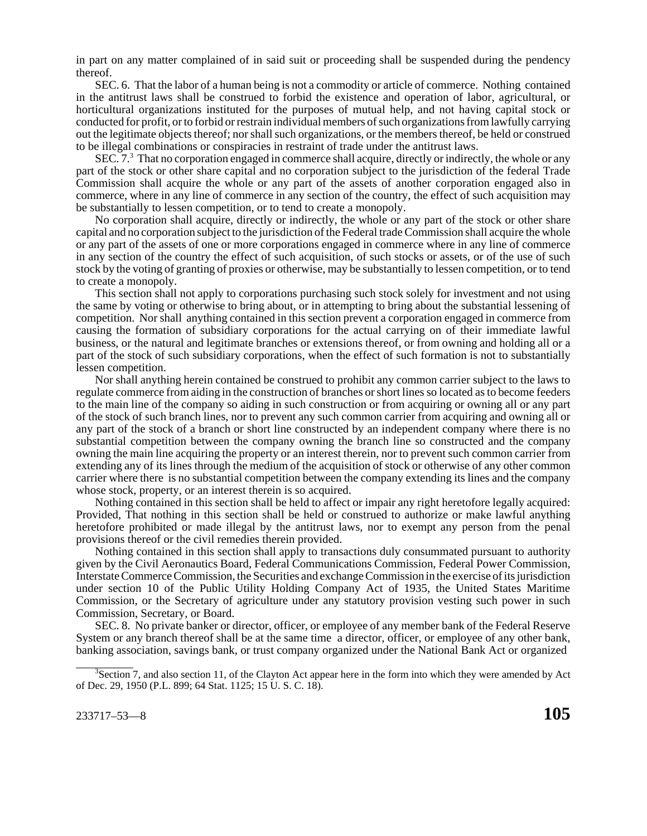in part on any matter complained of in said suit or proceeding shall be suspended during the pendency thereof.

SEC. 6. That the labor of a human being is not a commodity or article of commerce. Nothing contained in the antitrust laws shall be construed to forbid the existence and operation of labor, agricultural, or horticultural organizations instituted for the purposes of mutual help, and not having capital stock or conducted for profit, or to forbid or restrain individual members of such organizations from lawfully carrying out the legitimate objects thereof; nor shall such organizations, or the members thereof, be held or construed to be illegal combinations or conspiracies in restraint of trade under the antitrust laws.

SEC. 7.<sup>3</sup> That no corporation engaged in commerce shall acquire, directly or indirectly, the whole or any part of the stock or other share capital and no corporation subject to the jurisdiction of the federal Trade Commission shall acquire the whole or any part of the assets of another corporation engaged also in commerce, where in any line of commerce in any section of the country, the effect of such acquisition may be substantially to lessen competition, or to tend to create a monopoly.

No corporation shall acquire, directly or indirectly, the whole or any part of the stock or other share capital and no corporation subject to the jurisdiction of the Federal trade Commission shall acquire the whole or any part of the assets of one or more corporations engaged in commerce where in any line of commerce in any section of the country the effect of such acquisition, of such stocks or assets, or of the use of such stock by the voting of granting of proxies or otherwise, may be substantially to lessen competition, or to tend to create a monopoly.

This section shall not apply to corporations purchasing such stock solely for investment and not using the same by voting or otherwise to bring about, or in attempting to bring about the substantial lessening of competition. Nor shall anything contained in this section prevent a corporation engaged in commerce from causing the formation of subsidiary corporations for the actual carrying on of their immediate lawful business, or the natural and legitimate branches or extensions thereof, or from owning and holding all or a part of the stock of such subsidiary corporations, when the effect of such formation is not to substantially lessen competition.

Nor shall anything herein contained be construed to prohibit any common carrier subject to the laws to regulate commerce fromaiding in the construction of branches orshort linesso located asto become feeders to the main line of the company so aiding in such construction or from acquiring or owning all or any part of the stock of such branch lines, nor to prevent any such common carrier from acquiring and owning all or any part of the stock of a branch or short line constructed by an independent company where there is no substantial competition between the company owning the branch line so constructed and the company owning the main line acquiring the property or an interest therein, nor to prevent such common carrier from extending any of its lines through the medium of the acquisition of stock or otherwise of any other common carrier where there is no substantial competition between the company extending its lines and the company whose stock, property, or an interest therein is so acquired.

Nothing contained in this section shall be held to affect or impair any right heretofore legally acquired: Provided, That nothing in this section shall be held or construed to authorize or make lawful anything heretofore prohibited or made illegal by the antitrust laws, nor to exempt any person from the penal provisions thereof or the civil remedies therein provided.

Nothing contained in this section shall apply to transactions duly consummated pursuant to authority given by the Civil Aeronautics Board, Federal Communications Commission, Federal Power Commission, InterstateCommerceCommission, the Securities and exchangeCommission in the exercise ofitsjurisdiction under section 10 of the Public Utility Holding Company Act of 1935, the United States Maritime Commission, or the Secretary of agriculture under any statutory provision vesting such power in such Commission, Secretary, or Board.

SEC. 8. No private banker or director, officer, or employee of any member bank of the Federal Reserve System or any branch thereof shall be at the same time a director, officer, or employee of any other bank, banking association, savings bank, or trust company organized under the National Bank Act or organized

 $3$ Section 7, and also section 11, of the Clayton Act appear here in the form into which they were amended by Act of Dec. 29, 1950 (P.L. 899; 64 Stat. 1125; 15 U. S. C. 18).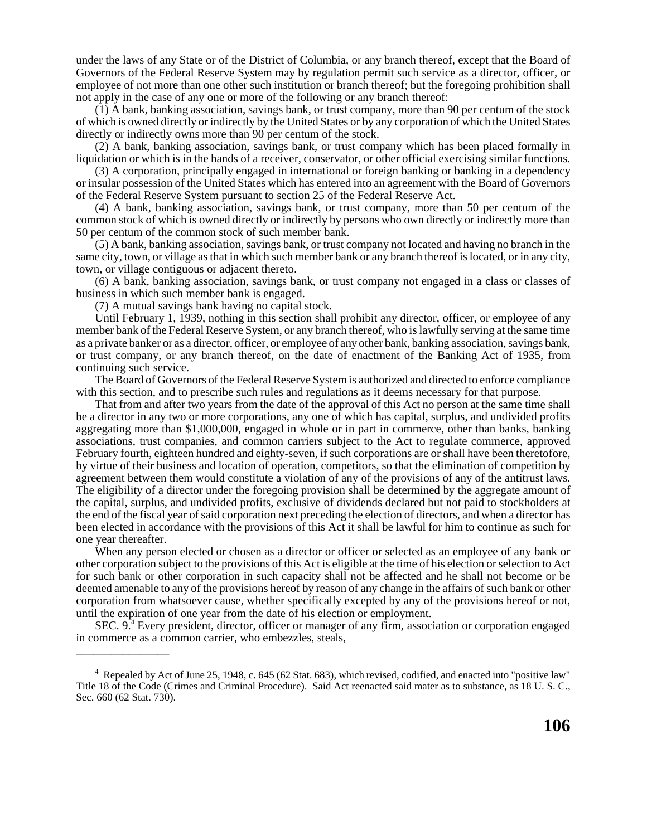under the laws of any State or of the District of Columbia, or any branch thereof, except that the Board of Governors of the Federal Reserve System may by regulation permit such service as a director, officer, or employee of not more than one other such institution or branch thereof; but the foregoing prohibition shall not apply in the case of any one or more of the following or any branch thereof:

(1) A bank, banking association, savings bank, or trust company, more than 90 per centum of the stock of which is owned directly orindirectly by the United States or by any corporation of which the United States directly or indirectly owns more than 90 per centum of the stock.

(2) A bank, banking association, savings bank, or trust company which has been placed formally in liquidation or which is in the hands of a receiver, conservator, or other official exercising similar functions.

(3) A corporation, principally engaged in international or foreign banking or banking in a dependency or insular possession of the United States which has entered into an agreement with the Board of Governors of the Federal Reserve System pursuant to section 25 of the Federal Reserve Act.

(4) A bank, banking association, savings bank, or trust company, more than 50 per centum of the common stock of which is owned directly or indirectly by persons who own directly or indirectly more than 50 per centum of the common stock of such member bank.

(5) A bank, banking association, savings bank, or trust company not located and having no branch in the same city, town, or village asthat in which such member bank or any branch thereof islocated, or in any city, town, or village contiguous or adjacent thereto.

(6) A bank, banking association, savings bank, or trust company not engaged in a class or classes of business in which such member bank is engaged.

(7) A mutual savings bank having no capital stock.

\_\_\_\_\_\_\_\_\_\_\_\_\_\_\_\_

Until February 1, 1939, nothing in this section shall prohibit any director, officer, or employee of any member bank of the Federal Reserve System, or any branch thereof, who islawfully serving at the same time as a private banker or as a director, officer, or employee of any other bank, banking association, savings bank, or trust company, or any branch thereof, on the date of enactment of the Banking Act of 1935, from continuing such service.

The Board of Governors of the Federal Reserve System is authorized and directed to enforce compliance with this section, and to prescribe such rules and regulations as it deems necessary for that purpose.

That from and after two years from the date of the approval of this Act no person at the same time shall be a director in any two or more corporations, any one of which has capital, surplus, and undivided profits aggregating more than \$1,000,000, engaged in whole or in part in commerce, other than banks, banking associations, trust companies, and common carriers subject to the Act to regulate commerce, approved February fourth, eighteen hundred and eighty-seven, if such corporations are or shall have been theretofore, by virtue of their business and location of operation, competitors, so that the elimination of competition by agreement between them would constitute a violation of any of the provisions of any of the antitrust laws. The eligibility of a director under the foregoing provision shall be determined by the aggregate amount of the capital, surplus, and undivided profits, exclusive of dividends declared but not paid to stockholders at the end of the fiscal year ofsaid corporation next preceding the election of directors, and when a director has been elected in accordance with the provisions of this Act it shall be lawful for him to continue as such for one year thereafter.

When any person elected or chosen as a director or officer or selected as an employee of any bank or other corporation subject to the provisions of this Act is eligible at the time of his election orselection to Act for such bank or other corporation in such capacity shall not be affected and he shall not become or be deemed amenable to any of the provisions hereof by reason of any change in the affairs of such bank or other corporation from whatsoever cause, whether specifically excepted by any of the provisions hereof or not, until the expiration of one year from the date of his election or employment.

SEC. 9.<sup>4</sup> Every president, director, officer or manager of any firm, association or corporation engaged in commerce as a common carrier, who embezzles, steals,

<sup>4</sup> Repealed by Act of June 25, 1948, c. 645 (62 Stat. 683), which revised, codified, and enacted into "positive law" Title 18 of the Code (Crimes and Criminal Procedure). Said Act reenacted said mater as to substance, as 18 U. S. C., Sec. 660 (62 Stat. 730).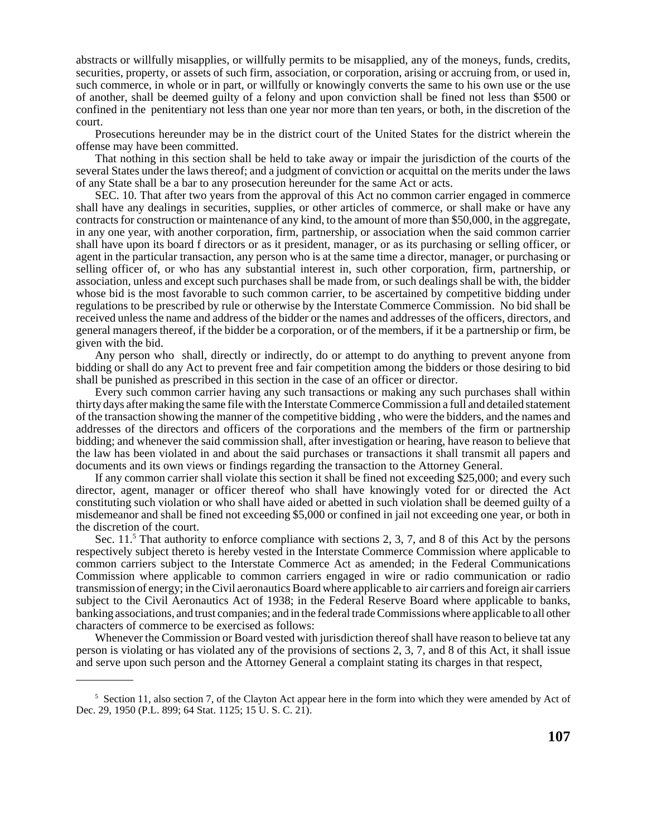abstracts or willfully misapplies, or willfully permits to be misapplied, any of the moneys, funds, credits, securities, property, or assets of such firm, association, or corporation, arising or accruing from, or used in, such commerce, in whole or in part, or willfully or knowingly converts the same to his own use or the use of another, shall be deemed guilty of a felony and upon conviction shall be fined not less than \$500 or confined in the penitentiary not less than one year nor more than ten years, or both, in the discretion of the court.

Prosecutions hereunder may be in the district court of the United States for the district wherein the offense may have been committed.

That nothing in this section shall be held to take away or impair the jurisdiction of the courts of the several States under the laws thereof; and a judgment of conviction or acquittal on the merits under the laws of any State shall be a bar to any prosecution hereunder for the same Act or acts.

SEC. 10. That after two years from the approval of this Act no common carrier engaged in commerce shall have any dealings in securities, supplies, or other articles of commerce, or shall make or have any contracts for construction or maintenance of any kind, to the amount of more than \$50,000, in the aggregate, in any one year, with another corporation, firm, partnership, or association when the said common carrier shall have upon its board f directors or as it president, manager, or as its purchasing or selling officer, or agent in the particular transaction, any person who is at the same time a director, manager, or purchasing or selling officer of, or who has any substantial interest in, such other corporation, firm, partnership, or association, unless and except such purchases shall be made from, or such dealings shall be with, the bidder whose bid is the most favorable to such common carrier, to be ascertained by competitive bidding under regulations to be prescribed by rule or otherwise by the Interstate Commerce Commission. No bid shall be received unless the name and address of the bidder or the names and addresses of the officers, directors, and general managers thereof, if the bidder be a corporation, or of the members, if it be a partnership or firm, be given with the bid.

Any person who shall, directly or indirectly, do or attempt to do anything to prevent anyone from bidding or shall do any Act to prevent free and fair competition among the bidders or those desiring to bid shall be punished as prescribed in this section in the case of an officer or director.

Every such common carrier having any such transactions or making any such purchases shall within thirty days aftermaking the same file with the InterstateCommerceCommission a full and detailed statement of the transaction showing the manner of the competitive bidding , who were the bidders, and the names and addresses of the directors and officers of the corporations and the members of the firm or partnership bidding; and whenever the said commission shall, after investigation or hearing, have reason to believe that the law has been violated in and about the said purchases or transactions it shall transmit all papers and documents and its own views or findings regarding the transaction to the Attorney General.

If any common carrier shall violate this section it shall be fined not exceeding \$25,000; and every such director, agent, manager or officer thereof who shall have knowingly voted for or directed the Act constituting such violation or who shall have aided or abetted in such violation shall be deemed guilty of a misdemeanor and shall be fined not exceeding \$5,000 or confined in jail not exceeding one year, or both in the discretion of the court.

Sec. 11.<sup>5</sup> That authority to enforce compliance with sections 2, 3, 7, and 8 of this Act by the persons respectively subject thereto is hereby vested in the Interstate Commerce Commission where applicable to common carriers subject to the Interstate Commerce Act as amended; in the Federal Communications Commission where applicable to common carriers engaged in wire or radio communication or radio transmission of energy; in the Civil aeronautics Board where applicable to air carriers and foreign air carriers subject to the Civil Aeronautics Act of 1938; in the Federal Reserve Board where applicable to banks, banking associations, and trust companies; and in the federal tradeCommissions where applicable to all other characters of commerce to be exercised as follows:

Whenever the Commission or Board vested with jurisdiction thereof shall have reason to believe tat any person is violating or has violated any of the provisions of sections 2, 3, 7, and 8 of this Act, it shall issue and serve upon such person and the Attorney General a complaint stating its charges in that respect,

<sup>&</sup>lt;sup>5</sup> Section 11, also section 7, of the Clayton Act appear here in the form into which they were amended by Act of Dec. 29, 1950 (P.L. 899; 64 Stat. 1125; 15 U. S. C. 21).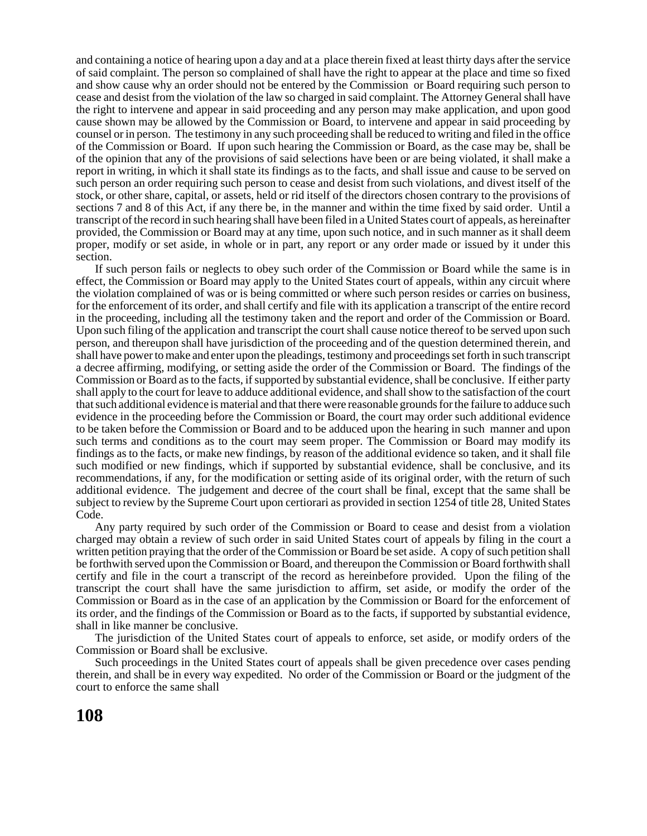and containing a notice of hearing upon a day and at a place therein fixed at least thirty days after the service of said complaint. The person so complained of shall have the right to appear at the place and time so fixed and show cause why an order should not be entered by the Commission or Board requiring such person to cease and desist from the violation of the law so charged in said complaint. The Attorney Generalshall have the right to intervene and appear in said proceeding and any person may make application, and upon good cause shown may be allowed by the Commission or Board, to intervene and appear in said proceeding by counsel or in person. The testimony in any such proceeding shall be reduced to writing and filed in the office of the Commission or Board. If upon such hearing the Commission or Board, as the case may be, shall be of the opinion that any of the provisions of said selections have been or are being violated, it shall make a report in writing, in which it shall state its findings as to the facts, and shall issue and cause to be served on such person an order requiring such person to cease and desist from such violations, and divest itself of the stock, or other share, capital, or assets, held or rid itself of the directors chosen contrary to the provisions of sections 7 and 8 of this Act, if any there be, in the manner and within the time fixed by said order. Until a transcript of the record in such hearing shall have been filed in a United States court of appeals, as hereinafter provided, the Commission or Board may at any time, upon such notice, and in such manner as it shall deem proper, modify or set aside, in whole or in part, any report or any order made or issued by it under this section.

If such person fails or neglects to obey such order of the Commission or Board while the same is in effect, the Commission or Board may apply to the United States court of appeals, within any circuit where the violation complained of was or is being committed or where such person resides or carries on business, for the enforcement of its order, and shall certify and file with its application a transcript of the entire record in the proceeding, including all the testimony taken and the report and order of the Commission or Board. Upon such filing of the application and transcript the court shall cause notice thereof to be served upon such person, and thereupon shall have jurisdiction of the proceeding and of the question determined therein, and shall have power to make and enter upon the pleadings, testimony and proceedings set forth in such transcript a decree affirming, modifying, or setting aside the order of the Commission or Board. The findings of the Commission or Board as to the facts, if supported by substantial evidence, shall be conclusive. If either party shall apply to the court for leave to adduce additional evidence, and shall show to the satisfaction of the court that such additional evidence is material and that there were reasonable grounds for the failure to adduce such evidence in the proceeding before the Commission or Board, the court may order such additional evidence to be taken before the Commission or Board and to be adduced upon the hearing in such manner and upon such terms and conditions as to the court may seem proper. The Commission or Board may modify its findings as to the facts, or make new findings, by reason of the additional evidence so taken, and it shall file such modified or new findings, which if supported by substantial evidence, shall be conclusive, and its recommendations, if any, for the modification or setting aside of its original order, with the return of such additional evidence. The judgement and decree of the court shall be final, except that the same shall be subject to review by the Supreme Court upon certiorari as provided in section 1254 of title 28, United States Code.

Any party required by such order of the Commission or Board to cease and desist from a violation charged may obtain a review of such order in said United States court of appeals by filing in the court a written petition praying that the order of the Commission or Board be set aside. A copy of such petition shall be forthwith served upon the Commission or Board, and thereupon the Commission or Board forthwith shall certify and file in the court a transcript of the record as hereinbefore provided. Upon the filing of the transcript the court shall have the same jurisdiction to affirm, set aside, or modify the order of the Commission or Board as in the case of an application by the Commission or Board for the enforcement of its order, and the findings of the Commission or Board as to the facts, if supported by substantial evidence, shall in like manner be conclusive.

The jurisdiction of the United States court of appeals to enforce, set aside, or modify orders of the Commission or Board shall be exclusive.

Such proceedings in the United States court of appeals shall be given precedence over cases pending therein, and shall be in every way expedited. No order of the Commission or Board or the judgment of the court to enforce the same shall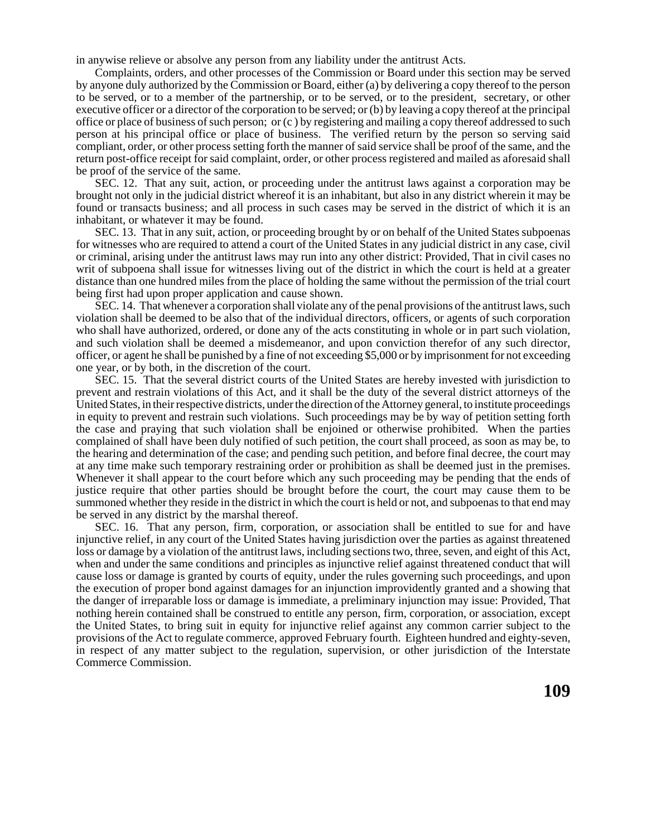in anywise relieve or absolve any person from any liability under the antitrust Acts.

Complaints, orders, and other processes of the Commission or Board under this section may be served by anyone duly authorized by the Commission or Board, either (a) by delivering a copy thereof to the person to be served, or to a member of the partnership, or to be served, or to the president, secretary, or other executive officer or a director of the corporation to be served; or (b) by leaving a copy thereof at the principal office or place of business ofsuch person; or (c ) by registering and mailing a copy thereof addressed to such person at his principal office or place of business. The verified return by the person so serving said compliant, order, or other process setting forth the manner of said service shall be proof of the same, and the return post-office receipt for said complaint, order, or other process registered and mailed as aforesaid shall be proof of the service of the same.

SEC. 12. That any suit, action, or proceeding under the antitrust laws against a corporation may be brought not only in the judicial district whereof it is an inhabitant, but also in any district wherein it may be found or transacts business; and all process in such cases may be served in the district of which it is an inhabitant, or whatever it may be found.

SEC. 13. That in any suit, action, or proceeding brought by or on behalf of the United States subpoenas for witnesses who are required to attend a court of the United States in any judicial district in any case, civil or criminal, arising under the antitrust laws may run into any other district: Provided, That in civil cases no writ of subpoena shall issue for witnesses living out of the district in which the court is held at a greater distance than one hundred miles from the place of holding the same without the permission of the trial court being first had upon proper application and cause shown.

SEC. 14. That whenever a corporation shall violate any of the penal provisions of the antitrust laws, such violation shall be deemed to be also that of the individual directors, officers, or agents of such corporation who shall have authorized, ordered, or done any of the acts constituting in whole or in part such violation, and such violation shall be deemed a misdemeanor, and upon conviction therefor of any such director, officer, or agent he shall be punished by a fine of not exceeding \$5,000 or by imprisonmentfor not exceeding one year, or by both, in the discretion of the court.

SEC. 15. That the several district courts of the United States are hereby invested with jurisdiction to prevent and restrain violations of this Act, and it shall be the duty of the several district attorneys of the United States, in their respective districts, under the direction of the Attorney general, to institute proceedings in equity to prevent and restrain such violations. Such proceedings may be by way of petition setting forth the case and praying that such violation shall be enjoined or otherwise prohibited. When the parties complained of shall have been duly notified of such petition, the court shall proceed, as soon as may be, to the hearing and determination of the case; and pending such petition, and before final decree, the court may at any time make such temporary restraining order or prohibition as shall be deemed just in the premises. Whenever it shall appear to the court before which any such proceeding may be pending that the ends of justice require that other parties should be brought before the court, the court may cause them to be summoned whether they reside in the district in which the court is held or not, and subpoenasto that end may be served in any district by the marshal thereof.

SEC. 16. That any person, firm, corporation, or association shall be entitled to sue for and have injunctive relief, in any court of the United States having jurisdiction over the parties as against threatened loss or damage by a violation of the antitrust laws, including sections two, three, seven, and eight of this Act, when and under the same conditions and principles as injunctive relief against threatened conduct that will cause loss or damage is granted by courts of equity, under the rules governing such proceedings, and upon the execution of proper bond against damages for an injunction improvidently granted and a showing that the danger of irreparable loss or damage is immediate, a preliminary injunction may issue: Provided, That nothing herein contained shall be construed to entitle any person, firm, corporation, or association, except the United States, to bring suit in equity for injunctive relief against any common carrier subject to the provisions of the Act to regulate commerce, approved February fourth. Eighteen hundred and eighty-seven, in respect of any matter subject to the regulation, supervision, or other jurisdiction of the Interstate Commerce Commission.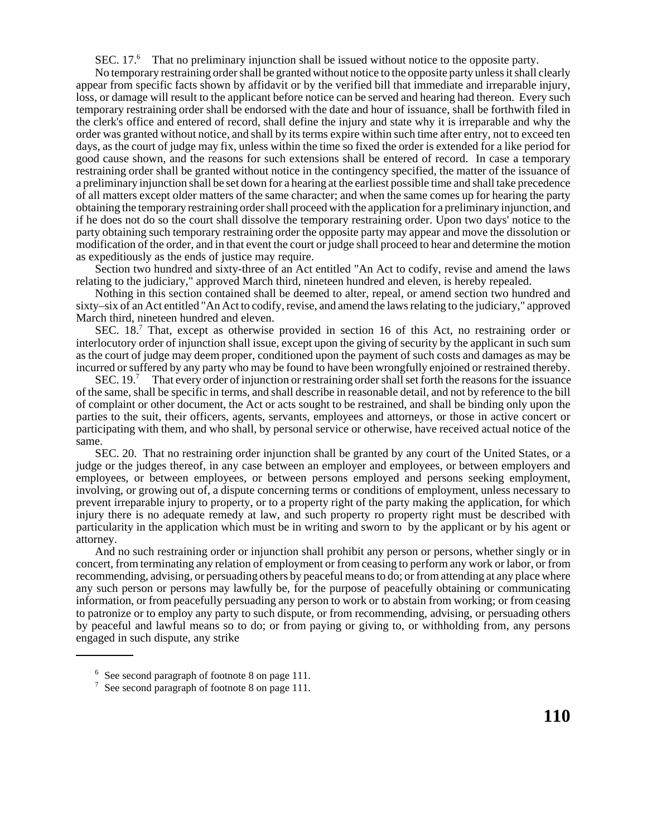SEC. 17.<sup>6</sup> That no preliminary injunction shall be issued without notice to the opposite party.

No temporary restraining order shall be granted without notice to the opposite party unless it shall clearly appear from specific facts shown by affidavit or by the verified bill that immediate and irreparable injury, loss, or damage will result to the applicant before notice can be served and hearing had thereon. Every such temporary restraining order shall be endorsed with the date and hour of issuance, shall be forthwith filed in the clerk's office and entered of record, shall define the injury and state why it is irreparable and why the order was granted without notice, and shall by itsterms expire within such time after entry, not to exceed ten days, as the court of judge may fix, unless within the time so fixed the order is extended for a like period for good cause shown, and the reasons for such extensions shall be entered of record. In case a temporary restraining order shall be granted without notice in the contingency specified, the matter of the issuance of a preliminary injunction shall be set down for a hearing at the earliest possible time and shall take precedence of all matters except older matters of the same character; and when the same comes up for hearing the party obtaining the temporary restraining ordershall proceed with the application for a preliminary injunction, and if he does not do so the court shall dissolve the temporary restraining order. Upon two days' notice to the party obtaining such temporary restraining order the opposite party may appear and move the dissolution or modification of the order, and in that event the court or judge shall proceed to hear and determine the motion as expeditiously as the ends of justice may require.

Section two hundred and sixty-three of an Act entitled "An Act to codify, revise and amend the laws relating to the judiciary," approved March third, nineteen hundred and eleven, is hereby repealed.

Nothing in this section contained shall be deemed to alter, repeal, or amend section two hundred and sixty–six of an Act entitled "An Act to codify, revise, and amend the lawsrelating to the judiciary," approved March third, nineteen hundred and eleven.

SEC. 18.<sup>7</sup> That, except as otherwise provided in section 16 of this Act, no restraining order or interlocutory order of injunction shall issue, except upon the giving of security by the applicant in such sum as the court of judge may deem proper, conditioned upon the payment of such costs and damages as may be incurred or suffered by any party who may be found to have been wrongfully enjoined or restrained thereby.

SEC. 19.<sup>7</sup> That every order of injunction or restraining order shall set forth the reasons for the issuance of the same, shall be specific in terms, and shall describe in reasonable detail, and not by reference to the bill of complaint or other document, the Act or acts sought to be restrained, and shall be binding only upon the parties to the suit, their officers, agents, servants, employees and attorneys, or those in active concert or participating with them, and who shall, by personal service or otherwise, have received actual notice of the same.

SEC. 20. That no restraining order injunction shall be granted by any court of the United States, or a judge or the judges thereof, in any case between an employer and employees, or between employers and employees, or between employees, or between persons employed and persons seeking employment, involving, or growing out of, a dispute concerning terms or conditions of employment, unless necessary to prevent irreparable injury to property, or to a property right of the party making the application, for which injury there is no adequate remedy at law, and such property ro property right must be described with particularity in the application which must be in writing and sworn to by the applicant or by his agent or attorney.

And no such restraining order or injunction shall prohibit any person or persons, whether singly or in concert, from terminating any relation of employment or from ceasing to perform any work or labor, or from recommending, advising, or persuading others by peaceful meansto do; or fromattending at any place where any such person or persons may lawfully be, for the purpose of peacefully obtaining or communicating information, or from peacefully persuading any person to work or to abstain from working; or from ceasing to patronize or to employ any party to such dispute, or from recommending, advising, or persuading others by peaceful and lawful means so to do; or from paying or giving to, or withholding from, any persons engaged in such dispute, any strike

<sup>&</sup>lt;sup>6</sup> See second paragraph of footnote 8 on page 111.

<sup>&</sup>lt;sup>7</sup> See second paragraph of footnote 8 on page 111.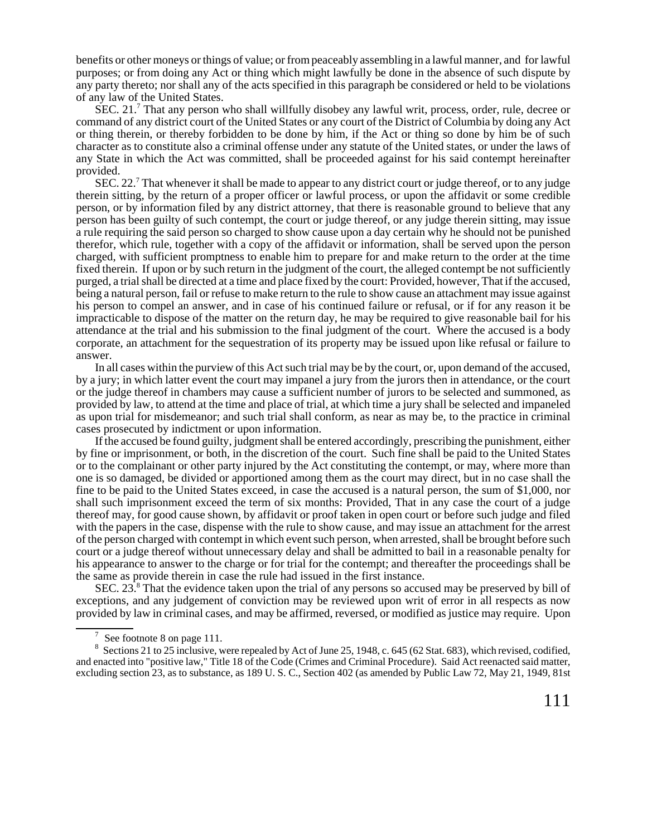benefits or other moneys or things of value; or from peaceably assembling in a lawful manner, and for lawful purposes; or from doing any Act or thing which might lawfully be done in the absence of such dispute by any party thereto; nor shall any of the acts specified in this paragraph be considered or held to be violations of any law of the United States.

SEC. 21.<sup>7</sup> That any person who shall willfully disobey any lawful writ, process, order, rule, decree or command of any district court of the United States or any court of the District of Columbia by doing any Act or thing therein, or thereby forbidden to be done by him, if the Act or thing so done by him be of such character as to constitute also a criminal offense under any statute of the United states, or under the laws of any State in which the Act was committed, shall be proceeded against for his said contempt hereinafter provided.

SEC. 22.<sup>7</sup> That whenever it shall be made to appear to any district court or judge thereof, or to any judge therein sitting, by the return of a proper officer or lawful process, or upon the affidavit or some credible person, or by information filed by any district attorney, that there is reasonable ground to believe that any person has been guilty of such contempt, the court or judge thereof, or any judge therein sitting, may issue a rule requiring the said person so charged to show cause upon a day certain why he should not be punished therefor, which rule, together with a copy of the affidavit or information, shall be served upon the person charged, with sufficient promptness to enable him to prepare for and make return to the order at the time fixed therein. If upon or by such return in the judgment of the court, the alleged contempt be not sufficiently purged, a trialshall be directed at a time and place fixed by the court: Provided, however, That if the accused, being a natural person, fail or refuse to make return to the rule to show cause an attachment may issue against his person to compel an answer, and in case of his continued failure or refusal, or if for any reason it be impracticable to dispose of the matter on the return day, he may be required to give reasonable bail for his attendance at the trial and his submission to the final judgment of the court. Where the accused is a body corporate, an attachment for the sequestration of its property may be issued upon like refusal or failure to answer.

In all cases within the purview of this Act such trial may be by the court, or, upon demand of the accused, by a jury; in which latter event the court may impanel a jury from the jurors then in attendance, or the court or the judge thereof in chambers may cause a sufficient number of jurors to be selected and summoned, as provided by law, to attend at the time and place of trial, at which time a jury shall be selected and impaneled as upon trial for misdemeanor; and such trial shall conform, as near as may be, to the practice in criminal cases prosecuted by indictment or upon information.

If the accused be found guilty, judgment shall be entered accordingly, prescribing the punishment, either by fine or imprisonment, or both, in the discretion of the court. Such fine shall be paid to the United States or to the complainant or other party injured by the Act constituting the contempt, or may, where more than one is so damaged, be divided or apportioned among them as the court may direct, but in no case shall the fine to be paid to the United States exceed, in case the accused is a natural person, the sum of \$1,000, nor shall such imprisonment exceed the term of six months: Provided, That in any case the court of a judge thereof may, for good cause shown, by affidavit or proof taken in open court or before such judge and filed with the papers in the case, dispense with the rule to show cause, and may issue an attachment for the arrest of the person charged with contempt in which event such person, when arrested, shall be brought before such court or a judge thereof without unnecessary delay and shall be admitted to bail in a reasonable penalty for his appearance to answer to the charge or for trial for the contempt; and thereafter the proceedings shall be the same as provide therein in case the rule had issued in the first instance.

SEC.  $23.\overline{8}$  That the evidence taken upon the trial of any persons so accused may be preserved by bill of exceptions, and any judgement of conviction may be reviewed upon writ of error in all respects as now provided by law in criminal cases, and may be affirmed, reversed, or modified as justice may require. Upon

ׇ֞֘

 $7$  See footnote 8 on page 111.

 $8$  Sections 21 to 25 inclusive, were repealed by Act of June 25, 1948, c. 645 (62 Stat. 683), which revised, codified, and enacted into "positive law," Title 18 of the Code (Crimes and Criminal Procedure). Said Act reenacted said matter, excluding section 23, as to substance, as 189 U. S. C., Section 402 (as amended by Public Law 72, May 21, 1949, 81st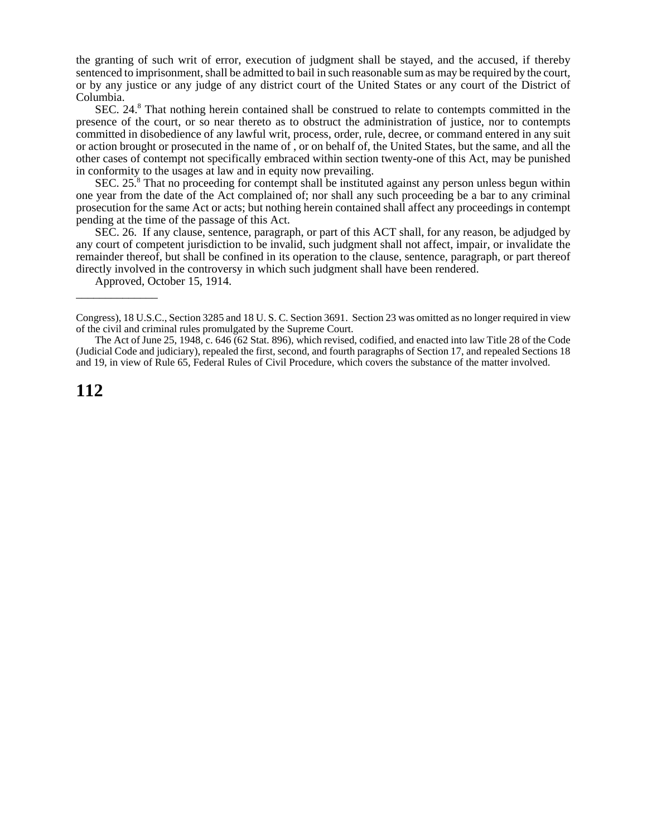the granting of such writ of error, execution of judgment shall be stayed, and the accused, if thereby sentenced to imprisonment, shall be admitted to bail in such reasonable sum as may be required by the court, or by any justice or any judge of any district court of the United States or any court of the District of Columbia.

SEC. 24.<sup>8</sup> That nothing herein contained shall be construed to relate to contempts committed in the presence of the court, or so near thereto as to obstruct the administration of justice, nor to contempts committed in disobedience of any lawful writ, process, order, rule, decree, or command entered in any suit or action brought or prosecuted in the name of , or on behalf of, the United States, but the same, and all the other cases of contempt not specifically embraced within section twenty-one of this Act, may be punished in conformity to the usages at law and in equity now prevailing.

SEC. 25.<sup>8</sup> That no proceeding for contempt shall be instituted against any person unless begun within one year from the date of the Act complained of; nor shall any such proceeding be a bar to any criminal prosecution for the same Act or acts; but nothing herein contained shall affect any proceedings in contempt pending at the time of the passage of this Act.

SEC. 26. If any clause, sentence, paragraph, or part of this ACT shall, for any reason, be adjudged by any court of competent jurisdiction to be invalid, such judgment shall not affect, impair, or invalidate the remainder thereof, but shall be confined in its operation to the clause, sentence, paragraph, or part thereof directly involved in the controversy in which such judgment shall have been rendered.

Approved, October 15, 1914.

\_\_\_\_\_\_\_\_\_\_\_\_\_\_

Congress), 18 U.S.C., Section 3285 and 18 U. S. C. Section 3691. Section 23 was omitted as no longer required in view of the civil and criminal rules promulgated by the Supreme Court.

The Act of June 25, 1948, c. 646 (62 Stat. 896), which revised, codified, and enacted into law Title 28 of the Code (Judicial Code and judiciary), repealed the first, second, and fourth paragraphs of Section 17, and repealed Sections 18 and 19, in view of Rule 65, Federal Rules of Civil Procedure, which covers the substance of the matter involved.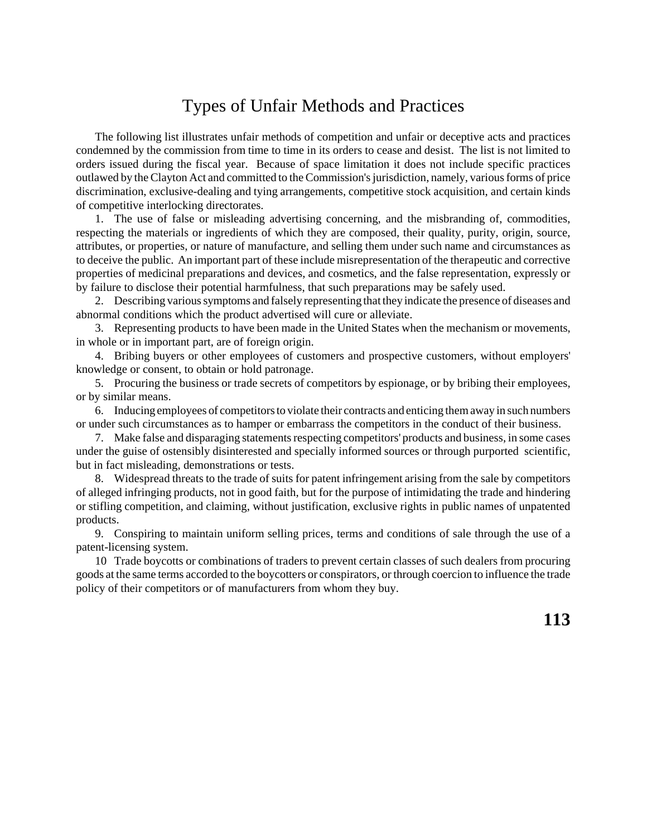# Types of Unfair Methods and Practices

The following list illustrates unfair methods of competition and unfair or deceptive acts and practices condemned by the commission from time to time in its orders to cease and desist. The list is not limited to orders issued during the fiscal year. Because of space limitation it does not include specific practices outlawed by theClayton Act and committed to theCommission'sjurisdiction, namely, variousforms of price discrimination, exclusive-dealing and tying arrangements, competitive stock acquisition, and certain kinds of competitive interlocking directorates.

1. The use of false or misleading advertising concerning, and the misbranding of, commodities, respecting the materials or ingredients of which they are composed, their quality, purity, origin, source, attributes, or properties, or nature of manufacture, and selling them under such name and circumstances as to deceive the public. An important part of these include misrepresentation of the therapeutic and corrective properties of medicinal preparations and devices, and cosmetics, and the false representation, expressly or by failure to disclose their potential harmfulness, that such preparations may be safely used.

2. Describing varioussymptoms and falsely representing that they indicate the presence of diseases and abnormal conditions which the product advertised will cure or alleviate.

3. Representing products to have been made in the United States when the mechanism or movements, in whole or in important part, are of foreign origin.

4. Bribing buyers or other employees of customers and prospective customers, without employers' knowledge or consent, to obtain or hold patronage.

5. Procuring the business or trade secrets of competitors by espionage, or by bribing their employees, or by similar means.

6. Inducing employees of competitors to violate their contracts and enticing them away in such numbers or under such circumstances as to hamper or embarrass the competitors in the conduct of their business.

7. Make false and disparaging statements respecting competitors' products and business, in some cases under the guise of ostensibly disinterested and specially informed sources or through purported scientific, but in fact misleading, demonstrations or tests.

8. Widespread threats to the trade of suits for patent infringement arising from the sale by competitors of alleged infringing products, not in good faith, but for the purpose of intimidating the trade and hindering or stifling competition, and claiming, without justification, exclusive rights in public names of unpatented products.

9. Conspiring to maintain uniform selling prices, terms and conditions of sale through the use of a patent-licensing system.

10 Trade boycotts or combinations of traders to prevent certain classes of such dealers from procuring goods at the same terms accorded to the boycotters or conspirators, or through coercion to influence the trade policy of their competitors or of manufacturers from whom they buy.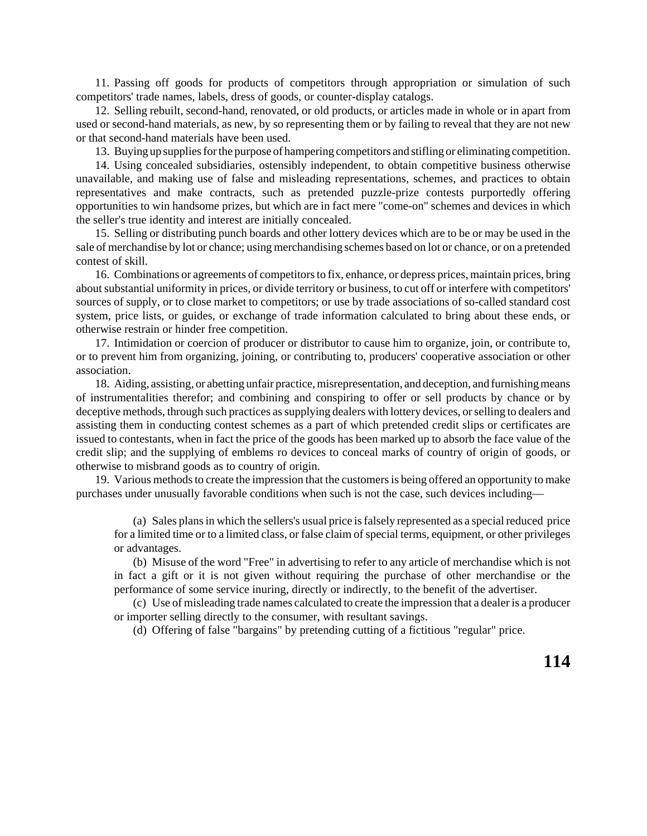11. Passing off goods for products of competitors through appropriation or simulation of such competitors' trade names, labels, dress of goods, or counter-display catalogs.

12. Selling rebuilt, second-hand, renovated, or old products, or articles made in whole or in apart from used or second-hand materials, as new, by so representing them or by failing to reveal that they are not new or that second-hand materials have been used.

13. Buying up supplies for the purpose of hampering competitors and stifling or eliminating competition.

14. Using concealed subsidiaries, ostensibly independent, to obtain competitive business otherwise unavailable, and making use of false and misleading representations, schemes, and practices to obtain representatives and make contracts, such as pretended puzzle-prize contests purportedly offering opportunities to win handsome prizes, but which are in fact mere "come-on" schemes and devices in which the seller's true identity and interest are initially concealed.

15. Selling or distributing punch boards and other lottery devices which are to be or may be used in the sale of merchandise by lot or chance; using merchandising schemes based on lot or chance, or on a pretended contest of skill.

16. Combinations or agreements of competitorsto fix, enhance, or depress prices, maintain prices, bring about substantial uniformity in prices, or divide territory or business, to cut off or interfere with competitors' sources of supply, or to close market to competitors; or use by trade associations of so-called standard cost system, price lists, or guides, or exchange of trade information calculated to bring about these ends, or otherwise restrain or hinder free competition.

17. Intimidation or coercion of producer or distributor to cause him to organize, join, or contribute to, or to prevent him from organizing, joining, or contributing to, producers' cooperative association or other association.

18. Aiding, assisting, or abetting unfair practice, misrepresentation, and deception, and furnishing means of instrumentalities therefor; and combining and conspiring to offer or sell products by chance or by deceptive methods, through such practices as supplying dealers with lottery devices, or selling to dealers and assisting them in conducting contest schemes as a part of which pretended credit slips or certificates are issued to contestants, when in fact the price of the goods has been marked up to absorb the face value of the credit slip; and the supplying of emblems ro devices to conceal marks of country of origin of goods, or otherwise to misbrand goods as to country of origin.

19. Various methods to create the impression that the customers is being offered an opportunity to make purchases under unusually favorable conditions when such is not the case, such devices including—

(a) Sales plans in which the sellers's usual price is falsely represented as a special reduced price for a limited time or to a limited class, or false claim of special terms, equipment, or other privileges or advantages.

(b) Misuse of the word "Free" in advertising to refer to any article of merchandise which is not in fact a gift or it is not given without requiring the purchase of other merchandise or the performance of some service inuring, directly or indirectly, to the benefit of the advertiser.

(c) Use of misleading trade names calculated to create the impression that a dealer is a producer or importer selling directly to the consumer, with resultant savings.

(d) Offering of false "bargains" by pretending cutting of a fictitious "regular" price.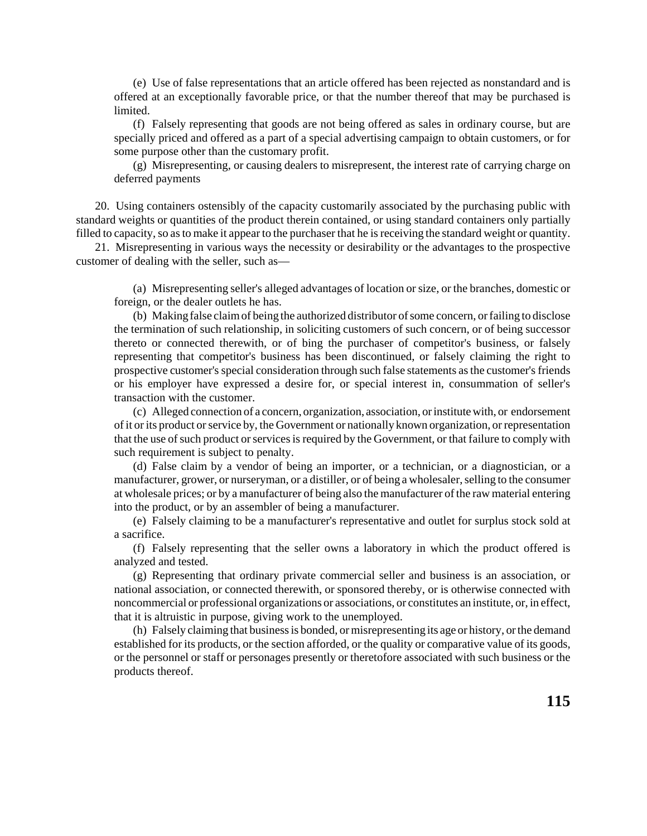(e) Use of false representations that an article offered has been rejected as nonstandard and is offered at an exceptionally favorable price, or that the number thereof that may be purchased is limited.

(f) Falsely representing that goods are not being offered as sales in ordinary course, but are specially priced and offered as a part of a special advertising campaign to obtain customers, or for some purpose other than the customary profit.

(g) Misrepresenting, or causing dealers to misrepresent, the interest rate of carrying charge on deferred payments

20. Using containers ostensibly of the capacity customarily associated by the purchasing public with standard weights or quantities of the product therein contained, or using standard containers only partially filled to capacity, so as to make it appear to the purchaser that he is receiving the standard weight or quantity.

21. Misrepresenting in various ways the necessity or desirability or the advantages to the prospective customer of dealing with the seller, such as—

(a) Misrepresenting seller's alleged advantages of location orsize, or the branches, domestic or foreign, or the dealer outlets he has.

(b) Making false claim of being the authorized distributor of some concern, or failing to disclose the termination of such relationship, in soliciting customers of such concern, or of being successor thereto or connected therewith, or of bing the purchaser of competitor's business, or falsely representing that competitor's business has been discontinued, or falsely claiming the right to prospective customer'sspecial consideration through such false statements asthe customer'sfriends or his employer have expressed a desire for, or special interest in, consummation of seller's transaction with the customer.

(c) Alleged connection of a concern, organization, association, or institute with, or endorsement of it or its product or service by, the Government or nationally known organization, or representation that the use of such product or services is required by the Government, or that failure to comply with such requirement is subject to penalty.

(d) False claim by a vendor of being an importer, or a technician, or a diagnostician, or a manufacturer, grower, or nurseryman, or a distiller, or of being a wholesaler, selling to the consumer at wholesale prices; or by a manufacturer of being also the manufacturer of the raw material entering into the product, or by an assembler of being a manufacturer.

(e) Falsely claiming to be a manufacturer's representative and outlet for surplus stock sold at a sacrifice.

(f) Falsely representing that the seller owns a laboratory in which the product offered is analyzed and tested.

(g) Representing that ordinary private commercial seller and business is an association, or national association, or connected therewith, or sponsored thereby, or is otherwise connected with noncommercial or professional organizations or associations, or constitutes an institute, or, in effect, that it is altruistic in purpose, giving work to the unemployed.

(h) Falsely claiming that business is bonded, or misrepresenting its age or history, or the demand established for its products, or the section afforded, or the quality or comparative value of its goods, or the personnel or staff or personages presently or theretofore associated with such business or the products thereof.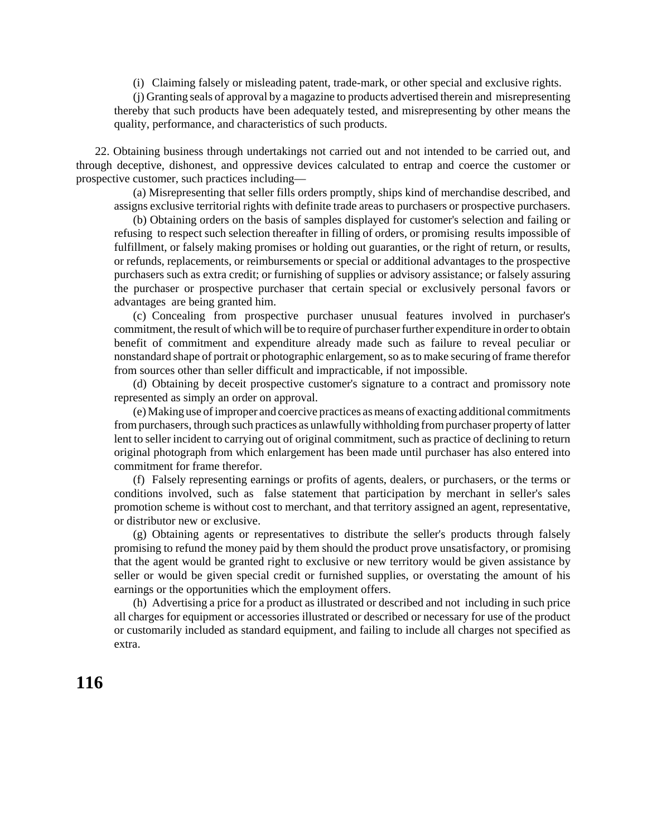(i) Claiming falsely or misleading patent, trade-mark, or other special and exclusive rights.

(j) Granting seals of approval by a magazine to products advertised therein and misrepresenting thereby that such products have been adequately tested, and misrepresenting by other means the quality, performance, and characteristics of such products.

22. Obtaining business through undertakings not carried out and not intended to be carried out, and through deceptive, dishonest, and oppressive devices calculated to entrap and coerce the customer or prospective customer, such practices including—

(a) Misrepresenting that seller fills orders promptly, ships kind of merchandise described, and assigns exclusive territorial rights with definite trade areas to purchasers or prospective purchasers.

(b) Obtaining orders on the basis of samples displayed for customer's selection and failing or refusing to respect such selection thereafter in filling of orders, or promising results impossible of fulfillment, or falsely making promises or holding out guaranties, or the right of return, or results, or refunds, replacements, or reimbursements or special or additional advantages to the prospective purchasers such as extra credit; or furnishing of supplies or advisory assistance; or falsely assuring the purchaser or prospective purchaser that certain special or exclusively personal favors or advantages are being granted him.

(c) Concealing from prospective purchaser unusual features involved in purchaser's commitment, the result of which will be to require of purchaser further expenditure in order to obtain benefit of commitment and expenditure already made such as failure to reveal peculiar or nonstandard shape of portrait or photographic enlargement, so as to make securing of frame therefor from sources other than seller difficult and impracticable, if not impossible.

(d) Obtaining by deceit prospective customer's signature to a contract and promissory note represented as simply an order on approval.

(e) Making use ofimproper and coercive practices asmeans of exacting additional commitments from purchasers, through such practices as unlawfully withholding from purchaser property of latter lent to seller incident to carrying out of original commitment, such as practice of declining to return original photograph from which enlargement has been made until purchaser has also entered into commitment for frame therefor.

(f) Falsely representing earnings or profits of agents, dealers, or purchasers, or the terms or conditions involved, such as false statement that participation by merchant in seller's sales promotion scheme is without cost to merchant, and that territory assigned an agent, representative, or distributor new or exclusive.

(g) Obtaining agents or representatives to distribute the seller's products through falsely promising to refund the money paid by them should the product prove unsatisfactory, or promising that the agent would be granted right to exclusive or new territory would be given assistance by seller or would be given special credit or furnished supplies, or overstating the amount of his earnings or the opportunities which the employment offers.

(h) Advertising a price for a product as illustrated or described and not including in such price all charges for equipment or accessories illustrated or described or necessary for use of the product or customarily included as standard equipment, and failing to include all charges not specified as extra.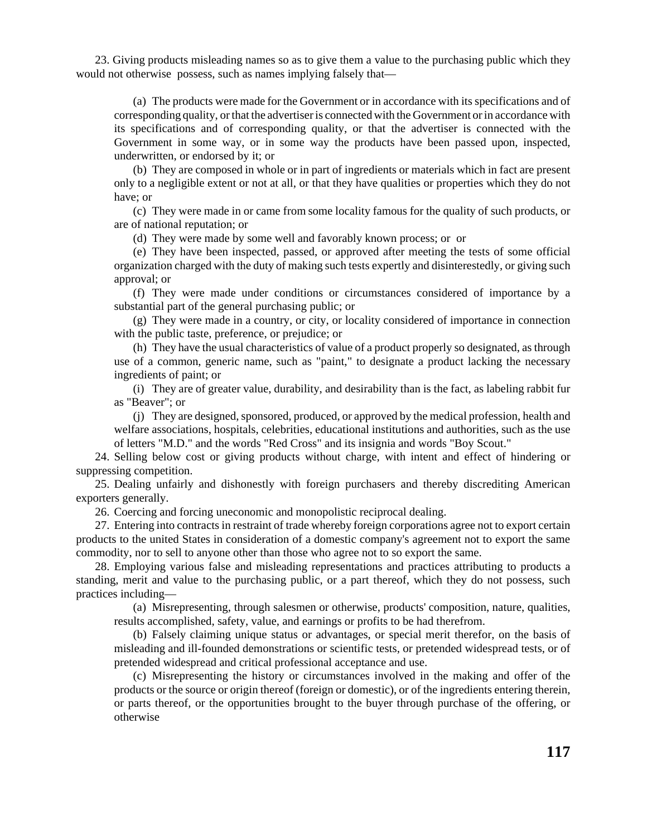23. Giving products misleading names so as to give them a value to the purchasing public which they would not otherwise possess, such as names implying falsely that—

(a) The products were made for the Government or in accordance with its specifications and of corresponding quality, orthat the advertiseris connected with the Government orin accordance with its specifications and of corresponding quality, or that the advertiser is connected with the Government in some way, or in some way the products have been passed upon, inspected, underwritten, or endorsed by it; or

(b) They are composed in whole or in part of ingredients or materials which in fact are present only to a negligible extent or not at all, or that they have qualities or properties which they do not have; or

(c) They were made in or came from some locality famous for the quality of such products, or are of national reputation; or

(d) They were made by some well and favorably known process; or or

(e) They have been inspected, passed, or approved after meeting the tests of some official organization charged with the duty of making such tests expertly and disinterestedly, or giving such approval; or

(f) They were made under conditions or circumstances considered of importance by a substantial part of the general purchasing public; or

(g) They were made in a country, or city, or locality considered of importance in connection with the public taste, preference, or prejudice; or

(h) They have the usual characteristics of value of a product properly so designated, as through use of a common, generic name, such as "paint," to designate a product lacking the necessary ingredients of paint; or

(i) They are of greater value, durability, and desirability than is the fact, as labeling rabbit fur as "Beaver"; or

 $(i)$  They are designed, sponsored, produced, or approved by the medical profession, health and welfare associations, hospitals, celebrities, educational institutions and authorities, such as the use of letters "M.D." and the words "Red Cross" and its insignia and words "Boy Scout."

24. Selling below cost or giving products without charge, with intent and effect of hindering or suppressing competition.

25. Dealing unfairly and dishonestly with foreign purchasers and thereby discrediting American exporters generally.

26. Coercing and forcing uneconomic and monopolistic reciprocal dealing.

27. Entering into contracts in restraint of trade whereby foreign corporations agree not to export certain products to the united States in consideration of a domestic company's agreement not to export the same commodity, nor to sell to anyone other than those who agree not to so export the same.

28. Employing various false and misleading representations and practices attributing to products a standing, merit and value to the purchasing public, or a part thereof, which they do not possess, such practices including—

(a) Misrepresenting, through salesmen or otherwise, products' composition, nature, qualities, results accomplished, safety, value, and earnings or profits to be had therefrom.

(b) Falsely claiming unique status or advantages, or special merit therefor, on the basis of misleading and ill-founded demonstrations or scientific tests, or pretended widespread tests, or of pretended widespread and critical professional acceptance and use.

(c) Misrepresenting the history or circumstances involved in the making and offer of the products or the source or origin thereof (foreign or domestic), or of the ingredients entering therein, or parts thereof, or the opportunities brought to the buyer through purchase of the offering, or otherwise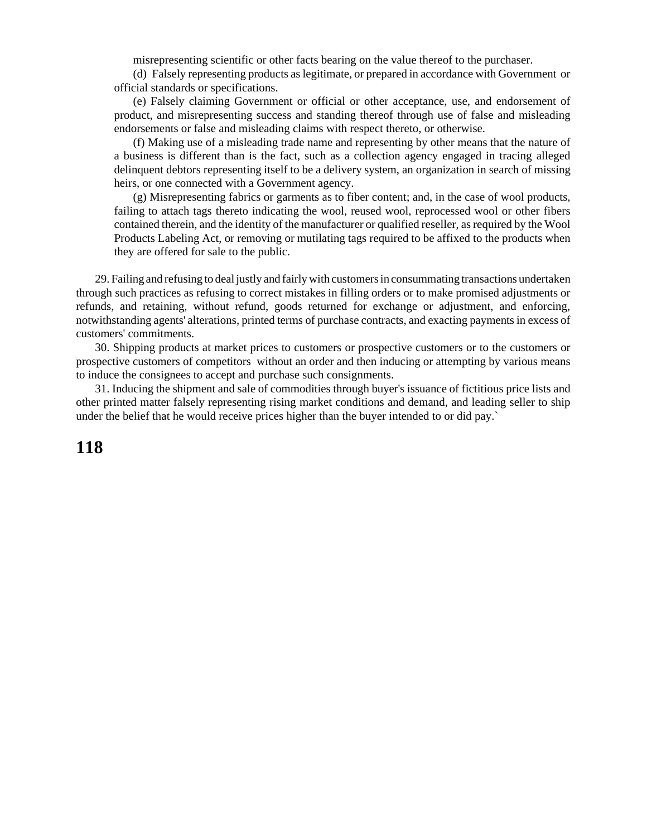misrepresenting scientific or other facts bearing on the value thereof to the purchaser.

(d) Falsely representing products aslegitimate, or prepared in accordance with Government or official standards or specifications.

(e) Falsely claiming Government or official or other acceptance, use, and endorsement of product, and misrepresenting success and standing thereof through use of false and misleading endorsements or false and misleading claims with respect thereto, or otherwise.

(f) Making use of a misleading trade name and representing by other means that the nature of a business is different than is the fact, such as a collection agency engaged in tracing alleged delinquent debtors representing itself to be a delivery system, an organization in search of missing heirs, or one connected with a Government agency.

(g) Misrepresenting fabrics or garments as to fiber content; and, in the case of wool products, failing to attach tags thereto indicating the wool, reused wool, reprocessed wool or other fibers contained therein, and the identity of the manufacturer or qualified reseller, asrequired by the Wool Products Labeling Act, or removing or mutilating tags required to be affixed to the products when they are offered for sale to the public.

29. Failing and refusing to deal justly and fairly with customers in consummating transactions undertaken through such practices as refusing to correct mistakes in filling orders or to make promised adjustments or refunds, and retaining, without refund, goods returned for exchange or adjustment, and enforcing, notwithstanding agents' alterations, printed terms of purchase contracts, and exacting payments in excess of customers' commitments.

30. Shipping products at market prices to customers or prospective customers or to the customers or prospective customers of competitors without an order and then inducing or attempting by various means to induce the consignees to accept and purchase such consignments.

31. Inducing the shipment and sale of commodities through buyer's issuance of fictitious price lists and other printed matter falsely representing rising market conditions and demand, and leading seller to ship under the belief that he would receive prices higher than the buyer intended to or did pay.`

## **118**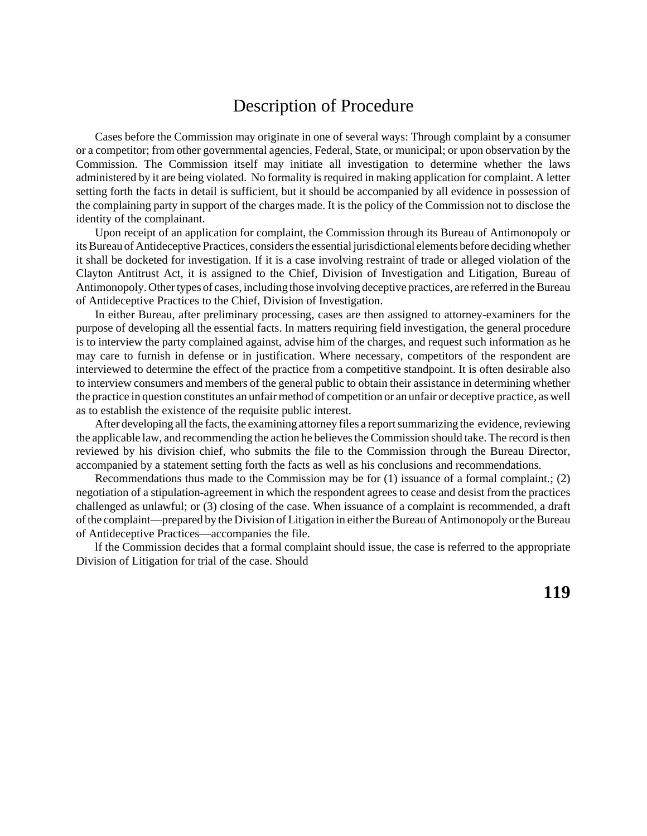# Description of Procedure

Cases before the Commission may originate in one of several ways: Through complaint by a consumer or a competitor; from other governmental agencies, Federal, State, or municipal; or upon observation by the Commission. The Commission itself may initiate all investigation to determine whether the laws administered by it are being violated. No formality is required in making application for complaint. A letter setting forth the facts in detail is sufficient, but it should be accompanied by all evidence in possession of the complaining party in support of the charges made. It is the policy of the Commission not to disclose the identity of the complainant.

Upon receipt of an application for complaint, the Commission through its Bureau of Antimonopoly or its Bureau of Antideceptive Practices, considers the essential jurisdictional elements before deciding whether it shall be docketed for investigation. If it is a case involving restraint of trade or alleged violation of the Clayton Antitrust Act, it is assigned to the Chief, Division of Investigation and Litigation, Bureau of Antimonopoly. Other types of cases, including those involving deceptive practices, are referred in the Bureau of Antideceptive Practices to the Chief, Division of Investigation.

In either Bureau, after preliminary processing, cases are then assigned to attorney-examiners for the purpose of developing all the essential facts. In matters requiring field investigation, the general procedure is to interview the party complained against, advise him of the charges, and request such information as he may care to furnish in defense or in justification. Where necessary, competitors of the respondent are interviewed to determine the effect of the practice from a competitive standpoint. It is often desirable also to interview consumers and members of the general public to obtain their assistance in determining whether the practice in question constitutes an unfair method of competition or an unfair or deceptive practice, as well as to establish the existence of the requisite public interest.

After developing all the facts, the examining attorney files a reportsummarizing the evidence, reviewing the applicable law, and recommending the action he believestheCommission should take. The record isthen reviewed by his division chief, who submits the file to the Commission through the Bureau Director, accompanied by a statement setting forth the facts as well as his conclusions and recommendations.

Recommendations thus made to the Commission may be for (1) issuance of a formal complaint.; (2) negotiation of a stipulation-agreement in which the respondent agrees to cease and desist from the practices challenged as unlawful; or (3) closing of the case. When issuance of a complaint is recommended, a draft of the complaint—prepared by the Division of Litigation in either the Bureau of Antimonopoly or the Bureau of Antideceptive Practices—accompanies the file.

lf the Commission decides that a formal complaint should issue, the case is referred to the appropriate Division of Litigation for trial of the case. Should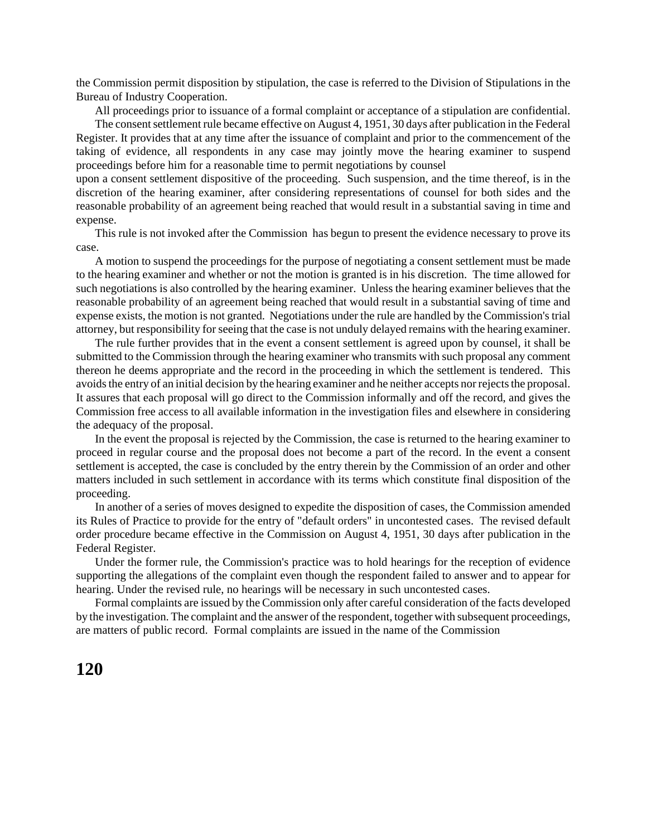the Commission permit disposition by stipulation, the case is referred to the Division of Stipulations in the Bureau of Industry Cooperation.

All proceedings prior to issuance of a formal complaint or acceptance of a stipulation are confidential.

The consent settlement rule became effective on August 4, 1951, 30 days after publication in the Federal Register. It provides that at any time after the issuance of complaint and prior to the commencement of the taking of evidence, all respondents in any case may jointly move the hearing examiner to suspend proceedings before him for a reasonable time to permit negotiations by counsel

upon a consent settlement dispositive of the proceeding. Such suspension, and the time thereof, is in the discretion of the hearing examiner, after considering representations of counsel for both sides and the reasonable probability of an agreement being reached that would result in a substantial saving in time and expense.

This rule is not invoked after the Commission has begun to present the evidence necessary to prove its case.

A motion to suspend the proceedings for the purpose of negotiating a consent settlement must be made to the hearing examiner and whether or not the motion is granted is in his discretion. The time allowed for such negotiations is also controlled by the hearing examiner. Unless the hearing examiner believes that the reasonable probability of an agreement being reached that would result in a substantial saving of time and expense exists, the motion is not granted. Negotiations under the rule are handled by the Commission's trial attorney, but responsibility for seeing that the case is not unduly delayed remains with the hearing examiner.

The rule further provides that in the event a consent settlement is agreed upon by counsel, it shall be submitted to the Commission through the hearing examiner who transmits with such proposal any comment thereon he deems appropriate and the record in the proceeding in which the settlement is tendered. This avoids the entry of an initial decision by the hearing examiner and he neither accepts nor rejects the proposal. It assures that each proposal will go direct to the Commission informally and off the record, and gives the Commission free access to all available information in the investigation files and elsewhere in considering the adequacy of the proposal.

In the event the proposal is rejected by the Commission, the case is returned to the hearing examiner to proceed in regular course and the proposal does not become a part of the record. In the event a consent settlement is accepted, the case is concluded by the entry therein by the Commission of an order and other matters included in such settlement in accordance with its terms which constitute final disposition of the proceeding.

In another of a series of moves designed to expedite the disposition of cases, the Commission amended its Rules of Practice to provide for the entry of "default orders" in uncontested cases. The revised default order procedure became effective in the Commission on August 4, 1951, 30 days after publication in the Federal Register.

Under the former rule, the Commission's practice was to hold hearings for the reception of evidence supporting the allegations of the complaint even though the respondent failed to answer and to appear for hearing. Under the revised rule, no hearings will be necessary in such uncontested cases.

Formal complaints are issued by the Commission only after careful consideration of the facts developed by the investigation. The complaint and the answer of the respondent, together with subsequent proceedings, are matters of public record. Formal complaints are issued in the name of the Commission

### **120**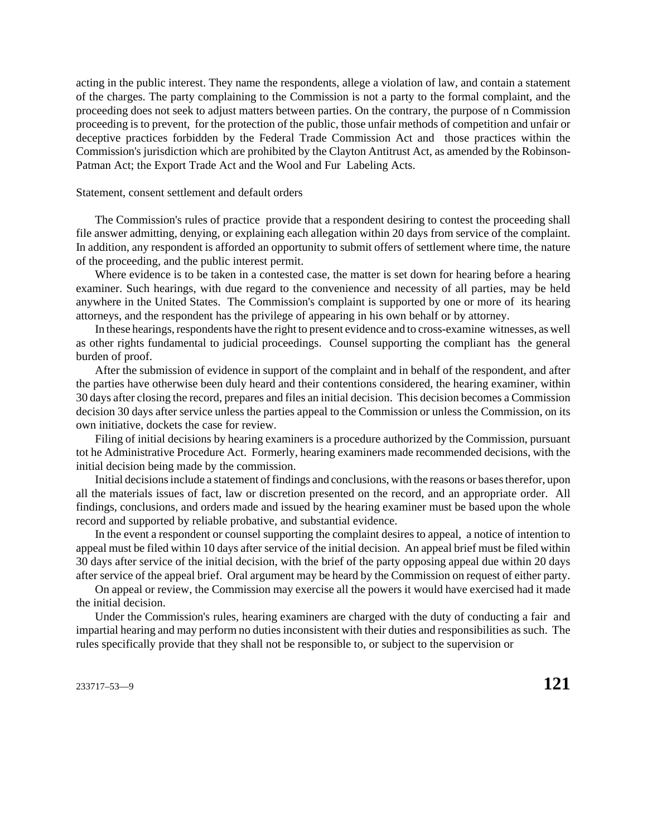acting in the public interest. They name the respondents, allege a violation of law, and contain a statement of the charges. The party complaining to the Commission is not a party to the formal complaint, and the proceeding does not seek to adjust matters between parties. On the contrary, the purpose of n Commission proceeding is to prevent, for the protection of the public, those unfair methods of competition and unfair or deceptive practices forbidden by the Federal Trade Commission Act and those practices within the Commission's jurisdiction which are prohibited by the Clayton Antitrust Act, as amended by the Robinson-Patman Act; the Export Trade Act and the Wool and Fur Labeling Acts.

#### Statement, consent settlement and default orders

The Commission's rules of practice provide that a respondent desiring to contest the proceeding shall file answer admitting, denying, or explaining each allegation within 20 days from service of the complaint. In addition, any respondent is afforded an opportunity to submit offers of settlement where time, the nature of the proceeding, and the public interest permit.

Where evidence is to be taken in a contested case, the matter is set down for hearing before a hearing examiner. Such hearings, with due regard to the convenience and necessity of all parties, may be held anywhere in the United States. The Commission's complaint is supported by one or more of its hearing attorneys, and the respondent has the privilege of appearing in his own behalf or by attorney.

In these hearings, respondents have the right to present evidence and to cross-examine witnesses, as well as other rights fundamental to judicial proceedings. Counsel supporting the compliant has the general burden of proof.

After the submission of evidence in support of the complaint and in behalf of the respondent, and after the parties have otherwise been duly heard and their contentions considered, the hearing examiner, within 30 days after closing the record, prepares and files an initial decision. This decision becomes a Commission decision 30 days after service unless the parties appeal to the Commission or unless the Commission, on its own initiative, dockets the case for review.

Filing of initial decisions by hearing examiners is a procedure authorized by the Commission, pursuant tot he Administrative Procedure Act. Formerly, hearing examiners made recommended decisions, with the initial decision being made by the commission.

Initial decisions include a statement of findings and conclusions, with the reasons or bases therefor, upon all the materials issues of fact, law or discretion presented on the record, and an appropriate order. All findings, conclusions, and orders made and issued by the hearing examiner must be based upon the whole record and supported by reliable probative, and substantial evidence.

In the event a respondent or counsel supporting the complaint desires to appeal, a notice of intention to appeal must be filed within 10 days after service of the initial decision. An appeal brief must be filed within 30 days after service of the initial decision, with the brief of the party opposing appeal due within 20 days after service of the appeal brief. Oral argument may be heard by the Commission on request of either party.

On appeal or review, the Commission may exercise all the powers it would have exercised had it made the initial decision.

Under the Commission's rules, hearing examiners are charged with the duty of conducting a fair and impartial hearing and may perform no duties inconsistent with their duties and responsibilities as such. The rules specifically provide that they shall not be responsible to, or subject to the supervision or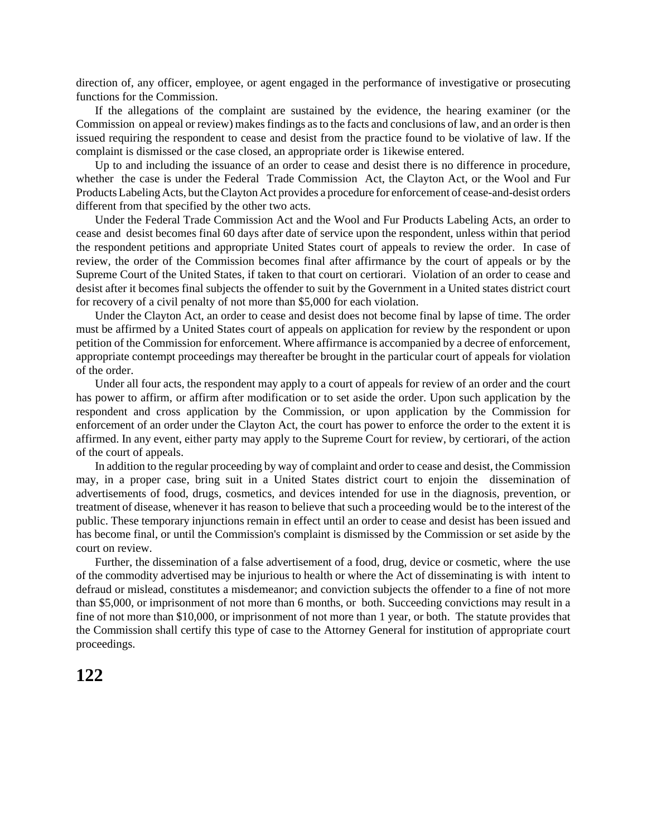direction of, any officer, employee, or agent engaged in the performance of investigative or prosecuting functions for the Commission.

If the allegations of the complaint are sustained by the evidence, the hearing examiner (or the Commission on appeal or review) makes findings as to the facts and conclusions of law, and an order is then issued requiring the respondent to cease and desist from the practice found to be violative of law. If the complaint is dismissed or the case closed, an appropriate order is 1ikewise entered.

Up to and including the issuance of an order to cease and desist there is no difference in procedure, whether the case is under the Federal Trade Commission Act, the Clayton Act, or the Wool and Fur Products Labeling Acts, but the Clayton Act provides a procedure for enforcement of cease-and-desist orders different from that specified by the other two acts.

Under the Federal Trade Commission Act and the Wool and Fur Products Labeling Acts, an order to cease and desist becomes final 60 days after date of service upon the respondent, unless within that period the respondent petitions and appropriate United States court of appeals to review the order. In case of review, the order of the Commission becomes final after affirmance by the court of appeals or by the Supreme Court of the United States, if taken to that court on certiorari. Violation of an order to cease and desist after it becomes final subjects the offender to suit by the Government in a United states district court for recovery of a civil penalty of not more than \$5,000 for each violation.

Under the Clayton Act, an order to cease and desist does not become final by lapse of time. The order must be affirmed by a United States court of appeals on application for review by the respondent or upon petition of the Commission for enforcement. Where affirmance is accompanied by a decree of enforcement, appropriate contempt proceedings may thereafter be brought in the particular court of appeals for violation of the order.

Under all four acts, the respondent may apply to a court of appeals for review of an order and the court has power to affirm, or affirm after modification or to set aside the order. Upon such application by the respondent and cross application by the Commission, or upon application by the Commission for enforcement of an order under the Clayton Act, the court has power to enforce the order to the extent it is affirmed. In any event, either party may apply to the Supreme Court for review, by certiorari, of the action of the court of appeals.

In addition to the regular proceeding by way of complaint and order to cease and desist, the Commission may, in a proper case, bring suit in a United States district court to enjoin the dissemination of advertisements of food, drugs, cosmetics, and devices intended for use in the diagnosis, prevention, or treatment of disease, whenever it has reason to believe that such a proceeding would be to the interest of the public. These temporary injunctions remain in effect until an order to cease and desist has been issued and has become final, or until the Commission's complaint is dismissed by the Commission or set aside by the court on review.

Further, the dissemination of a false advertisement of a food, drug, device or cosmetic, where the use of the commodity advertised may be injurious to health or where the Act of disseminating is with intent to defraud or mislead, constitutes a misdemeanor; and conviction subjects the offender to a fine of not more than \$5,000, or imprisonment of not more than 6 months, or both. Succeeding convictions may result in a fine of not more than \$10,000, or imprisonment of not more than 1 year, or both. The statute provides that the Commission shall certify this type of case to the Attorney General for institution of appropriate court proceedings.

## **122**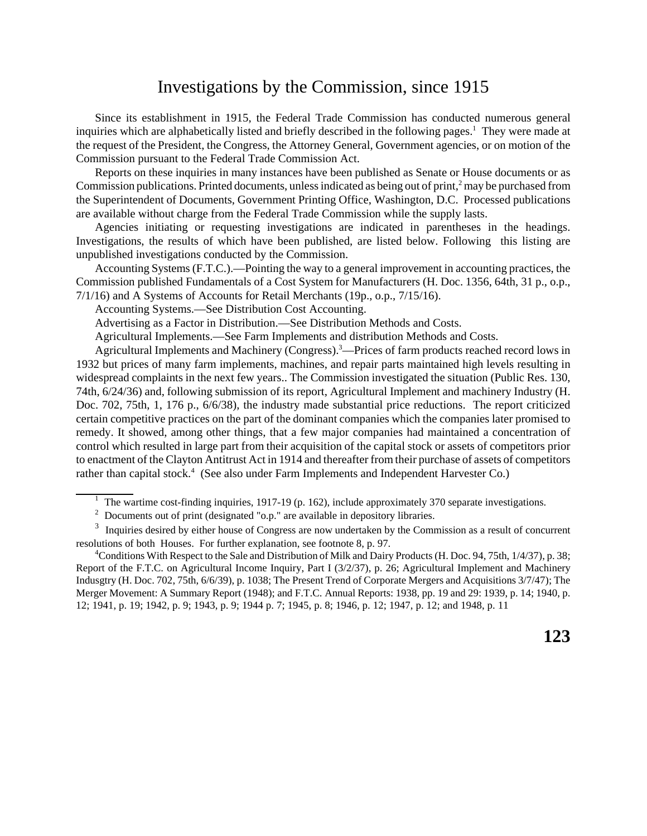## Investigations by the Commission, since 1915

Since its establishment in 1915, the Federal Trade Commission has conducted numerous general inquiries which are alphabetically listed and briefly described in the following pages.<sup>1</sup> They were made at the request of the President, the Congress, the Attorney General, Government agencies, or on motion of the Commission pursuant to the Federal Trade Commission Act.

Reports on these inquiries in many instances have been published as Senate or House documents or as Commission publications. Printed documents, unless indicated as being out of print, $\lambda^2$  may be purchased from the Superintendent of Documents, Government Printing Office, Washington, D.C. Processed publications are available without charge from the Federal Trade Commission while the supply lasts.

Agencies initiating or requesting investigations are indicated in parentheses in the headings. Investigations, the results of which have been published, are listed below. Following this listing are unpublished investigations conducted by the Commission.

Accounting Systems (F.T.C.).—Pointing the way to a general improvement in accounting practices, the Commission published Fundamentals of a Cost System for Manufacturers (H. Doc. 1356, 64th, 31 p., o.p., 7/1/16) and A Systems of Accounts for Retail Merchants (19p., o.p., 7/15/16).

Accounting Systems.—See Distribution Cost Accounting.

Advertising as a Factor in Distribution.—See Distribution Methods and Costs.

Agricultural Implements.—See Farm Implements and distribution Methods and Costs.

Agricultural Implements and Machinery (Congress).<sup>3</sup>—Prices of farm products reached record lows in 1932 but prices of many farm implements, machines, and repair parts maintained high levels resulting in widespread complaints in the next few years.. The Commission investigated the situation (Public Res. 130, 74th, 6/24/36) and, following submission of its report, Agricultural Implement and machinery Industry (H. Doc. 702, 75th, 1, 176 p.,  $6/6/38$ ), the industry made substantial price reductions. The report criticized certain competitive practices on the part of the dominant companies which the companies later promised to remedy. It showed, among other things, that a few major companies had maintained a concentration of control which resulted in large part from their acquisition of the capital stock or assets of competitors prior to enactment of the Clayton Antitrust Act in 1914 and thereafter fromtheir purchase of assets of competitors rather than capital stock.<sup>4</sup> (See also under Farm Implements and Independent Harvester Co.)

1 The wartime cost-finding inquiries, 1917-19 (p. 162), include approximately 370 separate investigations.

 $3$  Inquiries desired by either house of Congress are now undertaken by the Commission as a result of concurrent resolutions of both Houses. For further explanation, see footnote 8, p. 97.

<sup>4</sup>Conditions With Respect to the Sale and Distribution of Milk and Dairy Products (H. Doc. 94, 75th, 1/4/37), p. 38; Report of the F.T.C. on Agricultural Income Inquiry, Part I (3/2/37), p. 26; Agricultural Implement and Machinery Indusgtry (H. Doc. 702, 75th, 6/6/39), p. 1038; The Present Trend of Corporate Mergers and Acquisitions 3/7/47); The Merger Movement: A Summary Report (1948); and F.T.C. Annual Reports: 1938, pp. 19 and 29: 1939, p. 14; 1940, p. 12; 1941, p. 19; 1942, p. 9; 1943, p. 9; 1944 p. 7; 1945, p. 8; 1946, p. 12; 1947, p. 12; and 1948, p. 11

 $2$  Documents out of print (designated "o.p." are available in depository libraries.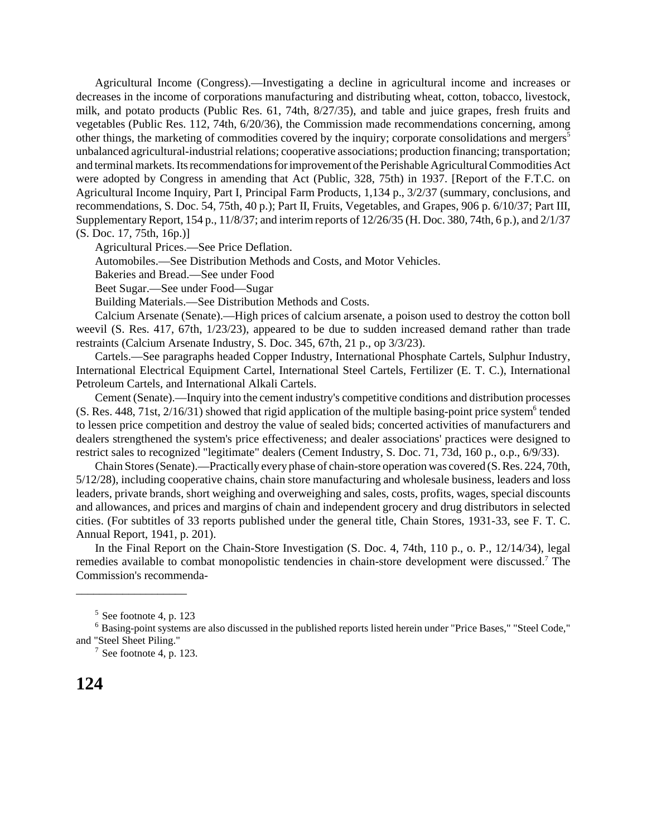Agricultural Income (Congress).—Investigating a decline in agricultural income and increases or decreases in the income of corporations manufacturing and distributing wheat, cotton, tobacco, livestock, milk, and potato products (Public Res. 61, 74th, 8/27/35), and table and juice grapes, fresh fruits and vegetables (Public Res. 112, 74th, 6/20/36), the Commission made recommendations concerning, among other things, the marketing of commodities covered by the inquiry; corporate consolidations and mergers<sup>5</sup> unbalanced agricultural-industrial relations; cooperative associations; production financing; transportation; and terminal markets. Its recommendations for improvement of the Perishable Agricultural Commodities Act were adopted by Congress in amending that Act (Public, 328, 75th) in 1937. [Report of the F.T.C. on Agricultural Income Inquiry, Part I, Principal Farm Products, 1,134 p., 3/2/37 (summary, conclusions, and recommendations, S. Doc. 54, 75th, 40 p.); Part II, Fruits, Vegetables, and Grapes, 906 p. 6/10/37; Part III, Supplementary Report, 154 p., 11/8/37; and interim reports of 12/26/35 (H. Doc. 380, 74th, 6 p.), and 2/1/37 (S. Doc. 17, 75th, 16p.)]

Agricultural Prices.—See Price Deflation.

Automobiles.—See Distribution Methods and Costs, and Motor Vehicles.

Bakeries and Bread.—See under Food

Beet Sugar.—See under Food—Sugar

Building Materials.—See Distribution Methods and Costs.

Calcium Arsenate (Senate).—High prices of calcium arsenate, a poison used to destroy the cotton boll weevil (S. Res. 417, 67th, 1/23/23), appeared to be due to sudden increased demand rather than trade restraints (Calcium Arsenate Industry, S. Doc. 345, 67th, 21 p., op 3/3/23).

Cartels.—See paragraphs headed Copper Industry, International Phosphate Cartels, Sulphur Industry, International Electrical Equipment Cartel, International Steel Cartels, Fertilizer (E. T. C.), International Petroleum Cartels, and International Alkali Cartels.

Cement (Senate).—Inquiry into the cement industry's competitive conditions and distribution processes (S. Res. 448, 71st,  $2/16/31$ ) showed that rigid application of the multiple basing-point price system<sup>6</sup> tended to lessen price competition and destroy the value of sealed bids; concerted activities of manufacturers and dealers strengthened the system's price effectiveness; and dealer associations' practices were designed to restrict sales to recognized "legitimate" dealers (Cement Industry, S. Doc. 71, 73d, 160 p., o.p., 6/9/33).

Chain Stores(Senate).—Practically every phase of chain-store operation was covered (S.Res. 224, 70th, 5/12/28), including cooperative chains, chain store manufacturing and wholesale business, leaders and loss leaders, private brands, short weighing and overweighing and sales, costs, profits, wages, special discounts and allowances, and prices and margins of chain and independent grocery and drug distributors in selected cities. (For subtitles of 33 reports published under the general title, Chain Stores, 1931-33, see F. T. C. Annual Report, 1941, p. 201).

In the Final Report on the Chain-Store Investigation (S. Doc. 4, 74th, 110 p., o. P., 12/14/34), legal remedies available to combat monopolistic tendencies in chain-store development were discussed.<sup>7</sup> The Commission's recommenda-

\_\_\_\_\_\_\_\_\_\_\_\_\_\_\_\_\_\_\_

 $5$  See footnote 4, p. 123

<sup>&</sup>lt;sup>6</sup> Basing-point systems are also discussed in the published reports listed herein under "Price Bases," "Steel Code," and "Steel Sheet Piling."

 $<sup>7</sup>$  See footnote 4, p. 123.</sup>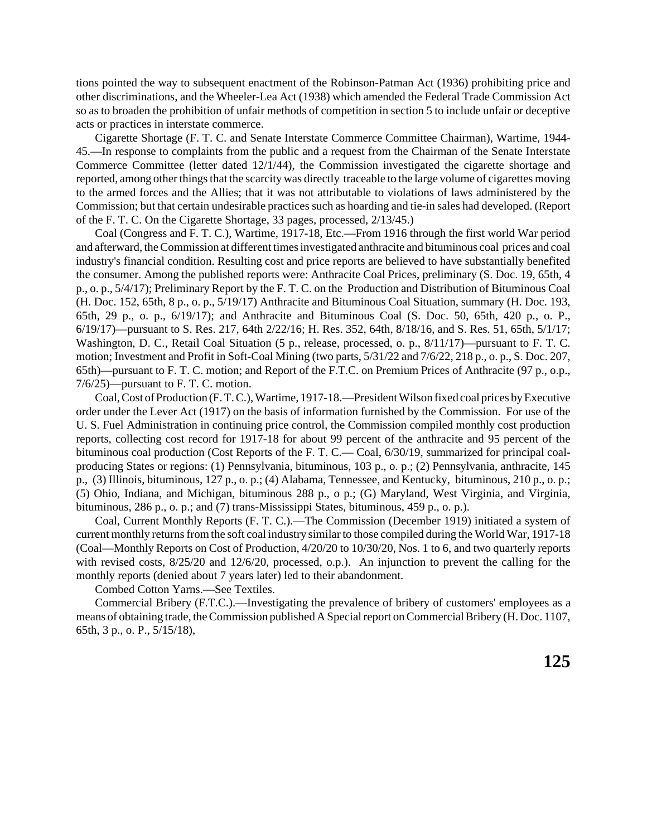tions pointed the way to subsequent enactment of the Robinson-Patman Act (1936) prohibiting price and other discriminations, and the Wheeler-Lea Act (1938) which amended the Federal Trade Commission Act so as to broaden the prohibition of unfair methods of competition in section 5 to include unfair or deceptive acts or practices in interstate commerce.

Cigarette Shortage (F. T. C. and Senate Interstate Commerce Committee Chairman), Wartime, 1944- 45.—In response to complaints from the public and a request from the Chairman of the Senate Interstate Commerce Committee (letter dated 12/1/44), the Commission investigated the cigarette shortage and reported, among other things that the scarcity was directly traceable to the large volume of cigarettes moving to the armed forces and the Allies; that it was not attributable to violations of laws administered by the Commission; but that certain undesirable practices such as hoarding and tie-in sales had developed. (Report of the F. T. C. On the Cigarette Shortage, 33 pages, processed, 2/13/45.)

Coal (Congress and F. T. C.), Wartime, 1917-18, Etc.—From 1916 through the first world War period and afterward, the Commission at different times investigated anthracite and bituminous coal prices and coal industry's financial condition. Resulting cost and price reports are believed to have substantially benefited the consumer. Among the published reports were: Anthracite Coal Prices, preliminary (S. Doc. 19, 65th, 4 p., o. p., 5/4/17); Preliminary Report by the F. T. C. on the Production and Distribution of Bituminous Coal (H. Doc. 152, 65th, 8 p., o. p., 5/19/17) Anthracite and Bituminous Coal Situation, summary (H. Doc. 193, 65th, 29 p., o. p., 6/19/17); and Anthracite and Bituminous Coal (S. Doc. 50, 65th, 420 p., o. P., 6/19/17)—pursuant to S. Res. 217, 64th 2/22/16; H. Res. 352, 64th, 8/18/16, and S. Res. 51, 65th, 5/1/17; Washington, D. C., Retail Coal Situation (5 p., release, processed, o. p., 8/11/17)—pursuant to F. T. C. motion; Investment and Profit in Soft-Coal Mining (two parts, 5/31/22 and 7/6/22, 218 p., o. p., S. Doc. 207, 65th)—pursuant to F. T. C. motion; and Report of the F.T.C. on Premium Prices of Anthracite (97 p., o.p., 7/6/25)—pursuant to F. T. C. motion.

Coal, Cost of Production (F.T.C.), Wartime, 1917-18.—President Wilson fixed coal prices by Executive order under the Lever Act (1917) on the basis of information furnished by the Commission. For use of the U. S. Fuel Administration in continuing price control, the Commission compiled monthly cost production reports, collecting cost record for 1917-18 for about 99 percent of the anthracite and 95 percent of the bituminous coal production (Cost Reports of the F. T. C.— Coal, 6/30/19, summarized for principal coalproducing States or regions: (1) Pennsylvania, bituminous, 103 p., o. p.; (2) Pennsylvania, anthracite, 145 p., (3) Illinois, bituminous, 127 p., o. p.; (4) Alabama, Tennessee, and Kentucky, bituminous, 210 p., o. p.; (5) Ohio, Indiana, and Michigan, bituminous 288 p., o p.; (G) Maryland, West Virginia, and Virginia, bituminous, 286 p., o. p.; and (7) trans-Mississippi States, bituminous, 459 p., o. p.).

Coal, Current Monthly Reports (F. T. C.).—The Commission (December 1919) initiated a system of current monthly returns from the soft coal industry similar to those compiled during the World War, 1917-18 (Coal—Monthly Reports on Cost of Production, 4/20/20 to 10/30/20, Nos. 1 to 6, and two quarterly reports with revised costs, 8/25/20 and 12/6/20, processed, o.p.). An injunction to prevent the calling for the monthly reports (denied about 7 years later) led to their abandonment.

Combed Cotton Yarns.—See Textiles.

Commercial Bribery (F.T.C.).—Investigating the prevalence of bribery of customers' employees as a means of obtaining trade, the Commission published A Special report on Commercial Bribery (H. Doc. 1107, 65th, 3 p., o. P., 5/15/18),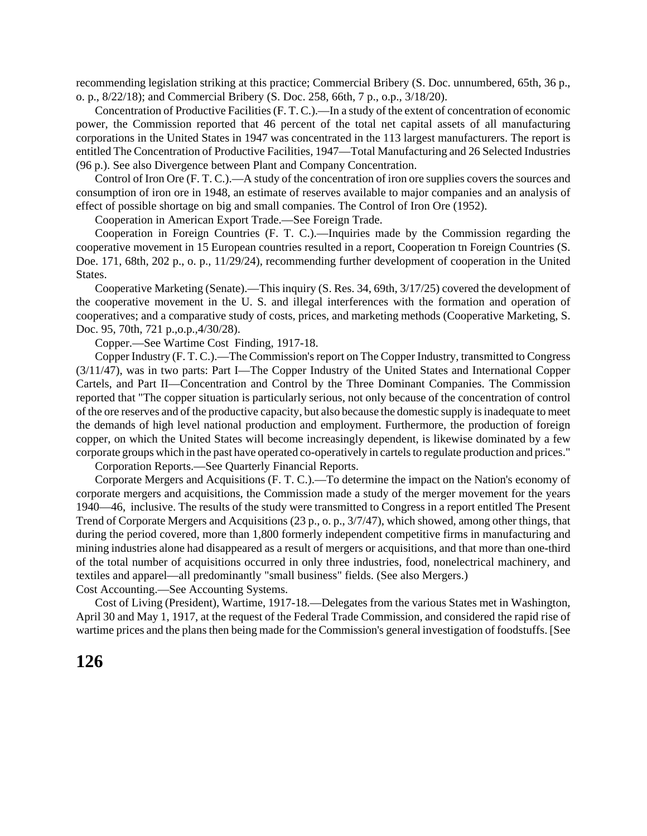recommending legislation striking at this practice; Commercial Bribery (S. Doc. unnumbered, 65th, 36 p., o. p., 8/22/18); and Commercial Bribery (S. Doc. 258, 66th, 7 p., o.p., 3/18/20).

Concentration of Productive Facilities(F. T. C.).—In a study of the extent of concentration of economic power, the Commission reported that 46 percent of the total net capital assets of all manufacturing corporations in the United States in 1947 was concentrated in the 113 largest manufacturers. The report is entitled The Concentration of Productive Facilities, 1947—Total Manufacturing and 26 Selected Industries (96 p.). See also Divergence between Plant and Company Concentration.

Control of Iron Ore (F. T. C.).—A study of the concentration of iron ore supplies covers the sources and consumption of iron ore in 1948, an estimate of reserves available to major companies and an analysis of effect of possible shortage on big and small companies. The Control of Iron Ore (1952).

Cooperation in American Export Trade.—See Foreign Trade.

Cooperation in Foreign Countries (F. T. C.).—Inquiries made by the Commission regarding the cooperative movement in 15 European countries resulted in a report, Cooperation tn Foreign Countries (S. Doe. 171, 68th, 202 p., o. p., 11/29/24), recommending further development of cooperation in the United States.

Cooperative Marketing (Senate).—This inquiry (S. Res. 34, 69th, 3/17/25) covered the development of the cooperative movement in the U. S. and illegal interferences with the formation and operation of cooperatives; and a comparative study of costs, prices, and marketing methods (Cooperative Marketing, S. Doc. 95, 70th, 721 p.,o.p.,4/30/28).

Copper.—See Wartime Cost Finding, 1917-18.

Copper Industry (F. T. C.).—The Commission's report on The Copper Industry, transmitted to Congress (3/11/47), was in two parts: Part I—The Copper Industry of the United States and International Copper Cartels, and Part II—Concentration and Control by the Three Dominant Companies. The Commission reported that "The copper situation is particularly serious, not only because of the concentration of control of the ore reserves and of the productive capacity, but also because the domestic supply isinadequate to meet the demands of high level national production and employment. Furthermore, the production of foreign copper, on which the United States will become increasingly dependent, is likewise dominated by a few corporate groups which in the past have operated co-operatively in cartels to regulate production and prices."

Corporation Reports.—See Quarterly Financial Reports.

Corporate Mergers and Acquisitions (F. T. C.).—To determine the impact on the Nation's economy of corporate mergers and acquisitions, the Commission made a study of the merger movement for the years 1940—46, inclusive. The results of the study were transmitted to Congress in a report entitled The Present Trend of Corporate Mergers and Acquisitions (23 p., o. p., 3/7/47), which showed, among other things, that during the period covered, more than 1,800 formerly independent competitive firms in manufacturing and mining industries alone had disappeared as a result of mergers or acquisitions, and that more than one-third of the total number of acquisitions occurred in only three industries, food, nonelectrical machinery, and textiles and apparel—all predominantly "small business" fields. (See also Mergers.) Cost Accounting.—See Accounting Systems.

Cost of Living (President), Wartime, 1917-18.—Delegates from the various States met in Washington, April 30 and May 1, 1917, at the request of the Federal Trade Commission, and considered the rapid rise of wartime prices and the plans then being made for the Commission's general investigation of foodstuffs. [See

#### **126**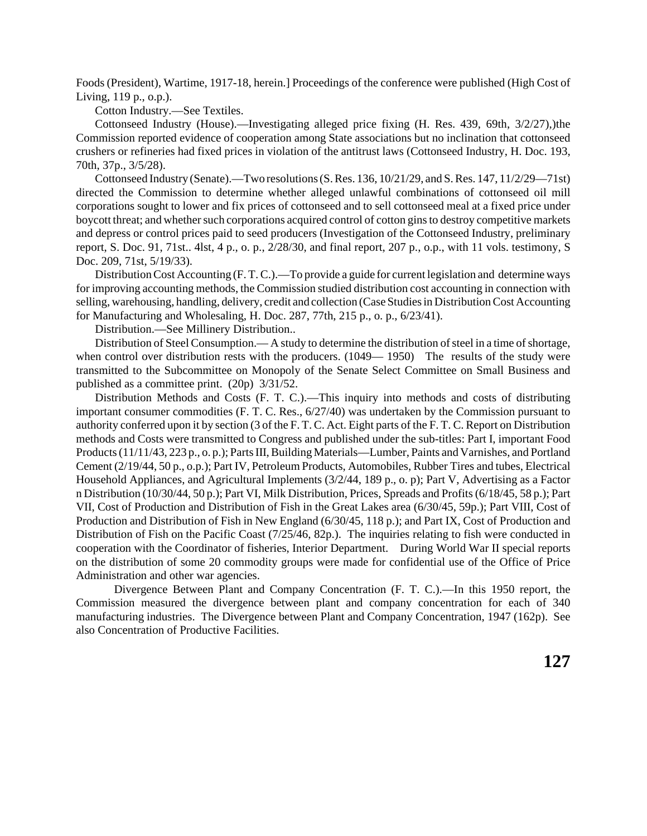Foods (President), Wartime, 1917-18, herein.] Proceedings of the conference were published (High Cost of Living, 119 p., o.p.).

Cotton Industry.—See Textiles.

Cottonseed Industry (House).—Investigating alleged price fixing (H. Res. 439, 69th, 3/2/27),)the Commission reported evidence of cooperation among State associations but no inclination that cottonseed crushers or refineries had fixed prices in violation of the antitrust laws (Cottonseed Industry, H. Doc. 193, 70th, 37p., 3/5/28).

Cottonseed Industry (Senate).—Two resolutions(S.Res. 136, 10/21/29, and S.Res. 147, 11/2/29—71st) directed the Commission to determine whether alleged unlawful combinations of cottonseed oil mill corporations sought to lower and fix prices of cottonseed and to sell cottonseed meal at a fixed price under boycott threat; and whether such corporations acquired control of cotton gins to destroy competitive markets and depress or control prices paid to seed producers (Investigation of the Cottonseed Industry, preliminary report, S. Doc. 91, 71st.. 4lst, 4 p., o. p., 2/28/30, and final report, 207 p., o.p., with 11 vols. testimony, S Doc. 209, 71st, 5/19/33).

Distribution Cost Accounting (F. T. C.).—To provide a guide for current legislation and determine ways for improving accounting methods, the Commission studied distribution cost accounting in connection with selling, warehousing, handling, delivery, credit and collection (Case Studies in Distribution Cost Accounting for Manufacturing and Wholesaling, H. Doc. 287, 77th, 215 p., o. p., 6/23/41).

Distribution.—See Millinery Distribution..

Distribution of Steel Consumption.— A study to determine the distribution of steel in a time of shortage, when control over distribution rests with the producers. (1049—1950) The results of the study were transmitted to the Subcommittee on Monopoly of the Senate Select Committee on Small Business and published as a committee print. (20p) 3/31/52.

Distribution Methods and Costs (F. T. C.).—This inquiry into methods and costs of distributing important consumer commodities (F. T. C. Res., 6/27/40) was undertaken by the Commission pursuant to authority conferred upon it by section (3 of the F. T. C. Act. Eight parts of the F. T. C. Report on Distribution methods and Costs were transmitted to Congress and published under the sub-titles: Part I, important Food Products (11/11/43, 223 p., o. p.); Parts III, Building Materials—Lumber, Paints and Varnishes, and Portland Cement (2/19/44, 50 p., o.p.); Part IV, Petroleum Products, Automobiles, Rubber Tires and tubes, Electrical Household Appliances, and Agricultural Implements (3/2/44, 189 p., o. p); Part V, Advertising as a Factor n Distribution (10/30/44, 50 p.); Part VI, Milk Distribution, Prices, Spreads and Profits(6/18/45, 58 p.); Part VII, Cost of Production and Distribution of Fish in the Great Lakes area (6/30/45, 59p.); Part VIII, Cost of Production and Distribution of Fish in New England (6/30/45, 118 p.); and Part IX, Cost of Production and Distribution of Fish on the Pacific Coast (7/25/46, 82p.). The inquiries relating to fish were conducted in cooperation with the Coordinator of fisheries, Interior Department. During World War II special reports on the distribution of some 20 commodity groups were made for confidential use of the Office of Price Administration and other war agencies.

Divergence Between Plant and Company Concentration (F. T. C.).—In this 1950 report, the Commission measured the divergence between plant and company concentration for each of 340 manufacturing industries. The Divergence between Plant and Company Concentration, 1947 (162p). See also Concentration of Productive Facilities.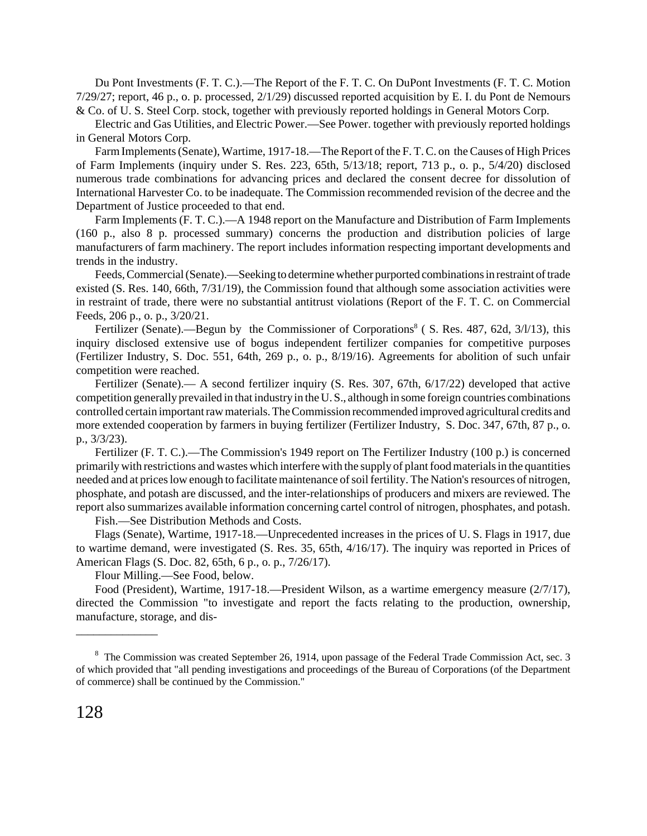Du Pont Investments (F. T. C.).—The Report of the F. T. C. On DuPont Investments (F. T. C. Motion 7/29/27; report, 46 p., o. p. processed, 2/1/29) discussed reported acquisition by E. I. du Pont de Nemours & Co. of U. S. Steel Corp. stock, together with previously reported holdings in General Motors Corp.

Electric and Gas Utilities, and Electric Power.—See Power. together with previously reported holdings in General Motors Corp.

Farm Implements (Senate), Wartime, 1917-18.—The Report of the F. T. C. on the Causes of High Prices of Farm Implements (inquiry under S. Res. 223, 65th, 5/13/18; report, 713 p., o. p., 5/4/20) disclosed numerous trade combinations for advancing prices and declared the consent decree for dissolution of International Harvester Co. to be inadequate. The Commission recommended revision of the decree and the Department of Justice proceeded to that end.

Farm Implements (F. T. C.).—A 1948 report on the Manufacture and Distribution of Farm Implements (160 p., also 8 p. processed summary) concerns the production and distribution policies of large manufacturers of farm machinery. The report includes information respecting important developments and trends in the industry.

Feeds, Commercial (Senate).—Seeking to determine whether purported combinations in restraint of trade existed (S. Res. 140, 66th, 7/31/19), the Commission found that although some association activities were in restraint of trade, there were no substantial antitrust violations (Report of the F. T. C. on Commercial Feeds, 206 p., o. p., 3/20/21.

Fertilizer (Senate).—Begun by the Commissioner of Corporations<sup>8</sup> (S. Res. 487, 62d, 3/l/13), this inquiry disclosed extensive use of bogus independent fertilizer companies for competitive purposes (Fertilizer Industry, S. Doc. 551, 64th, 269 p., o. p., 8/19/16). Agreements for abolition of such unfair competition were reached.

Fertilizer (Senate).— A second fertilizer inquiry (S. Res. 307, 67th, 6/17/22) developed that active competition generally prevailed in that industry in theU.S., although in some foreign countries combinations controlled certain importantraw materials. The Commission recommended improved agricultural credits and more extended cooperation by farmers in buying fertilizer (Fertilizer Industry, S. Doc. 347, 67th, 87 p., o. p., 3/3/23).

Fertilizer (F. T. C.).—The Commission's 1949 report on The Fertilizer Industry (100 p.) is concerned primarily with restrictions and wastes which interfere with the supply of plant food materials in the quantities needed and at prices low enough to facilitate maintenance of soil fertility. The Nation's resources of nitrogen, phosphate, and potash are discussed, and the inter-relationships of producers and mixers are reviewed. The report also summarizes available information concerning cartel control of nitrogen, phosphates, and potash.

Fish.—See Distribution Methods and Costs.

Flags (Senate), Wartime, 1917-18.—Unprecedented increases in the prices of U. S. Flags in 1917, due to wartime demand, were investigated (S. Res. 35, 65th, 4/16/17). The inquiry was reported in Prices of American Flags (S. Doc. 82, 65th, 6 p., o. p., 7/26/17).

Flour Milling.—See Food, below.

Food (President), Wartime, 1917-18.—President Wilson, as a wartime emergency measure (2/7/17), directed the Commission "to investigate and report the facts relating to the production, ownership, manufacture, storage, and dis-

\_\_\_\_\_\_\_\_\_\_\_\_\_\_

<sup>&</sup>lt;sup>8</sup> The Commission was created September 26, 1914, upon passage of the Federal Trade Commission Act, sec. 3 of which provided that "all pending investigations and proceedings of the Bureau of Corporations (of the Department of commerce) shall be continued by the Commission."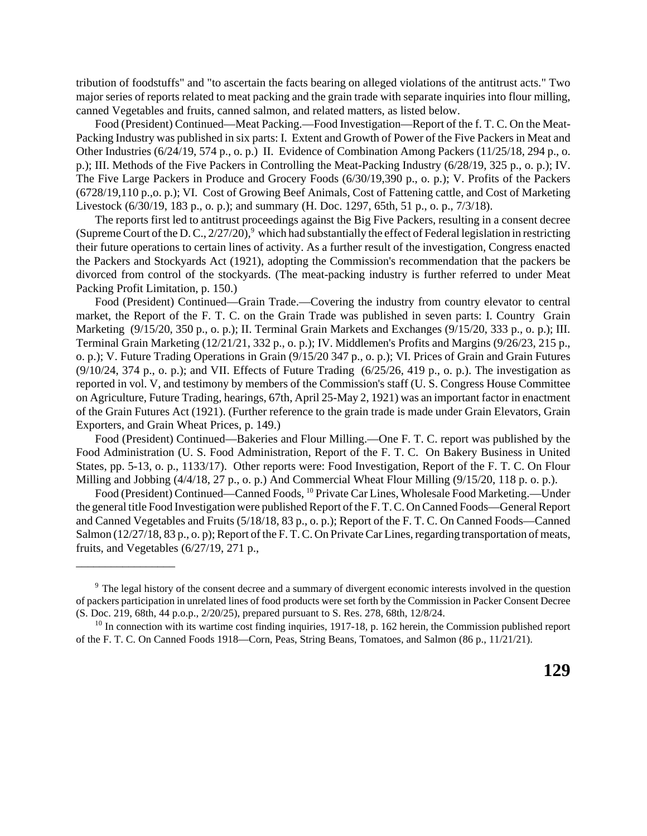tribution of foodstuffs" and "to ascertain the facts bearing on alleged violations of the antitrust acts." Two major series of reports related to meat packing and the grain trade with separate inquiries into flour milling, canned Vegetables and fruits, canned salmon, and related matters, as listed below.

Food (President) Continued—Meat Packing.—Food Investigation—Report of the f. T. C. On the Meat-Packing Industry was published in six parts: I. Extent and Growth of Power of the Five Packers in Meat and Other Industries (6/24/19, 574 p., o. p.) II. Evidence of Combination Among Packers (11/25/18, 294 p., o. p.); III. Methods of the Five Packers in Controlling the Meat-Packing Industry (6/28/19, 325 p., o. p.); IV. The Five Large Packers in Produce and Grocery Foods (6/30/19,390 p., o. p.); V. Profits of the Packers (6728/19,110 p.,o. p.); VI. Cost of Growing Beef Animals, Cost of Fattening cattle, and Cost of Marketing Livestock (6/30/19, 183 p., o. p.); and summary (H. Doc. 1297, 65th, 51 p., o. p., 7/3/18).

The reports first led to antitrust proceedings against the Big Five Packers, resulting in a consent decree (Supreme Court of the D. C.,  $2/27/20$ ),<sup>9</sup> which had substantially the effect of Federal legislation in restricting their future operations to certain lines of activity. As a further result of the investigation, Congress enacted the Packers and Stockyards Act (1921), adopting the Commission's recommendation that the packers be divorced from control of the stockyards. (The meat-packing industry is further referred to under Meat Packing Profit Limitation, p. 150.)

Food (President) Continued—Grain Trade.—Covering the industry from country elevator to central market, the Report of the F. T. C. on the Grain Trade was published in seven parts: I. Country Grain Marketing (9/15/20, 350 p., o. p.); II. Terminal Grain Markets and Exchanges (9/15/20, 333 p., o. p.); III. Terminal Grain Marketing (12/21/21, 332 p., o. p.); IV. Middlemen's Profits and Margins (9/26/23, 215 p., o. p.); V. Future Trading Operations in Grain (9/15/20 347 p., o. p.); VI. Prices of Grain and Grain Futures  $(9/10/24, 374 \text{ p.}, \text{o. p.})$ ; and VII. Effects of Future Trading  $(6/25/26, 419 \text{ p.}, \text{o. p.})$ . The investigation as reported in vol. V, and testimony by members of the Commission's staff (U. S. Congress House Committee on Agriculture, Future Trading, hearings, 67th, April 25-May 2, 1921) was an important factor in enactment of the Grain Futures Act (1921). (Further reference to the grain trade is made under Grain Elevators, Grain Exporters, and Grain Wheat Prices, p. 149.)

Food (President) Continued—Bakeries and Flour Milling.—One F. T. C. report was published by the Food Administration (U. S. Food Administration, Report of the F. T. C. On Bakery Business in United States, pp. 5-13, o. p., 1133/17). Other reports were: Food Investigation, Report of the F. T. C. On Flour Milling and Jobbing (4/4/18, 27 p., o. p.) And Commercial Wheat Flour Milling (9/15/20, 118 p. o. p.).

Food (President) Continued—Canned Foods, <sup>10</sup> Private Car Lines, Wholesale Food Marketing.—Under the general title Food Investigation were published Report of the F.T.C. On Canned Foods—General Report and Canned Vegetables and Fruits (5/18/18, 83 p., o. p.); Report of the F. T. C. On Canned Foods—Canned Salmon (12/27/18, 83 p., o. p); Report of the F. T. C. On Private Car Lines, regarding transportation of meats, fruits, and Vegetables (6/27/19, 271 p.,

\_\_\_\_\_\_\_\_\_\_\_\_\_\_\_\_\_

 $9<sup>9</sup>$  The legal history of the consent decree and a summary of divergent economic interests involved in the question of packers participation in unrelated lines of food products were set forth by the Commission in Packer Consent Decree (S. Doc. 219, 68th, 44 p.o.p., 2/20/25), prepared pursuant to S. Res. 278, 68th, 12/8/24.

<sup>&</sup>lt;sup>10</sup> In connection with its wartime cost finding inquiries, 1917-18, p. 162 herein, the Commission published report of the F. T. C. On Canned Foods 1918—Corn, Peas, String Beans, Tomatoes, and Salmon (86 p., 11/21/21).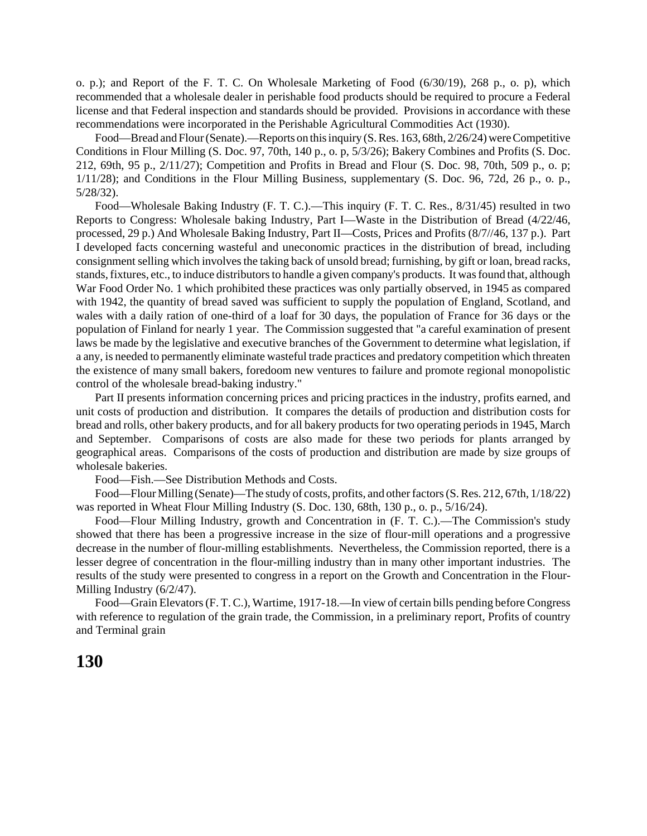o. p.); and Report of the F. T. C. On Wholesale Marketing of Food (6/30/19), 268 p., o. p), which recommended that a wholesale dealer in perishable food products should be required to procure a Federal license and that Federal inspection and standards should be provided. Provisions in accordance with these recommendations were incorporated in the Perishable Agricultural Commodities Act (1930).

Food—Bread and Flour (Senate).—Reports on this inquiry (S. Res. 163, 68th, 2/26/24) were Competitive Conditions in Flour Milling (S. Doc. 97, 70th, 140 p., o. p, 5/3/26); Bakery Combines and Profits (S. Doc. 212, 69th, 95 p., 2/11/27); Competition and Profits in Bread and Flour (S. Doc. 98, 70th, 509 p., o. p; 1/11/28); and Conditions in the Flour Milling Business, supplementary (S. Doc. 96, 72d, 26 p., o. p., 5/28/32).

Food—Wholesale Baking Industry (F. T. C.).—This inquiry (F. T. C. Res., 8/31/45) resulted in two Reports to Congress: Wholesale baking Industry, Part I—Waste in the Distribution of Bread (4/22/46, processed, 29 p.) And Wholesale Baking Industry, Part II—Costs, Prices and Profits (8/7//46, 137 p.). Part I developed facts concerning wasteful and uneconomic practices in the distribution of bread, including consignment selling which involves the taking back of unsold bread; furnishing, by gift or loan, bread racks, stands, fixtures, etc., to induce distributors to handle a given company's products. It was found that, although War Food Order No. 1 which prohibited these practices was only partially observed, in 1945 as compared with 1942, the quantity of bread saved was sufficient to supply the population of England, Scotland, and wales with a daily ration of one-third of a loaf for 30 days, the population of France for 36 days or the population of Finland for nearly 1 year. The Commission suggested that "a careful examination of present laws be made by the legislative and executive branches of the Government to determine what legislation, if a any, is needed to permanently eliminate wasteful trade practices and predatory competition which threaten the existence of many small bakers, foredoom new ventures to failure and promote regional monopolistic control of the wholesale bread-baking industry."

Part II presents information concerning prices and pricing practices in the industry, profits earned, and unit costs of production and distribution. It compares the details of production and distribution costs for bread and rolls, other bakery products, and for all bakery products for two operating periods in 1945, March and September. Comparisons of costs are also made for these two periods for plants arranged by geographical areas. Comparisons of the costs of production and distribution are made by size groups of wholesale bakeries.

Food—Fish.—See Distribution Methods and Costs.

Food—Flour Milling (Senate)—The study of costs, profits, and other factors (S. Res. 212, 67th, 1/18/22) was reported in Wheat Flour Milling Industry (S. Doc. 130, 68th, 130 p., o. p., 5/16/24).

Food—Flour Milling Industry, growth and Concentration in (F. T. C.).—The Commission's study showed that there has been a progressive increase in the size of flour-mill operations and a progressive decrease in the number of flour-milling establishments. Nevertheless, the Commission reported, there is a lesser degree of concentration in the flour-milling industry than in many other important industries. The results of the study were presented to congress in a report on the Growth and Concentration in the Flour-Milling Industry (6/2/47).

Food—Grain Elevators(F. T. C.), Wartime, 1917-18.—In view of certain bills pending before Congress with reference to regulation of the grain trade, the Commission, in a preliminary report, Profits of country and Terminal grain

#### **130**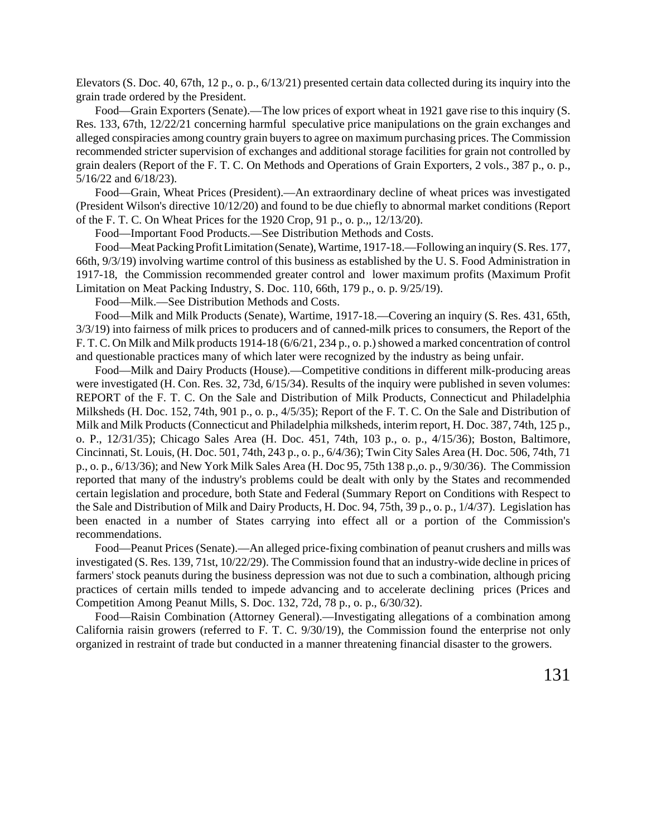Elevators (S. Doc. 40, 67th, 12 p., o. p., 6/13/21) presented certain data collected during its inquiry into the grain trade ordered by the President.

Food—Grain Exporters (Senate).—The low prices of export wheat in 1921 gave rise to this inquiry (S. Res. 133, 67th, 12/22/21 concerning harmful speculative price manipulations on the grain exchanges and alleged conspiracies among country grain buyers to agree on maximum purchasing prices. The Commission recommended stricter supervision of exchanges and additional storage facilities for grain not controlled by grain dealers (Report of the F. T. C. On Methods and Operations of Grain Exporters, 2 vols., 387 p., o. p., 5/16/22 and 6/18/23).

Food—Grain, Wheat Prices (President).—An extraordinary decline of wheat prices was investigated (President Wilson's directive 10/12/20) and found to be due chiefly to abnormal market conditions (Report of the F. T. C. On Wheat Prices for the 1920 Crop, 91 p., o. p.,, 12/13/20).

Food—Important Food Products.—See Distribution Methods and Costs.

Food—Meat Packing Profit Limitation (Senate), Wartime, 1917-18.—Following an inquiry (S. Res. 177, 66th, 9/3/19) involving wartime control of this business as established by the U. S. Food Administration in 1917-18, the Commission recommended greater control and lower maximum profits (Maximum Profit Limitation on Meat Packing Industry, S. Doc. 110, 66th, 179 p., o. p. 9/25/19).

Food—Milk.—See Distribution Methods and Costs.

Food—Milk and Milk Products (Senate), Wartime, 1917-18.—Covering an inquiry (S. Res. 431, 65th, 3/3/19) into fairness of milk prices to producers and of canned-milk prices to consumers, the Report of the F. T. C. On Milk and Milk products 1914-18 (6/6/21, 234 p., o. p.) showed a marked concentration of control and questionable practices many of which later were recognized by the industry as being unfair.

Food—Milk and Dairy Products (House).—Competitive conditions in different milk-producing areas were investigated (H. Con. Res. 32, 73d, 6/15/34). Results of the inquiry were published in seven volumes: REPORT of the F. T. C. On the Sale and Distribution of Milk Products, Connecticut and Philadelphia Milksheds (H. Doc. 152, 74th, 901 p., o. p., 4/5/35); Report of the F. T. C. On the Sale and Distribution of Milk and Milk Products (Connecticut and Philadelphia milksheds, interim report, H. Doc. 387, 74th, 125 p., o. P., 12/31/35); Chicago Sales Area (H. Doc. 451, 74th, 103 p., o. p., 4/15/36); Boston, Baltimore, Cincinnati, St. Louis, (H. Doc. 501, 74th, 243 p., o. p., 6/4/36); Twin City Sales Area (H. Doc. 506, 74th, 71 p., o. p., 6/13/36); and New York Milk Sales Area (H. Doc 95, 75th 138 p.,o. p., 9/30/36). The Commission reported that many of the industry's problems could be dealt with only by the States and recommended certain legislation and procedure, both State and Federal (Summary Report on Conditions with Respect to the Sale and Distribution of Milk and Dairy Products, H. Doc. 94, 75th, 39 p., o. p., 1/4/37). Legislation has been enacted in a number of States carrying into effect all or a portion of the Commission's recommendations.

Food—Peanut Prices (Senate).—An alleged price-fixing combination of peanut crushers and mills was investigated (S. Res. 139, 71st, 10/22/29). The Commission found that an industry-wide decline in prices of farmers' stock peanuts during the business depression was not due to such a combination, although pricing practices of certain mills tended to impede advancing and to accelerate declining prices (Prices and Competition Among Peanut Mills, S. Doc. 132, 72d, 78 p., o. p., 6/30/32).

Food—Raisin Combination (Attorney General).—Investigating allegations of a combination among California raisin growers (referred to F. T. C. 9/30/19), the Commission found the enterprise not only organized in restraint of trade but conducted in a manner threatening financial disaster to the growers.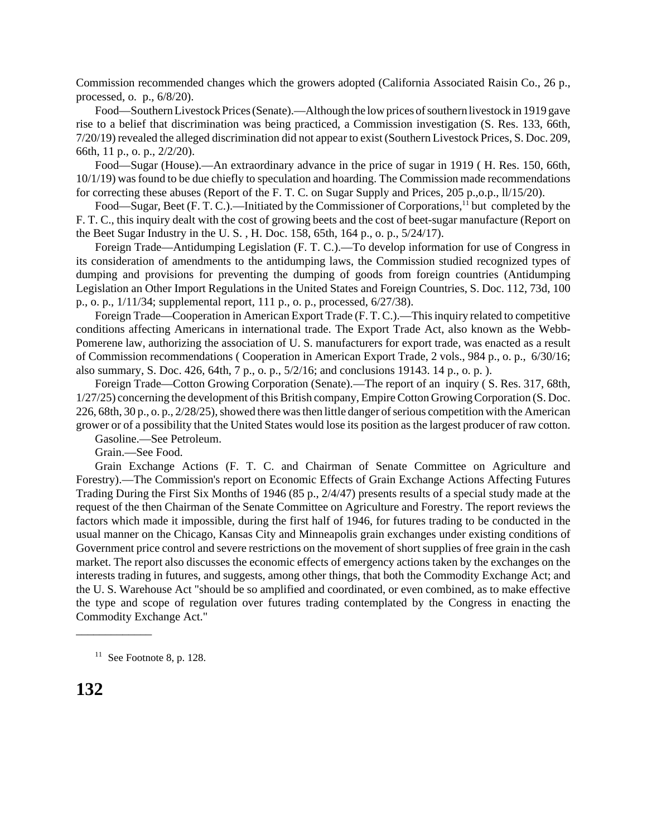Commission recommended changes which the growers adopted (California Associated Raisin Co., 26 p., processed, o. p., 6/8/20).

Food—SouthernLivestock Prices (Senate).—Although the low prices of southern livestock in 1919 gave rise to a belief that discrimination was being practiced, a Commission investigation (S. Res. 133, 66th, 7/20/19) revealed the alleged discrimination did not appear to exist (Southern Livestock Prices, S. Doc. 209, 66th, 11 p., o. p., 2/2/20).

Food—Sugar (House).—An extraordinary advance in the price of sugar in 1919 ( H. Res. 150, 66th, 10/1/19) wasfound to be due chiefly to speculation and hoarding. The Commission made recommendations for correcting these abuses (Report of the F. T. C. on Sugar Supply and Prices, 205 p.,o.p., ll/15/20).

Food—Sugar, Beet  $(F, T, C)$ .—Initiated by the Commissioner of Corporations,<sup>11</sup> but completed by the F. T. C., this inquiry dealt with the cost of growing beets and the cost of beet-sugar manufacture (Report on the Beet Sugar Industry in the U. S. , H. Doc. 158, 65th, 164 p., o. p., 5/24/17).

Foreign Trade—Antidumping Legislation (F. T. C.).—To develop information for use of Congress in its consideration of amendments to the antidumping laws, the Commission studied recognized types of dumping and provisions for preventing the dumping of goods from foreign countries (Antidumping Legislation an Other Import Regulations in the United States and Foreign Countries, S. Doc. 112, 73d, 100 p., o. p., 1/11/34; supplemental report, 111 p., o. p., processed, 6/27/38).

Foreign Trade—Cooperation in American Export Trade (F. T. C.).—Thisinquiry related to competitive conditions affecting Americans in international trade. The Export Trade Act, also known as the Webb-Pomerene law, authorizing the association of U. S. manufacturers for export trade, was enacted as a result of Commission recommendations ( Cooperation in American Export Trade, 2 vols., 984 p., o. p., 6/30/16; also summary, S. Doc. 426, 64th, 7 p., o. p., 5/2/16; and conclusions 19143. 14 p., o. p. ).

Foreign Trade—Cotton Growing Corporation (Senate).—The report of an inquiry ( S. Res. 317, 68th, 1/27/25) concerning the development of this British company, Empire Cotton Growing Corporation (S. Doc.  $226, 68th, 30 \text{ p.}, \text{o. p.}, 2/28/25$ , showed there was then little danger of serious competition with the American grower or of a possibility that the United States would lose its position as the largest producer of raw cotton.

Gasoline.—See Petroleum.

Grain.—See Food.

Grain Exchange Actions (F. T. C. and Chairman of Senate Committee on Agriculture and Forestry).—The Commission's report on Economic Effects of Grain Exchange Actions Affecting Futures Trading During the First Six Months of 1946 (85 p., 2/4/47) presents results of a special study made at the request of the then Chairman of the Senate Committee on Agriculture and Forestry. The report reviews the factors which made it impossible, during the first half of 1946, for futures trading to be conducted in the usual manner on the Chicago, Kansas City and Minneapolis grain exchanges under existing conditions of Government price control and severe restrictions on the movement of short supplies of free grain in the cash market. The report also discusses the economic effects of emergency actions taken by the exchanges on the interests trading in futures, and suggests, among other things, that both the Commodity Exchange Act; and the U. S. Warehouse Act "should be so amplified and coordinated, or even combined, as to make effective the type and scope of regulation over futures trading contemplated by the Congress in enacting the Commodity Exchange Act."

\_\_\_\_\_\_\_\_\_\_\_\_\_

 $11$  See Footnote 8, p. 128.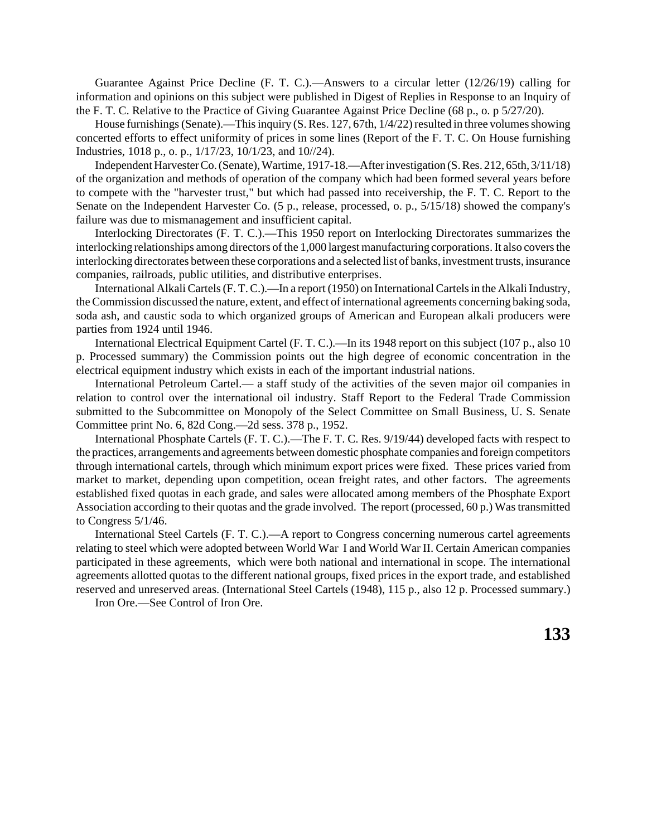Guarantee Against Price Decline (F. T. C.).—Answers to a circular letter (12/26/19) calling for information and opinions on this subject were published in Digest of Replies in Response to an Inquiry of the F. T. C. Relative to the Practice of Giving Guarantee Against Price Decline (68 p., o. p 5/27/20).

House furnishings (Senate).—This inquiry (S. Res. 127, 67th, 1/4/22) resulted in three volumes showing concerted efforts to effect uniformity of prices in some lines (Report of the F. T. C. On House furnishing Industries, 1018 p., o. p., 1/17/23, 10/1/23, and 10//24).

Independent Harvester Co. (Senate), Wartime, 1917-18.—After investigation (S. Res. 212, 65th, 3/11/18) of the organization and methods of operation of the company which had been formed several years before to compete with the "harvester trust," but which had passed into receivership, the F. T. C. Report to the Senate on the Independent Harvester Co. (5 p., release, processed, o. p., 5/15/18) showed the company's failure was due to mismanagement and insufficient capital.

Interlocking Directorates (F. T. C.).—This 1950 report on Interlocking Directorates summarizes the interlocking relationships among directors of the 1,000 largest manufacturing corporations. It also covers the interlocking directorates between these corporations and a selected list of banks, investment trusts, insurance companies, railroads, public utilities, and distributive enterprises.

International Alkali Cartels (F. T. C.).—In a report (1950) on International Cartels in the Alkali Industry, the Commission discussed the nature, extent, and effect of international agreements concerning baking soda, soda ash, and caustic soda to which organized groups of American and European alkali producers were parties from 1924 until 1946.

International Electrical Equipment Cartel (F. T. C.).—In its 1948 report on this subject (107 p., also 10 p. Processed summary) the Commission points out the high degree of economic concentration in the electrical equipment industry which exists in each of the important industrial nations.

International Petroleum Cartel.— a staff study of the activities of the seven major oil companies in relation to control over the international oil industry. Staff Report to the Federal Trade Commission submitted to the Subcommittee on Monopoly of the Select Committee on Small Business, U. S. Senate Committee print No. 6, 82d Cong.—2d sess. 378 p., 1952.

International Phosphate Cartels (F. T. C.).—The F. T. C. Res. 9/19/44) developed facts with respect to the practices, arrangements and agreements between domestic phosphate companies and foreign competitors through international cartels, through which minimum export prices were fixed. These prices varied from market to market, depending upon competition, ocean freight rates, and other factors. The agreements established fixed quotas in each grade, and sales were allocated among members of the Phosphate Export Association according to their quotas and the grade involved. The report (processed, 60 p.) Was transmitted to Congress 5/1/46.

International Steel Cartels (F. T. C.).—A report to Congress concerning numerous cartel agreements relating to steel which were adopted between World War I and World War II. Certain American companies participated in these agreements, which were both national and international in scope. The international agreements allotted quotas to the different national groups, fixed prices in the export trade, and established reserved and unreserved areas. (International Steel Cartels (1948), 115 p., also 12 p. Processed summary.)

Iron Ore.—See Control of Iron Ore.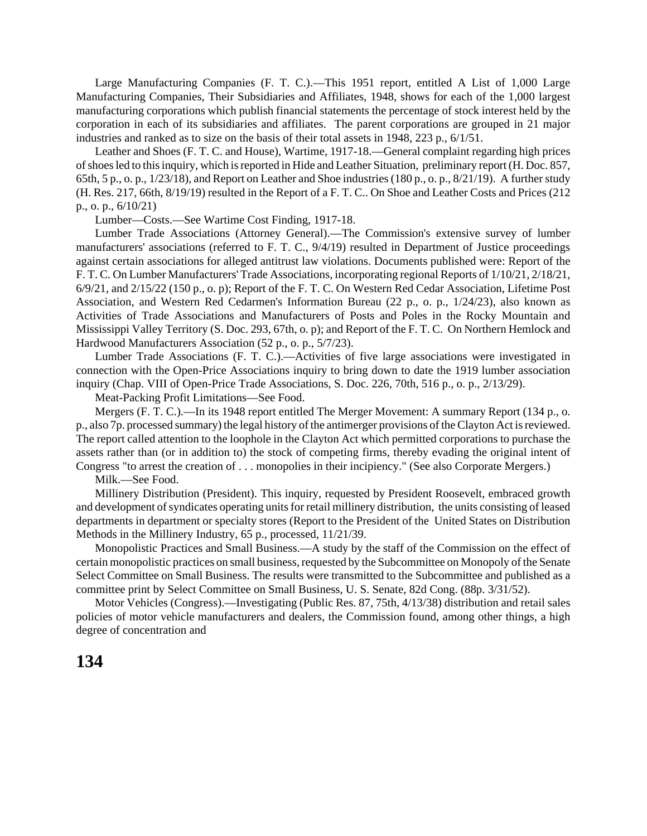Large Manufacturing Companies (F. T. C.).—This 1951 report, entitled A List of 1,000 Large Manufacturing Companies, Their Subsidiaries and Affiliates, 1948, shows for each of the 1,000 largest manufacturing corporations which publish financial statements the percentage of stock interest held by the corporation in each of its subsidiaries and affiliates. The parent corporations are grouped in 21 major industries and ranked as to size on the basis of their total assets in 1948, 223 p., 6/1/51.

Leather and Shoes (F. T. C. and House), Wartime, 1917-18.—General complaint regarding high prices of shoes led to this inquiry, which is reported in Hide and Leather Situation, preliminary report (H. Doc. 857, 65th, 5 p., o. p., 1/23/18), and Report on Leather and Shoe industries(180 p., o. p., 8/21/19). A further study (H. Res. 217, 66th, 8/19/19) resulted in the Report of a F. T. C.. On Shoe and Leather Costs and Prices (212 p., o. p., 6/10/21)

Lumber—Costs.—See Wartime Cost Finding, 1917-18.

Lumber Trade Associations (Attorney General).—The Commission's extensive survey of lumber manufacturers' associations (referred to F. T. C., 9/4/19) resulted in Department of Justice proceedings against certain associations for alleged antitrust law violations. Documents published were: Report of the F. T. C. On Lumber Manufacturers' Trade Associations, incorporating regional Reports of 1/10/21, 2/18/21, 6/9/21, and 2/15/22 (150 p., o. p); Report of the F. T. C. On Western Red Cedar Association, Lifetime Post Association, and Western Red Cedarmen's Information Bureau (22 p., o. p., 1/24/23), also known as Activities of Trade Associations and Manufacturers of Posts and Poles in the Rocky Mountain and Mississippi Valley Territory (S. Doc. 293, 67th, o. p); and Report of the F. T. C. On Northern Hemlock and Hardwood Manufacturers Association (52 p., o. p., 5/7/23).

Lumber Trade Associations (F. T. C.).—Activities of five large associations were investigated in connection with the Open-Price Associations inquiry to bring down to date the 1919 lumber association inquiry (Chap. VIII of Open-Price Trade Associations, S. Doc. 226, 70th, 516 p., o. p., 2/13/29).

Meat-Packing Profit Limitations—See Food.

Mergers (F. T. C.).—In its 1948 report entitled The Merger Movement: A summary Report (134 p., o. p., also 7p. processed summary) the legal history of the antimerger provisions of the Clayton Act is reviewed. The report called attention to the loophole in the Clayton Act which permitted corporations to purchase the assets rather than (or in addition to) the stock of competing firms, thereby evading the original intent of Congress "to arrest the creation of . . . monopolies in their incipiency." (See also Corporate Mergers.)

Milk.—See Food.

Millinery Distribution (President). This inquiry, requested by President Roosevelt, embraced growth and development of syndicates operating units for retail millinery distribution, the units consisting of leased departments in department or specialty stores (Report to the President of the United States on Distribution Methods in the Millinery Industry, 65 p., processed, 11/21/39.

Monopolistic Practices and Small Business.—A study by the staff of the Commission on the effect of certain monopolistic practices on small business, requested by the Subcommittee on Monopoly of the Senate Select Committee on Small Business. The results were transmitted to the Subcommittee and published as a committee print by Select Committee on Small Business, U. S. Senate, 82d Cong. (88p. 3/31/52).

Motor Vehicles (Congress).—Investigating (Public Res. 87, 75th, 4/13/38) distribution and retail sales policies of motor vehicle manufacturers and dealers, the Commission found, among other things, a high degree of concentration and

#### **134**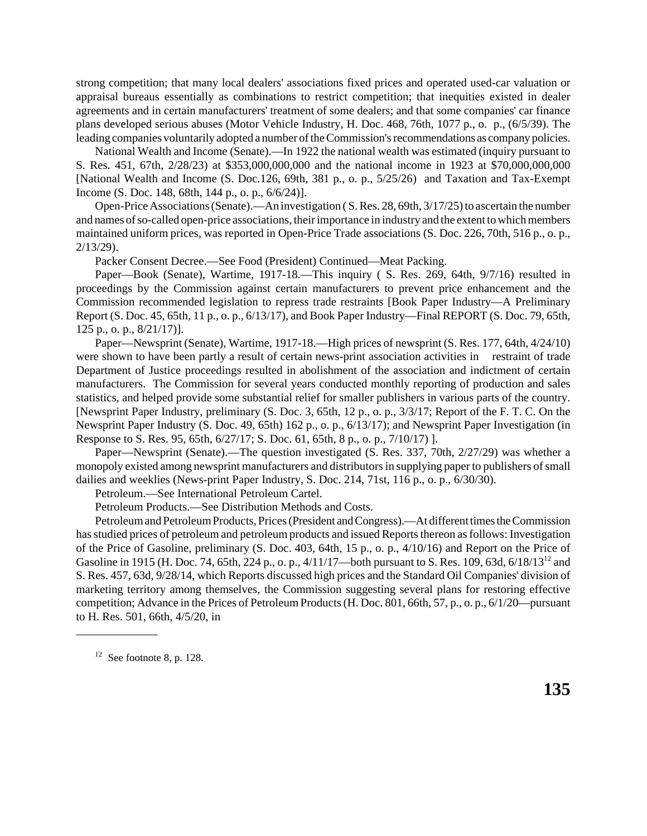strong competition; that many local dealers' associations fixed prices and operated used-car valuation or appraisal bureaus essentially as combinations to restrict competition; that inequities existed in dealer agreements and in certain manufacturers' treatment of some dealers; and that some companies' car finance plans developed serious abuses (Motor Vehicle Industry, H. Doc. 468, 76th, 1077 p., o. p., (6/5/39). The leading companies voluntarily adopted a number of the Commission's recommendations as company policies.

National Wealth and Income (Senate).—In 1922 the national wealth was estimated (inquiry pursuant to S. Res. 451, 67th, 2/28/23) at \$353,000,000,000 and the national income in 1923 at \$70,000,000,000 [National Wealth and Income (S. Doc.126, 69th, 381 p., o. p., 5/25/26) and Taxation and Tax-Exempt Income (S. Doc. 148, 68th, 144 p., o. p., 6/6/24)].

Open-Price Associations (Senate).—An investigation ( S. Res. 28, 69th,  $3/17/25$ ) to ascertain the number and names of so-called open-price associations, their importance in industry and the extent to which members maintained uniform prices, was reported in Open-Price Trade associations (S. Doc. 226, 70th, 516 p., o. p., 2/13/29).

Packer Consent Decree.—See Food (President) Continued—Meat Packing.

Paper—Book (Senate), Wartime, 1917-18.—This inquiry ( S. Res. 269, 64th, 9/7/16) resulted in proceedings by the Commission against certain manufacturers to prevent price enhancement and the Commission recommended legislation to repress trade restraints [Book Paper Industry—A Preliminary Report (S. Doc. 45, 65th, 11 p., o. p., 6/13/17), and Book Paper Industry—Final REPORT (S. Doc. 79, 65th, 125 p., o. p., 8/21/17)].

Paper—Newsprint (Senate), Wartime, 1917-18.—High prices of newsprint (S. Res. 177, 64th, 4/24/10) were shown to have been partly a result of certain news-print association activities in restraint of trade Department of Justice proceedings resulted in abolishment of the association and indictment of certain manufacturers. The Commission for several years conducted monthly reporting of production and sales statistics, and helped provide some substantial relief for smaller publishers in various parts of the country. [Newsprint Paper Industry, preliminary (S. Doc. 3, 65th, 12 p., o. p., 3/3/17; Report of the F. T. C. On the Newsprint Paper Industry (S. Doc. 49, 65th) 162 p., o. p., 6/13/17); and Newsprint Paper Investigation (in Response to S. Res. 95, 65th, 6/27/17; S. Doc. 61, 65th, 8 p., o. p., 7/10/17) ].

Paper—Newsprint (Senate).—The question investigated (S. Res. 337, 70th, 2/27/29) was whether a monopoly existed among newsprint manufacturers and distributorsin supplying paper to publishers ofsmall dailies and weeklies (News-print Paper Industry, S. Doc. 214, 71st, 116 p., o. p., 6/30/30).

Petroleum.—See International Petroleum Cartel.

Petroleum Products.—See Distribution Methods and Costs.

Petroleum and Petroleum Products, Prices (President and Congress).—At different times the Commission has studied prices of petroleum and petroleum products and issued Reports thereon as follows: Investigation of the Price of Gasoline, preliminary (S. Doc. 403, 64th, 15 p., o. p., 4/10/16) and Report on the Price of Gasoline in 1915 (H. Doc. 74, 65th, 224 p., o. p., 4/11/17—both pursuant to S. Res. 109, 63d, 6/18/13<sup>12</sup> and S. Res. 457, 63d, 9/28/14, which Reports discussed high prices and the Standard Oil Companies' division of marketing territory among themselves, the Commission suggesting several plans for restoring effective competition; Advance in the Prices of Petroleum Products (H. Doc. 801, 66th, 57, p., o. p.,  $6/1/20$ —pursuant to H. Res. 501, 66th, 4/5/20, in

 $12$  See footnote 8, p. 128.

\_\_\_\_\_\_\_\_\_\_\_\_\_\_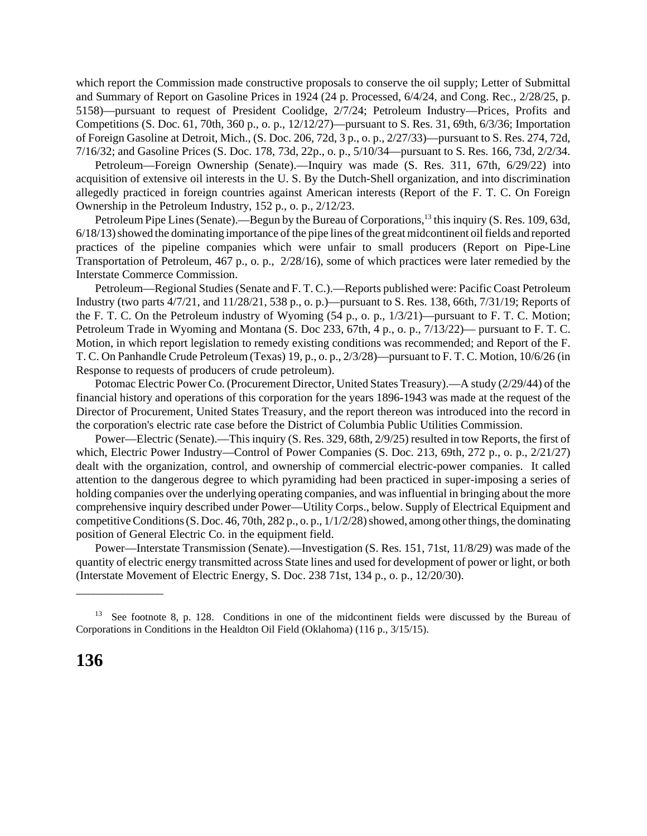which report the Commission made constructive proposals to conserve the oil supply; Letter of Submittal and Summary of Report on Gasoline Prices in 1924 (24 p. Processed, 6/4/24, and Cong. Rec., 2/28/25, p. 5158)—pursuant to request of President Coolidge, 2/7/24; Petroleum Industry—Prices, Profits and Competitions (S. Doc. 61, 70th, 360 p., o. p., 12/12/27)—pursuant to S. Res. 31, 69th, 6/3/36; Importation of Foreign Gasoline at Detroit, Mich., (S. Doc. 206, 72d, 3 p., o. p., 2/27/33)—pursuant to S. Res. 274, 72d, 7/16/32; and Gasoline Prices (S. Doc. 178, 73d, 22p., o. p., 5/10/34—pursuant to S. Res. 166, 73d, 2/2/34.

Petroleum—Foreign Ownership (Senate).—Inquiry was made (S. Res. 311, 67th, 6/29/22) into acquisition of extensive oil interests in the U. S. By the Dutch-Shell organization, and into discrimination allegedly practiced in foreign countries against American interests (Report of the F. T. C. On Foreign Ownership in the Petroleum Industry, 152 p., o. p., 2/12/23.

Petroleum Pipe Lines (Senate).—Begun by the Bureau of Corporations,<sup>13</sup> this inquiry (S. Res. 109, 63d,  $6/18/13$ ) showed the dominating importance of the pipe lines of the great midcontinent oil fields and reported practices of the pipeline companies which were unfair to small producers (Report on Pipe-Line Transportation of Petroleum, 467 p., o. p., 2/28/16), some of which practices were later remedied by the Interstate Commerce Commission.

Petroleum—Regional Studies(Senate and F. T. C.).—Reports published were: Pacific Coast Petroleum Industry (two parts 4/7/21, and 11/28/21, 538 p., o. p.)—pursuant to S. Res. 138, 66th, 7/31/19; Reports of the F. T. C. On the Petroleum industry of Wyoming (54 p., o. p., 1/3/21)—pursuant to F. T. C. Motion; Petroleum Trade in Wyoming and Montana (S. Doc 233, 67th, 4 p., o. p., 7/13/22)— pursuant to F. T. C. Motion, in which report legislation to remedy existing conditions was recommended; and Report of the F. T. C. On Panhandle Crude Petroleum (Texas) 19, p., o. p., 2/3/28)—pursuant to F. T. C. Motion, 10/6/26 (in Response to requests of producers of crude petroleum).

Potomac Electric Power Co. (Procurement Director, United States Treasury).—A study (2/29/44) of the financial history and operations of this corporation for the years 1896-1943 was made at the request of the Director of Procurement, United States Treasury, and the report thereon was introduced into the record in the corporation's electric rate case before the District of Columbia Public Utilities Commission.

Power—Electric (Senate).—This inquiry (S. Res. 329, 68th, 2/9/25) resulted in tow Reports, the first of which, Electric Power Industry—Control of Power Companies (S. Doc. 213, 69th, 272 p., o. p., 2/21/27) dealt with the organization, control, and ownership of commercial electric-power companies. It called attention to the dangerous degree to which pyramiding had been practiced in super-imposing a series of holding companies over the underlying operating companies, and was influential in bringing about the more comprehensive inquiry described under Power—Utility Corps., below. Supply of Electrical Equipment and competitive Conditions (S. Doc. 46, 70th, 282 p., o. p.,  $1/1/2/28$ ) showed, among other things, the dominating position of General Electric Co. in the equipment field.

Power—Interstate Transmission (Senate).—Investigation (S. Res. 151, 71st, 11/8/29) was made of the quantity of electric energy transmitted across State lines and used for development of power or light, or both (Interstate Movement of Electric Energy, S. Doc. 238 71st, 134 p., o. p., 12/20/30).

\_\_\_\_\_\_\_\_\_\_\_\_\_\_\_

<sup>&</sup>lt;sup>13</sup> See footnote 8, p. 128. Conditions in one of the midcontinent fields were discussed by the Bureau of Corporations in Conditions in the Healdton Oil Field (Oklahoma) (116 p., 3/15/15).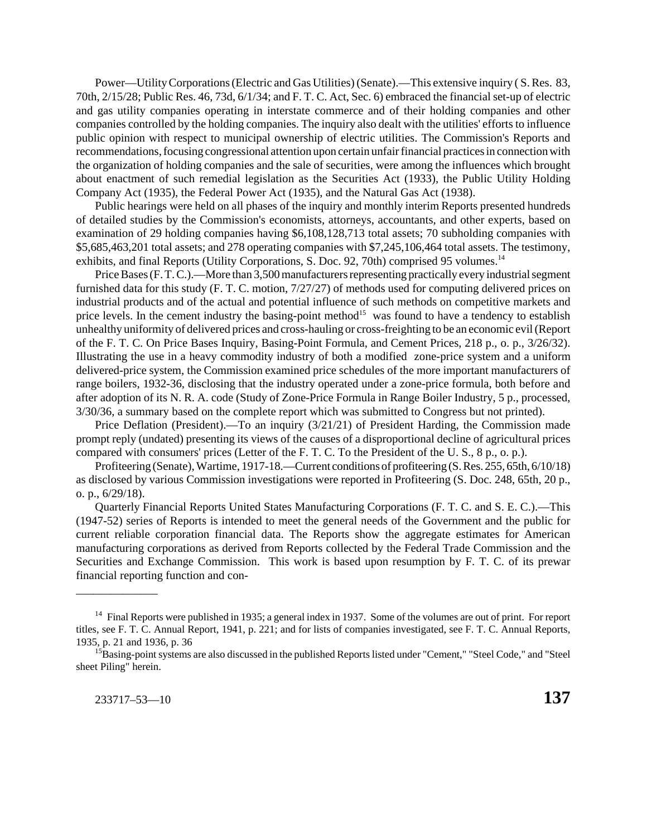Power—UtilityCorporations(Electric and Gas Utilities)(Senate).—This extensive inquiry ( S.Res. 83, 70th, 2/15/28; Public Res. 46, 73d, 6/1/34; and F. T. C. Act, Sec. 6) embraced the financial set-up of electric and gas utility companies operating in interstate commerce and of their holding companies and other companies controlled by the holding companies. The inquiry also dealt with the utilities' efforts to influence public opinion with respect to municipal ownership of electric utilities. The Commission's Reports and recommendations, focusing congressional attention upon certain unfair financial practices in connection with the organization of holding companies and the sale of securities, were among the influences which brought about enactment of such remedial legislation as the Securities Act (1933), the Public Utility Holding Company Act (1935), the Federal Power Act (1935), and the Natural Gas Act (1938).

Public hearings were held on all phases of the inquiry and monthly interim Reports presented hundreds of detailed studies by the Commission's economists, attorneys, accountants, and other experts, based on examination of 29 holding companies having \$6,108,128,713 total assets; 70 subholding companies with \$5,685,463,201 total assets; and 278 operating companies with \$7,245,106,464 total assets. The testimony, exhibits, and final Reports (Utility Corporations, S. Doc. 92, 70th) comprised 95 volumes.<sup>14</sup>

Price Bases (F.T. C.).—More than 3,500 manufacturers representing practically every industrial segment furnished data for this study (F. T. C. motion, 7/27/27) of methods used for computing delivered prices on industrial products and of the actual and potential influence of such methods on competitive markets and price levels. In the cement industry the basing-point method<sup>15</sup> was found to have a tendency to establish unhealthy uniformity of delivered prices and cross-hauling or cross-freighting to be an economic evil(Report of the F. T. C. On Price Bases Inquiry, Basing-Point Formula, and Cement Prices, 218 p., o. p., 3/26/32). Illustrating the use in a heavy commodity industry of both a modified zone-price system and a uniform delivered-price system, the Commission examined price schedules of the more important manufacturers of range boilers, 1932-36, disclosing that the industry operated under a zone-price formula, both before and after adoption of its N. R. A. code (Study of Zone-Price Formula in Range Boiler Industry, 5 p., processed, 3/30/36, a summary based on the complete report which was submitted to Congress but not printed).

Price Deflation (President).—To an inquiry (3/21/21) of President Harding, the Commission made prompt reply (undated) presenting its views of the causes of a disproportional decline of agricultural prices compared with consumers' prices (Letter of the F. T. C. To the President of the U. S., 8 p., o. p.).

Profiteering (Senate),Wartime, 1917-18.—Current conditions of profiteering (S. Res. 255, 65th, 6/10/18) as disclosed by various Commission investigations were reported in Profiteering (S. Doc. 248, 65th, 20 p., o. p., 6/29/18).

Quarterly Financial Reports United States Manufacturing Corporations (F. T. C. and S. E. C.).—This (1947-52) series of Reports is intended to meet the general needs of the Government and the public for current reliable corporation financial data. The Reports show the aggregate estimates for American manufacturing corporations as derived from Reports collected by the Federal Trade Commission and the Securities and Exchange Commission. This work is based upon resumption by F. T. C. of its prewar financial reporting function and con-

\_\_\_\_\_\_\_\_\_\_\_\_\_\_

<sup>&</sup>lt;sup>14</sup> Final Reports were published in 1935; a general index in 1937. Some of the volumes are out of print. For report titles, see F. T. C. Annual Report, 1941, p. 221; and for lists of companies investigated, see F. T. C. Annual Reports, 1935, p. 21 and 1936, p. 36

<sup>&</sup>lt;sup>15</sup>Basing-point systems are also discussed in the published Reports listed under "Cement," "Steel Code," and "Steel sheet Piling" herein.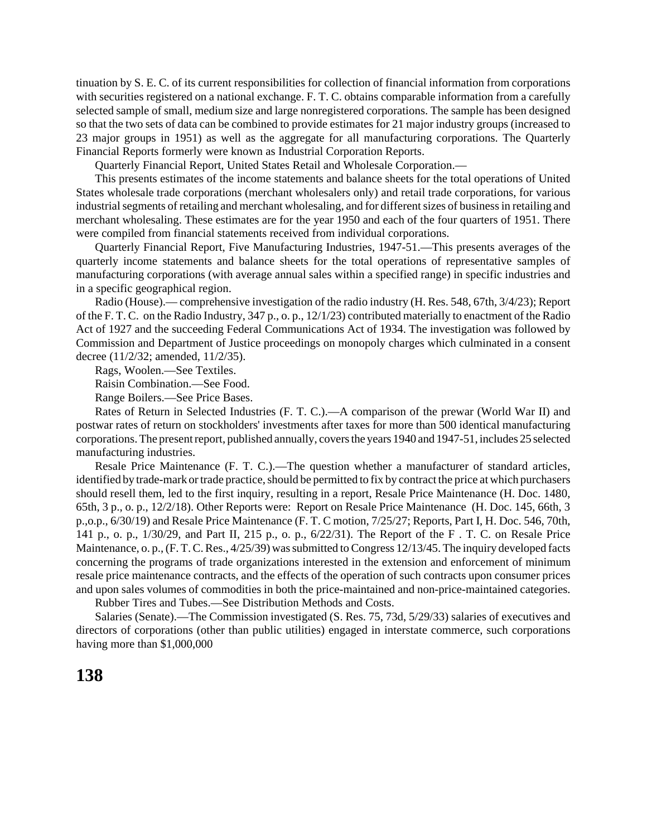tinuation by S. E. C. of its current responsibilities for collection of financial information from corporations with securities registered on a national exchange. F. T. C. obtains comparable information from a carefully selected sample of small, medium size and large nonregistered corporations. The sample has been designed so that the two sets of data can be combined to provide estimates for 21 major industry groups (increased to 23 major groups in 1951) as well as the aggregate for all manufacturing corporations. The Quarterly Financial Reports formerly were known as Industrial Corporation Reports.

Quarterly Financial Report, United States Retail and Wholesale Corporation.—

This presents estimates of the income statements and balance sheets for the total operations of United States wholesale trade corporations (merchant wholesalers only) and retail trade corporations, for various industrial segments of retailing and merchant wholesaling, and for different sizes of business in retailing and merchant wholesaling. These estimates are for the year 1950 and each of the four quarters of 1951. There were compiled from financial statements received from individual corporations.

Quarterly Financial Report, Five Manufacturing Industries, 1947-51.—This presents averages of the quarterly income statements and balance sheets for the total operations of representative samples of manufacturing corporations (with average annual sales within a specified range) in specific industries and in a specific geographical region.

Radio (House).— comprehensive investigation of the radio industry (H. Res. 548, 67th, 3/4/23); Report of the F. T. C. on the Radio Industry, 347 p., o. p., 12/1/23) contributed materially to enactment of the Radio Act of 1927 and the succeeding Federal Communications Act of 1934. The investigation was followed by Commission and Department of Justice proceedings on monopoly charges which culminated in a consent decree (11/2/32; amended, 11/2/35).

Rags, Woolen.—See Textiles.

Raisin Combination.—See Food.

Range Boilers.—See Price Bases.

Rates of Return in Selected Industries (F. T. C.).—A comparison of the prewar (World War II) and postwar rates of return on stockholders' investments after taxes for more than 500 identical manufacturing corporations. The present report, published annually, covers the years 1940 and 1947-51, includes 25 selected manufacturing industries.

Resale Price Maintenance (F. T. C.).—The question whether a manufacturer of standard articles, identified by trade-mark or trade practice, should be permitted to fix by contract the price at which purchasers should resell them, led to the first inquiry, resulting in a report, Resale Price Maintenance (H. Doc. 1480, 65th, 3 p., o. p., 12/2/18). Other Reports were: Report on Resale Price Maintenance (H. Doc. 145, 66th, 3 p.,o.p., 6/30/19) and Resale Price Maintenance (F. T. C motion, 7/25/27; Reports, Part I, H. Doc. 546, 70th, 141 p., o. p., 1/30/29, and Part II, 215 p., o. p., 6/22/31). The Report of the F . T. C. on Resale Price Maintenance, o. p., (F. T. C. Res., 4/25/39) was submitted to Congress 12/13/45. The inquiry developed facts concerning the programs of trade organizations interested in the extension and enforcement of minimum resale price maintenance contracts, and the effects of the operation of such contracts upon consumer prices and upon sales volumes of commodities in both the price-maintained and non-price-maintained categories. Rubber Tires and Tubes.—See Distribution Methods and Costs.

Salaries (Senate).—The Commission investigated (S. Res. 75, 73d, 5/29/33) salaries of executives and directors of corporations (other than public utilities) engaged in interstate commerce, such corporations having more than \$1,000,000

## **138**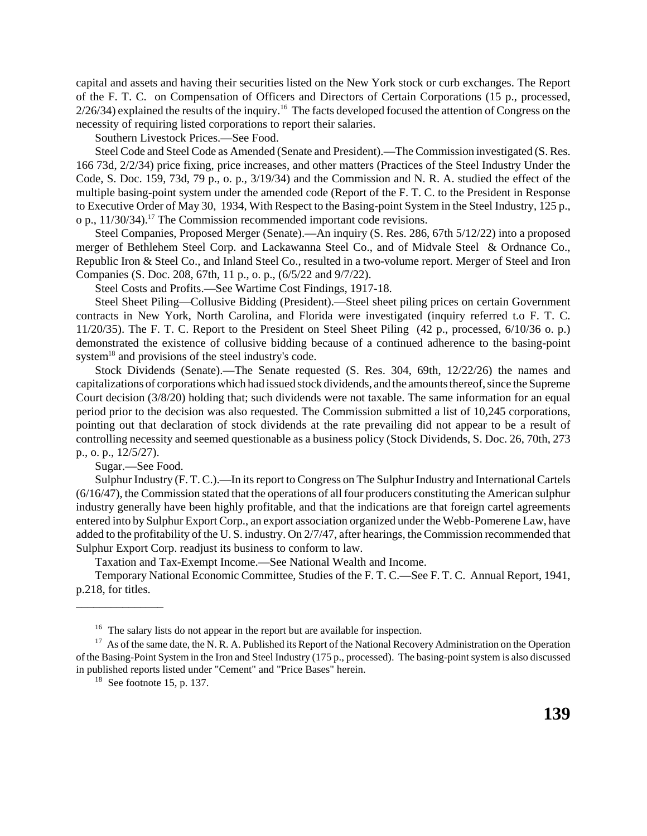capital and assets and having their securities listed on the New York stock or curb exchanges. The Report of the F. T. C. on Compensation of Officers and Directors of Certain Corporations (15 p., processed, 2/26/34) explained the results of the inquiry.<sup>16</sup> The facts developed focused the attention of Congress on the necessity of requiring listed corporations to report their salaries.

Southern Livestock Prices.—See Food.

Steel Code and Steel Code as Amended (Senate and President).—The Commission investigated (S. Res. 166 73d, 2/2/34) price fixing, price increases, and other matters (Practices of the Steel Industry Under the Code, S. Doc. 159, 73d, 79 p., o. p., 3/19/34) and the Commission and N. R. A. studied the effect of the multiple basing-point system under the amended code (Report of the F. T. C. to the President in Response to Executive Order of May 30, 1934, With Respect to the Basing-point System in the Steel Industry, 125 p., o p., 11/30/34).<sup>17</sup> The Commission recommended important code revisions.

Steel Companies, Proposed Merger (Senate).—An inquiry (S. Res. 286, 67th 5/12/22) into a proposed merger of Bethlehem Steel Corp. and Lackawanna Steel Co., and of Midvale Steel & Ordnance Co., Republic Iron & Steel Co., and Inland Steel Co., resulted in a two-volume report. Merger of Steel and Iron Companies (S. Doc. 208, 67th, 11 p., o. p., (6/5/22 and 9/7/22).

Steel Costs and Profits.—See Wartime Cost Findings, 1917-18.

Steel Sheet Piling—Collusive Bidding (President).—Steel sheet piling prices on certain Government contracts in New York, North Carolina, and Florida were investigated (inquiry referred t.o F. T. C. 11/20/35). The F. T. C. Report to the President on Steel Sheet Piling (42 p., processed, 6/10/36 o. p.) demonstrated the existence of collusive bidding because of a continued adherence to the basing-point system<sup>18</sup> and provisions of the steel industry's code.

Stock Dividends (Senate).—The Senate requested (S. Res. 304, 69th, 12/22/26) the names and capitalizations of corporations which had issued stock dividends, and the amounts thereof, since the Supreme Court decision (3/8/20) holding that; such dividends were not taxable. The same information for an equal period prior to the decision was also requested. The Commission submitted a list of 10,245 corporations, pointing out that declaration of stock dividends at the rate prevailing did not appear to be a result of controlling necessity and seemed questionable as a business policy (Stock Dividends, S. Doc. 26, 70th, 273 p., o. p., 12/5/27).

Sugar.—See Food.

\_\_\_\_\_\_\_\_\_\_\_\_\_\_\_

Sulphur Industry (F. T. C.).—In itsreport to Congress on The Sulphur Industry and International Cartels (6/16/47), the Commission stated that the operations of all four producers constituting the American sulphur industry generally have been highly profitable, and that the indications are that foreign cartel agreements entered into by Sulphur Export Corp., an export association organized under the Webb-Pomerene Law, have added to the profitability of the U. S. industry. On 2/7/47, after hearings, the Commission recommended that Sulphur Export Corp. readjust its business to conform to law.

Taxation and Tax-Exempt Income.—See National Wealth and Income.

Temporary National Economic Committee, Studies of the F. T. C.—See F. T. C. Annual Report, 1941, p.218, for titles.

<sup>&</sup>lt;sup>16</sup> The salary lists do not appear in the report but are available for inspection.

<sup>&</sup>lt;sup>17</sup> As of the same date, the N. R. A. Published its Report of the National Recovery Administration on the Operation of the Basing-Point Systemin the Iron and Steel Industry (175 p., processed). The basing-point system is also discussed in published reports listed under "Cement" and "Price Bases" herein.

 $18$  See footnote 15, p. 137.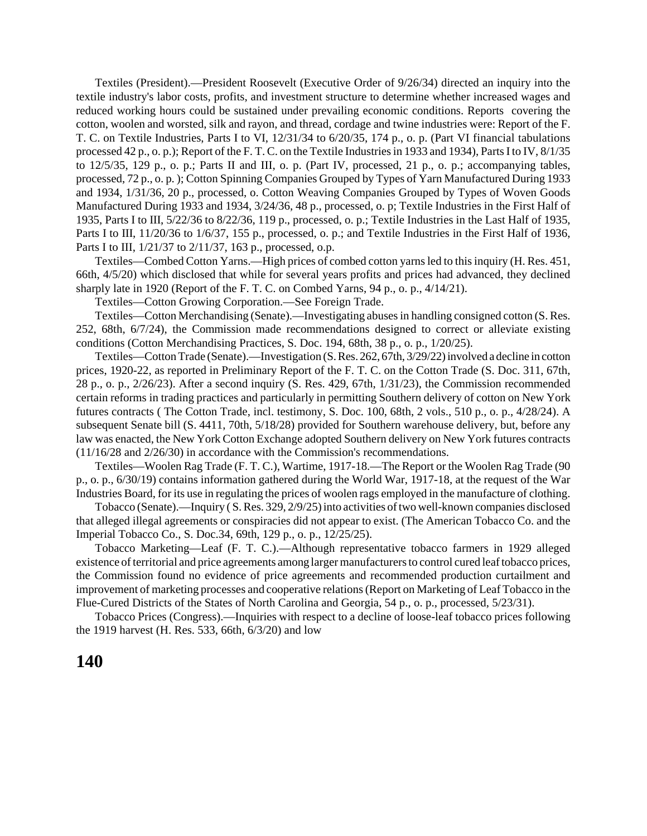Textiles (President).—President Roosevelt (Executive Order of 9/26/34) directed an inquiry into the textile industry's labor costs, profits, and investment structure to determine whether increased wages and reduced working hours could be sustained under prevailing economic conditions. Reports covering the cotton, woolen and worsted, silk and rayon, and thread, cordage and twine industries were: Report of the F. T. C. on Textile Industries, Parts I to VI, 12/31/34 to 6/20/35, 174 p., o. p. (Part VI financial tabulations processed 42 p., o. p.); Report of the F. T. C. on the Textile Industries in 1933 and 1934), Parts I to IV, 8/1/35 to 12/5/35, 129 p., o. p.; Parts II and III, o. p. (Part IV, processed, 21 p., o. p.; accompanying tables, processed, 72 p., o. p. ); Cotton Spinning Companies Grouped by Types of Yarn Manufactured During 1933 and 1934, 1/31/36, 20 p., processed, o. Cotton Weaving Companies Grouped by Types of Woven Goods Manufactured During 1933 and 1934, 3/24/36, 48 p., processed, o. p; Textile Industries in the First Half of 1935, Parts I to III, 5/22/36 to 8/22/36, 119 p., processed, o. p.; Textile Industries in the Last Half of 1935, Parts I to III, 11/20/36 to 1/6/37, 155 p., processed, o. p.; and Textile Industries in the First Half of 1936, Parts I to III, 1/21/37 to 2/11/37, 163 p., processed, o.p.

Textiles—Combed Cotton Yarns.—High prices of combed cotton yarnsled to thisinquiry (H. Res. 451, 66th, 4/5/20) which disclosed that while for several years profits and prices had advanced, they declined sharply late in 1920 (Report of the F. T. C. on Combed Yarns, 94 p., o. p., 4/14/21).

Textiles—Cotton Growing Corporation.—See Foreign Trade.

Textiles—Cotton Merchandising (Senate).—Investigating abusesin handling consigned cotton (S. Res. 252, 68th, 6/7/24), the Commission made recommendations designed to correct or alleviate existing conditions (Cotton Merchandising Practices, S. Doc. 194, 68th, 38 p., o. p., 1/20/25).

Textiles—CottonTrade (Senate).—Investigation (S. Res. 262, 67th, 3/29/22) involved a decline in cotton prices, 1920-22, as reported in Preliminary Report of the F. T. C. on the Cotton Trade (S. Doc. 311, 67th, 28 p., o. p., 2/26/23). After a second inquiry (S. Res. 429, 67th, 1/31/23), the Commission recommended certain reforms in trading practices and particularly in permitting Southern delivery of cotton on New York futures contracts ( The Cotton Trade, incl. testimony, S. Doc. 100, 68th, 2 vols., 510 p., o. p., 4/28/24). A subsequent Senate bill (S. 4411, 70th, 5/18/28) provided for Southern warehouse delivery, but, before any law was enacted, the New York Cotton Exchange adopted Southern delivery on New York futures contracts (11/16/28 and 2/26/30) in accordance with the Commission's recommendations.

Textiles—Woolen Rag Trade (F. T. C.), Wartime, 1917-18.—The Report or the Woolen Rag Trade (90 p., o. p., 6/30/19) contains information gathered during the World War, 1917-18, at the request of the War Industries Board, for its use in regulating the prices of woolen rags employed in the manufacture of clothing.

Tobacco (Senate).—Inquiry (S. Res. 329, 2/9/25) into activities of two well-known companies disclosed that alleged illegal agreements or conspiracies did not appear to exist. (The American Tobacco Co. and the Imperial Tobacco Co., S. Doc.34, 69th, 129 p., o. p., 12/25/25).

Tobacco Marketing—Leaf (F. T. C.).—Although representative tobacco farmers in 1929 alleged existence of territorial and price agreements among larger manufacturers to control cured leaf tobacco prices, the Commission found no evidence of price agreements and recommended production curtailment and improvement of marketing processes and cooperative relations(Report on Marketing of Leaf Tobacco in the Flue-Cured Districts of the States of North Carolina and Georgia, 54 p., o. p., processed, 5/23/31).

Tobacco Prices (Congress).—Inquiries with respect to a decline of loose-leaf tobacco prices following the 1919 harvest (H. Res. 533, 66th, 6/3/20) and low

#### **140**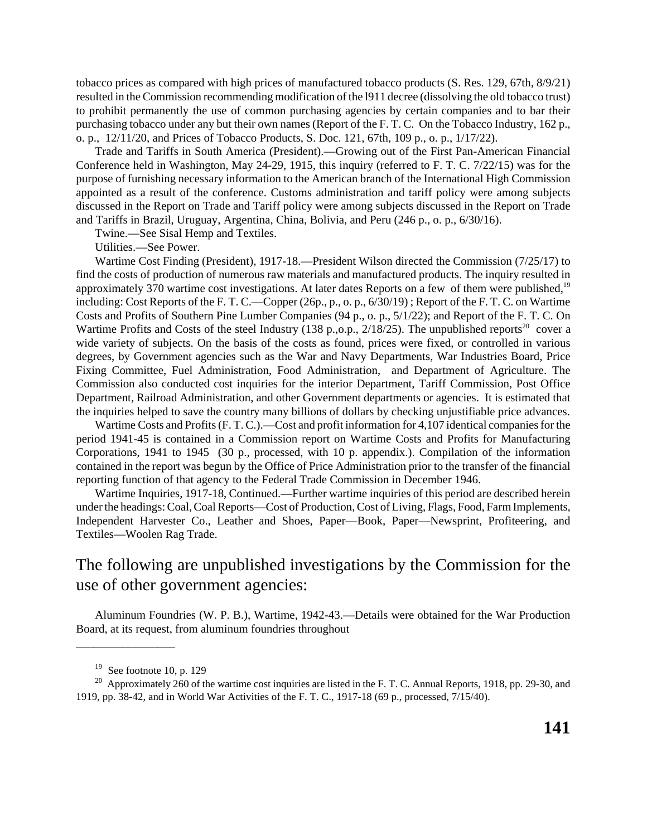tobacco prices as compared with high prices of manufactured tobacco products (S. Res. 129, 67th, 8/9/21) resulted in the Commission recommending modification of the l911 decree (dissolving the old tobacco trust) to prohibit permanently the use of common purchasing agencies by certain companies and to bar their purchasing tobacco under any but their own names (Report of the F. T. C. On the Tobacco Industry, 162 p., o. p., 12/11/20, and Prices of Tobacco Products, S. Doc. 121, 67th, 109 p., o. p., 1/17/22).

Trade and Tariffs in South America (President).—Growing out of the First Pan-American Financial Conference held in Washington, May 24-29, 1915, this inquiry (referred to F. T. C. 7/22/15) was for the purpose of furnishing necessary information to the American branch of the International High Commission appointed as a result of the conference. Customs administration and tariff policy were among subjects discussed in the Report on Trade and Tariff policy were among subjects discussed in the Report on Trade and Tariffs in Brazil, Uruguay, Argentina, China, Bolivia, and Peru (246 p., o. p., 6/30/16).

Twine.—See Sisal Hemp and Textiles.

Utilities.—See Power.

Wartime Cost Finding (President), 1917-18.—President Wilson directed the Commission (7/25/17) to find the costs of production of numerous raw materials and manufactured products. The inquiry resulted in approximately 370 wartime cost investigations. At later dates Reports on a few of them were published,<sup>19</sup> including: Cost Reports of the F. T. C.—Copper (26p., p., o. p., 6/30/19) ; Report of the F. T. C. on Wartime Costs and Profits of Southern Pine Lumber Companies (94 p., o. p., 5/1/22); and Report of the F. T. C. On Wartime Profits and Costs of the steel Industry (138 p., o.p.,  $2/18/25$ ). The unpublished reports<sup>20</sup> cover a wide variety of subjects. On the basis of the costs as found, prices were fixed, or controlled in various degrees, by Government agencies such as the War and Navy Departments, War Industries Board, Price Fixing Committee, Fuel Administration, Food Administration, and Department of Agriculture. The Commission also conducted cost inquiries for the interior Department, Tariff Commission, Post Office Department, Railroad Administration, and other Government departments or agencies. It is estimated that the inquiries helped to save the country many billions of dollars by checking unjustifiable price advances.

Wartime Costs and Profits (F. T. C.).—Cost and profit information for 4,107 identical companies for the period 1941-45 is contained in a Commission report on Wartime Costs and Profits for Manufacturing Corporations, 1941 to 1945 (30 p., processed, with 10 p. appendix.). Compilation of the information contained in the report was begun by the Office of Price Administration prior to the transfer of the financial reporting function of that agency to the Federal Trade Commission in December 1946.

Wartime Inquiries, 1917-18, Continued.—Further wartime inquiries of this period are described herein under the headings: Coal, Coal Reports—Cost of Production, Cost of Living, Flags, Food, Farm Implements, Independent Harvester Co., Leather and Shoes, Paper—Book, Paper—Newsprint, Profiteering, and Textiles—Woolen Rag Trade.

# The following are unpublished investigations by the Commission for the use of other government agencies:

Aluminum Foundries (W. P. B.), Wartime, 1942-43.—Details were obtained for the War Production Board, at its request, from aluminum foundries throughout

\_\_\_\_\_\_\_\_\_\_\_\_\_\_\_\_\_

 $19$  See footnote 10, p. 129

<sup>&</sup>lt;sup>20</sup> Approximately 260 of the wartime cost inquiries are listed in the F. T. C. Annual Reports, 1918, pp. 29-30, and 1919, pp. 38-42, and in World War Activities of the F. T. C., 1917-18 (69 p., processed, 7/15/40).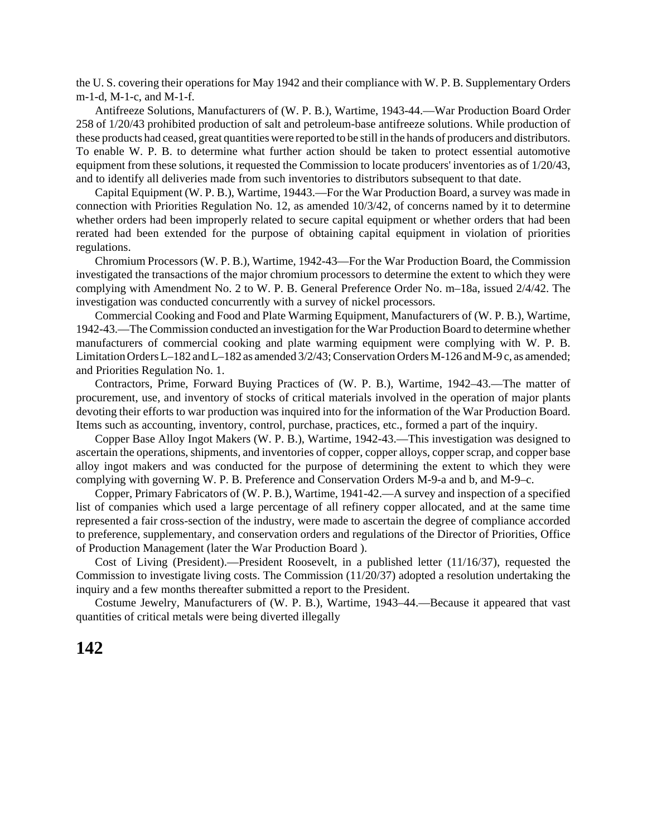the U. S. covering their operations for May 1942 and their compliance with W. P. B. Supplementary Orders m-1-d, M-1-c, and M-1-f.

Antifreeze Solutions, Manufacturers of (W. P. B.), Wartime, 1943-44.—War Production Board Order 258 of 1/20/43 prohibited production of salt and petroleum-base antifreeze solutions. While production of these products had ceased, great quantities were reported to be still in the hands of producers and distributors. To enable W. P. B. to determine what further action should be taken to protect essential automotive equipment from these solutions, it requested the Commission to locate producers' inventories as of 1/20/43, and to identify all deliveries made from such inventories to distributors subsequent to that date.

Capital Equipment (W. P. B.), Wartime, 19443.—For the War Production Board, a survey was made in connection with Priorities Regulation No. 12, as amended 10/3/42, of concerns named by it to determine whether orders had been improperly related to secure capital equipment or whether orders that had been rerated had been extended for the purpose of obtaining capital equipment in violation of priorities regulations.

Chromium Processors (W. P. B.), Wartime, 1942-43—For the War Production Board, the Commission investigated the transactions of the major chromium processors to determine the extent to which they were complying with Amendment No. 2 to W. P. B. General Preference Order No. m–18a, issued 2/4/42. The investigation was conducted concurrently with a survey of nickel processors.

Commercial Cooking and Food and Plate Warming Equipment, Manufacturers of (W. P. B.), Wartime, 1942-43.—The Commission conducted an investigation forthe War ProductionBoard to determine whether manufacturers of commercial cooking and plate warming equipment were complying with W. P. B. Limitation Orders L-182 and L-182 as amended  $3/2/43$ ; Conservation Orders M-126 and M-9 c, as amended; and Priorities Regulation No. 1.

Contractors, Prime, Forward Buying Practices of (W. P. B.), Wartime, 1942–43.—The matter of procurement, use, and inventory of stocks of critical materials involved in the operation of major plants devoting their efforts to war production was inquired into for the information of the War Production Board. Items such as accounting, inventory, control, purchase, practices, etc., formed a part of the inquiry.

Copper Base Alloy Ingot Makers (W. P. B.), Wartime, 1942-43.—This investigation was designed to ascertain the operations, shipments, and inventories of copper, copper alloys, copper scrap, and copper base alloy ingot makers and was conducted for the purpose of determining the extent to which they were complying with governing W. P. B. Preference and Conservation Orders M-9-a and b, and M-9–c.

Copper, Primary Fabricators of (W. P. B.), Wartime, 1941-42.—A survey and inspection of a specified list of companies which used a large percentage of all refinery copper allocated, and at the same time represented a fair cross-section of the industry, were made to ascertain the degree of compliance accorded to preference, supplementary, and conservation orders and regulations of the Director of Priorities, Office of Production Management (later the War Production Board ).

Cost of Living (President).—President Roosevelt, in a published letter (11/16/37), requested the Commission to investigate living costs. The Commission (11/20/37) adopted a resolution undertaking the inquiry and a few months thereafter submitted a report to the President.

Costume Jewelry, Manufacturers of (W. P. B.), Wartime, 1943–44.—Because it appeared that vast quantities of critical metals were being diverted illegally

## **142**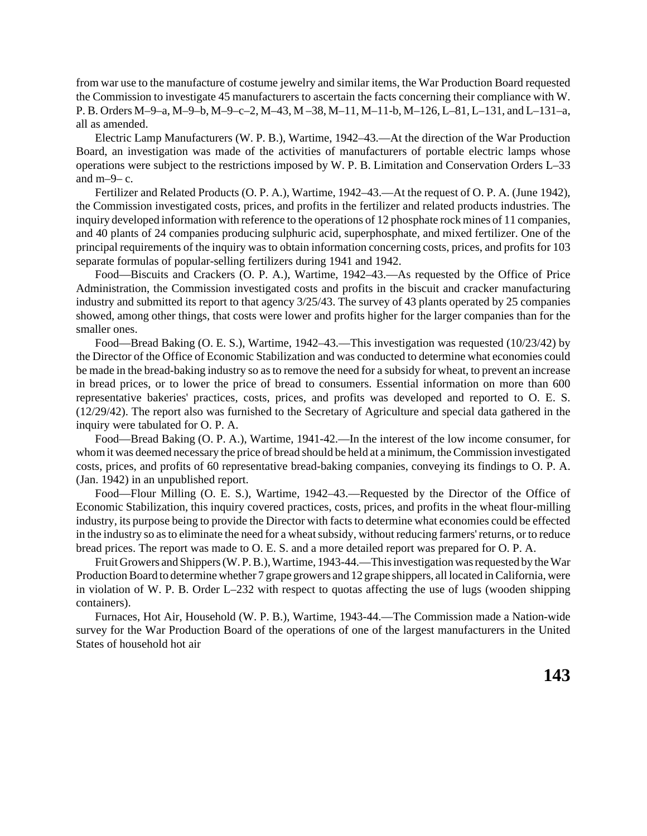from war use to the manufacture of costume jewelry and similar items, the War Production Board requested the Commission to investigate 45 manufacturers to ascertain the facts concerning their compliance with W. P. B. Orders M–9–a, M–9–b, M–9–c–2, M–43, M –38, M–11, M–11-b, M–126, L–81, L–131, and L–131–a, all as amended.

Electric Lamp Manufacturers (W. P. B.), Wartime, 1942–43.—At the direction of the War Production Board, an investigation was made of the activities of manufacturers of portable electric lamps whose operations were subject to the restrictions imposed by W. P. B. Limitation and Conservation Orders L–33 and  $m-9$ – c.

Fertilizer and Related Products (O. P. A.), Wartime, 1942–43.—At the request of O. P. A. (June 1942), the Commission investigated costs, prices, and profits in the fertilizer and related products industries. The inquiry developed information with reference to the operations of 12 phosphate rock mines of 11 companies, and 40 plants of 24 companies producing sulphuric acid, superphosphate, and mixed fertilizer. One of the principal requirements of the inquiry was to obtain information concerning costs, prices, and profits for 103 separate formulas of popular-selling fertilizers during 1941 and 1942.

Food—Biscuits and Crackers (O. P. A.), Wartime, 1942–43.—As requested by the Office of Price Administration, the Commission investigated costs and profits in the biscuit and cracker manufacturing industry and submitted its report to that agency 3/25/43. The survey of 43 plants operated by 25 companies showed, among other things, that costs were lower and profits higher for the larger companies than for the smaller ones.

Food—Bread Baking (O. E. S.), Wartime, 1942–43.—This investigation was requested (10/23/42) by the Director of the Office of Economic Stabilization and was conducted to determine what economies could be made in the bread-baking industry so asto remove the need for a subsidy for wheat, to prevent an increase in bread prices, or to lower the price of bread to consumers. Essential information on more than 600 representative bakeries' practices, costs, prices, and profits was developed and reported to O. E. S. (12/29/42). The report also was furnished to the Secretary of Agriculture and special data gathered in the inquiry were tabulated for O. P. A.

Food—Bread Baking (O. P. A.), Wartime, 1941-42.—In the interest of the low income consumer, for whomit was deemed necessary the price of bread should be held at a minimum, theCommission investigated costs, prices, and profits of 60 representative bread-baking companies, conveying its findings to O. P. A. (Jan. 1942) in an unpublished report.

Food—Flour Milling (O. E. S.), Wartime, 1942–43.—Requested by the Director of the Office of Economic Stabilization, this inquiry covered practices, costs, prices, and profits in the wheat flour-milling industry, its purpose being to provide the Director with facts to determine what economies could be effected in the industry so as to eliminate the need for a wheat subsidy, without reducing farmers' returns, or to reduce bread prices. The report was made to O. E. S. and a more detailed report was prepared for O. P. A.

Fruit Growers and Shippers (W. P. B.), Wartime, 1943-44.—This investigation was requested by the War Production Board to determine whether 7 grape growers and 12 grape shippers, all located in California, were in violation of W. P. B. Order L–232 with respect to quotas affecting the use of lugs (wooden shipping containers).

Furnaces, Hot Air, Household (W. P. B.), Wartime, 1943-44.—The Commission made a Nation-wide survey for the War Production Board of the operations of one of the largest manufacturers in the United States of household hot air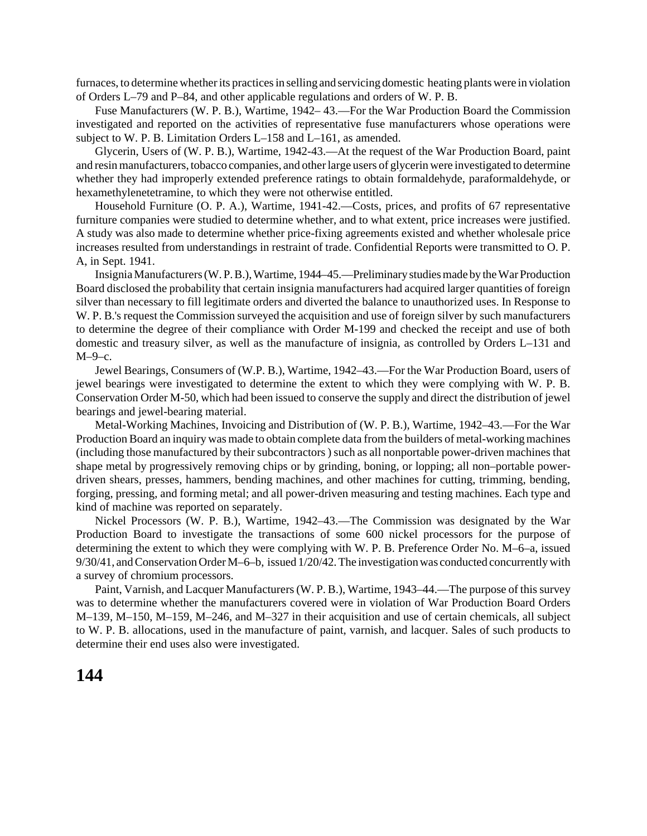furnaces, to determine whether its practices in selling and servicing domestic heating plants were in violation of Orders L–79 and P–84, and other applicable regulations and orders of W. P. B.

Fuse Manufacturers (W. P. B.), Wartime, 1942– 43.—For the War Production Board the Commission investigated and reported on the activities of representative fuse manufacturers whose operations were subject to W. P. B. Limitation Orders L–158 and L–161, as amended.

Glycerin, Users of (W. P. B.), Wartime, 1942-43.—At the request of the War Production Board, paint and resin manufacturers, tobacco companies, and other large users of glycerin were investigated to determine whether they had improperly extended preference ratings to obtain formaldehyde, paraformaldehyde, or hexamethylenetetramine, to which they were not otherwise entitled.

Household Furniture (O. P. A.), Wartime, 1941-42.—Costs, prices, and profits of 67 representative furniture companies were studied to determine whether, and to what extent, price increases were justified. A study was also made to determine whether price-fixing agreements existed and whether wholesale price increases resulted from understandings in restraint of trade. Confidential Reports were transmitted to O. P. A, in Sept. 1941.

InsigniaManufacturers(W. P. B.), Wartime, 1944–45.—Preliminary studies made by the War Production Board disclosed the probability that certain insignia manufacturers had acquired larger quantities of foreign silver than necessary to fill legitimate orders and diverted the balance to unauthorized uses. In Response to W. P. B.'s request the Commission surveyed the acquisition and use of foreign silver by such manufacturers to determine the degree of their compliance with Order M-199 and checked the receipt and use of both domestic and treasury silver, as well as the manufacture of insignia, as controlled by Orders L–131 and  $M-9-c$ .

Jewel Bearings, Consumers of (W.P. B.), Wartime, 1942–43.—For the War Production Board, users of jewel bearings were investigated to determine the extent to which they were complying with W. P. B. Conservation Order M-50, which had been issued to conserve the supply and direct the distribution of jewel bearings and jewel-bearing material.

Metal-Working Machines, Invoicing and Distribution of (W. P. B.), Wartime, 1942–43.—For the War Production Board an inquiry was made to obtain complete data from the builders of metal-working machines (including those manufactured by their subcontractors) such as all nonportable power-driven machines that shape metal by progressively removing chips or by grinding, boning, or lopping; all non–portable powerdriven shears, presses, hammers, bending machines, and other machines for cutting, trimming, bending, forging, pressing, and forming metal; and all power-driven measuring and testing machines. Each type and kind of machine was reported on separately.

Nickel Processors (W. P. B.), Wartime, 1942–43.—The Commission was designated by the War Production Board to investigate the transactions of some 600 nickel processors for the purpose of determining the extent to which they were complying with W. P. B. Preference Order No. M–6–a, issued 9/30/41, andConservation Order M–6–b, issued 1/20/42. The investigation was conducted concurrently with a survey of chromium processors.

Paint, Varnish, and Lacquer Manufacturers (W. P. B.), Wartime, 1943-44.—The purpose of this survey was to determine whether the manufacturers covered were in violation of War Production Board Orders M–139, M–150, M–159, M–246, and M–327 in their acquisition and use of certain chemicals, all subject to W. P. B. allocations, used in the manufacture of paint, varnish, and lacquer. Sales of such products to determine their end uses also were investigated.

### **144**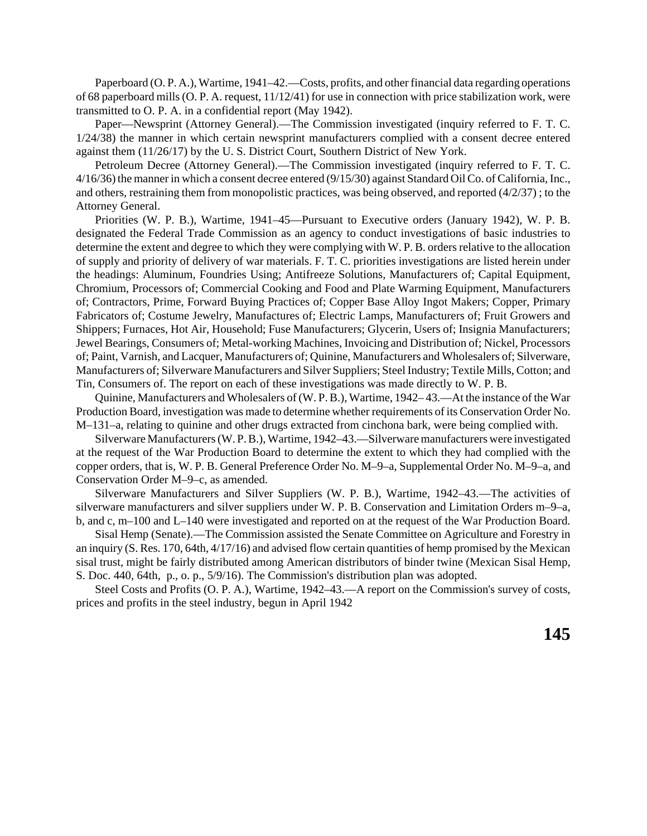Paperboard (O. P. A.), Wartime, 1941–42.—Costs, profits, and other financial data regarding operations of 68 paperboard mills(O. P. A. request, 11/12/41) for use in connection with price stabilization work, were transmitted to O. P. A. in a confidential report (May 1942).

Paper—Newsprint (Attorney General).—The Commission investigated (inquiry referred to F. T. C. 1/24/38) the manner in which certain newsprint manufacturers complied with a consent decree entered against them (11/26/17) by the U. S. District Court, Southern District of New York.

Petroleum Decree (Attorney General).—The Commission investigated (inquiry referred to F. T. C. 4/16/36) the manner in which a consent decree entered (9/15/30) against Standard Oil Co. of California, Inc., and others, restraining them from monopolistic practices, was being observed, and reported (4/2/37) ; to the Attorney General.

Priorities (W. P. B.), Wartime, 1941–45—Pursuant to Executive orders (January 1942), W. P. B. designated the Federal Trade Commission as an agency to conduct investigations of basic industries to determine the extent and degree to which they were complying with W. P. B. orders relative to the allocation of supply and priority of delivery of war materials. F. T. C. priorities investigations are listed herein under the headings: Aluminum, Foundries Using; Antifreeze Solutions, Manufacturers of; Capital Equipment, Chromium, Processors of; Commercial Cooking and Food and Plate Warming Equipment, Manufacturers of; Contractors, Prime, Forward Buying Practices of; Copper Base Alloy Ingot Makers; Copper, Primary Fabricators of; Costume Jewelry, Manufactures of; Electric Lamps, Manufacturers of; Fruit Growers and Shippers; Furnaces, Hot Air, Household; Fuse Manufacturers; Glycerin, Users of; Insignia Manufacturers; Jewel Bearings, Consumers of; Metal-working Machines, Invoicing and Distribution of; Nickel, Processors of; Paint, Varnish, and Lacquer, Manufacturers of; Quinine, Manufacturers and Wholesalers of; Silverware, Manufacturers of; Silverware Manufacturers and Silver Suppliers; Steel Industry; Textile Mills, Cotton; and Tin, Consumers of. The report on each of these investigations was made directly to W. P. B.

Quinine, Manufacturers and Wholesalers of (W. P.B.), Wartime, 1942– 43.—At the instance of the War Production Board, investigation was made to determine whether requirements of its Conservation Order No. M–131–a, relating to quinine and other drugs extracted from cinchona bark, were being complied with.

Silverware Manufacturers (W. P. B.), Wartime, 1942–43.—Silverware manufacturers were investigated at the request of the War Production Board to determine the extent to which they had complied with the copper orders, that is, W. P. B. General Preference Order No. M–9–a, Supplemental Order No. M–9–a, and Conservation Order M–9–c, as amended.

Silverware Manufacturers and Silver Suppliers (W. P. B.), Wartime, 1942–43.—The activities of silverware manufacturers and silver suppliers under W. P. B. Conservation and Limitation Orders m–9–a, b, and c, m–100 and L–140 were investigated and reported on at the request of the War Production Board.

Sisal Hemp (Senate).—The Commission assisted the Senate Committee on Agriculture and Forestry in an inquiry (S. Res. 170, 64th, 4/17/16) and advised flow certain quantities of hemp promised by the Mexican sisal trust, might be fairly distributed among American distributors of binder twine (Mexican Sisal Hemp, S. Doc. 440, 64th, p., o. p., 5/9/16). The Commission's distribution plan was adopted.

Steel Costs and Profits (O. P. A.), Wartime, 1942–43.—A report on the Commission's survey of costs, prices and profits in the steel industry, begun in April 1942